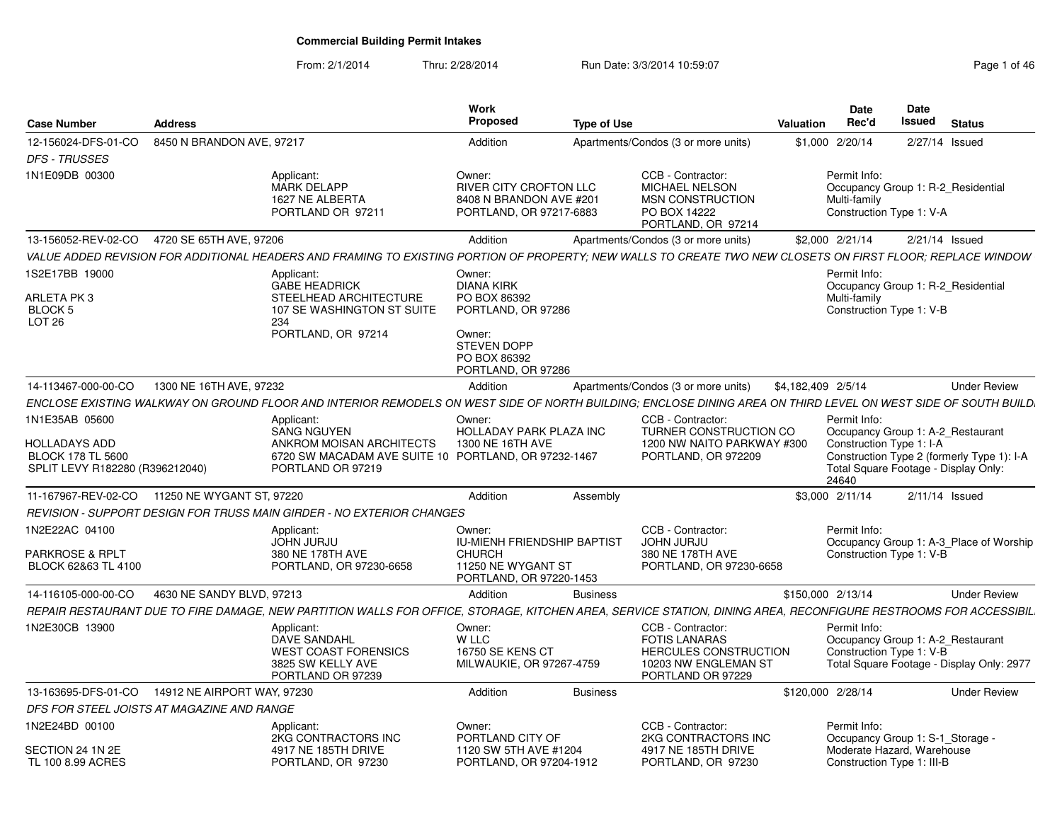From: 2/1/2014Thru: 2/28/2014 Run Date: 3/3/2014 10:59:07 Rege 1 of 46

| Case Number                                                                  | <b>Address</b>              |                                                                                                                                                                 | <b>Work</b><br>Proposed                                                                                           | <b>Type of Use</b> |                                                                                                                        | Valuation          | <b>Date</b><br>Rec'd                                                                                           | Date<br>Issued   | <b>Status</b>                              |
|------------------------------------------------------------------------------|-----------------------------|-----------------------------------------------------------------------------------------------------------------------------------------------------------------|-------------------------------------------------------------------------------------------------------------------|--------------------|------------------------------------------------------------------------------------------------------------------------|--------------------|----------------------------------------------------------------------------------------------------------------|------------------|--------------------------------------------|
| 12-156024-DFS-01-CO<br><b>DFS - TRUSSES</b>                                  | 8450 N BRANDON AVE, 97217   |                                                                                                                                                                 | Addition                                                                                                          |                    | Apartments/Condos (3 or more units)                                                                                    |                    | \$1,000 2/20/14                                                                                                | 2/27/14 Issued   |                                            |
| 1N1E09DB 00300                                                               |                             | Applicant:<br><b>MARK DELAPP</b><br>1627 NE ALBERTA<br>PORTLAND OR 97211                                                                                        | Owner:<br>RIVER CITY CROFTON LLC<br>8408 N BRANDON AVE #201<br>PORTLAND, OR 97217-6883                            |                    | CCB - Contractor:<br>MICHAEL NELSON<br><b>MSN CONSTRUCTION</b><br>PO BOX 14222<br>PORTLAND, OR 97214                   |                    | Permit Info:<br>Occupancy Group 1: R-2 Residential<br>Multi-family<br>Construction Type 1: V-A                 |                  |                                            |
| 13-156052-REV-02-CO                                                          | 4720 SE 65TH AVE, 97206     |                                                                                                                                                                 | Addition                                                                                                          |                    | Apartments/Condos (3 or more units)                                                                                    |                    | \$2,000 2/21/14                                                                                                | $2/21/14$ Issued |                                            |
|                                                                              |                             | VALUE ADDED REVISION FOR ADDITIONAL HEADERS AND FRAMING TO EXISTING PORTION OF PROPERTY: NEW WALLS TO CREATE TWO NEW CLOSETS ON FIRST FLOOR: REPLACE WINDOW     |                                                                                                                   |                    |                                                                                                                        |                    |                                                                                                                |                  |                                            |
| 1S2E17BB 19000<br>ARLETA PK3<br>BLOCK 5<br>LOT <sub>26</sub>                 |                             | Applicant:<br><b>GABE HEADRICK</b><br>STEELHEAD ARCHITECTURE<br>107 SE WASHINGTON ST SUITE<br>234<br>PORTLAND, OR 97214                                         | Owner:<br><b>DIANA KIRK</b><br>PO BOX 86392<br>PORTLAND, OR 97286<br>Owner:<br><b>STEVEN DOPP</b><br>PO BOX 86392 |                    |                                                                                                                        |                    | Permit Info:<br>Occupancy Group 1: R-2 Residential<br>Multi-family<br>Construction Type 1: V-B                 |                  |                                            |
| 14-113467-000-00-CO                                                          | 1300 NE 16TH AVE, 97232     |                                                                                                                                                                 | PORTLAND, OR 97286<br>Addition                                                                                    |                    | Apartments/Condos (3 or more units)                                                                                    | \$4,182,409 2/5/14 |                                                                                                                |                  | <b>Under Review</b>                        |
|                                                                              |                             | ENCLOSE EXISTING WALKWAY ON GROUND FLOOR AND INTERIOR REMODELS ON WEST SIDE OF NORTH BUILDING: ENCLOSE DINING AREA ON THIRD LEVEL ON WEST SIDE OF SOUTH BUILD.  |                                                                                                                   |                    |                                                                                                                        |                    |                                                                                                                |                  |                                            |
| 1N1E35AB 05600                                                               |                             | Applicant:                                                                                                                                                      | Owner:                                                                                                            |                    | CCB - Contractor:                                                                                                      |                    | Permit Info:                                                                                                   |                  |                                            |
| HOLLADAYS ADD<br><b>BLOCK 178 TL 5600</b><br>SPLIT LEVY R182280 (R396212040) |                             | <b>SANG NGUYEN</b><br>ANKROM MOISAN ARCHITECTS<br>6720 SW MACADAM AVE SUITE 10 PORTLAND, OR 97232-1467<br>PORTLAND OR 97219                                     | <b>HOLLADAY PARK PLAZA INC</b><br>1300 NE 16TH AVE                                                                |                    | TURNER CONSTRUCTION CO<br>1200 NW NAITO PARKWAY #300<br>PORTLAND, OR 972209                                            |                    | Occupancy Group 1: A-2 Restaurant<br>Construction Type 1: I-A<br>Total Square Footage - Display Only:<br>24640 |                  | Construction Type 2 (formerly Type 1): I-A |
| 11-167967-REV-02-CO                                                          | 11250 NE WYGANT ST, 97220   |                                                                                                                                                                 | Addition                                                                                                          | Assembly           |                                                                                                                        |                    | \$3,000 2/11/14                                                                                                | $2/11/14$ Issued |                                            |
|                                                                              |                             | REVISION - SUPPORT DESIGN FOR TRUSS MAIN GIRDER - NO EXTERIOR CHANGES                                                                                           |                                                                                                                   |                    |                                                                                                                        |                    |                                                                                                                |                  |                                            |
| 1N2E22AC 04100<br>PARKROSE & RPLT<br>BLOCK 62&63 TL 4100                     |                             | Applicant:<br><b>JOHN JURJU</b><br>380 NE 178TH AVE<br>PORTLAND, OR 97230-6658                                                                                  | Owner:<br>IU-MIENH FRIENDSHIP BAPTIST<br><b>CHURCH</b><br>11250 NE WYGANT ST<br>PORTLAND, OR 97220-1453           |                    | CCB - Contractor:<br><b>JOHN JURJU</b><br>380 NE 178TH AVE<br>PORTLAND, OR 97230-6658                                  |                    | Permit Info:<br>Construction Type 1: V-B                                                                       |                  | Occupancy Group 1: A-3 Place of Worship    |
| 14-116105-000-00-CO                                                          | 4630 NE SANDY BLVD, 97213   |                                                                                                                                                                 | Addition                                                                                                          | <b>Business</b>    |                                                                                                                        |                    | \$150,000 2/13/14                                                                                              |                  | <b>Under Review</b>                        |
|                                                                              |                             | REPAIR RESTAURANT DUE TO FIRE DAMAGE, NEW PARTITION WALLS FOR OFFICE, STORAGE, KITCHEN AREA, SERVICE STATION, DINING AREA, RECONFIGURE RESTROOMS FOR ACCESSIBIL |                                                                                                                   |                    |                                                                                                                        |                    |                                                                                                                |                  |                                            |
| 1N2E30CB 13900                                                               |                             | Applicant:<br><b>DAVE SANDAHL</b><br><b>WEST COAST FORENSICS</b><br>3825 SW KELLY AVE<br>PORTLAND OR 97239                                                      | Owner:<br>W LLC<br><b>16750 SE KENS CT</b><br>MILWAUKIE, OR 97267-4759                                            |                    | CCB - Contractor:<br><b>FOTIS LANARAS</b><br><b>HERCULES CONSTRUCTION</b><br>10203 NW ENGLEMAN ST<br>PORTLAND OR 97229 |                    | Permit Info:<br>Occupancy Group 1: A-2 Restaurant<br>Construction Type 1: V-B                                  |                  | Total Square Footage - Display Only: 2977  |
| 13-163695-DFS-01-CO                                                          | 14912 NE AIRPORT WAY, 97230 |                                                                                                                                                                 | Addition                                                                                                          | <b>Business</b>    |                                                                                                                        |                    | \$120,000 2/28/14                                                                                              |                  | <b>Under Review</b>                        |
| DFS FOR STEEL JOISTS AT MAGAZINE AND RANGE                                   |                             |                                                                                                                                                                 |                                                                                                                   |                    |                                                                                                                        |                    |                                                                                                                |                  |                                            |
| 1N2E24BD 00100<br>SECTION 24 1N 2E<br>TL 100 8.99 ACRES                      |                             | Applicant:<br>2KG CONTRACTORS INC<br>4917 NE 185TH DRIVE<br>PORTLAND, OR 97230                                                                                  | Owner:<br>PORTLAND CITY OF<br>1120 SW 5TH AVE #1204<br>PORTLAND, OR 97204-1912                                    |                    | CCB - Contractor:<br>2KG CONTRACTORS INC<br>4917 NE 185TH DRIVE<br>PORTLAND, OR 97230                                  |                    | Permit Info:<br>Occupancy Group 1: S-1_Storage -<br>Moderate Hazard, Warehouse<br>Construction Type 1: III-B   |                  |                                            |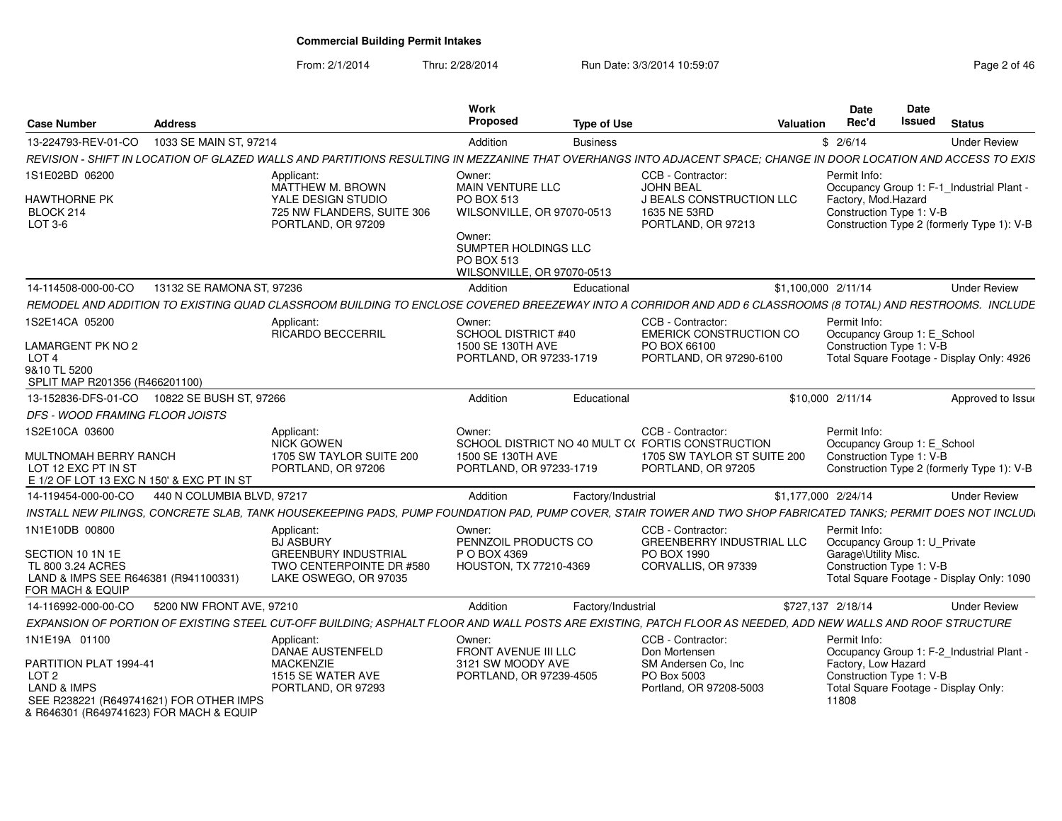From: 2/1/2014

Thru: 2/28/2014 Run Date: 3/3/2014 10:59:07 Rege 2 of 46

| <b>Address</b><br><b>Case Number</b>                                                                                                                              |                                                                                  | Work<br>Proposed                                                                  | <b>Type of Use</b> |                                                                                                                            | Valuation           | <b>Date</b><br>Rec'd                                                    | <b>Date</b><br><b>Issued</b> | <b>Status</b>                              |
|-------------------------------------------------------------------------------------------------------------------------------------------------------------------|----------------------------------------------------------------------------------|-----------------------------------------------------------------------------------|--------------------|----------------------------------------------------------------------------------------------------------------------------|---------------------|-------------------------------------------------------------------------|------------------------------|--------------------------------------------|
| 1033 SE MAIN ST, 97214<br>13-224793-REV-01-CO                                                                                                                     |                                                                                  | Addition                                                                          | <b>Business</b>    |                                                                                                                            |                     | \$2/6/14                                                                |                              | <b>Under Review</b>                        |
| REVISION - SHIFT IN LOCATION OF GLAZED WALLS AND PARTITIONS RESULTING IN MEZZANINE THAT OVERHANGS INTO ADJACENT SPACE: CHANGE IN DOOR LOCATION AND ACCESS TO EXIS |                                                                                  |                                                                                   |                    |                                                                                                                            |                     |                                                                         |                              |                                            |
| 1S1E02BD 06200                                                                                                                                                    | Applicant:<br>MATTHEW M. BROWN                                                   | Owner:<br><b>MAIN VENTURE LLC</b>                                                 |                    | CCB - Contractor:<br><b>JOHN BEAL</b>                                                                                      |                     | Permit Info:                                                            |                              | Occupancy Group 1: F-1_Industrial Plant -  |
| <b>HAWTHORNE PK</b><br>BLOCK 214<br>LOT 3-6                                                                                                                       | YALE DESIGN STUDIO<br>725 NW FLANDERS, SUITE 306<br>PORTLAND, OR 97209           | <b>PO BOX 513</b><br>WILSONVILLE, OR 97070-0513                                   |                    | J BEALS CONSTRUCTION LLC<br>1635 NE 53RD<br>PORTLAND, OR 97213                                                             |                     | Factory, Mod.Hazard<br>Construction Type 1: V-B                         |                              | Construction Type 2 (formerly Type 1): V-B |
|                                                                                                                                                                   |                                                                                  | Owner:<br>SUMPTER HOLDINGS LLC<br><b>PO BOX 513</b><br>WILSONVILLE, OR 97070-0513 |                    |                                                                                                                            |                     |                                                                         |                              |                                            |
| 13132 SE RAMONA ST, 97236<br>14-114508-000-00-CO                                                                                                                  |                                                                                  | Addition                                                                          | Educational        |                                                                                                                            | \$1,100,000 2/11/14 |                                                                         |                              | <b>Under Review</b>                        |
| REMODEL AND ADDITION TO EXISTING QUAD CLASSROOM BUILDING TO ENCLOSE COVERED BREEZEWAY INTO A CORRIDOR AND ADD 6 CLASSROOMS (8 TOTAL) AND RESTROOMS. INCLUDE       |                                                                                  |                                                                                   |                    |                                                                                                                            |                     |                                                                         |                              |                                            |
| 1S2E14CA 05200<br><b>LAMARGENT PK NO 2</b>                                                                                                                        | Applicant:<br><b>RICARDO BECCERRIL</b>                                           | Owner:<br>SCHOOL DISTRICT #40<br>1500 SE 130TH AVE                                |                    | CCB - Contractor:<br><b>EMERICK CONSTRUCTION CO</b><br>PO BOX 66100                                                        |                     | Permit Info:<br>Occupancy Group 1: E_School<br>Construction Type 1: V-B |                              |                                            |
| LOT <sub>4</sub><br>9&10 TL 5200<br>SPLIT MAP R201356 (R466201100)                                                                                                |                                                                                  | PORTLAND, OR 97233-1719                                                           |                    | PORTLAND, OR 97290-6100                                                                                                    |                     |                                                                         |                              | Total Square Footage - Display Only: 4926  |
| 13-152836-DFS-01-CO  10822 SE BUSH ST, 97266                                                                                                                      |                                                                                  | Addition                                                                          | Educational        |                                                                                                                            |                     | \$10,000 2/11/14                                                        |                              | Approved to Issue                          |
| DFS - WOOD FRAMING FLOOR JOISTS                                                                                                                                   |                                                                                  |                                                                                   |                    |                                                                                                                            |                     |                                                                         |                              |                                            |
| 1S2E10CA 03600<br><b>MULTNOMAH BERRY RANCH</b><br>LOT 12 EXC PT IN ST<br>E 1/2 OF LOT 13 EXC N 150' & EXC PT IN ST                                                | Applicant:<br>NICK GOWEN<br>1705 SW TAYLOR SUITE 200<br>PORTLAND, OR 97206       | Owner:<br>1500 SE 130TH AVE<br>PORTLAND, OR 97233-1719                            |                    | CCB - Contractor:<br>SCHOOL DISTRICT NO 40 MULT C(FORTIS CONSTRUCTION<br>1705 SW TAYLOR ST SUITE 200<br>PORTLAND, OR 97205 |                     | Permit Info:<br>Occupancy Group 1: E_School<br>Construction Type 1: V-B |                              | Construction Type 2 (formerly Type 1): V-B |
| 440 N COLUMBIA BLVD, 97217<br>14-119454-000-00-CO                                                                                                                 |                                                                                  | Addition                                                                          | Factory/Industrial |                                                                                                                            | \$1,177,000 2/24/14 |                                                                         |                              | <b>Under Review</b>                        |
| INSTALL NEW PILINGS, CONCRETE SLAB, TANK HOUSEKEEPING PADS, PUMP FOUNDATION PAD, PUMP COVER, STAIR TOWER AND TWO SHOP FABRICATED TANKS; PERMIT DOES NOT INCLUD,   |                                                                                  |                                                                                   |                    |                                                                                                                            |                     |                                                                         |                              |                                            |
| 1N1E10DB 00800                                                                                                                                                    | Applicant:<br><b>BJ ASBURY</b>                                                   | Owner:<br>PENNZOIL PRODUCTS CO                                                    |                    | CCB - Contractor:<br><b>GREENBERRY INDUSTRIAL LLC</b>                                                                      |                     | Permit Info:<br>Occupancy Group 1: U Private                            |                              |                                            |
| SECTION 10 1N 1E<br>TL 800 3.24 ACRES<br>LAND & IMPS SEE R646381 (R941100331)<br>FOR MACH & EQUIP                                                                 | <b>GREENBURY INDUSTRIAL</b><br>TWO CENTERPOINTE DR #580<br>LAKE OSWEGO, OR 97035 | P O BOX 4369<br>HOUSTON, TX 77210-4369                                            |                    | PO BOX 1990<br>CORVALLIS, OR 97339                                                                                         |                     | Garage\Utility Misc.<br>Construction Type 1: V-B                        |                              | Total Square Footage - Display Only: 1090  |
| 5200 NW FRONT AVE, 97210<br>14-116992-000-00-CO                                                                                                                   |                                                                                  | Addition                                                                          | Factory/Industrial |                                                                                                                            |                     | \$727,137 2/18/14                                                       |                              | <b>Under Review</b>                        |
| EXPANSION OF PORTION OF EXISTING STEEL CUT-OFF BUILDING; ASPHALT FLOOR AND WALL POSTS ARE EXISTING, PATCH FLOOR AS NEEDED, ADD NEW WALLS AND ROOF STRUCTURE       |                                                                                  |                                                                                   |                    |                                                                                                                            |                     |                                                                         |                              |                                            |
| 1N1E19A 01100                                                                                                                                                     | Applicant:<br>DANAE AUSTENFELD                                                   | Owner:<br>FRONT AVENUE III LLC                                                    |                    | CCB - Contractor:<br>Don Mortensen                                                                                         |                     | Permit Info:                                                            |                              | Occupancy Group 1: F-2_Industrial Plant    |
| PARTITION PLAT 1994-41<br>LOT <sub>2</sub><br><b>LAND &amp; IMPS</b><br>SEE R238221 (R649741621) FOR OTHER IMPS<br>& R646301 (R649741623) FOR MACH & EQUIP        | <b>MACKENZIE</b><br>1515 SE WATER AVE<br>PORTLAND, OR 97293                      | 3121 SW MOODY AVE<br>PORTLAND, OR 97239-4505                                      |                    | SM Andersen Co. Inc.<br>PO Box 5003<br>Portland, OR 97208-5003                                                             |                     | Factory, Low Hazard<br>Construction Type 1: V-B<br>11808                |                              | Total Square Footage - Display Only:       |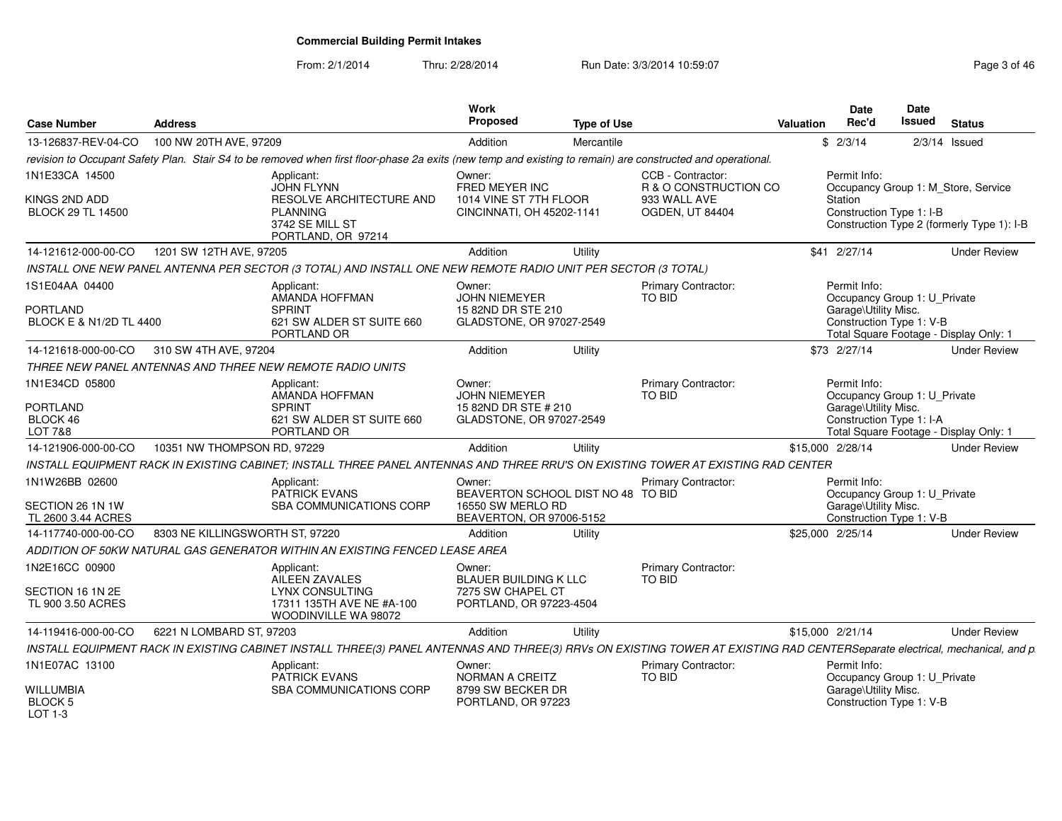From: 2/1/2014

Thru: 2/28/2014 Run Date: 3/3/2014 10:59:07 Rege 3 of 46

| <b>Case Number</b>                         | <b>Address</b>                  |                                                                                                                                                                              | <b>Work</b><br>Proposed                             | <b>Type of Use</b> |                                            | Valuation        | Date<br>Rec'd        | Date<br>Issued               | <b>Status</b>                              |
|--------------------------------------------|---------------------------------|------------------------------------------------------------------------------------------------------------------------------------------------------------------------------|-----------------------------------------------------|--------------------|--------------------------------------------|------------------|----------------------|------------------------------|--------------------------------------------|
| 13-126837-REV-04-CO                        | 100 NW 20TH AVE, 97209          |                                                                                                                                                                              | Addition                                            | Mercantile         |                                            |                  | \$2/3/14             |                              | $2/3/14$ Issued                            |
|                                            |                                 | revision to Occupant Safety Plan. Stair S4 to be removed when first floor-phase 2a exits (new temp and existing to remain) are constructed and operational.                  |                                                     |                    |                                            |                  |                      |                              |                                            |
| 1N1E33CA 14500                             |                                 | Applicant:<br><b>JOHN FLYNN</b>                                                                                                                                              | Owner:<br>FRED MEYER INC                            |                    | CCB - Contractor:<br>R & O CONSTRUCTION CO |                  | Permit Info:         |                              | Occupancy Group 1: M_Store, Service        |
| KINGS 2ND ADD<br><b>BLOCK 29 TL 14500</b>  |                                 | RESOLVE ARCHITECTURE AND<br><b>PLANNING</b><br>3742 SE MILL ST<br>PORTLAND, OR 97214                                                                                         | 1014 VINE ST 7TH FLOOR<br>CINCINNATI, OH 45202-1141 |                    | 933 WALL AVE<br>OGDEN, UT 84404            |                  | Station              | Construction Type 1: I-B     | Construction Type 2 (formerly Type 1): I-B |
| 14-121612-000-00-CO                        | 1201 SW 12TH AVE, 97205         |                                                                                                                                                                              | Addition                                            | Utility            |                                            |                  | \$41 2/27/14         |                              | <b>Under Review</b>                        |
|                                            |                                 | INSTALL ONE NEW PANEL ANTENNA PER SECTOR (3 TOTAL) AND INSTALL ONE NEW REMOTE RADIO UNIT PER SECTOR (3 TOTAL)                                                                |                                                     |                    |                                            |                  |                      |                              |                                            |
| 1S1E04AA 04400                             |                                 | Applicant:<br>AMANDA HOFFMAN                                                                                                                                                 | Owner:<br><b>JOHN NIEMEYER</b>                      |                    | <b>Primary Contractor:</b><br>TO BID       |                  | Permit Info:         | Occupancy Group 1: U Private |                                            |
| <b>PORTLAND</b><br>BLOCK E & N1/2D TL 4400 |                                 | <b>SPRINT</b><br>621 SW ALDER ST SUITE 660<br>PORTLAND OR                                                                                                                    | 15 82ND DR STE 210<br>GLADSTONE, OR 97027-2549      |                    |                                            |                  | Garage\Utility Misc. | Construction Type 1: V-B     | Total Square Footage - Display Only: 1     |
| 14-121618-000-00-CO                        | 310 SW 4TH AVE, 97204           |                                                                                                                                                                              | Addition                                            | Utility            |                                            |                  | \$73 2/27/14         |                              | <b>Under Review</b>                        |
|                                            |                                 | THREE NEW PANEL ANTENNAS AND THREE NEW REMOTE RADIO UNITS                                                                                                                    |                                                     |                    |                                            |                  |                      |                              |                                            |
| 1N1E34CD 05800                             |                                 | Applicant:<br>AMANDA HOFFMAN                                                                                                                                                 | Owner:<br><b>JOHN NIEMEYER</b>                      |                    | Primary Contractor:<br>TO BID              |                  | Permit Info:         | Occupancy Group 1: U_Private |                                            |
| <b>PORTLAND</b><br>BLOCK 46<br>LOT 7&8     |                                 | <b>SPRINT</b><br>621 SW ALDER ST SUITE 660<br>PORTLAND OR                                                                                                                    | 15 82ND DR STE # 210<br>GLADSTONE, OR 97027-2549    |                    |                                            |                  | Garage\Utility Misc. | Construction Type 1: I-A     | Total Square Footage - Display Only: 1     |
| 14-121906-000-00-CO                        | 10351 NW THOMPSON RD, 97229     |                                                                                                                                                                              | Addition                                            | Utility            |                                            | \$15,000 2/28/14 |                      |                              | <b>Under Review</b>                        |
|                                            |                                 | INSTALL EQUIPMENT RACK IN EXISTING CABINET; INSTALL THREE PANEL ANTENNAS AND THREE RRU'S ON EXISTING TOWER AT EXISTING RAD CENTER                                            |                                                     |                    |                                            |                  |                      |                              |                                            |
| 1N1W26BB 02600                             |                                 | Applicant:<br><b>PATRICK EVANS</b>                                                                                                                                           | Owner:<br>BEAVERTON SCHOOL DIST NO 48 TO BID        |                    | <b>Primary Contractor:</b>                 |                  | Permit Info:         | Occupancy Group 1: U_Private |                                            |
| SECTION 26 1N 1W<br>TL 2600 3.44 ACRES     |                                 | <b>SBA COMMUNICATIONS CORP</b>                                                                                                                                               | 16550 SW MERLO RD<br>BEAVERTON, OR 97006-5152       |                    |                                            |                  | Garage\Utility Misc. | Construction Type 1: V-B     |                                            |
| 14-117740-000-00-CO                        | 8303 NE KILLINGSWORTH ST, 97220 |                                                                                                                                                                              | Addition                                            | Utility            |                                            | \$25,000 2/25/14 |                      |                              | <b>Under Review</b>                        |
|                                            |                                 | ADDITION OF 50KW NATURAL GAS GENERATOR WITHIN AN EXISTING FENCED LEASE AREA                                                                                                  |                                                     |                    |                                            |                  |                      |                              |                                            |
| 1N2E16CC 00900                             |                                 | Applicant:<br><b>AILEEN ZAVALES</b>                                                                                                                                          | Owner:<br><b>BLAUER BUILDING K LLC</b>              |                    | Primary Contractor:<br>TO BID              |                  |                      |                              |                                            |
| SECTION 16 1N 2E<br>TL 900 3.50 ACRES      |                                 | <b>LYNX CONSULTING</b><br>17311 135TH AVE NE #A-100<br>WOODINVILLE WA 98072                                                                                                  | 7275 SW CHAPEL CT<br>PORTLAND, OR 97223-4504        |                    |                                            |                  |                      |                              |                                            |
| 14-119416-000-00-CO                        | 6221 N LOMBARD ST, 97203        |                                                                                                                                                                              | Addition                                            | Utility            |                                            | \$15,000 2/21/14 |                      |                              | <b>Under Review</b>                        |
|                                            |                                 | INSTALL EQUIPMENT RACK IN EXISTING CABINET INSTALL THREE(3) PANEL ANTENNAS AND THREE(3) RRVs ON EXISTING TOWER AT EXISTING RAD CENTERSeparate electrical, mechanical, and p. |                                                     |                    |                                            |                  |                      |                              |                                            |
| 1N1E07AC 13100                             |                                 | Applicant:<br><b>PATRICK EVANS</b>                                                                                                                                           | Owner:<br>NORMAN A CREITZ                           |                    | Primary Contractor:<br>TO BID              |                  | Permit Info:         | Occupancy Group 1: U_Private |                                            |
| WILLUMBIA<br>BLOCK 5<br>$1$ OT 1-3         |                                 | <b>SBA COMMUNICATIONS CORP</b>                                                                                                                                               | 8799 SW BECKER DR<br>PORTLAND, OR 97223             |                    |                                            |                  | Garage\Utility Misc. | Construction Type 1: V-B     |                                            |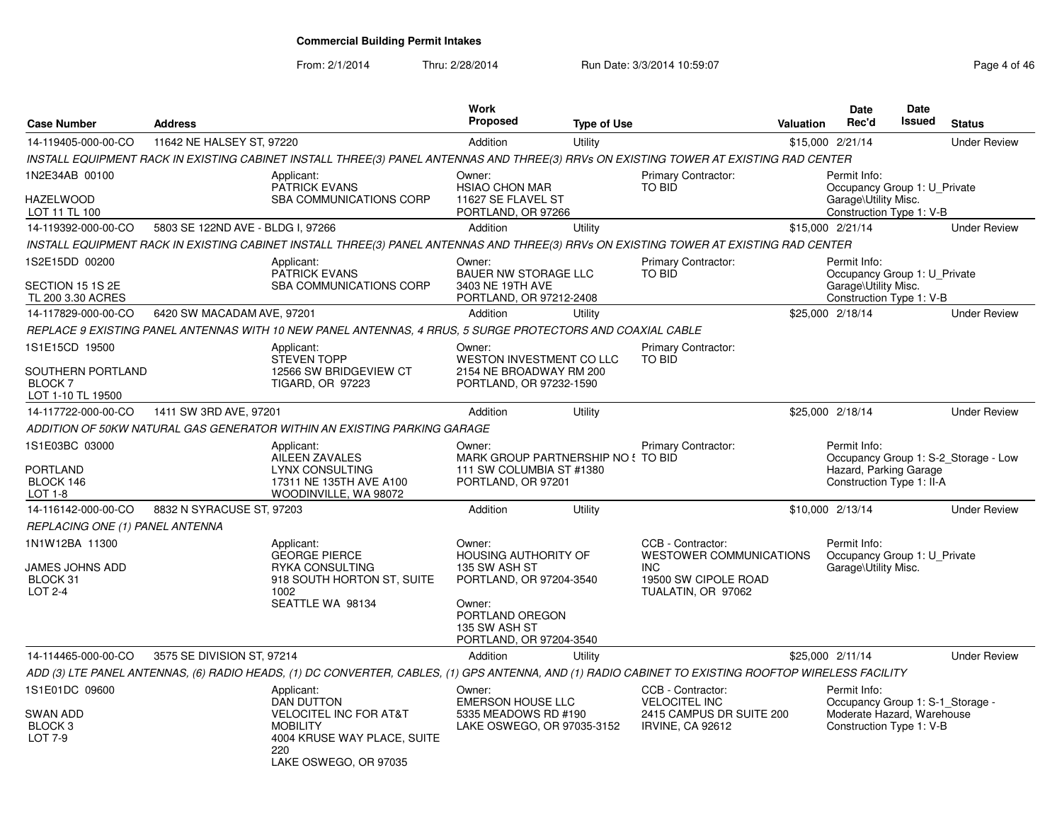### From: 2/1/2014Thru: 2/28/2014 **Run Date: 3/3/2014 10:59:07 Page 4 of 46 of 47 of 46 of 46 of 46 of 46 of 46 of 46**

| Page 4 of 46 |  |
|--------------|--|
|--------------|--|

| <b>Case Number</b>                                                        | <b>Address</b>                    |                                                                                                                                                     | <b>Work</b><br><b>Proposed</b>                                                                                                                             | <b>Type of Use</b> |                                                                                                                 | <b>Valuation</b> | Date<br>Rec'd                                                                                              | Date<br>Issued | <b>Status</b>                        |
|---------------------------------------------------------------------------|-----------------------------------|-----------------------------------------------------------------------------------------------------------------------------------------------------|------------------------------------------------------------------------------------------------------------------------------------------------------------|--------------------|-----------------------------------------------------------------------------------------------------------------|------------------|------------------------------------------------------------------------------------------------------------|----------------|--------------------------------------|
| 14-119405-000-00-CO                                                       | 11642 NE HALSEY ST, 97220         |                                                                                                                                                     | Addition                                                                                                                                                   | Utility            |                                                                                                                 |                  | \$15,000 2/21/14                                                                                           |                | <b>Under Review</b>                  |
|                                                                           |                                   | INSTALL EQUIPMENT RACK IN EXISTING CABINET INSTALL THREE(3) PANEL ANTENNAS AND THREE(3) RRVs ON EXISTING TOWER AT EXISTING RAD CENTER               |                                                                                                                                                            |                    |                                                                                                                 |                  |                                                                                                            |                |                                      |
| 1N2E34AB 00100<br><b>HAZELWOOD</b><br>LOT 11 TL 100                       |                                   | Applicant:<br><b>PATRICK EVANS</b><br><b>SBA COMMUNICATIONS CORP</b>                                                                                | Owner:<br><b>HSIAO CHON MAR</b><br>11627 SE FLAVEL ST<br>PORTLAND, OR 97266                                                                                |                    | Primary Contractor:<br><b>TO BID</b>                                                                            |                  | Permit Info:<br>Occupancy Group 1: U Private<br>Garage\Utility Misc.<br>Construction Type 1: V-B           |                |                                      |
| 14-119392-000-00-CO                                                       | 5803 SE 122ND AVE - BLDG I, 97266 |                                                                                                                                                     | Addition                                                                                                                                                   | Utility            |                                                                                                                 |                  | \$15,000 2/21/14                                                                                           |                | <b>Under Review</b>                  |
|                                                                           |                                   | INSTALL EQUIPMENT RACK IN EXISTING CABINET INSTALL THREE(3) PANEL ANTENNAS AND THREE(3) RRVs ON EXISTING TOWER AT EXISTING RAD CENTER               |                                                                                                                                                            |                    |                                                                                                                 |                  |                                                                                                            |                |                                      |
| 1S2E15DD 00200<br>SECTION 15 1S 2E                                        |                                   | Applicant:<br><b>PATRICK EVANS</b><br>SBA COMMUNICATIONS CORP                                                                                       | Owner:<br><b>BAUER NW STORAGE LLC</b><br>3403 NE 19TH AVE                                                                                                  |                    | Primary Contractor:<br>TO BID                                                                                   |                  | Permit Info:<br>Occupancy Group 1: U Private<br>Garage\Utility Misc.                                       |                |                                      |
| TL 200 3.30 ACRES                                                         |                                   |                                                                                                                                                     | PORTLAND, OR 97212-2408                                                                                                                                    |                    |                                                                                                                 |                  | Construction Type 1: V-B                                                                                   |                |                                      |
| 14-117829-000-00-CO                                                       | 6420 SW MACADAM AVE, 97201        |                                                                                                                                                     | Addition                                                                                                                                                   | Utility            |                                                                                                                 |                  | \$25,000 2/18/14                                                                                           |                | <b>Under Review</b>                  |
|                                                                           |                                   | REPLACE 9 EXISTING PANEL ANTENNAS WITH 10 NEW PANEL ANTENNAS, 4 RRUS, 5 SURGE PROTECTORS AND COAXIAL CABLE                                          |                                                                                                                                                            |                    |                                                                                                                 |                  |                                                                                                            |                |                                      |
| 1S1E15CD 19500<br>SOUTHERN PORTLAND<br><b>BLOCK7</b><br>LOT 1-10 TL 19500 |                                   | Applicant:<br><b>STEVEN TOPP</b><br>12566 SW BRIDGEVIEW CT<br>TIGARD, OR 97223                                                                      | Owner:<br>WESTON INVESTMENT CO LLC<br>2154 NE BROADWAY RM 200<br>PORTLAND, OR 97232-1590                                                                   |                    | Primary Contractor:<br>TO BID                                                                                   |                  |                                                                                                            |                |                                      |
| 14-117722-000-00-CO                                                       | 1411 SW 3RD AVE, 97201            |                                                                                                                                                     | Addition                                                                                                                                                   | Utility            |                                                                                                                 |                  | \$25,000 2/18/14                                                                                           |                | <b>Under Review</b>                  |
|                                                                           |                                   | ADDITION OF 50KW NATURAL GAS GENERATOR WITHIN AN EXISTING PARKING GARAGE                                                                            |                                                                                                                                                            |                    |                                                                                                                 |                  |                                                                                                            |                |                                      |
| 1S1E03BC 03000<br><b>PORTLAND</b><br>BLOCK 146<br>LOT 1-8                 |                                   | Applicant:<br><b>AILEEN ZAVALES</b><br><b>LYNX CONSULTING</b><br>17311 NE 135TH AVE A100<br>WOODINVILLE, WA 98072                                   | Owner:<br>MARK GROUP PARTNERSHIP NO ! TO BID<br>111 SW COLUMBIA ST #1380<br>PORTLAND, OR 97201                                                             |                    | Primary Contractor:                                                                                             |                  | Permit Info:<br>Hazard, Parking Garage<br>Construction Type 1: II-A                                        |                | Occupancy Group 1: S-2 Storage - Low |
| 14-116142-000-00-CO                                                       | 8832 N SYRACUSE ST, 97203         |                                                                                                                                                     | Addition                                                                                                                                                   | Utility            |                                                                                                                 |                  | \$10,000 2/13/14                                                                                           |                | <b>Under Review</b>                  |
| REPLACING ONE (1) PANEL ANTENNA                                           |                                   |                                                                                                                                                     |                                                                                                                                                            |                    |                                                                                                                 |                  |                                                                                                            |                |                                      |
| 1N1W12BA 11300<br>JAMES JOHNS ADD<br>BLOCK 31<br>LOT 2-4                  |                                   | Applicant:<br><b>GEORGE PIERCE</b><br>RYKA CONSULTING<br>918 SOUTH HORTON ST, SUITE<br>1002<br>SEATTLE WA 98134                                     | Owner:<br><b>HOUSING AUTHORITY OF</b><br>135 SW ASH ST<br>PORTLAND, OR 97204-3540<br>Owner:<br>PORTLAND OREGON<br>135 SW ASH ST<br>PORTLAND, OR 97204-3540 |                    | CCB - Contractor:<br><b>WESTOWER COMMUNICATIONS</b><br><b>INC</b><br>19500 SW CIPOLE ROAD<br>TUALATIN, OR 97062 |                  | Permit Info:<br>Occupancy Group 1: U Private<br>Garage\Utility Misc.                                       |                |                                      |
| 14-114465-000-00-CO                                                       | 3575 SE DIVISION ST, 97214        |                                                                                                                                                     | Addition                                                                                                                                                   | Utility            |                                                                                                                 |                  | \$25,000 2/11/14                                                                                           |                | <b>Under Review</b>                  |
|                                                                           |                                   | ADD (3) LTE PANEL ANTENNAS, (6) RADIO HEADS, (1) DC CONVERTER, CABLES, (1) GPS ANTENNA, AND (1) RADIO CABINET TO EXISTING ROOFTOP WIRELESS FACILITY |                                                                                                                                                            |                    |                                                                                                                 |                  |                                                                                                            |                |                                      |
| 1S1E01DC 09600<br><b>SWAN ADD</b><br>BLOCK <sub>3</sub><br>LOT 7-9        |                                   | Applicant:<br><b>DAN DUTTON</b><br>VELOCITEL INC FOR AT&T<br><b>MOBILITY</b><br>4004 KRUSE WAY PLACE, SUITE<br>220<br>LAKE OSWEGO, OR 97035         | Owner:<br><b>EMERSON HOUSE LLC</b><br>5335 MEADOWS RD #190<br>LAKE OSWEGO, OR 97035-3152                                                                   |                    | CCB - Contractor:<br><b>VELOCITEL INC</b><br>2415 CAMPUS DR SUITE 200<br><b>IRVINE, CA 92612</b>                |                  | Permit Info:<br>Occupancy Group 1: S-1_Storage -<br>Moderate Hazard, Warehouse<br>Construction Type 1: V-B |                |                                      |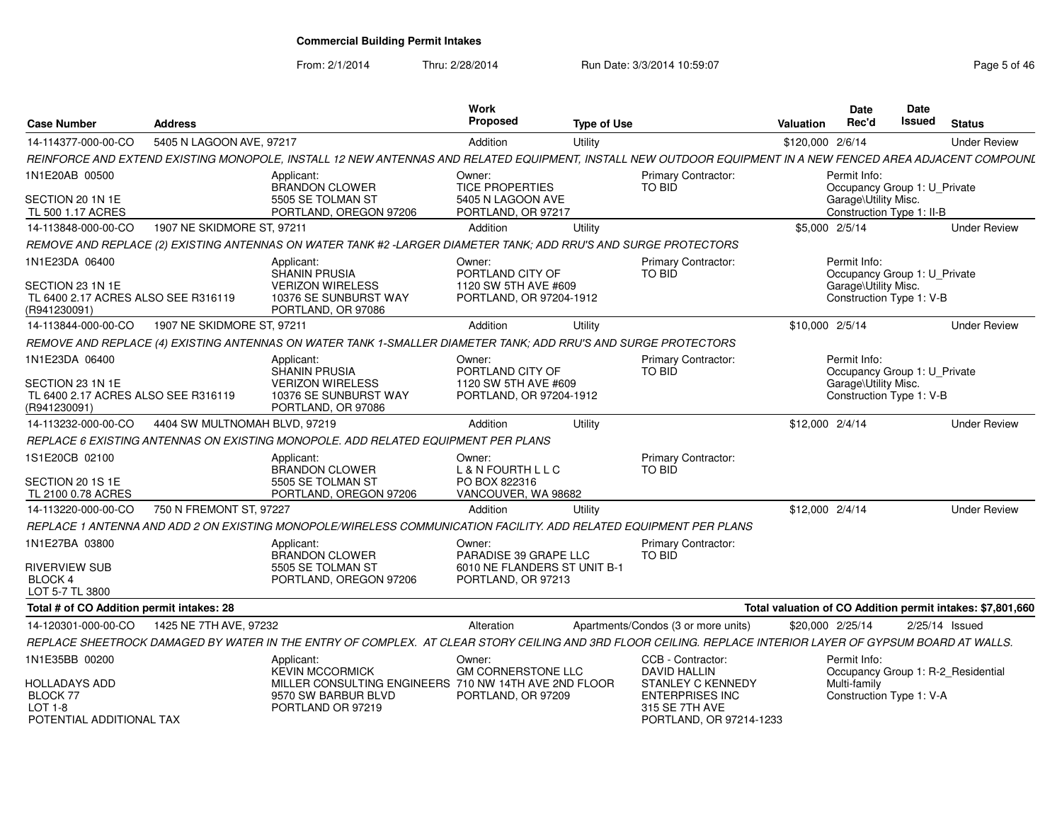From: 2/1/2014Thru: 2/28/2014 Run Date: 3/3/2014 10:59:07 Rege 5 of 46

| <b>Case Number</b>                                                             | <b>Address</b>                |                                                                                                                                                             | Work<br><b>Proposed</b>                            | <b>Type of Use</b> |                                                                                          | Valuation        | Date<br>Rec'd                                     | <b>Date</b><br>Issued | <b>Status</b>                                              |
|--------------------------------------------------------------------------------|-------------------------------|-------------------------------------------------------------------------------------------------------------------------------------------------------------|----------------------------------------------------|--------------------|------------------------------------------------------------------------------------------|------------------|---------------------------------------------------|-----------------------|------------------------------------------------------------|
| 14-114377-000-00-CO                                                            | 5405 N LAGOON AVE, 97217      |                                                                                                                                                             | Addition                                           | Utility            |                                                                                          | \$120,000 2/6/14 |                                                   |                       | <b>Under Review</b>                                        |
|                                                                                |                               | REINFORCE AND EXTEND EXISTING MONOPOLE, INSTALL 12 NEW ANTENNAS AND RELATED EQUIPMENT, INSTALL NEW OUTDOOR EQUIPMENT IN A NEW FENCED AREA ADJACENT COMPOUNL |                                                    |                    |                                                                                          |                  |                                                   |                       |                                                            |
| 1N1E20AB 00500                                                                 |                               | Applicant:<br><b>BRANDON CLOWER</b>                                                                                                                         | Owner:<br><b>TICE PROPERTIES</b>                   |                    | <b>Primary Contractor:</b><br><b>TO BID</b>                                              |                  | Permit Info:<br>Occupancy Group 1: U_Private      |                       |                                                            |
| SECTION 20 1N 1E<br>TL 500 1.17 ACRES                                          |                               | 5505 SE TOLMAN ST<br>PORTLAND, OREGON 97206                                                                                                                 | 5405 N LAGOON AVE<br>PORTLAND, OR 97217            |                    |                                                                                          |                  | Garage\Utility Misc.<br>Construction Type 1: II-B |                       |                                                            |
| 14-113848-000-00-CO                                                            | 1907 NE SKIDMORE ST, 97211    |                                                                                                                                                             | Addition                                           | Utility            |                                                                                          | \$5,000 2/5/14   |                                                   |                       | <b>Under Review</b>                                        |
|                                                                                |                               | REMOVE AND REPLACE (2) EXISTING ANTENNAS ON WATER TANK #2 -LARGER DIAMETER TANK; ADD RRU'S AND SURGE PROTECTORS                                             |                                                    |                    |                                                                                          |                  |                                                   |                       |                                                            |
| 1N1E23DA 06400                                                                 |                               | Applicant:<br>SHANIN PRUSIA                                                                                                                                 | Owner:<br>PORTLAND CITY OF                         |                    | <b>Primary Contractor:</b><br><b>TO BID</b>                                              |                  | Permit Info:<br>Occupancy Group 1: U Private      |                       |                                                            |
| SECTION 23 1N 1E<br>TL 6400 2.17 ACRES ALSO SEE R316119<br>(R941230091)        |                               | <b>VERIZON WIRELESS</b><br>10376 SE SUNBURST WAY<br>PORTLAND, OR 97086                                                                                      | 1120 SW 5TH AVE #609<br>PORTLAND, OR 97204-1912    |                    |                                                                                          |                  | Garage\Utility Misc.<br>Construction Type 1: V-B  |                       |                                                            |
| 14-113844-000-00-CO                                                            | 1907 NE SKIDMORE ST, 97211    |                                                                                                                                                             | Addition                                           | Utility            |                                                                                          | \$10,000 2/5/14  |                                                   |                       | <b>Under Review</b>                                        |
|                                                                                |                               | REMOVE AND REPLACE (4) EXISTING ANTENNAS ON WATER TANK 1-SMALLER DIAMETER TANK; ADD RRU'S AND SURGE PROTECTORS                                              |                                                    |                    |                                                                                          |                  |                                                   |                       |                                                            |
| 1N1E23DA 06400                                                                 |                               | Applicant:<br><b>SHANIN PRUSIA</b>                                                                                                                          | Owner:<br>PORTLAND CITY OF                         |                    | <b>Primary Contractor:</b><br><b>TO BID</b>                                              |                  | Permit Info:<br>Occupancy Group 1: U_Private      |                       |                                                            |
| SECTION 23 1N 1E<br>TL 6400 2.17 ACRES ALSO SEE R316119<br>(R941230091)        |                               | <b>VERIZON WIRELESS</b><br>10376 SE SUNBURST WAY<br>PORTLAND, OR 97086                                                                                      | 1120 SW 5TH AVE #609<br>PORTLAND, OR 97204-1912    |                    |                                                                                          |                  | Garage\Utility Misc.<br>Construction Type 1: V-B  |                       |                                                            |
| 14-113232-000-00-CO                                                            | 4404 SW MULTNOMAH BLVD, 97219 |                                                                                                                                                             | Addition                                           | Utility            |                                                                                          | \$12,000 2/4/14  |                                                   |                       | <b>Under Review</b>                                        |
|                                                                                |                               | REPLACE 6 EXISTING ANTENNAS ON EXISTING MONOPOLE. ADD RELATED EQUIPMENT PER PLANS                                                                           |                                                    |                    |                                                                                          |                  |                                                   |                       |                                                            |
| 1S1E20CB 02100                                                                 |                               | Applicant:<br><b>BRANDON CLOWER</b>                                                                                                                         | Owner:<br>L & N FOURTH L L C                       |                    | <b>Primary Contractor:</b><br><b>TO BID</b>                                              |                  |                                                   |                       |                                                            |
| SECTION 20 1S 1E<br>TL 2100 0.78 ACRES                                         |                               | 5505 SE TOLMAN ST<br>PORTLAND, OREGON 97206                                                                                                                 | PO BOX 822316<br>VANCOUVER, WA 98682               |                    |                                                                                          |                  |                                                   |                       |                                                            |
| 14-113220-000-00-CO                                                            | 750 N FREMONT ST, 97227       |                                                                                                                                                             | Addition                                           | Utility            |                                                                                          | \$12,000 2/4/14  |                                                   |                       | <b>Under Review</b>                                        |
|                                                                                |                               | REPLACE 1 ANTENNA AND ADD 2 ON EXISTING MONOPOLE/WIRELESS COMMUNICATION FACILITY. ADD RELATED EQUIPMENT PER PLANS                                           |                                                    |                    |                                                                                          |                  |                                                   |                       |                                                            |
| 1N1E27BA 03800                                                                 |                               | Applicant:<br>BRANDON CLOWER                                                                                                                                | Owner:<br>PARADISE 39 GRAPE LLC                    |                    | Primary Contractor:<br><b>TO BID</b>                                                     |                  |                                                   |                       |                                                            |
| RIVERVIEW SUB<br>BLOCK 4<br>LOT 5-7 TL 3800                                    |                               | 5505 SE TOLMAN ST<br>PORTLAND, OREGON 97206                                                                                                                 | 6010 NE FLANDERS ST UNIT B-1<br>PORTLAND, OR 97213 |                    |                                                                                          |                  |                                                   |                       |                                                            |
| Total # of CO Addition permit intakes: 28                                      |                               |                                                                                                                                                             |                                                    |                    |                                                                                          |                  |                                                   |                       | Total valuation of CO Addition permit intakes: \$7,801,660 |
| 14-120301-000-00-CO                                                            | 1425 NE 7TH AVE, 97232        |                                                                                                                                                             | Alteration                                         |                    | Apartments/Condos (3 or more units)                                                      | \$20,000 2/25/14 |                                                   |                       | $2/25/14$ Issued                                           |
|                                                                                |                               | REPLACE SHEETROCK DAMAGED BY WATER IN THE ENTRY OF COMPLEX. AT CLEAR STORY CEILING AND 3RD FLOOR CEILING. REPLACE INTERIOR LAYER OF GYPSUM BOARD AT WALLS.  |                                                    |                    |                                                                                          |                  |                                                   |                       |                                                            |
| 1N1E35BB 00200                                                                 |                               | Applicant:<br><b>KEVIN MCCORMICK</b>                                                                                                                        | Owner:<br><b>GM CORNERSTONE LLC</b>                |                    | CCB - Contractor:<br><b>DAVID HALLIN</b>                                                 |                  | Permit Info:                                      |                       | Occupancy Group 1: R-2_Residential                         |
| <b>HOLLADAYS ADD</b><br>BLOCK 77<br><b>LOT 1-8</b><br>POTENTIAL ADDITIONAL TAX |                               | MILLER CONSULTING ENGINEERS 710 NW 14TH AVE 2ND FLOOR<br>9570 SW BARBUR BLVD<br>PORTLAND OR 97219                                                           | PORTLAND, OR 97209                                 |                    | STANLEY C KENNEDY<br><b>ENTERPRISES INC</b><br>315 SE 7TH AVE<br>PORTLAND, OR 97214-1233 |                  | Multi-family<br>Construction Type 1: V-A          |                       |                                                            |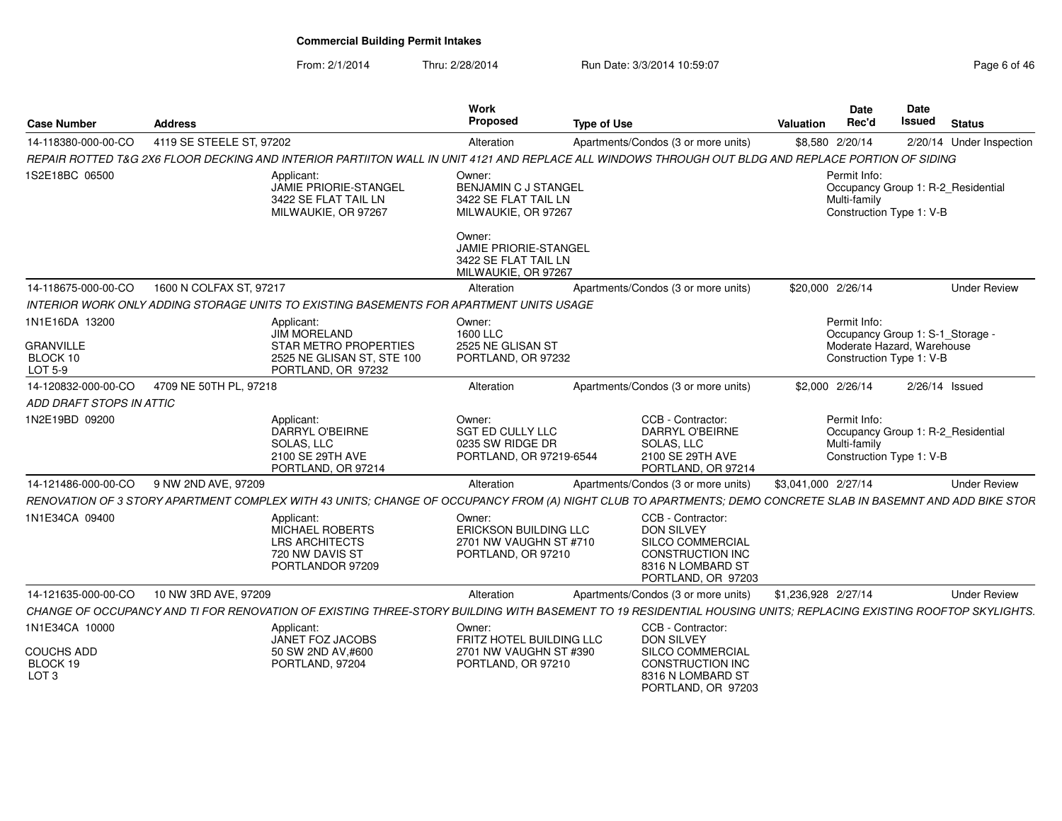From: 2/1/2014Thru: 2/28/2014 Run Date: 3/3/2014 10:59:07 Rege 6 of 46

| <b>Case Number</b>                         | <b>Address</b>                                |                                                                                               | Work<br>Proposed                                                                      | <b>Type of Use</b>                                                                                                                                              | <b>Date</b><br>Rec'd<br>Valuation | Date<br>Issued<br><b>Status</b>                                |
|--------------------------------------------|-----------------------------------------------|-----------------------------------------------------------------------------------------------|---------------------------------------------------------------------------------------|-----------------------------------------------------------------------------------------------------------------------------------------------------------------|-----------------------------------|----------------------------------------------------------------|
| 14-118380-000-00-CO                        | 4119 SE STEELE ST, 97202                      |                                                                                               | Alteration                                                                            | Apartments/Condos (3 or more units)                                                                                                                             | \$8,580 2/20/14                   | 2/20/14 Under Inspection                                       |
|                                            |                                               |                                                                                               |                                                                                       | REPAIR ROTTED T&G 2X6 FLOOR DECKING AND INTERIOR PARTIITON WALL IN UNIT 4121 AND REPLACE ALL WINDOWS THROUGH OUT BLDG AND REPLACE PORTION OF SIDING             |                                   |                                                                |
| 1S2E18BC 06500                             |                                               | Applicant:<br>JAMIE PRIORIE-STANGEL<br>3422 SE FLAT TAIL LN<br>MILWAUKIE, OR 97267            | Owner:<br><b>BENJAMIN C J STANGEL</b><br>3422 SE FLAT TAIL LN<br>MILWAUKIE, OR 97267  |                                                                                                                                                                 | Permit Info:<br>Multi-familv      | Occupancy Group 1: R-2_Residential<br>Construction Type 1: V-B |
|                                            |                                               |                                                                                               | Owner:<br><b>JAMIE PRIORIE-STANGEI</b><br>3422 SE FLAT TAIL LN<br>MILWAUKIE, OR 97267 |                                                                                                                                                                 |                                   |                                                                |
|                                            | 14-118675-000-00-CO   1600 N COLFAX ST, 97217 |                                                                                               | Alteration                                                                            | Apartments/Condos (3 or more units)                                                                                                                             | \$20,000 2/26/14                  | <b>Under Review</b>                                            |
|                                            |                                               | INTERIOR WORK ONLY ADDING STORAGE UNITS TO EXISTING BASEMENTS FOR APARTMENT UNITS USAGE       |                                                                                       |                                                                                                                                                                 |                                   |                                                                |
| 1N1E16DA 13200                             |                                               | Applicant:<br>JIM MORELAND                                                                    | Owner:<br>1600 LLC                                                                    |                                                                                                                                                                 | Permit Info:                      | Occupancy Group 1: S-1_Storage                                 |
| <b>GRANVILLE</b><br>BLOCK 10<br>$LOT5-9$   |                                               | STAR METRO PROPERTIES<br>2525 NE GLISAN ST, STE 100<br>PORTLAND, OR 97232                     | 2525 NE GLISAN ST<br>PORTLAND, OR 97232                                               |                                                                                                                                                                 |                                   | Moderate Hazard, Warehouse<br>Construction Type 1: V-B         |
|                                            | 14-120832-000-00-CO 4709 NE 50TH PL, 97218    |                                                                                               | Alteration                                                                            | Apartments/Condos (3 or more units)                                                                                                                             | \$2,000 2/26/14                   | 2/26/14 Issued                                                 |
| ADD DRAFT STOPS IN ATTIC                   |                                               |                                                                                               |                                                                                       |                                                                                                                                                                 |                                   |                                                                |
| 1N2E19BD 09200                             |                                               | Applicant:<br>DARRYL O'BEIRNE<br>SOLAS. LLC<br>2100 SE 29TH AVE<br>PORTLAND, OR 97214         | Owner:<br>SGT ED CULLY LLC<br>0235 SW RIDGE DR<br>PORTLAND, OR 97219-6544             | CCB - Contractor:<br><b>DARRYL O'BEIRNE</b><br>SOLAS, LLC<br>2100 SE 29TH AVE<br>PORTLAND, OR 97214                                                             | Permit Info:<br>Multi-familv      | Occupancy Group 1: R-2 Residential<br>Construction Type 1: V-B |
|                                            | 14-121486-000-00-CO 9 NW 2ND AVE, 97209       |                                                                                               | Alteration                                                                            | Apartments/Condos (3 or more units)                                                                                                                             | \$3,041,000 2/27/14               | <b>Under Review</b>                                            |
|                                            |                                               |                                                                                               |                                                                                       | RENOVATION OF 3 STORY APARTMENT COMPLEX WITH 43 UNITS; CHANGE OF OCCUPANCY FROM (A) NIGHT CLUB TO APARTMENTS; DEMO CONCRETE SLAB IN BASEMNT AND ADD BIKE STOR   |                                   |                                                                |
| 1N1E34CA 09400                             |                                               | Applicant:<br>MICHAEL ROBERTS<br><b>LRS ARCHITECTS</b><br>720 NW DAVIS ST<br>PORTLANDOR 97209 | Owner:<br>ERICKSON BUILDING LLC<br>2701 NW VAUGHN ST #710<br>PORTLAND, OR 97210       | CCB - Contractor:<br>DON SILVEY<br><b>SILCO COMMERCIAL</b><br><b>CONSTRUCTION INC</b><br>8316 N LOMBARD ST<br>PORTLAND, OR 97203                                |                                   |                                                                |
|                                            | 14-121635-000-00-CO 10 NW 3RD AVE, 97209      |                                                                                               | Alteration                                                                            | Apartments/Condos (3 or more units) \$1,236,928 2/27/14                                                                                                         |                                   | <b>Under Review</b>                                            |
|                                            |                                               |                                                                                               |                                                                                       | CHANGE OF OCCUPANCY AND TI FOR RENOVATION OF EXISTING THREE-STORY BUILDING WITH BASEMENT TO 19 RESIDENTIAL HOUSING UNITS; REPLACING EXISTING ROOFTOP SKYLIGHTS. |                                   |                                                                |
| 1N1E34CA 10000                             |                                               | Applicant:<br>JANET FOZ JACOBS                                                                | Owner:<br>FRITZ HOTEL BUILDING LLC                                                    | CCB - Contractor:<br><b>DON SILVEY</b>                                                                                                                          |                                   |                                                                |
| COUCHS ADD<br>BLOCK 19<br>LOT <sub>3</sub> |                                               | 50 SW 2ND AV,#600<br>PORTLAND, 97204                                                          | 2701 NW VAUGHN ST #390<br>PORTLAND, OR 97210                                          | SILCO COMMERCIAL<br><b>CONSTRUCTION INC</b><br>8316 N LOMBARD ST<br>PORTLAND, OR 97203                                                                          |                                   |                                                                |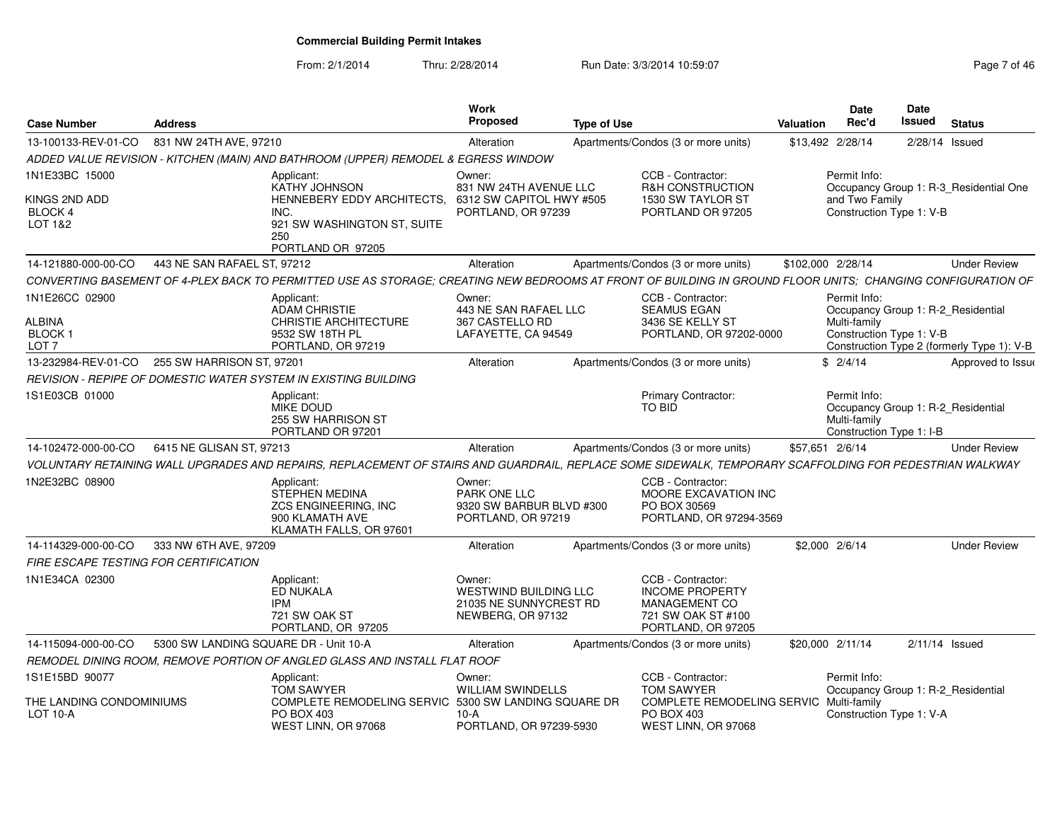From: 2/1/2014Thru: 2/28/2014 Run Date: 3/3/2014 10:59:07 Rege 7 of 46

| <b>Case Number</b>                                                     | <b>Address</b>                                                                                                                                              | Work<br>Proposed                                                                   | <b>Type of Use</b>                                                                                       | <b>Date</b><br>Rec'd<br>Valuation                                   | Date<br>Issued<br><b>Status</b>                                                  |
|------------------------------------------------------------------------|-------------------------------------------------------------------------------------------------------------------------------------------------------------|------------------------------------------------------------------------------------|----------------------------------------------------------------------------------------------------------|---------------------------------------------------------------------|----------------------------------------------------------------------------------|
| 13-100133-REV-01-CO                                                    | 831 NW 24TH AVE, 97210                                                                                                                                      | Alteration                                                                         | Apartments/Condos (3 or more units)                                                                      | \$13,492 2/28/14                                                    | 2/28/14 Issued                                                                   |
|                                                                        | ADDED VALUE REVISION - KITCHEN (MAIN) AND BATHROOM (UPPER) REMODEL & EGRESS WINDOW                                                                          |                                                                                    |                                                                                                          |                                                                     |                                                                                  |
| 1N1E33BC 15000<br>KINGS 2ND ADD<br><b>BLOCK4</b><br><b>LOT 1&amp;2</b> | Applicant:<br>KATHY JOHNSON<br>HENNEBERY EDDY ARCHITECTS,<br>INC.<br>921 SW WASHINGTON ST, SUITE<br>250<br>PORTLAND OR 97205                                | Owner:<br>831 NW 24TH AVENUE LLC<br>6312 SW CAPITOL HWY #505<br>PORTLAND, OR 97239 | CCB - Contractor:<br><b>R&amp;H CONSTRUCTION</b><br>1530 SW TAYLOR ST<br>PORTLAND OR 97205               | Permit Info:<br>and Two Family<br>Construction Type 1: V-B          | Occupancy Group 1: R-3 Residential One                                           |
| 14-121880-000-00-CO                                                    | 443 NE SAN RAFAEL ST, 97212                                                                                                                                 | Alteration                                                                         | Apartments/Condos (3 or more units)                                                                      | \$102,000 2/28/14                                                   | <b>Under Review</b>                                                              |
|                                                                        | CONVERTING BASEMENT OF 4-PLEX BACK TO PERMITTED USE AS STORAGE: CREATING NEW BEDROOMS AT FRONT OF BUILDING IN GROUND FLOOR UNITS: CHANGING CONFIGURATION OF |                                                                                    |                                                                                                          |                                                                     |                                                                                  |
| 1N1E26CC 02900<br><b>ALBINA</b><br><b>BLOCK1</b><br>LOT <sub>7</sub>   | Applicant:<br>ADAM CHRISTIE<br><b>CHRISTIE ARCHITECTURE</b><br>9532 SW 18TH PL<br>PORTLAND, OR 97219                                                        | Owner:<br>443 NE SAN RAFAEL LLC<br>367 CASTELLO RD<br>LAFAYETTE, CA 94549          | CCB - Contractor:<br><b>SEAMUS EGAN</b><br>3436 SE KELLY ST<br>PORTLAND, OR 97202-0000                   | Permit Info:<br>Multi-family<br>Construction Type 1: V-B            | Occupancy Group 1: R-2_Residential<br>Construction Type 2 (formerly Type 1): V-B |
| 13-232984-REV-01-CO                                                    | 255 SW HARRISON ST. 97201                                                                                                                                   | Alteration                                                                         | Apartments/Condos (3 or more units)                                                                      | \$2/4/14                                                            | Approved to Issue                                                                |
|                                                                        | REVISION - REPIPE OF DOMESTIC WATER SYSTEM IN EXISTING BUILDING                                                                                             |                                                                                    |                                                                                                          |                                                                     |                                                                                  |
| 1S1E03CB 01000                                                         | Applicant:<br>MIKE DOUD<br>255 SW HARRISON ST<br>PORTLAND OR 97201                                                                                          |                                                                                    | <b>Primary Contractor:</b><br>TO BID                                                                     | Permit Info:<br>Multi-family<br>Construction Type 1: I-B            | Occupancy Group 1: R-2 Residential                                               |
| 14-102472-000-00-CO                                                    | 6415 NE GLISAN ST, 97213                                                                                                                                    | Alteration                                                                         | Apartments/Condos (3 or more units)                                                                      | \$57,651 2/6/14                                                     | <b>Under Review</b>                                                              |
|                                                                        | VOLUNTARY RETAINING WALL UPGRADES AND REPAIRS. REPLACEMENT OF STAIRS AND GUARDRAIL. REPLACE SOME SIDEWALK. TEMPORARY SCAFFOLDING FOR PEDESTRIAN WALKWAY     |                                                                                    |                                                                                                          |                                                                     |                                                                                  |
| 1N2E32BC 08900                                                         | Applicant:<br>STEPHEN MEDINA<br><b>ZCS ENGINEERING. INC</b><br>900 KLAMATH AVE<br>KLAMATH FALLS, OR 97601                                                   | Owner:<br>PARK ONE LLC<br>9320 SW BARBUR BLVD #300<br>PORTLAND, OR 97219           | CCB - Contractor:<br>MOORE EXCAVATION INC<br>PO BOX 30569<br>PORTLAND, OR 97294-3569                     |                                                                     |                                                                                  |
| 14-114329-000-00-CO                                                    | 333 NW 6TH AVE, 97209                                                                                                                                       | Alteration                                                                         | Apartments/Condos (3 or more units)                                                                      | \$2,000 2/6/14                                                      | <b>Under Review</b>                                                              |
| <b>FIRE ESCAPE TESTING FOR CERTIFICATION</b>                           |                                                                                                                                                             |                                                                                    |                                                                                                          |                                                                     |                                                                                  |
| 1N1E34CA 02300                                                         | Applicant:<br><b>ED NUKALA</b><br><b>IPM</b><br>721 SW OAK ST<br>PORTLAND, OR 97205                                                                         | Owner:<br>WESTWIND BUILDING LLC<br>21035 NE SUNNYCREST RD<br>NEWBERG, OR 97132     | CCB - Contractor:<br><b>INCOME PROPERTY</b><br>MANAGEMENT CO<br>721 SW OAK ST #100<br>PORTLAND, OR 97205 |                                                                     |                                                                                  |
| 14-115094-000-00-CO                                                    | 5300 SW LANDING SQUARE DR - Unit 10-A                                                                                                                       | Alteration                                                                         | Apartments/Condos (3 or more units)                                                                      | \$20,000 2/11/14                                                    | $2/11/14$ Issued                                                                 |
|                                                                        | REMODEL DINING ROOM, REMOVE PORTION OF ANGLED GLASS AND INSTALL FLAT ROOF                                                                                   |                                                                                    |                                                                                                          |                                                                     |                                                                                  |
| 1S1E15BD 90077                                                         | Applicant:                                                                                                                                                  | Owner:                                                                             | CCB - Contractor:                                                                                        | Permit Info:                                                        |                                                                                  |
| THE LANDING CONDOMINIUMS<br><b>LOT 10-A</b>                            | <b>TOM SAWYER</b><br>COMPLETE REMODELING SERVIC 5300 SW LANDING SQUARE DR<br>PO BOX 403<br>WEST LINN, OR 97068                                              | <b>WILLIAM SWINDELLS</b><br>10-A<br>PORTLAND, OR 97239-5930                        | <b>TOM SAWYER</b><br>PO BOX 403<br>WEST LINN, OR 97068                                                   | COMPLETE REMODELING SERVIC Multi-family<br>Construction Type 1: V-A | Occupancy Group 1: R-2_Residential                                               |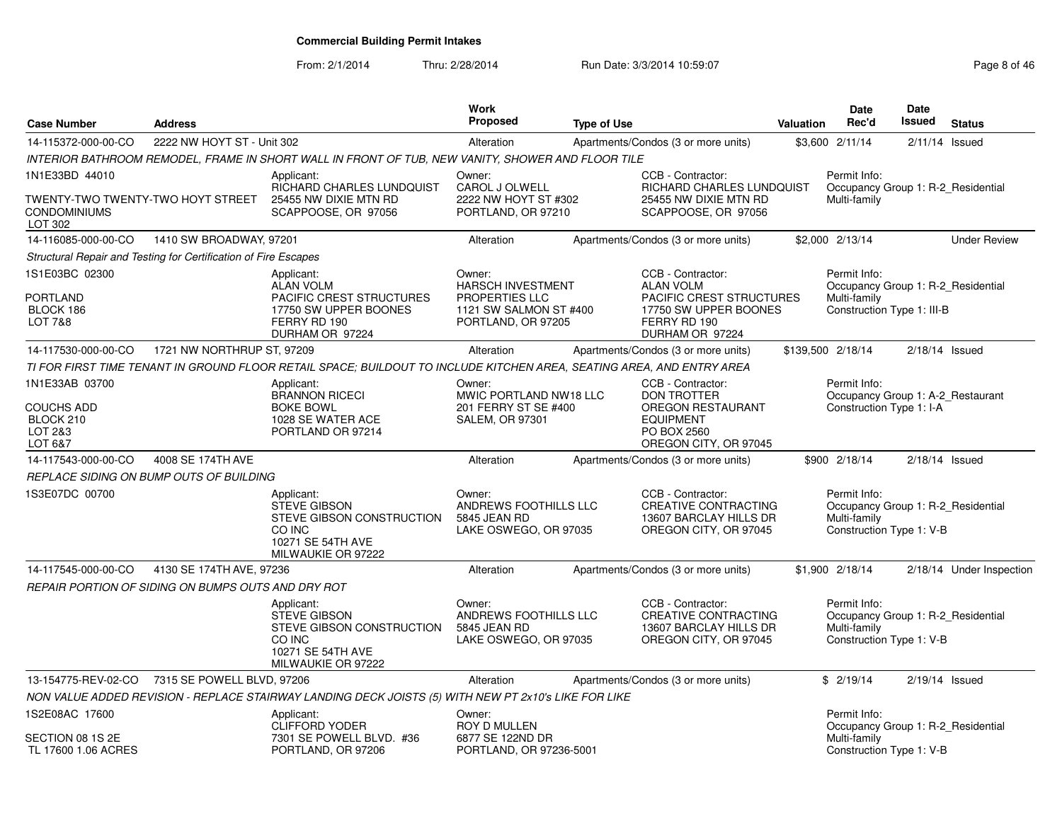From: 2/1/2014Thru: 2/28/2014 Run Date: 3/3/2014 10:59:07 Rege 8 of 46

| <b>Case Number</b>                                                             | <b>Address</b>             |                                                                                                                               | Work<br><b>Proposed</b>                                                                              | <b>Type of Use</b> |                                                                                                                                      | Valuation         | <b>Date</b><br>Rec'd                                       | <b>Date</b><br>Issued | <b>Status</b>                      |
|--------------------------------------------------------------------------------|----------------------------|-------------------------------------------------------------------------------------------------------------------------------|------------------------------------------------------------------------------------------------------|--------------------|--------------------------------------------------------------------------------------------------------------------------------------|-------------------|------------------------------------------------------------|-----------------------|------------------------------------|
| 14-115372-000-00-CO                                                            | 2222 NW HOYT ST - Unit 302 |                                                                                                                               | Alteration                                                                                           |                    | Apartments/Condos (3 or more units)                                                                                                  |                   | \$3,600 2/11/14                                            |                       | $2/11/14$ Issued                   |
|                                                                                |                            | INTERIOR BATHROOM REMODEL, FRAME IN SHORT WALL IN FRONT OF TUB, NEW VANITY, SHOWER AND FLOOR TILE                             |                                                                                                      |                    |                                                                                                                                      |                   |                                                            |                       |                                    |
| 1N1E33BD 44010<br>TWENTY-TWO TWENTY-TWO HOYT STREET<br>CONDOMINIUMS<br>LOT 302 |                            | Applicant:<br>RICHARD CHARLES LUNDQUIST<br>25455 NW DIXIE MTN RD<br>SCAPPOOSE, OR 97056                                       | Owner:<br>CAROL J OLWELL<br>2222 NW HOYT ST #302<br>PORTLAND, OR 97210                               |                    | CCB - Contractor:<br>RICHARD CHARLES LUNDQUIST<br>25455 NW DIXIE MTN RD<br>SCAPPOOSE, OR 97056                                       |                   | Permit Info:<br>Multi-family                               |                       | Occupancy Group 1: R-2 Residential |
| 14-116085-000-00-CO                                                            | 1410 SW BROADWAY, 97201    |                                                                                                                               | Alteration                                                                                           |                    | Apartments/Condos (3 or more units)                                                                                                  |                   | \$2,000 2/13/14                                            |                       | <b>Under Review</b>                |
| Structural Repair and Testing for Certification of Fire Escapes                |                            |                                                                                                                               |                                                                                                      |                    |                                                                                                                                      |                   |                                                            |                       |                                    |
| 1S1E03BC 02300<br><b>PORTLAND</b><br>BLOCK 186<br><b>LOT 7&amp;8</b>           |                            | Applicant:<br><b>ALAN VOLM</b><br><b>PACIFIC CREST STRUCTURES</b><br>17750 SW UPPER BOONES<br>FERRY RD 190<br>DURHAM OR 97224 | Owner:<br><b>HARSCH INVESTMENT</b><br>PROPERTIES LLC<br>1121 SW SALMON ST #400<br>PORTLAND, OR 97205 |                    | CCB - Contractor:<br><b>ALAN VOLM</b><br><b>PACIFIC CREST STRUCTURES</b><br>17750 SW UPPER BOONES<br>FERRY RD 190<br>DURHAM OR 97224 |                   | Permit Info:<br>Multi-family<br>Construction Type 1: III-B |                       | Occupancy Group 1: R-2 Residential |
| 14-117530-000-00-CO                                                            | 1721 NW NORTHRUP ST, 97209 |                                                                                                                               | Alteration                                                                                           |                    | Apartments/Condos (3 or more units)                                                                                                  | \$139,500 2/18/14 |                                                            |                       | $2/18/14$ Issued                   |
|                                                                                |                            | TI FOR FIRST TIME TENANT IN GROUND FLOOR RETAIL SPACE: BUILDOUT TO INCLUDE KITCHEN AREA. SEATING AREA. AND ENTRY AREA         |                                                                                                      |                    |                                                                                                                                      |                   |                                                            |                       |                                    |
| 1N1E33AB 03700<br><b>COUCHS ADD</b><br>BLOCK 210<br>LOT 2&3<br>LOT 6&7         |                            | Applicant:<br><b>BRANNON RICECI</b><br><b>BOKE BOWL</b><br>1028 SE WATER ACE<br>PORTLAND OR 97214                             | Owner:<br>MWIC PORTLAND NW18 LLC<br>201 FERRY ST SE #400<br><b>SALEM, OR 97301</b>                   |                    | CCB - Contractor:<br><b>DON TROTTER</b><br><b>OREGON RESTAURANT</b><br><b>EQUIPMENT</b><br>PO BOX 2560<br>OREGON CITY, OR 97045      |                   | Permit Info:<br>Construction Type 1: I-A                   |                       | Occupancy Group 1: A-2 Restaurant  |
| 14-117543-000-00-CO                                                            | 4008 SE 174TH AVE          |                                                                                                                               | Alteration                                                                                           |                    | Apartments/Condos (3 or more units)                                                                                                  |                   | \$900 2/18/14                                              |                       | $2/18/14$ Issued                   |
| REPLACE SIDING ON BUMP OUTS OF BUILDING                                        |                            |                                                                                                                               |                                                                                                      |                    |                                                                                                                                      |                   |                                                            |                       |                                    |
| 1S3E07DC 00700                                                                 |                            | Applicant:<br><b>STEVE GIBSON</b><br>STEVE GIBSON CONSTRUCTION<br>CO INC<br>10271 SE 54TH AVE<br>MILWAUKIE OR 97222           | Owner:<br>ANDREWS FOOTHILLS LLC<br>5845 JEAN RD<br>LAKE OSWEGO, OR 97035                             |                    | CCB - Contractor:<br><b>CREATIVE CONTRACTING</b><br>13607 BARCLAY HILLS DR<br>OREGON CITY, OR 97045                                  |                   | Permit Info:<br>Multi-family<br>Construction Type 1: V-B   |                       | Occupancy Group 1: R-2 Residential |
| 14-117545-000-00-CO                                                            | 4130 SE 174TH AVE, 97236   |                                                                                                                               | Alteration                                                                                           |                    | Apartments/Condos (3 or more units)                                                                                                  |                   | \$1,900 2/18/14                                            |                       | 2/18/14 Under Inspection           |
| REPAIR PORTION OF SIDING ON BUMPS OUTS AND DRY ROT                             |                            |                                                                                                                               |                                                                                                      |                    |                                                                                                                                      |                   |                                                            |                       |                                    |
|                                                                                |                            | Applicant:<br><b>STEVE GIBSON</b><br>STEVE GIBSON CONSTRUCTION<br>CO INC<br>10271 SE 54TH AVE<br>MILWAUKIE OR 97222           | Owner:<br>ANDREWS FOOTHILLS LLC<br>5845 JEAN RD<br>LAKE OSWEGO, OR 97035                             |                    | CCB - Contractor:<br><b>CREATIVE CONTRACTING</b><br>13607 BARCLAY HILLS DR<br>OREGON CITY, OR 97045                                  |                   | Permit Info:<br>Multi-family<br>Construction Type 1: V-B   |                       | Occupancy Group 1: R-2 Residential |
| 13-154775-REV-02-CO                                                            | 7315 SE POWELL BLVD, 97206 |                                                                                                                               | Alteration                                                                                           |                    | Apartments/Condos (3 or more units)                                                                                                  |                   | \$2/19/14                                                  |                       | $2/19/14$ Issued                   |
|                                                                                |                            | NON VALUE ADDED REVISION - REPLACE STAIRWAY LANDING DECK JOISTS (5) WITH NEW PT 2x10's LIKE FOR LIKE                          |                                                                                                      |                    |                                                                                                                                      |                   |                                                            |                       |                                    |
| 1S2E08AC 17600<br>SECTION 08 1S 2E<br>TL 17600 1.06 ACRES                      |                            | Applicant:<br><b>CLIFFORD YODER</b><br>7301 SE POWELL BLVD. #36<br>PORTLAND, OR 97206                                         | Owner:<br>ROY D MULLEN<br>6877 SE 122ND DR<br>PORTLAND, OR 97236-5001                                |                    |                                                                                                                                      |                   | Permit Info:<br>Multi-family<br>Construction Type 1: V-B   |                       | Occupancy Group 1: R-2 Residential |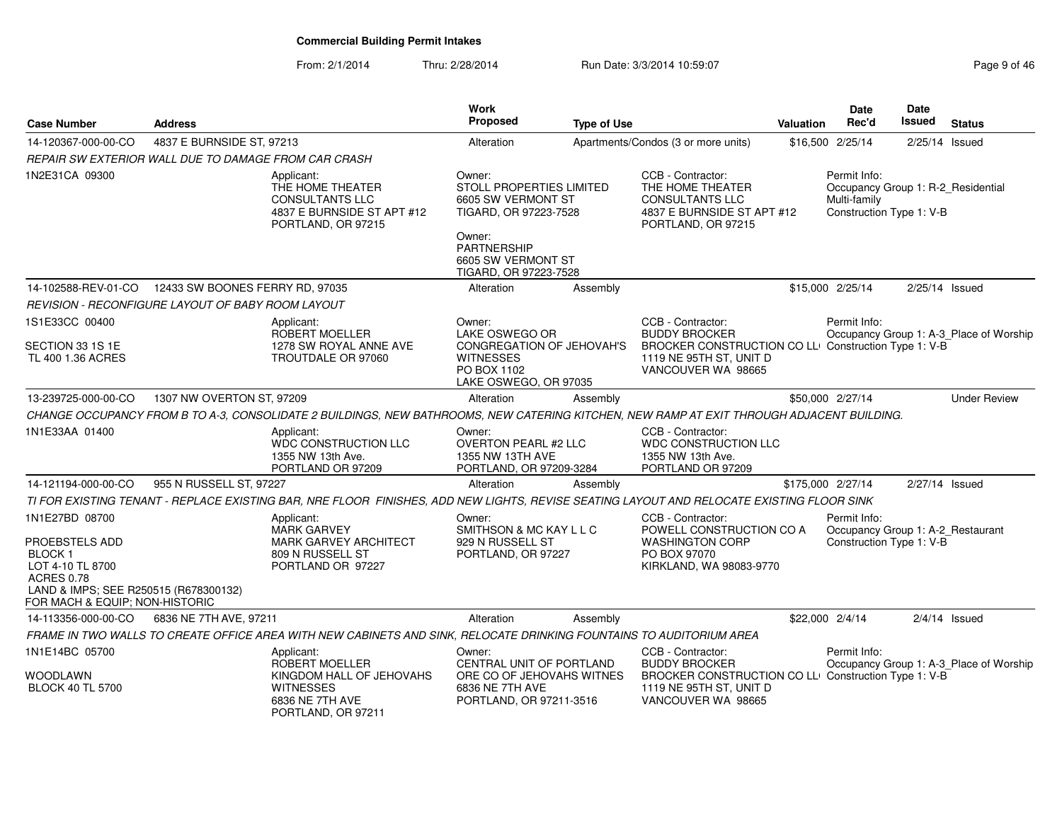From: 2/1/2014Thru: 2/28/2014 Run Date: 3/3/2014 10:59:07 Rege 9 of 46

| <b>Case Number</b>                                                                                                                                                    | <b>Address</b>                                       |                                                                                                                                           | Work<br><b>Proposed</b>                                                                                                                                   | <b>Type of Use</b> |                                                                                                                                                    | Valuation | <b>Date</b><br>Rec'd                                                                           | <b>Date</b><br><b>Issued</b> | <b>Status</b>                           |
|-----------------------------------------------------------------------------------------------------------------------------------------------------------------------|------------------------------------------------------|-------------------------------------------------------------------------------------------------------------------------------------------|-----------------------------------------------------------------------------------------------------------------------------------------------------------|--------------------|----------------------------------------------------------------------------------------------------------------------------------------------------|-----------|------------------------------------------------------------------------------------------------|------------------------------|-----------------------------------------|
| 14-120367-000-00-CO                                                                                                                                                   | 4837 E BURNSIDE ST, 97213                            |                                                                                                                                           | Alteration                                                                                                                                                |                    | Apartments/Condos (3 or more units)                                                                                                                |           | \$16,500 2/25/14                                                                               | 2/25/14 Issued               |                                         |
|                                                                                                                                                                       | REPAIR SW EXTERIOR WALL DUE TO DAMAGE FROM CAR CRASH |                                                                                                                                           |                                                                                                                                                           |                    |                                                                                                                                                    |           |                                                                                                |                              |                                         |
| 1N2E31CA 09300                                                                                                                                                        |                                                      | Applicant:<br>THE HOME THEATER<br><b>CONSULTANTS LLC</b><br>4837 E BURNSIDE ST APT #12<br>PORTLAND, OR 97215                              | Owner:<br>STOLL PROPERTIES LIMITED<br>6605 SW VERMONT ST<br>TIGARD, OR 97223-7528<br>Owner:<br>PARTNERSHIP<br>6605 SW VERMONT ST<br>TIGARD, OR 97223-7528 |                    | CCB - Contractor:<br>THE HOME THEATER<br><b>CONSULTANTS LLC</b><br>4837 E BURNSIDE ST APT #12<br>PORTLAND, OR 97215                                |           | Permit Info:<br>Occupancy Group 1: R-2_Residential<br>Multi-family<br>Construction Type 1: V-B |                              |                                         |
| 14-102588-REV-01-CO                                                                                                                                                   | 12433 SW BOONES FERRY RD, 97035                      |                                                                                                                                           | Alteration                                                                                                                                                | Assembly           |                                                                                                                                                    |           | \$15,000 2/25/14                                                                               | $2/25/14$ Issued             |                                         |
|                                                                                                                                                                       | REVISION - RECONFIGURE LAYOUT OF BABY ROOM LAYOUT    |                                                                                                                                           |                                                                                                                                                           |                    |                                                                                                                                                    |           |                                                                                                |                              |                                         |
| 1S1E33CC 00400<br>SECTION 33 1S 1E<br>TL 400 1.36 ACRES                                                                                                               |                                                      | Applicant:<br>ROBERT MOELLER<br>1278 SW ROYAL ANNE AVE<br>TROUTDALE OR 97060                                                              | Owner:<br>LAKE OSWEGO OR<br>CONGREGATION OF JEHOVAH'S<br><b>WITNESSES</b><br>PO BOX 1102<br>LAKE OSWEGO, OR 97035                                         |                    | CCB - Contractor:<br><b>BUDDY BROCKER</b><br>BROCKER CONSTRUCTION CO LLI Construction Type 1: V-B<br>1119 NE 95TH ST, UNIT D<br>VANCOUVER WA 98665 |           | Permit Info:                                                                                   |                              | Occupancy Group 1: A-3_Place of Worship |
| 13-239725-000-00-CO                                                                                                                                                   | 1307 NW OVERTON ST, 97209                            |                                                                                                                                           | Alteration                                                                                                                                                | Assembly           |                                                                                                                                                    |           | \$50,000 2/27/14                                                                               |                              | <b>Under Review</b>                     |
|                                                                                                                                                                       |                                                      | CHANGE OCCUPANCY FROM B TO A-3, CONSOLIDATE 2 BUILDINGS, NEW BATHROOMS, NEW CATERING KITCHEN, NEW RAMP AT EXIT THROUGH ADJACENT BUILDING. |                                                                                                                                                           |                    |                                                                                                                                                    |           |                                                                                                |                              |                                         |
| 1N1E33AA 01400                                                                                                                                                        |                                                      | Applicant:<br>WDC CONSTRUCTION LLC<br>1355 NW 13th Ave.<br>PORTLAND OR 97209                                                              | Owner:<br><b>OVERTON PEARL #2 LLC</b><br>1355 NW 13TH AVE<br>PORTLAND, OR 97209-3284                                                                      |                    | CCB - Contractor:<br>WDC CONSTRUCTION LLC<br>1355 NW 13th Ave.<br>PORTLAND OR 97209                                                                |           |                                                                                                |                              |                                         |
| 14-121194-000-00-CO                                                                                                                                                   | 955 N RUSSELL ST, 97227                              |                                                                                                                                           | Alteration                                                                                                                                                | Assembly           |                                                                                                                                                    |           | \$175,000 2/27/14                                                                              | 2/27/14 Issued               |                                         |
|                                                                                                                                                                       |                                                      | TI FOR EXISTING TENANT - REPLACE EXISTING BAR, NRE FLOOR FINISHES, ADD NEW LIGHTS, REVISE SEATING LAYOUT AND RELOCATE EXISTING FLOOR SINK |                                                                                                                                                           |                    |                                                                                                                                                    |           |                                                                                                |                              |                                         |
| 1N1E27BD 08700<br>PROEBSTELS ADD<br><b>BLOCK1</b><br>LOT 4-10 TL 8700<br><b>ACRES 0.78</b><br>LAND & IMPS; SEE R250515 (R678300132)<br>FOR MACH & EQUIP; NON-HISTORIC |                                                      | Applicant:<br><b>MARK GARVEY</b><br><b>MARK GARVEY ARCHITECT</b><br>809 N RUSSELL ST<br>PORTLAND OR 97227                                 | Owner:<br>SMITHSON & MC KAY L L C<br>929 N RUSSELL ST<br>PORTLAND, OR 97227                                                                               |                    | CCB - Contractor:<br>POWELL CONSTRUCTION CO A<br><b>WASHINGTON CORP</b><br>PO BOX 97070<br>KIRKLAND, WA 98083-9770                                 |           | Permit Info:<br>Occupancy Group 1: A-2_Restaurant<br>Construction Type 1: V-B                  |                              |                                         |
| 14-113356-000-00-CO                                                                                                                                                   | 6836 NE 7TH AVE, 97211                               |                                                                                                                                           | Alteration                                                                                                                                                | Assembly           |                                                                                                                                                    |           | \$22,000 2/4/14                                                                                |                              | $2/4/14$ Issued                         |
|                                                                                                                                                                       |                                                      | FRAME IN TWO WALLS TO CREATE OFFICE AREA WITH NEW CABINETS AND SINK, RELOCATE DRINKING FOUNTAINS TO AUDITORIUM AREA                       |                                                                                                                                                           |                    |                                                                                                                                                    |           |                                                                                                |                              |                                         |
| 1N1E14BC 05700<br>WOODLAWN<br><b>BLOCK 40 TL 5700</b>                                                                                                                 |                                                      | Applicant:<br>ROBERT MOELLER<br>KINGDOM HALL OF JEHOVAHS<br><b>WITNESSES</b><br>6836 NE 7TH AVE<br>PORTLAND, OR 97211                     | Owner:<br>CENTRAL UNIT OF PORTLAND<br>ORE CO OF JEHOVAHS WITNES<br>6836 NE 7TH AVE<br>PORTLAND, OR 97211-3516                                             |                    | CCB - Contractor:<br><b>BUDDY BROCKER</b><br>BROCKER CONSTRUCTION CO LLI Construction Type 1: V-B<br>1119 NE 95TH ST, UNIT D<br>VANCOUVER WA 98665 |           | Permit Info:                                                                                   |                              | Occupancy Group 1: A-3_Place of Worship |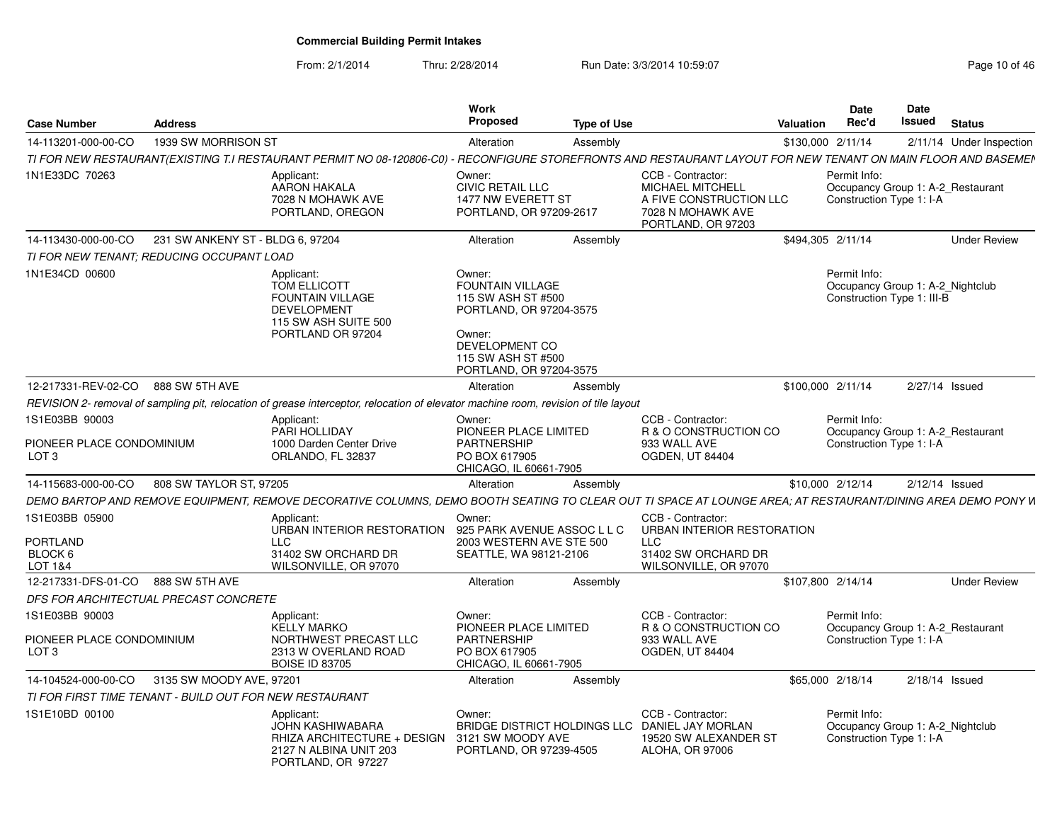From: 2/1/2014Thru: 2/28/2014 Run Date: 3/3/2014 10:59:07 Research 2010 of 46

| <b>Case Number</b>                                      | <b>Address</b>                                                               |                                                                                                                                                             | Work<br>Proposed                                                                                                                                         | <b>Type of Use</b> |                                                                                                                    | <b>Valuation</b> | Date<br>Rec'd                                                                  | <b>Date</b><br><b>Issued</b>      | <b>Status</b>       |
|---------------------------------------------------------|------------------------------------------------------------------------------|-------------------------------------------------------------------------------------------------------------------------------------------------------------|----------------------------------------------------------------------------------------------------------------------------------------------------------|--------------------|--------------------------------------------------------------------------------------------------------------------|------------------|--------------------------------------------------------------------------------|-----------------------------------|---------------------|
| 14-113201-000-00-CO                                     | 1939 SW MORRISON ST                                                          |                                                                                                                                                             | Alteration                                                                                                                                               | Assembly           |                                                                                                                    |                  | \$130,000 2/11/14                                                              | 2/11/14                           | Under Inspection    |
|                                                         |                                                                              | TI FOR NEW RESTAURANT(EXISTING T.I RESTAURANT PERMIT NO 08-120806-C0) ·                                                                                     |                                                                                                                                                          |                    | RECONFIGURE STOREFRONTS AND RESTAURANT LAYOUT FOR NEW TENANT ON MAIN FLOOR AND BASEMEN                             |                  |                                                                                |                                   |                     |
| 1N1E33DC 70263                                          |                                                                              | Applicant:<br>AARON HAKALA<br>7028 N MOHAWK AVE<br>PORTLAND, OREGON                                                                                         | Owner:<br><b>CIVIC RETAIL LLC</b><br>1477 NW EVERETT ST<br>PORTLAND, OR 97209-2617                                                                       |                    | CCB - Contractor:<br><b>MICHAEL MITCHELL</b><br>A FIVE CONSTRUCTION LLC<br>7028 N MOHAWK AVE<br>PORTLAND, OR 97203 |                  | Permit Info:<br>Occupancy Group 1: A-2_Restaurant<br>Construction Type 1: I-A  |                                   |                     |
| 14-113430-000-00-CO                                     | 231 SW ANKENY ST - BLDG 6, 97204                                             |                                                                                                                                                             | Alteration                                                                                                                                               | Assembly           |                                                                                                                    |                  | \$494,305 2/11/14                                                              |                                   | <b>Under Review</b> |
| TI FOR NEW TENANT: REDUCING OCCUPANT LOAD               |                                                                              |                                                                                                                                                             |                                                                                                                                                          |                    |                                                                                                                    |                  |                                                                                |                                   |                     |
| 1N1E34CD 00600                                          |                                                                              | Applicant:<br>TOM ELLICOTT<br><b>FOUNTAIN VILLAGE</b><br><b>DEVELOPMENT</b><br>115 SW ASH SUITE 500<br>PORTLAND OR 97204                                    | Owner:<br>FOUNTAIN VILLAGE<br>115 SW ASH ST #500<br>PORTLAND, OR 97204-3575<br>Owner:<br>DEVELOPMENT CO<br>115 SW ASH ST #500<br>PORTLAND, OR 97204-3575 |                    |                                                                                                                    |                  | Permit Info:<br>Occupancy Group 1: A-2_Nightclub<br>Construction Type 1: III-B |                                   |                     |
| 12-217331-REV-02-CO                                     | 888 SW 5TH AVE                                                               |                                                                                                                                                             | Alteration                                                                                                                                               | Assembly           |                                                                                                                    |                  | \$100,000 2/11/14                                                              | 2/27/14 Issued                    |                     |
|                                                         |                                                                              | REVISION 2- removal of sampling pit, relocation of grease interceptor, relocation of elevator machine room, revision of tile layout                         |                                                                                                                                                          |                    |                                                                                                                    |                  |                                                                                |                                   |                     |
| 1S1E03BB 90003<br>PIONEER PLACE CONDOMINIUM<br>LOT 3    | Applicant:<br>PARI HOLLIDAY<br>1000 Darden Center Drive<br>ORLANDO, FL 32837 |                                                                                                                                                             | Owner:<br>PIONEER PLACE LIMITED<br><b>PARTNERSHIP</b><br>PO BOX 617905<br>CHICAGO, IL 60661-7905                                                         |                    | CCB - Contractor:<br>R & O CONSTRUCTION CO<br>933 WALL AVE<br>OGDEN, UT 84404                                      |                  | Permit Info:<br>Construction Type 1: I-A                                       | Occupancy Group 1: A-2 Restaurant |                     |
| 14-115683-000-00-CO                                     | 808 SW TAYLOR ST, 97205                                                      |                                                                                                                                                             | Alteration                                                                                                                                               | Assembly           |                                                                                                                    |                  | \$10,000 2/12/14                                                               | 2/12/14 Issued                    |                     |
|                                                         |                                                                              | DEMO BARTOP AND REMOVE EQUIPMENT. REMOVE DECORATIVE COLUMNS. DEMO BOOTH SEATING TO CLEAR OUT TI SPACE AT LOUNGE AREA: AT RESTAURANT/DINING AREA DEMO PONY W |                                                                                                                                                          |                    |                                                                                                                    |                  |                                                                                |                                   |                     |
| 1S1E03BB 05900<br>PORTLAND<br>BLOCK 6<br>LOT 1&4        |                                                                              | Applicant:<br>URBAN INTERIOR RESTORATION<br><b>LLC</b><br>31402 SW ORCHARD DR<br>WILSONVILLE, OR 97070                                                      | Owner:<br>925 PARK AVENUE ASSOC L L C<br>2003 WESTERN AVE STE 500<br>SEATTLE, WA 98121-2106                                                              |                    | CCB - Contractor:<br>URBAN INTERIOR RESTORATION<br><b>LLC</b><br>31402 SW ORCHARD DR<br>WILSONVILLE, OR 97070      |                  |                                                                                |                                   |                     |
| 12-217331-DFS-01-CO                                     | 888 SW 5TH AVE                                                               |                                                                                                                                                             | Alteration                                                                                                                                               | Assembly           |                                                                                                                    |                  | \$107,800 2/14/14                                                              |                                   | <b>Under Review</b> |
| DFS FOR ARCHITECTUAL PRECAST CONCRETE                   |                                                                              |                                                                                                                                                             |                                                                                                                                                          |                    |                                                                                                                    |                  |                                                                                |                                   |                     |
| 1S1E03BB 90003                                          |                                                                              | Applicant:<br><b>KELLY MARKO</b>                                                                                                                            | Owner:<br>PIONEER PLACE LIMITED                                                                                                                          |                    | CCB - Contractor:<br>R & O CONSTRUCTION CO                                                                         |                  | Permit Info:<br>Occupancy Group 1: A-2_Restaurant                              |                                   |                     |
| PIONEER PLACE CONDOMINIUM<br>LOT <sub>3</sub>           |                                                                              | NORTHWEST PRECAST LLC<br>2313 W OVERLAND ROAD<br><b>BOISE ID 83705</b>                                                                                      | <b>PARTNERSHIP</b><br>PO BOX 617905<br>CHICAGO, IL 60661-7905                                                                                            |                    | 933 WALL AVE<br><b>OGDEN, UT 84404</b>                                                                             |                  | Construction Type 1: I-A                                                       |                                   |                     |
| 14-104524-000-00-CO                                     | 3135 SW MOODY AVE, 97201                                                     |                                                                                                                                                             | Alteration                                                                                                                                               | Assembly           |                                                                                                                    |                  | \$65,000 2/18/14                                                               | 2/18/14 Issued                    |                     |
| TI FOR FIRST TIME TENANT - BUILD OUT FOR NEW RESTAURANT |                                                                              |                                                                                                                                                             |                                                                                                                                                          |                    |                                                                                                                    |                  |                                                                                |                                   |                     |
| 1S1E10BD 00100                                          |                                                                              | Applicant:<br><b>JOHN KASHIWABARA</b><br>RHIZA ARCHITECTURE + DESIGN<br>2127 N ALBINA UNIT 203<br>PORTLAND, OR 97227                                        | Owner:<br>3121 SW MOODY AVE<br>PORTLAND, OR 97239-4505                                                                                                   |                    | CCB - Contractor:<br>BRIDGE DISTRICT HOLDINGS LLC DANIEL JAY MORLAN<br>19520 SW ALEXANDER ST<br>ALOHA, OR 97006    |                  | Permit Info:<br>Occupancy Group 1: A-2 Nightclub<br>Construction Type 1: I-A   |                                   |                     |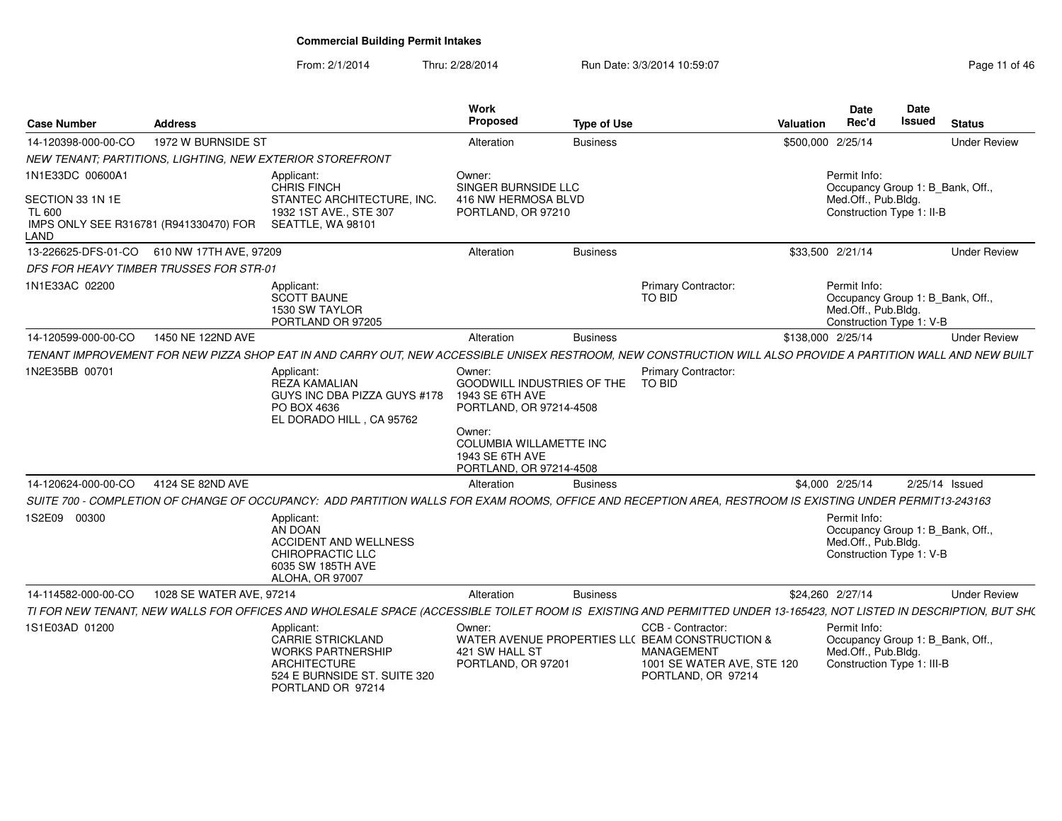From: 2/1/2014Thru: 2/28/2014 Run Date: 3/3/2014 10:59:07 Rege 11 of 46

| <b>Case Number</b>                                                                  | <b>Address</b>                                 |                                                                                                                                                                    | Work<br>Proposed                                                                       | <b>Type of Use</b> |                                                                                                                                               | <b>Valuation</b>                                 | <b>Date</b><br>Rec'd                                                                                  | <b>Date</b><br>Issued | <b>Status</b>       |
|-------------------------------------------------------------------------------------|------------------------------------------------|--------------------------------------------------------------------------------------------------------------------------------------------------------------------|----------------------------------------------------------------------------------------|--------------------|-----------------------------------------------------------------------------------------------------------------------------------------------|--------------------------------------------------|-------------------------------------------------------------------------------------------------------|-----------------------|---------------------|
| 14-120398-000-00-CO                                                                 | 1972 W BURNSIDE ST                             |                                                                                                                                                                    | Alteration                                                                             | <b>Business</b>    |                                                                                                                                               | \$500,000 2/25/14                                |                                                                                                       |                       | <b>Under Review</b> |
|                                                                                     |                                                | NEW TENANT; PARTITIONS, LIGHTING, NEW EXTERIOR STOREFRONT                                                                                                          |                                                                                        |                    |                                                                                                                                               |                                                  |                                                                                                       |                       |                     |
| 1N1E33DC 00600A1                                                                    |                                                | Applicant:<br><b>CHRIS FINCH</b>                                                                                                                                   | Owner:<br>SINGER BURNSIDE LLC                                                          |                    |                                                                                                                                               |                                                  | Permit Info:<br>Occupancy Group 1: B Bank, Off.,                                                      |                       |                     |
| SECTION 33 1N 1E<br><b>TL 600</b><br>IMPS ONLY SEE R316781 (R941330470) FOR<br>LAND |                                                | STANTEC ARCHITECTURE, INC.<br>1932 1ST AVE., STE 307<br>SEATTLE, WA 98101                                                                                          | 416 NW HERMOSA BLVD<br>PORTLAND, OR 97210                                              |                    |                                                                                                                                               | Med.Off., Pub.Bldg.<br>Construction Type 1: II-B |                                                                                                       |                       |                     |
|                                                                                     | 13-226625-DFS-01-CO   610 NW 17TH AVE, 97209   |                                                                                                                                                                    | Alteration                                                                             | <b>Business</b>    |                                                                                                                                               | \$33,500 2/21/14                                 |                                                                                                       |                       | <b>Under Review</b> |
|                                                                                     | <b>DFS FOR HEAVY TIMBER TRUSSES FOR STR-01</b> |                                                                                                                                                                    |                                                                                        |                    |                                                                                                                                               |                                                  |                                                                                                       |                       |                     |
| 1N1E33AC 02200                                                                      |                                                | Applicant:<br><b>SCOTT BAUNE</b><br>1530 SW TAYLOR<br>PORTLAND OR 97205                                                                                            |                                                                                        |                    | <b>Primary Contractor:</b><br>TO BID                                                                                                          |                                                  | Permit Info:<br>Occupancy Group 1: B Bank, Off.,<br>Med.Off., Pub.Bldg.<br>Construction Type 1: V-B   |                       |                     |
| 14-120599-000-00-CO                                                                 | 1450 NE 122ND AVE                              |                                                                                                                                                                    | Alteration                                                                             | <b>Business</b>    |                                                                                                                                               | \$138,000 2/25/14                                |                                                                                                       |                       | <b>Under Review</b> |
|                                                                                     |                                                | TENANT IMPROVEMENT FOR NEW PIZZA SHOP EAT IN AND CARRY OUT, NEW ACCESSIBLE UNISEX RESTROOM, NEW CONSTRUCTION WILL ALSO PROVIDE A PARTITION WALL AND NEW BUILT      |                                                                                        |                    |                                                                                                                                               |                                                  |                                                                                                       |                       |                     |
| 1N2E35BB 00701                                                                      |                                                | Applicant:<br><b>REZA KAMALIAN</b><br>GUYS INC DBA PIZZA GUYS #178<br>PO BOX 4636<br>EL DORADO HILL, CA 95762                                                      | Owner:<br>GOODWILL INDUSTRIES OF THE<br>1943 SE 6TH AVE<br>PORTLAND, OR 97214-4508     |                    | Primary Contractor:<br>TO BID                                                                                                                 |                                                  |                                                                                                       |                       |                     |
|                                                                                     |                                                |                                                                                                                                                                    | Owner:<br><b>COLUMBIA WILLAMETTE INC</b><br>1943 SE 6TH AVE<br>PORTLAND, OR 97214-4508 |                    |                                                                                                                                               |                                                  |                                                                                                       |                       |                     |
| 14-120624-000-00-CO                                                                 | 4124 SE 82ND AVE                               |                                                                                                                                                                    | Alteration                                                                             | <b>Business</b>    |                                                                                                                                               |                                                  | \$4,000 2/25/14                                                                                       |                       | $2/25/14$ Issued    |
|                                                                                     |                                                | SUITE 700 - COMPLETION OF CHANGE OF OCCUPANCY: ADD PARTITION WALLS FOR EXAM ROOMS, OFFICE AND RECEPTION AREA, RESTROOM IS EXISTING UNDER PERMIT13-243163           |                                                                                        |                    |                                                                                                                                               |                                                  |                                                                                                       |                       |                     |
| 1S2E09 00300                                                                        |                                                | Applicant:<br>AN DOAN<br><b>ACCIDENT AND WELLNESS</b><br>CHIROPRACTIC LLC<br>6035 SW 185TH AVE<br>ALOHA, OR 97007                                                  |                                                                                        |                    |                                                                                                                                               |                                                  | Permit Info:<br>Occupancy Group 1: B_Bank, Off.,<br>Med.Off., Pub.Bldg.<br>Construction Type 1: V-B   |                       |                     |
| 14-114582-000-00-CO                                                                 | 1028 SE WATER AVE, 97214                       |                                                                                                                                                                    | Alteration                                                                             | <b>Business</b>    |                                                                                                                                               | \$24,260 2/27/14                                 |                                                                                                       |                       | <b>Under Review</b> |
|                                                                                     |                                                | TI FOR NEW TENANT, NEW WALLS FOR OFFICES AND WHOLESALE SPACE (ACCESSIBLE TOILET ROOM IS EXISTING AND PERMITTED UNDER 13-165423, NOT LISTED IN DESCRIPTION, BUT SH( |                                                                                        |                    |                                                                                                                                               |                                                  |                                                                                                       |                       |                     |
| 1S1E03AD 01200                                                                      |                                                | Applicant:<br>CARRIE STRICKLAND<br><b>WORKS PARTNERSHIP</b><br><b>ARCHITECTURE</b><br>524 E BURNSIDE ST. SUITE 320<br>PORTLAND OR 97214                            | Owner:<br>421 SW HALL ST<br>PORTLAND, OR 97201                                         |                    | CCB - Contractor:<br>WATER AVENUE PROPERTIES LL( BEAM CONSTRUCTION &<br><b>MANAGEMENT</b><br>1001 SE WATER AVE, STE 120<br>PORTLAND, OR 97214 |                                                  | Permit Info:<br>Occupancy Group 1: B Bank, Off.,<br>Med.Off., Pub.Bldg.<br>Construction Type 1: III-B |                       |                     |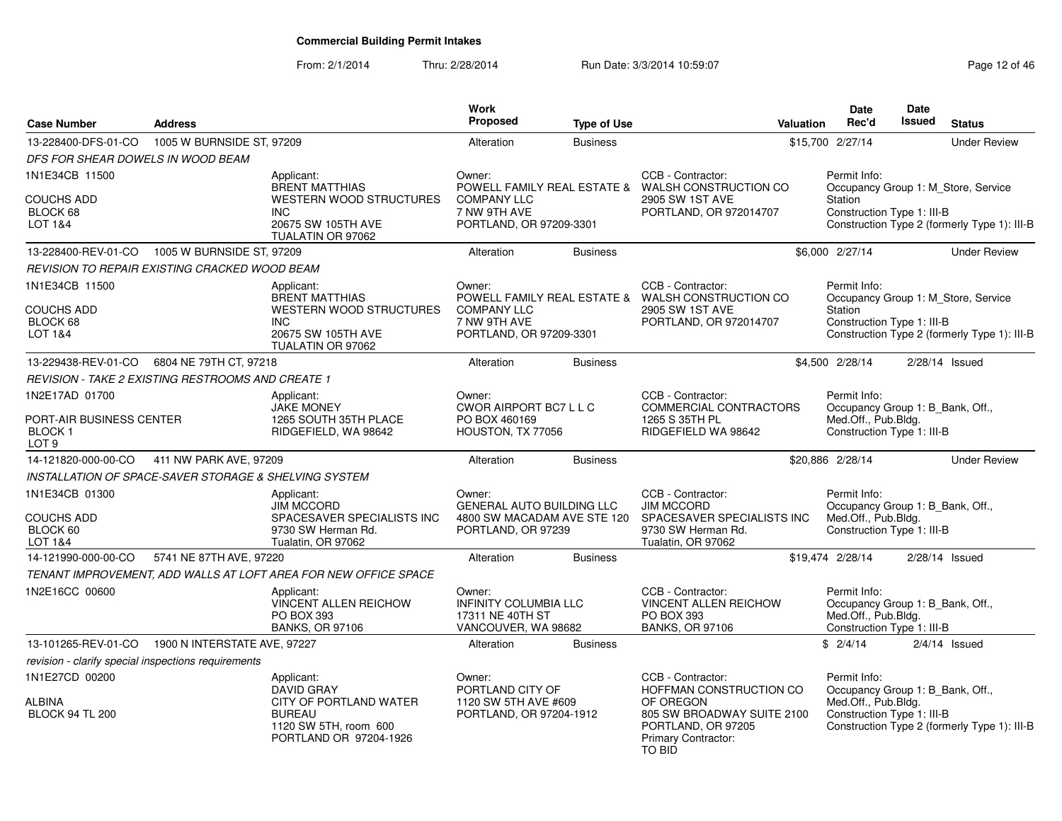From: 2/1/2014Thru: 2/28/2014 Run Date: 3/3/2014 10:59:07 Research 2014 10:59:07

| <b>Case Number</b>                                                              | <b>Address</b>                                                   |                                                                                                           | Work<br><b>Proposed</b>                                                                         | <b>Type of Use</b> | Valuation                                                                                                           | <b>Date</b><br>Rec'd                                                                                  | <b>Date</b><br><b>Issued</b> | <b>Status</b>                                                                       |
|---------------------------------------------------------------------------------|------------------------------------------------------------------|-----------------------------------------------------------------------------------------------------------|-------------------------------------------------------------------------------------------------|--------------------|---------------------------------------------------------------------------------------------------------------------|-------------------------------------------------------------------------------------------------------|------------------------------|-------------------------------------------------------------------------------------|
| 13-228400-DFS-01-CO                                                             | 1005 W BURNSIDE ST, 97209                                        |                                                                                                           | Alteration                                                                                      | <b>Business</b>    |                                                                                                                     | \$15,700 2/27/14                                                                                      |                              | <b>Under Review</b>                                                                 |
| DFS FOR SHEAR DOWELS IN WOOD BEAM                                               |                                                                  |                                                                                                           |                                                                                                 |                    |                                                                                                                     |                                                                                                       |                              |                                                                                     |
| 1N1E34CB 11500                                                                  |                                                                  | Applicant:<br><b>BRENT MATTHIAS</b>                                                                       | Owner:                                                                                          |                    | CCB - Contractor:<br>POWELL FAMILY REAL ESTATE & WALSH CONSTRUCTION CO                                              | Permit Info:                                                                                          |                              | Occupancy Group 1: M_Store, Service                                                 |
| <b>COUCHS ADD</b><br>BLOCK 68<br>LOT 1&4                                        |                                                                  | WESTERN WOOD STRUCTURES<br><b>INC</b><br>20675 SW 105TH AVE<br>TUALATIN OR 97062                          | <b>COMPANY LLC</b><br>7 NW 9TH AVE<br>PORTLAND, OR 97209-3301                                   |                    | 2905 SW 1ST AVE<br>PORTLAND, OR 972014707                                                                           | Station<br>Construction Type 1: III-B                                                                 |                              | Construction Type 2 (formerly Type 1): III-B                                        |
| 13-228400-REV-01-CO                                                             | 1005 W BURNSIDE ST, 97209                                        |                                                                                                           | Alteration                                                                                      | <b>Business</b>    |                                                                                                                     | \$6,000 2/27/14                                                                                       |                              | <b>Under Review</b>                                                                 |
|                                                                                 | REVISION TO REPAIR EXISTING CRACKED WOOD BEAM                    |                                                                                                           |                                                                                                 |                    |                                                                                                                     |                                                                                                       |                              |                                                                                     |
| 1N1E34CB 11500<br><b>COUCHS ADD</b><br>BLOCK 68<br>LOT 1&4                      |                                                                  | Applicant:<br><b>BRENT MATTHIAS</b><br><b>WESTERN WOOD STRUCTURES</b><br><b>INC</b><br>20675 SW 105TH AVE | Owner:<br><b>COMPANY LLC</b><br>7 NW 9TH AVE<br>PORTLAND, OR 97209-3301                         |                    | CCB - Contractor:<br>POWELL FAMILY REAL ESTATE & WALSH CONSTRUCTION CO<br>2905 SW 1ST AVE<br>PORTLAND, OR 972014707 | Permit Info:<br>Station<br>Construction Type 1: III-B                                                 |                              | Occupancy Group 1: M_Store, Service<br>Construction Type 2 (formerly Type 1): III-B |
|                                                                                 |                                                                  | TUALATIN OR 97062                                                                                         |                                                                                                 |                    |                                                                                                                     |                                                                                                       |                              |                                                                                     |
| 13-229438-REV-01-CO                                                             | 6804 NE 79TH CT, 97218                                           |                                                                                                           | Alteration                                                                                      | <b>Business</b>    |                                                                                                                     | \$4,500 2/28/14                                                                                       |                              | $2/28/14$ Issued                                                                    |
|                                                                                 | <b>REVISION - TAKE 2 EXISTING RESTROOMS AND CREATE 1</b>         |                                                                                                           |                                                                                                 |                    |                                                                                                                     |                                                                                                       |                              |                                                                                     |
| 1N2E17AD 01700<br>PORT-AIR BUSINESS CENTER<br><b>BLOCK1</b><br>LOT <sub>9</sub> |                                                                  | Applicant:<br><b>JAKE MONEY</b><br>1265 SOUTH 35TH PLACE<br>RIDGEFIELD, WA 98642                          | Owner:<br>CWOR AIRPORT BC7 L L C<br>PO BOX 460169<br>HOUSTON, TX 77056                          |                    | CCB - Contractor:<br>COMMERCIAL CONTRACTORS<br>1265 S 35TH PL<br>RIDGEFIELD WA 98642                                | Permit Info:<br>Occupancy Group 1: B_Bank, Off.,<br>Med.Off., Pub.Bldg.<br>Construction Type 1: III-B |                              |                                                                                     |
| 14-121820-000-00-CO                                                             | 411 NW PARK AVE, 97209                                           |                                                                                                           | Alteration                                                                                      | <b>Business</b>    |                                                                                                                     | \$20,886 2/28/14                                                                                      |                              | <b>Under Review</b>                                                                 |
|                                                                                 | <b>INSTALLATION OF SPACE-SAVER STORAGE &amp; SHELVING SYSTEM</b> |                                                                                                           |                                                                                                 |                    |                                                                                                                     |                                                                                                       |                              |                                                                                     |
| 1N1E34CB 01300<br><b>COUCHS ADD</b><br>BLOCK 60<br>LOT 1&4                      |                                                                  | Applicant:<br><b>JIM MCCORD</b><br>SPACESAVER SPECIALISTS INC<br>9730 SW Herman Rd.<br>Tualatin, OR 97062 | Owner:<br><b>GENERAL AUTO BUILDING LLC</b><br>4800 SW MACADAM AVE STE 120<br>PORTLAND, OR 97239 |                    | CCB - Contractor:<br><b>JIM MCCORD</b><br>SPACESAVER SPECIALISTS INC<br>9730 SW Herman Rd.<br>Tualatin, OR 97062    | Permit Info:<br>Occupancy Group 1: B_Bank, Off.,<br>Med.Off., Pub.Bldg.<br>Construction Type 1: III-B |                              |                                                                                     |
| 14-121990-000-00-CO                                                             | 5741 NE 87TH AVE, 97220                                          |                                                                                                           | Alteration                                                                                      | <b>Business</b>    |                                                                                                                     | \$19,474 2/28/14                                                                                      |                              | $2/28/14$ Issued                                                                    |
|                                                                                 |                                                                  | TENANT IMPROVEMENT, ADD WALLS AT LOFT AREA FOR NEW OFFICE SPACE                                           |                                                                                                 |                    |                                                                                                                     |                                                                                                       |                              |                                                                                     |
| 1N2E16CC 00600                                                                  |                                                                  | Applicant:<br><b>VINCENT ALLEN REICHOW</b><br>PO BOX 393<br><b>BANKS, OR 97106</b>                        | Owner:<br><b>INFINITY COLUMBIA LLC</b><br>17311 NE 40TH ST<br>VANCOUVER, WA 98682               |                    | CCB - Contractor:<br><b>VINCENT ALLEN REICHOW</b><br><b>PO BOX 393</b><br><b>BANKS, OR 97106</b>                    | Permit Info:<br>Occupancy Group 1: B_Bank, Off.,<br>Med.Off., Pub.Bldg.<br>Construction Type 1: III-B |                              |                                                                                     |
| 13-101265-REV-01-CO                                                             | 1900 N INTERSTATE AVE, 97227                                     |                                                                                                           | Alteration                                                                                      | <b>Business</b>    |                                                                                                                     | \$2/4/14                                                                                              |                              | $2/4/14$ Issued                                                                     |
| revision - clarify special inspections requirements                             |                                                                  |                                                                                                           |                                                                                                 |                    |                                                                                                                     |                                                                                                       |                              |                                                                                     |
| 1N1E27CD 00200                                                                  |                                                                  | Applicant:<br><b>DAVID GRAY</b>                                                                           | Owner:<br>PORTLAND CITY OF                                                                      |                    | CCB - Contractor:<br>HOFFMAN CONSTRUCTION CO                                                                        | Permit Info:<br>Occupancy Group 1: B_Bank, Off.,                                                      |                              |                                                                                     |
| ALBINA<br><b>BLOCK 94 TL 200</b>                                                |                                                                  | CITY OF PORTLAND WATER<br><b>BUREAU</b><br>1120 SW 5TH, room 600<br>PORTLAND OR 97204-1926                | 1120 SW 5TH AVE #609<br>PORTLAND, OR 97204-1912                                                 |                    | OF OREGON<br>805 SW BROADWAY SUITE 2100<br>PORTLAND, OR 97205<br>Primary Contractor:<br>TO BID                      | Med.Off., Pub.Bldg.<br>Construction Type 1: III-B                                                     |                              | Construction Type 2 (formerly Type 1): III-B                                        |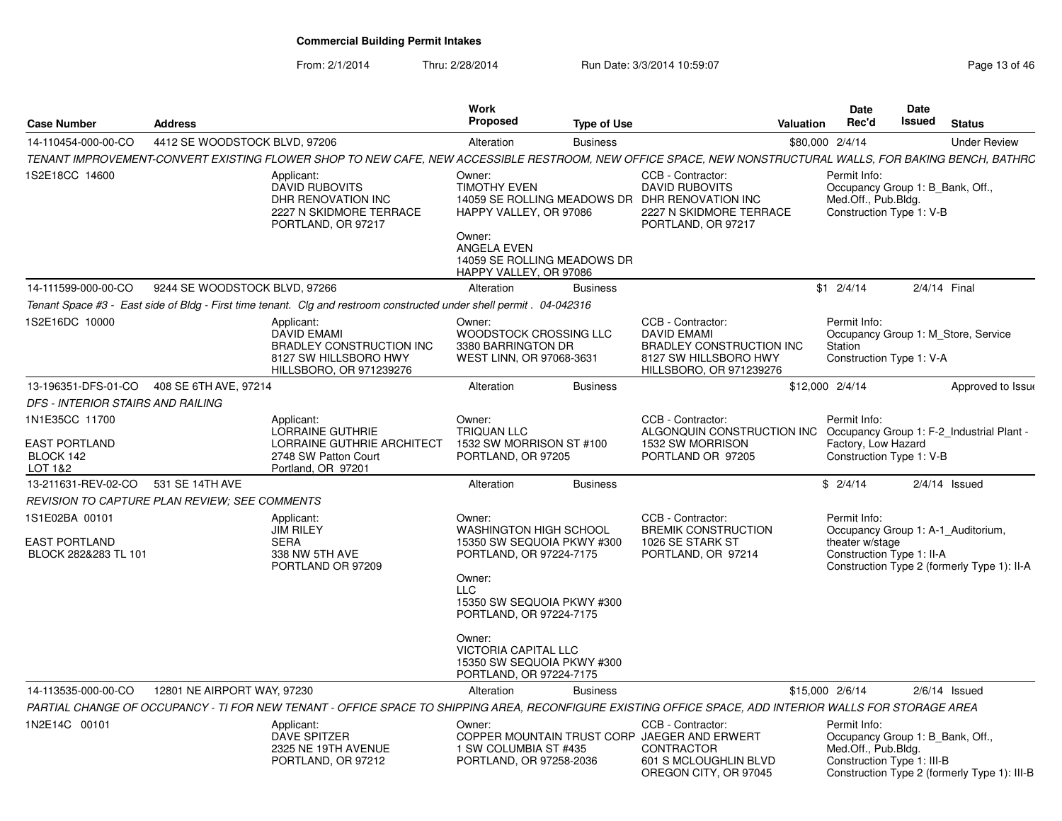From: 2/1/2014

Thru: 2/28/2014 Run Date: 3/3/2014 10:59:07 Research 2010 13 of 46

| <b>Case Number</b>                                             | <b>Address</b>                             |                                                                                                                                                                                                                                           | Work<br>Proposed                                                                                                                                                                                                                                  | <b>Type of Use</b> |                                                                                                                                               | Valuation | <b>Date</b><br>Rec'd                                                                                  | Date<br>Issued | <b>Status</b>                                                                     |
|----------------------------------------------------------------|--------------------------------------------|-------------------------------------------------------------------------------------------------------------------------------------------------------------------------------------------------------------------------------------------|---------------------------------------------------------------------------------------------------------------------------------------------------------------------------------------------------------------------------------------------------|--------------------|-----------------------------------------------------------------------------------------------------------------------------------------------|-----------|-------------------------------------------------------------------------------------------------------|----------------|-----------------------------------------------------------------------------------|
| 14-110454-000-00-CO                                            | 4412 SE WOODSTOCK BLVD, 97206              |                                                                                                                                                                                                                                           | Alteration                                                                                                                                                                                                                                        | <b>Business</b>    |                                                                                                                                               |           | \$80,000 2/4/14                                                                                       |                | <b>Under Review</b>                                                               |
|                                                                |                                            | TENANT IMPROVEMENT-CONVERT EXISTING FLOWER SHOP TO NEW CAFE, NEW ACCESSIBLE RESTROOM, NEW OFFICE SPACE, NEW NONSTRUCTURAL WALLS, FOR BAKING BENCH, BATHRC                                                                                 |                                                                                                                                                                                                                                                   |                    |                                                                                                                                               |           |                                                                                                       |                |                                                                                   |
| IS2E18CC 14600                                                 |                                            | Applicant:<br><b>DAVID RUBOVITS</b><br>DHR RENOVATION INC<br>2227 N SKIDMORE TERRACE<br>PORTLAND, OR 97217                                                                                                                                | Owner:<br><b>TIMOTHY EVEN</b><br>HAPPY VALLEY, OR 97086<br>Owner:<br><b>ANGELA EVEN</b><br>14059 SE ROLLING MEADOWS DR<br>HAPPY VALLEY, OR 97086                                                                                                  |                    | CCB - Contractor:<br><b>DAVID RUBOVITS</b><br>14059 SE ROLLING MEADOWS DR DHR RENOVATION INC<br>2227 N SKIDMORE TERRACE<br>PORTLAND, OR 97217 |           | Permit Info:<br>Occupancy Group 1: B_Bank, Off.,<br>Med.Off., Pub.Bldg.<br>Construction Type 1: V-B   |                |                                                                                   |
| 14-111599-000-00-CO                                            | 9244 SE WOODSTOCK BLVD, 97266              |                                                                                                                                                                                                                                           | Alteration                                                                                                                                                                                                                                        | <b>Business</b>    |                                                                                                                                               |           | $$1 \t2/4/14$                                                                                         |                | 2/4/14 Final                                                                      |
|                                                                |                                            | Tenant Space #3 - East side of Bldg - First time tenant. Clg and restroom constructed under shell permit . 04-042316                                                                                                                      |                                                                                                                                                                                                                                                   |                    |                                                                                                                                               |           |                                                                                                       |                |                                                                                   |
| IS2E16DC 10000                                                 |                                            | Applicant:<br>DAVID EMAMI<br><b>BRADLEY CONSTRUCTION INC</b><br>8127 SW HILLSBORO HWY<br>HILLSBORO, OR 971239276                                                                                                                          | Owner:<br>WOODSTOCK CROSSING LLC<br>3380 BARRINGTON DR<br>WEST LINN, OR 97068-3631                                                                                                                                                                |                    | CCB - Contractor:<br><b>DAVID EMAMI</b><br><b>BRADLEY CONSTRUCTION INC</b><br>8127 SW HILLSBORO HWY<br>HILLSBORO, OR 971239276                |           | Permit Info:<br>Station<br>Construction Type 1: V-A                                                   |                | Occupancy Group 1: M Store, Service                                               |
|                                                                | 13-196351-DFS-01-CO  408 SE 6TH AVE, 97214 |                                                                                                                                                                                                                                           | Alteration                                                                                                                                                                                                                                        | <b>Business</b>    |                                                                                                                                               |           | \$12,000 2/4/14                                                                                       |                | Approved to Issue                                                                 |
| DFS - INTERIOR STAIRS AND RAILING                              |                                            |                                                                                                                                                                                                                                           |                                                                                                                                                                                                                                                   |                    |                                                                                                                                               |           |                                                                                                       |                |                                                                                   |
| 1N1E35CC 11700<br><b>EAST PORTLAND</b><br>BLOCK 142<br>LOT 1&2 |                                            | Applicant:<br>LORRAINE GUTHRIE<br>LORRAINE GUTHRIE ARCHITECT<br>2748 SW Patton Court<br>Portland, OR 97201                                                                                                                                | Owner:<br>TRIQUAN LLC<br>1532 SW MORRISON ST #100<br>PORTLAND, OR 97205                                                                                                                                                                           |                    | CCB - Contractor:<br>ALGONQUIN CONSTRUCTION INC<br>1532 SW MORRISON<br>PORTLAND OR 97205                                                      |           | Permit Info:<br>Factory, Low Hazard<br>Construction Type 1: V-B                                       |                | Occupancy Group 1: F-2 Industrial Plant -                                         |
| 13-211631-REV-02-CO                                            | 531 SE 14TH AVE                            |                                                                                                                                                                                                                                           | Alteration                                                                                                                                                                                                                                        | <b>Business</b>    |                                                                                                                                               |           | \$2/4/14                                                                                              |                | $2/4/14$ Issued                                                                   |
| <b>REVISION TO CAPTURE PLAN REVIEW: SEE COMMENTS</b>           |                                            |                                                                                                                                                                                                                                           |                                                                                                                                                                                                                                                   |                    |                                                                                                                                               |           |                                                                                                       |                |                                                                                   |
| 1S1E02BA 00101<br>EAST PORTLAND<br>BLOCK 282&283 TL 101        |                                            | Applicant:<br><b>JIM RILEY</b><br><b>SERA</b><br>338 NW 5TH AVE<br>PORTLAND OR 97209                                                                                                                                                      | Owner:<br><b>WASHINGTON HIGH SCHOOL</b><br>15350 SW SEQUOIA PKWY #300<br>PORTLAND, OR 97224-7175<br>Owner:<br><b>LLC</b><br>15350 SW SEQUOIA PKWY #300<br>PORTLAND, OR 97224-7175<br>Owner:<br>VICTORIA CAPITAL LLC<br>15350 SW SEQUOIA PKWY #300 |                    | CCB - Contractor:<br><b>BREMIK CONSTRUCTION</b><br>1026 SE STARK ST<br>PORTLAND, OR 97214                                                     |           | Permit Info:<br>theater w/stage<br>Construction Type 1: II-A                                          |                | Occupancy Group 1: A-1 Auditorium,<br>Construction Type 2 (formerly Type 1): II-A |
| 14-113535-000-00-CO                                            | 12801 NE AIRPORT WAY, 97230                |                                                                                                                                                                                                                                           | PORTLAND, OR 97224-7175<br>Alteration                                                                                                                                                                                                             |                    |                                                                                                                                               |           | \$15,000 2/6/14                                                                                       |                | $2/6/14$ Issued                                                                   |
|                                                                |                                            |                                                                                                                                                                                                                                           |                                                                                                                                                                                                                                                   | <b>Business</b>    |                                                                                                                                               |           |                                                                                                       |                |                                                                                   |
| 1N2E14C 00101                                                  |                                            | PARTIAL CHANGE OF OCCUPANCY - TI FOR NEW TENANT - OFFICE SPACE TO SHIPPING AREA, RECONFIGURE EXISTING OFFICE SPACE, ADD INTERIOR WALLS FOR STORAGE AREA<br>Applicant:<br><b>DAVE SPITZER</b><br>2325 NE 19TH AVENUE<br>PORTLAND, OR 97212 | Owner:<br>1 SW COLUMBIA ST #435<br>PORTLAND, OR 97258-2036                                                                                                                                                                                        |                    | CCB - Contractor:<br>COPPER MOUNTAIN TRUST CORP JAEGER AND ERWERT<br><b>CONTRACTOR</b><br>601 S MCLOUGHLIN BLVD<br>OREGON CITY, OR 97045      |           | Permit Info:<br>Occupancy Group 1: B_Bank, Off.,<br>Med.Off., Pub.Bldg.<br>Construction Type 1: III-B |                | Construction Type 2 (formerly Type 1): III-B                                      |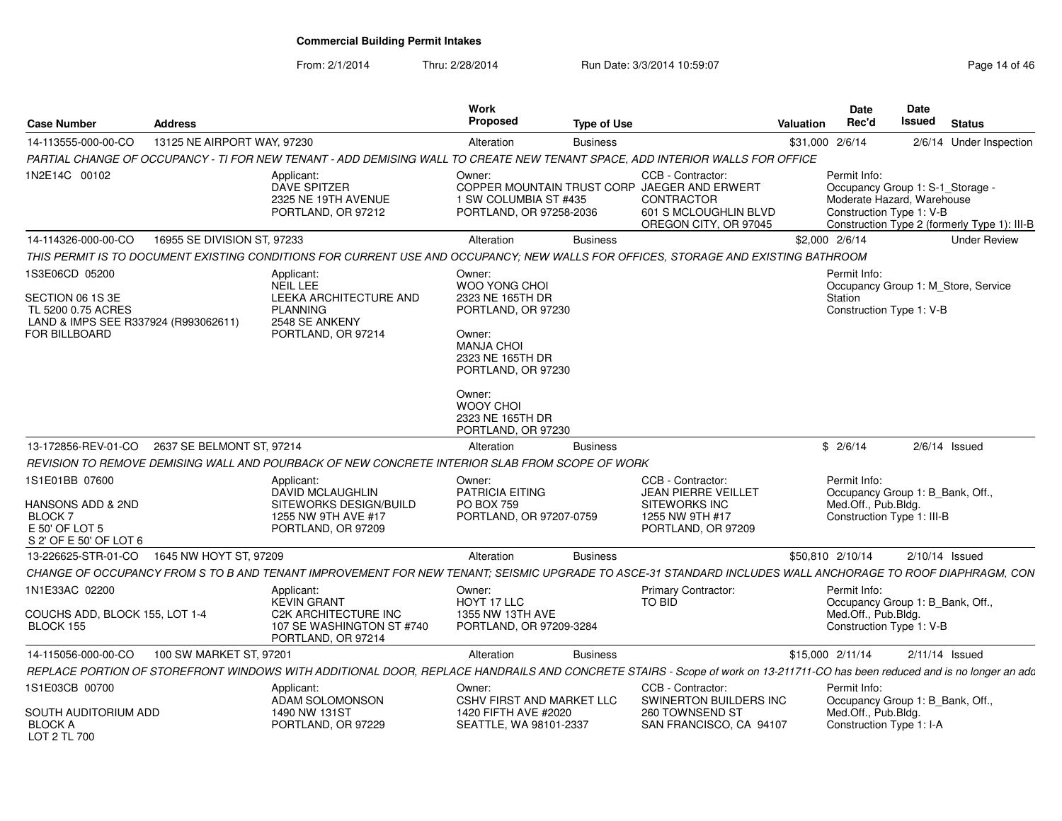From: 2/1/2014Thru: 2/28/2014 **Run Date: 3/3/2014 10:59:07** Page 14 of 46 of 46 of 46 of 46 of 46 of 46 of 46 of 46 of 46 of 46

| Page 14 of 46 |  |  |  |
|---------------|--|--|--|
|---------------|--|--|--|

| <b>Case Number</b>                                                                                                | <b>Address</b>                              |                                                                                                                                                                            | Work<br><b>Proposed</b>                                                                                                                                                                                            | <b>Type of Use</b> |                                                                                                                                   | <b>Valuation</b> | <b>Date</b><br>Rec'd                                                                                                                                       | Date<br><b>Issued</b> | <b>Status</b>           |  |
|-------------------------------------------------------------------------------------------------------------------|---------------------------------------------|----------------------------------------------------------------------------------------------------------------------------------------------------------------------------|--------------------------------------------------------------------------------------------------------------------------------------------------------------------------------------------------------------------|--------------------|-----------------------------------------------------------------------------------------------------------------------------------|------------------|------------------------------------------------------------------------------------------------------------------------------------------------------------|-----------------------|-------------------------|--|
| 14-113555-000-00-CO                                                                                               | 13125 NE AIRPORT WAY, 97230                 |                                                                                                                                                                            | Alteration                                                                                                                                                                                                         | <b>Business</b>    |                                                                                                                                   |                  | \$31,000 2/6/14                                                                                                                                            |                       | 2/6/14 Under Inspection |  |
|                                                                                                                   |                                             | PARTIAL CHANGE OF OCCUPANCY - TI FOR NEW TENANT - ADD DEMISING WALL TO CREATE NEW TENANT SPACE, ADD INTERIOR WALLS FOR OFFICE                                              |                                                                                                                                                                                                                    |                    |                                                                                                                                   |                  |                                                                                                                                                            |                       |                         |  |
| 1N2E14C 00102                                                                                                     |                                             | Applicant:<br>DAVE SPITZER<br>2325 NE 19TH AVENUE<br>PORTLAND, OR 97212                                                                                                    | Owner:<br>1 SW COLUMBIA ST #435<br>PORTLAND, OR 97258-2036                                                                                                                                                         |                    | CCB - Contractor:<br>COPPER MOUNTAIN TRUST CORP JAEGER AND ERWERT<br>CONTRACTOR<br>601 S MCLOUGHLIN BLVD<br>OREGON CITY, OR 97045 |                  | Permit Info:<br>Occupancy Group 1: S-1 Storage -<br>Moderate Hazard, Warehouse<br>Construction Type 1: V-B<br>Construction Type 2 (formerly Type 1): III-B |                       |                         |  |
| 14-114326-000-00-CO                                                                                               | 16955 SE DIVISION ST, 97233                 |                                                                                                                                                                            | Alteration                                                                                                                                                                                                         | <b>Business</b>    |                                                                                                                                   |                  | \$2,000 2/6/14                                                                                                                                             |                       | <b>Under Review</b>     |  |
|                                                                                                                   |                                             | THIS PERMIT IS TO DOCUMENT EXISTING CONDITIONS FOR CURRENT USE AND OCCUPANCY; NEW WALLS FOR OFFICES, STORAGE AND EXISTING BATHROOM                                         |                                                                                                                                                                                                                    |                    |                                                                                                                                   |                  |                                                                                                                                                            |                       |                         |  |
| 1S3E06CD 05200<br>SECTION 06 1S 3E<br>TL 5200 0.75 ACRES<br>LAND & IMPS SEE R337924 (R993062611)<br>FOR BILLBOARD |                                             | Applicant:<br><b>NEIL LEE</b><br>LEEKA ARCHITECTURE AND<br><b>PLANNING</b><br>2548 SE ANKENY<br>PORTLAND, OR 97214                                                         | Owner:<br>WOO YONG CHOI<br>2323 NE 165TH DR<br>PORTLAND, OR 97230<br>Owner:<br><b>MANJA CHOI</b><br>2323 NE 165TH DR<br>PORTLAND, OR 97230<br>Owner:<br><b>WOOY CHOL</b><br>2323 NE 165TH DR<br>PORTLAND, OR 97230 |                    |                                                                                                                                   |                  | Permit Info:<br>Occupancy Group 1: M_Store, Service<br>Station<br>Construction Type 1: V-B                                                                 |                       |                         |  |
| 13-172856-REV-01-CO                                                                                               | 2637 SE BELMONT ST, 97214                   |                                                                                                                                                                            | Alteration                                                                                                                                                                                                         | <b>Business</b>    |                                                                                                                                   |                  | \$2/6/14                                                                                                                                                   |                       | $2/6/14$ Issued         |  |
|                                                                                                                   |                                             | REVISION TO REMOVE DEMISING WALL AND POURBACK OF NEW CONCRETE INTERIOR SLAB FROM SCOPE OF WORK                                                                             |                                                                                                                                                                                                                    |                    |                                                                                                                                   |                  |                                                                                                                                                            |                       |                         |  |
| 1S1E01BB 07600<br>HANSONS ADD & 2ND<br><b>BLOCK7</b><br>E 50' OF LOT 5<br>S 2' OF E 50' OF LOT 6                  |                                             | Applicant:<br>DAVID MCLAUGHLIN<br>SITEWORKS DESIGN/BUILD<br>1255 NW 9TH AVE #17<br>PORTLAND, OR 97209                                                                      | Owner:<br>PATRICIA EITING<br><b>PO BOX 759</b><br>PORTLAND, OR 97207-0759                                                                                                                                          |                    | CCB - Contractor:<br><b>JEAN PIERRE VEILLET</b><br><b>SITEWORKS INC</b><br>1255 NW 9TH #17<br>PORTLAND, OR 97209                  |                  | Permit Info:<br>Occupancy Group 1: B_Bank, Off.,<br>Med.Off., Pub.Blda.<br>Construction Type 1: III-B                                                      |                       |                         |  |
|                                                                                                                   | 13-226625-STR-01-CO  1645 NW HOYT ST, 97209 |                                                                                                                                                                            | Alteration                                                                                                                                                                                                         | <b>Business</b>    |                                                                                                                                   |                  | \$50,810 2/10/14                                                                                                                                           |                       | $2/10/14$ Issued        |  |
|                                                                                                                   |                                             | CHANGE OF OCCUPANCY FROM S TO B AND TENANT IMPROVEMENT FOR NEW TENANT; SEISMIC UPGRADE TO ASCE-31 STANDARD INCLUDES WALL ANCHORAGE TO ROOF DIAPHRAGM, CON                  |                                                                                                                                                                                                                    |                    |                                                                                                                                   |                  |                                                                                                                                                            |                       |                         |  |
| 1N1E33AC 02200                                                                                                    |                                             | Applicant:<br><b>KEVIN GRANT</b>                                                                                                                                           | Owner:<br>HOYT 17 LLC                                                                                                                                                                                              |                    | <b>Primary Contractor:</b><br>TO BID                                                                                              |                  | Permit Info:<br>Occupancy Group 1: B_Bank, Off.,                                                                                                           |                       |                         |  |
| COUCHS ADD, BLOCK 155, LOT 1-4<br>BLOCK 155                                                                       |                                             | <b>C2K ARCHITECTURE INC</b><br>107 SE WASHINGTON ST #740<br>PORTLAND, OR 97214                                                                                             | 1355 NW 13TH AVE<br>PORTLAND, OR 97209-3284                                                                                                                                                                        |                    |                                                                                                                                   |                  | Med.Off., Pub.Bldg.<br>Construction Type 1: V-B                                                                                                            |                       |                         |  |
| 14-115056-000-00-CO                                                                                               | 100 SW MARKET ST, 97201                     |                                                                                                                                                                            | Alteration                                                                                                                                                                                                         | <b>Business</b>    |                                                                                                                                   |                  | \$15,000 2/11/14                                                                                                                                           |                       | $2/11/14$ Issued        |  |
|                                                                                                                   |                                             | REPLACE PORTION OF STOREFRONT WINDOWS WITH ADDITIONAL DOOR, REPLACE HANDRAILS AND CONCRETE STAIRS - Scope of work on 13-211711-CO has been reduced and is no longer an adc |                                                                                                                                                                                                                    |                    |                                                                                                                                   |                  |                                                                                                                                                            |                       |                         |  |
| 1S1E03CB 00700                                                                                                    |                                             | Applicant:<br>ADAM SOLOMONSON                                                                                                                                              | Owner:<br>CSHV FIRST AND MARKET LLC                                                                                                                                                                                |                    | CCB - Contractor:<br>SWINERTON BUILDERS INC                                                                                       |                  | Permit Info:<br>Occupancy Group 1: B Bank, Off.,                                                                                                           |                       |                         |  |
| SOUTH AUDITORIUM ADD<br><b>BLOCK A</b><br>LOT 2 TL 700                                                            |                                             | 1490 NW 131ST<br>PORTLAND, OR 97229                                                                                                                                        | 1420 FIFTH AVE #2020<br>SEATTLE, WA 98101-2337                                                                                                                                                                     |                    | 260 TOWNSEND ST<br>SAN FRANCISCO, CA 94107                                                                                        |                  | Med.Off., Pub.Bldg.<br>Construction Type 1: I-A                                                                                                            |                       |                         |  |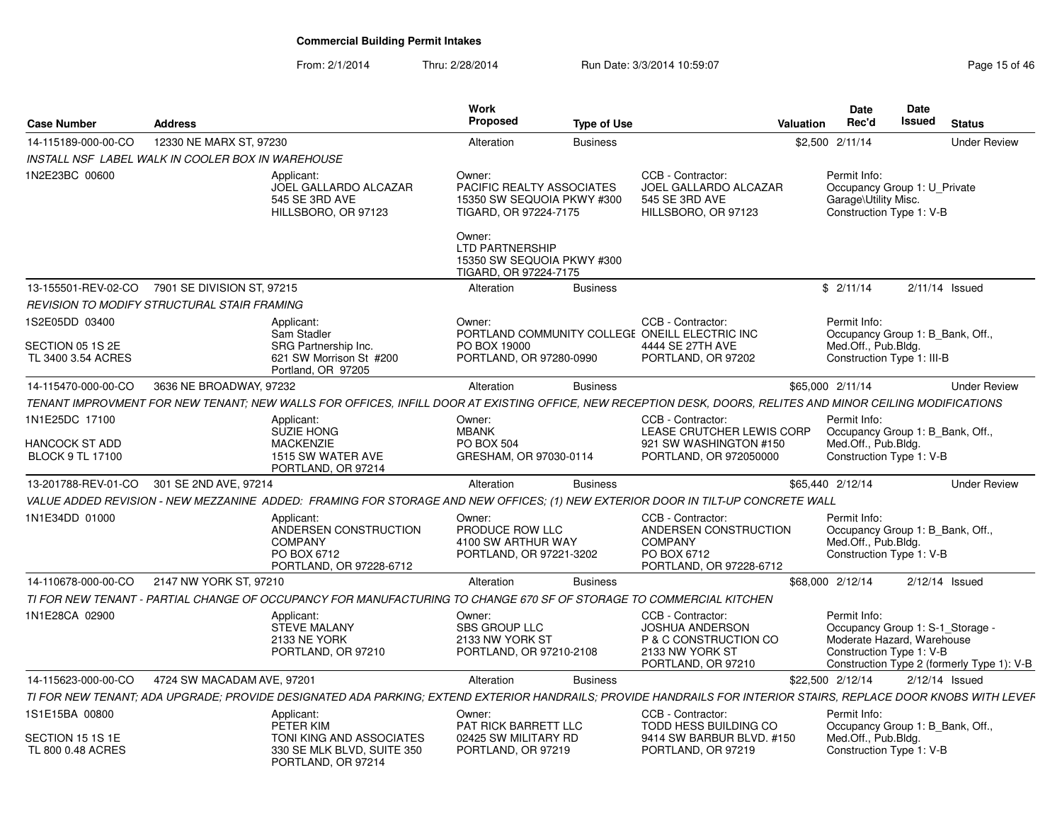From: 2/1/2014Thru: 2/28/2014 Run Date: 3/3/2014 10:59:07 Research 2010 15 of 46

| <b>Case Number</b>                                 | <b>Address</b>             |                                                                                                                                                                 | Work<br>Proposed                                                                           | <b>Type of Use</b> |                                                                                                               | Valuation | Date<br>Rec'd                                                                                              | Date<br><b>Issued</b> | <b>Status</b>                              |
|----------------------------------------------------|----------------------------|-----------------------------------------------------------------------------------------------------------------------------------------------------------------|--------------------------------------------------------------------------------------------|--------------------|---------------------------------------------------------------------------------------------------------------|-----------|------------------------------------------------------------------------------------------------------------|-----------------------|--------------------------------------------|
| 14-115189-000-00-CO                                | 12330 NE MARX ST, 97230    |                                                                                                                                                                 | Alteration                                                                                 | <b>Business</b>    |                                                                                                               |           | \$2,500 2/11/14                                                                                            |                       | <b>Under Review</b>                        |
| INSTALL NSF LABEL WALK IN COOLER BOX IN WAREHOUSE  |                            |                                                                                                                                                                 |                                                                                            |                    |                                                                                                               |           |                                                                                                            |                       |                                            |
| 1N2E23BC 00600                                     |                            | Applicant:<br>JOEL GALLARDO ALCAZAR<br>545 SE 3RD AVE<br>HILLSBORO, OR 97123                                                                                    | Owner:<br>PACIFIC REALTY ASSOCIATES<br>15350 SW SEQUOIA PKWY #300<br>TIGARD, OR 97224-7175 |                    | CCB - Contractor:<br>JOEL GALLARDO ALCAZAR<br>545 SE 3RD AVE<br>HILLSBORO, OR 97123                           |           | Permit Info:<br>Occupancy Group 1: U Private<br>Garage\Utility Misc.<br>Construction Type 1: V-B           |                       |                                            |
|                                                    |                            |                                                                                                                                                                 | Owner:<br>LTD PARTNERSHIP<br>15350 SW SEQUOIA PKWY #300<br>TIGARD, OR 97224-7175           |                    |                                                                                                               |           |                                                                                                            |                       |                                            |
| 13-155501-REV-02-CO                                | 7901 SE DIVISION ST, 97215 |                                                                                                                                                                 | Alteration                                                                                 | <b>Business</b>    |                                                                                                               |           | \$2/11/14                                                                                                  |                       | $2/11/14$ Issued                           |
| <b>REVISION TO MODIFY STRUCTURAL STAIR FRAMING</b> |                            |                                                                                                                                                                 |                                                                                            |                    |                                                                                                               |           |                                                                                                            |                       |                                            |
| 1S2E05DD 03400                                     |                            | Applicant:                                                                                                                                                      | Owner:                                                                                     |                    | CCB - Contractor:                                                                                             |           | Permit Info:                                                                                               |                       |                                            |
| SECTION 05 1S 2E<br>TL 3400 3.54 ACRES             |                            | Sam Stadler<br>SRG Partnership Inc.<br>621 SW Morrison St #200<br>Portland, OR 97205                                                                            | PO BOX 19000<br>PORTLAND, OR 97280-0990                                                    |                    | PORTLAND COMMUNITY COLLEGE ONEILL ELECTRIC INC<br>4444 SE 27TH AVE<br>PORTLAND, OR 97202                      |           | Occupancy Group 1: B Bank, Off.,<br>Med.Off., Pub.Bldg.<br>Construction Type 1: III-B                      |                       |                                            |
| 14-115470-000-00-CO                                | 3636 NE BROADWAY, 97232    |                                                                                                                                                                 | Alteration                                                                                 | <b>Business</b>    |                                                                                                               |           | \$65,000 2/11/14                                                                                           |                       | <b>Under Review</b>                        |
|                                                    |                            | TENANT IMPROVMENT FOR NEW TENANT; NEW WALLS FOR OFFICES, INFILL DOOR AT EXISTING OFFICE, NEW RECEPTION DESK, DOORS, RELITES AND MINOR CEILING MODIFICATIONS     |                                                                                            |                    |                                                                                                               |           |                                                                                                            |                       |                                            |
| 1N1E25DC 17100                                     |                            | Applicant:                                                                                                                                                      | Owner:                                                                                     |                    | CCB - Contractor:                                                                                             |           | Permit Info:                                                                                               |                       |                                            |
| HANCOCK ST ADD<br><b>BLOCK 9 TL 17100</b>          |                            | SUZIE HONG<br><b>MACKENZIE</b><br>1515 SW WATER AVE<br>PORTLAND, OR 97214                                                                                       | <b>MBANK</b><br><b>PO BOX 504</b><br>GRESHAM, OR 97030-0114                                |                    | LEASE CRUTCHER LEWIS CORP<br>921 SW WASHINGTON #150<br>PORTLAND, OR 972050000                                 |           | Occupancy Group 1: B Bank, Off<br>Med.Off., Pub.Bldg.<br>Construction Type 1: V-B                          |                       |                                            |
| 13-201788-REV-01-CO                                | 301 SE 2ND AVE, 97214      |                                                                                                                                                                 | Alteration                                                                                 | <b>Business</b>    |                                                                                                               |           | \$65,440 2/12/14                                                                                           |                       | <b>Under Review</b>                        |
|                                                    |                            | VALUE ADDED REVISION - NEW MEZZANINE ADDED: FRAMING FOR STORAGE AND NEW OFFICES: (1) NEW EXTERIOR DOOR IN TILT-UP CONCRETE WALL                                 |                                                                                            |                    |                                                                                                               |           |                                                                                                            |                       |                                            |
| 1N1E34DD 01000                                     |                            | Applicant:<br>ANDERSEN CONSTRUCTION<br><b>COMPANY</b><br>PO BOX 6712<br>PORTLAND, OR 97228-6712                                                                 | Owner:<br>PRODUCE ROW LLC<br>4100 SW ARTHUR WAY<br>PORTLAND, OR 97221-3202                 |                    | CCB - Contractor:<br>ANDERSEN CONSTRUCTION<br><b>COMPANY</b><br>PO BOX 6712<br>PORTLAND, OR 97228-6712        |           | Permit Info:<br>Occupancy Group 1: B_Bank, Off.,<br>Med.Off., Pub.Bldg.<br>Construction Type 1: V-B        |                       |                                            |
| 14-110678-000-00-CO                                | 2147 NW YORK ST, 97210     |                                                                                                                                                                 | Alteration                                                                                 | <b>Business</b>    |                                                                                                               |           | \$68,000 2/12/14                                                                                           |                       | $2/12/14$ Issued                           |
|                                                    |                            | TI FOR NEW TENANT - PARTIAL CHANGE OF OCCUPANCY FOR MANUFACTURING TO CHANGE 670 SF OF STORAGE TO COMMERCIAL KITCHEN                                             |                                                                                            |                    |                                                                                                               |           |                                                                                                            |                       |                                            |
| 1N1E28CA 02900                                     |                            | Applicant:<br><b>STEVE MALANY</b><br>2133 NE YORK<br>PORTLAND, OR 97210                                                                                         | Owner:<br><b>SBS GROUP LLC</b><br>2133 NW YORK ST<br>PORTLAND, OR 97210-2108               |                    | CCB - Contractor:<br><b>JOSHUA ANDERSON</b><br>P & C CONSTRUCTION CO<br>2133 NW YORK ST<br>PORTLAND, OR 97210 |           | Permit Info:<br>Occupancy Group 1: S-1 Storage -<br>Moderate Hazard, Warehouse<br>Construction Type 1: V-B |                       | Construction Type 2 (formerly Type 1): V-B |
| 14-115623-000-00-CO                                | 4724 SW MACADAM AVE, 97201 |                                                                                                                                                                 | Alteration                                                                                 | <b>Business</b>    |                                                                                                               |           | \$22,500 2/12/14                                                                                           |                       | $2/12/14$ Issued                           |
|                                                    |                            | TI FOR NEW TENANT; ADA UPGRADE; PROVIDE DESIGNATED ADA PARKING; EXTEND EXTERIOR HANDRAILS; PROVIDE HANDRAILS FOR INTERIOR STAIRS, REPLACE DOOR KNOBS WITH LEVEF |                                                                                            |                    |                                                                                                               |           |                                                                                                            |                       |                                            |
| 1S1E15BA 00800                                     |                            | Applicant:                                                                                                                                                      | Owner:                                                                                     |                    | CCB - Contractor:                                                                                             |           | Permit Info:                                                                                               |                       |                                            |
| SECTION 15 1S 1E<br>TL 800 0.48 ACRES              |                            | PETER KIM<br>TONI KING AND ASSOCIATES<br>330 SE MLK BLVD, SUITE 350<br>PORTLAND, OR 97214                                                                       | PAT RICK BARRETT LLC<br>02425 SW MILITARY RD<br>PORTLAND, OR 97219                         |                    | TODD HESS BUILDING CO<br>9414 SW BARBUR BLVD. #150<br>PORTLAND, OR 97219                                      |           | Occupancy Group 1: B_Bank, Off.,<br>Med.Off., Pub.Bldg.<br>Construction Type 1: V-B                        |                       |                                            |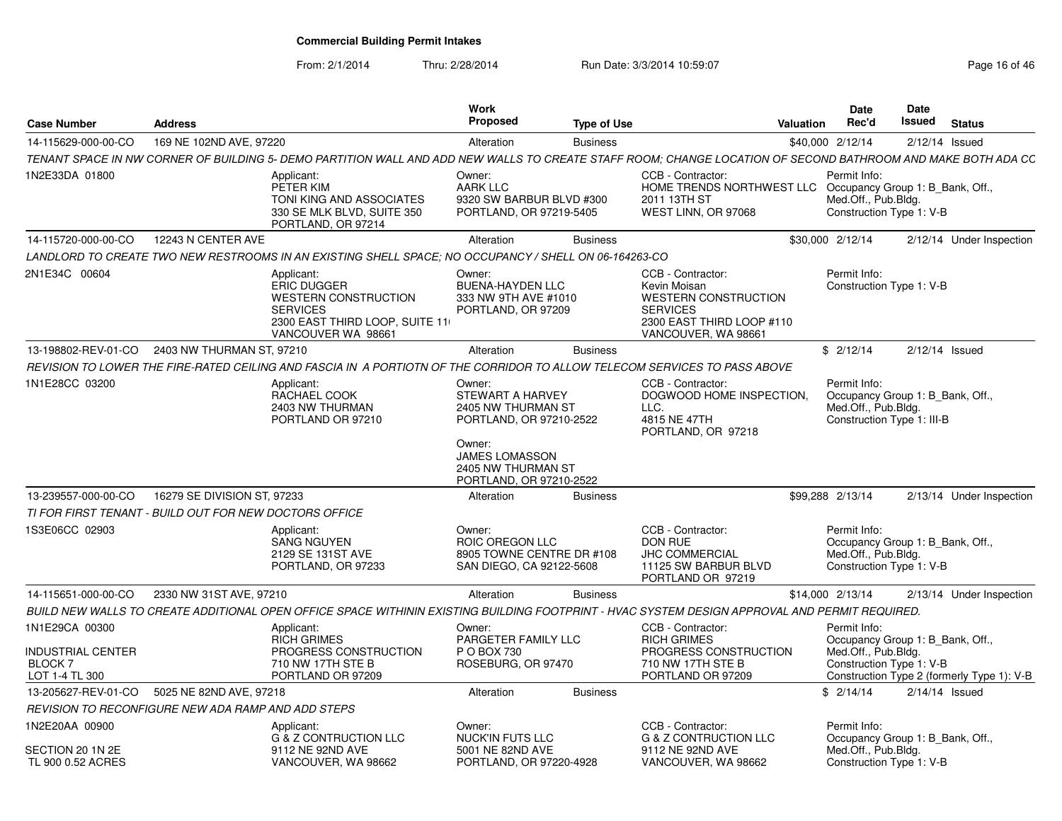From: 2/1/2014

Thru: 2/28/2014 Run Date: 3/3/2014 10:59:07 Research 2010 16:04 Rage 16 of 46

| <b>Case Number</b>                                          | <b>Address</b>              |                                                                                                                                                              | <b>Work</b><br>Proposed                                                                                               | <b>Type of Use</b> |                                                                                                                                         | <b>Valuation</b> | <b>Date</b><br>Rec'd                                                                                  | <b>Date</b><br>Issued | <b>Status</b>                              |
|-------------------------------------------------------------|-----------------------------|--------------------------------------------------------------------------------------------------------------------------------------------------------------|-----------------------------------------------------------------------------------------------------------------------|--------------------|-----------------------------------------------------------------------------------------------------------------------------------------|------------------|-------------------------------------------------------------------------------------------------------|-----------------------|--------------------------------------------|
| 14-115629-000-00-CO                                         | 169 NE 102ND AVE, 97220     |                                                                                                                                                              | Alteration                                                                                                            | <b>Business</b>    |                                                                                                                                         |                  | \$40,000 2/12/14                                                                                      |                       | $2/12/14$ Issued                           |
|                                                             |                             | TENANT SPACE IN NW CORNER OF BUILDING 5- DEMO PARTITION WALL AND ADD NEW WALLS TO CREATE STAFF ROOM; CHANGE LOCATION OF SECOND BATHROOM AND MAKE BOTH ADA CC |                                                                                                                       |                    |                                                                                                                                         |                  |                                                                                                       |                       |                                            |
| 1N2E33DA 01800                                              |                             | Applicant:<br>PETER KIM<br>TONI KING AND ASSOCIATES<br>330 SE MLK BLVD, SUITE 350<br>PORTLAND, OR 97214                                                      | Owner:<br><b>AARK LLC</b><br>9320 SW BARBUR BLVD #300<br>PORTLAND, OR 97219-5405                                      |                    | CCB - Contractor:<br>HOME TRENDS NORTHWEST LLC<br>2011 13TH ST<br>WEST LINN, OR 97068                                                   |                  | Permit Info:<br>Occupancy Group 1: B_Bank, Off.,<br>Med.Off., Pub.Bldg.<br>Construction Type 1: V-B   |                       |                                            |
| 14-115720-000-00-CO                                         | 12243 N CENTER AVE          |                                                                                                                                                              | Alteration                                                                                                            | <b>Business</b>    |                                                                                                                                         |                  | \$30,000 2/12/14                                                                                      |                       | 2/12/14 Under Inspection                   |
|                                                             |                             | LANDLORD TO CREATE TWO NEW RESTROOMS IN AN EXISTING SHELL SPACE: NO OCCUPANCY / SHELL ON 06-164263-CO                                                        |                                                                                                                       |                    |                                                                                                                                         |                  |                                                                                                       |                       |                                            |
| 2N1E34C 00604                                               |                             | Applicant:<br><b>ERIC DUGGER</b><br><b>WESTERN CONSTRUCTION</b><br><b>SERVICES</b><br>2300 EAST THIRD LOOP, SUITE 11<br>VANCOUVER WA 98661                   | Owner:<br><b>BUENA-HAYDEN LLC</b><br>333 NW 9TH AVE #1010<br>PORTLAND, OR 97209                                       |                    | CCB - Contractor:<br>Kevin Moisan<br><b>WESTERN CONSTRUCTION</b><br><b>SERVICES</b><br>2300 EAST THIRD LOOP #110<br>VANCOUVER, WA 98661 |                  | Permit Info:<br>Construction Type 1: V-B                                                              |                       |                                            |
| 13-198802-REV-01-CO                                         | 2403 NW THURMAN ST, 97210   |                                                                                                                                                              | Alteration                                                                                                            | <b>Business</b>    |                                                                                                                                         |                  | \$2/12/14                                                                                             |                       | $2/12/14$ Issued                           |
|                                                             |                             | REVISION TO LOWER THE FIRE-RATED CEILING AND FASCIA IN A PORTIOTN OF THE CORRIDOR TO ALLOW TELECOM SERVICES TO PASS ABOVE                                    |                                                                                                                       |                    |                                                                                                                                         |                  |                                                                                                       |                       |                                            |
| 1N1E28CC 03200                                              |                             | Applicant:<br>RACHAEL COOK<br>2403 NW THURMAN<br>PORTLAND OR 97210                                                                                           | Owner:<br><b>STEWART A HARVEY</b><br>2405 NW THURMAN ST<br>PORTLAND, OR 97210-2522<br>Owner:<br><b>JAMES LOMASSON</b> |                    | CCB - Contractor:<br>DOGWOOD HOME INSPECTION,<br>LLC.<br>4815 NE 47TH<br>PORTLAND, OR 97218                                             |                  | Permit Info:<br>Occupancy Group 1: B_Bank, Off.,<br>Med.Off., Pub.Bldg.<br>Construction Type 1: III-B |                       |                                            |
|                                                             |                             |                                                                                                                                                              | 2405 NW THURMAN ST<br>PORTLAND, OR 97210-2522                                                                         |                    |                                                                                                                                         |                  |                                                                                                       |                       |                                            |
| 13-239557-000-00-CO                                         | 16279 SE DIVISION ST, 97233 |                                                                                                                                                              | Alteration                                                                                                            | <b>Business</b>    |                                                                                                                                         |                  | \$99,288 2/13/14                                                                                      |                       | 2/13/14 Under Inspection                   |
| TI FOR FIRST TENANT - BUILD OUT FOR NEW DOCTORS OFFICE      |                             |                                                                                                                                                              |                                                                                                                       |                    |                                                                                                                                         |                  |                                                                                                       |                       |                                            |
| 1S3E06CC 02903                                              |                             | Applicant:<br><b>SANG NGUYEN</b><br>2129 SE 131ST AVE<br>PORTLAND, OR 97233                                                                                  | Owner:<br>ROIC OREGON LLC<br>8905 TOWNE CENTRE DR #108<br>SAN DIEGO, CA 92122-5608                                    |                    | CCB - Contractor:<br>DON RUE<br><b>JHC COMMERCIAL</b><br>11125 SW BARBUR BLVD<br>PORTLAND OR 97219                                      |                  | Permit Info:<br>Occupancy Group 1: B_Bank, Off.,<br>Med.Off., Pub.Bldg.<br>Construction Type 1: V-B   |                       |                                            |
| 14-115651-000-00-CO                                         | 2330 NW 31ST AVE, 97210     |                                                                                                                                                              | Alteration                                                                                                            | <b>Business</b>    |                                                                                                                                         |                  | \$14,000 2/13/14                                                                                      |                       | 2/13/14 Under Inspection                   |
|                                                             |                             | BUILD NEW WALLS TO CREATE ADDITIONAL OPEN OFFICE SPACE WITHININ EXISTING BUILDING FOOTPRINT - HVAC SYSTEM DESIGN APPROVAL AND PERMIT REQUIRED.               |                                                                                                                       |                    |                                                                                                                                         |                  |                                                                                                       |                       |                                            |
| 1N1E29CA 00300                                              |                             | Applicant:                                                                                                                                                   | Owner:                                                                                                                |                    | CCB - Contractor:                                                                                                                       |                  | Permit Info:                                                                                          |                       |                                            |
| <b>INDUSTRIAL CENTER</b><br><b>BLOCK7</b><br>LOT 1-4 TL 300 |                             | <b>RICH GRIMES</b><br>PROGRESS CONSTRUCTION<br>710 NW 17TH STE B<br>PORTLAND OR 97209                                                                        | PARGETER FAMILY LLC<br>P O BOX 730<br>ROSEBURG, OR 97470                                                              |                    | <b>RICH GRIMES</b><br>PROGRESS CONSTRUCTION<br>710 NW 17TH STE B<br>PORTLAND OR 97209                                                   |                  | Occupancy Group 1: B_Bank, Off.,<br>Med.Off., Pub.Bldg.<br>Construction Type 1: V-B                   |                       | Construction Type 2 (formerly Type 1): V-B |
| 13-205627-REV-01-CO                                         | 5025 NE 82ND AVE, 97218     |                                                                                                                                                              | Alteration                                                                                                            | <b>Business</b>    |                                                                                                                                         |                  | \$2/14/14                                                                                             |                       | $2/14/14$ Issued                           |
| REVISION TO RECONFIGURE NEW ADA RAMP AND ADD STEPS          |                             |                                                                                                                                                              |                                                                                                                       |                    |                                                                                                                                         |                  |                                                                                                       |                       |                                            |
| 1N2E20AA 00900<br>SECTION 20 1N 2E<br>TL 900 0.52 ACRES     |                             | Applicant:<br>G & Z CONTRUCTION LLC<br>9112 NE 92ND AVE<br>VANCOUVER, WA 98662                                                                               | Owner:<br><b>NUCK'IN FUTS LLC</b><br>5001 NE 82ND AVE<br>PORTLAND, OR 97220-4928                                      |                    | CCB - Contractor:<br><b>G &amp; Z CONTRUCTION LLC</b><br>9112 NE 92ND AVE<br>VANCOUVER, WA 98662                                        |                  | Permit Info:<br>Occupancy Group 1: B_Bank, Off.,<br>Med.Off., Pub.Bldg.<br>Construction Type 1: V-B   |                       |                                            |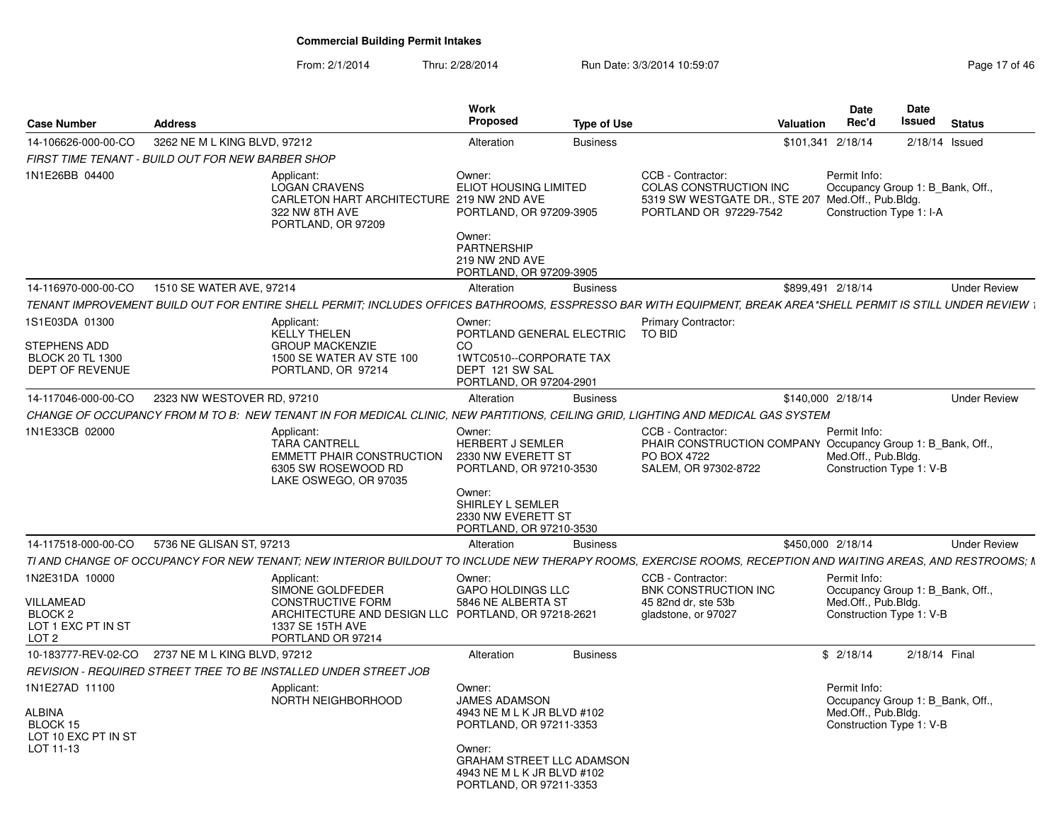From: 2/1/2014Thru: 2/28/2014 Run Date: 3/3/2014 10:59:07 Research 2010 17 of 46

| <b>Case Number</b>                                                               | <b>Address</b>                                    |                                                                                                                                                               | Work<br>Proposed                                                                                                                                                                        | <b>Type of Use</b> |                                                                                                                                   | <b>Valuation</b>  | <b>Date</b><br>Rec'd | Date<br>Issued<br><b>Status</b>                              |
|----------------------------------------------------------------------------------|---------------------------------------------------|---------------------------------------------------------------------------------------------------------------------------------------------------------------|-----------------------------------------------------------------------------------------------------------------------------------------------------------------------------------------|--------------------|-----------------------------------------------------------------------------------------------------------------------------------|-------------------|----------------------|--------------------------------------------------------------|
| 14-106626-000-00-CO                                                              | 3262 NE M L KING BLVD, 97212                      |                                                                                                                                                               | Alteration                                                                                                                                                                              | <b>Business</b>    |                                                                                                                                   | \$101,341 2/18/14 |                      | 2/18/14 Issued                                               |
|                                                                                  | FIRST TIME TENANT - BUILD OUT FOR NEW BARBER SHOP |                                                                                                                                                               |                                                                                                                                                                                         |                    |                                                                                                                                   |                   |                      |                                                              |
| 1N1E26BB 04400                                                                   |                                                   | Applicant:<br><b>LOGAN CRAVENS</b><br>CARLETON HART ARCHITECTURE 219 NW 2ND AVE<br>322 NW 8TH AVE<br>PORTLAND, OR 97209                                       | Owner:<br><b>ELIOT HOUSING LIMITED</b><br>PORTLAND, OR 97209-3905<br>Owner:<br><b>PARTNERSHIP</b>                                                                                       |                    | CCB - Contractor:<br><b>COLAS CONSTRUCTION INC</b><br>5319 SW WESTGATE DR., STE 207 Med.Off., Pub.Bldg.<br>PORTLAND OR 97229-7542 | Permit Info:      |                      | Occupancy Group 1: B Bank, Off.,<br>Construction Type 1: I-A |
|                                                                                  |                                                   |                                                                                                                                                               | 219 NW 2ND AVE<br>PORTLAND, OR 97209-3905                                                                                                                                               |                    |                                                                                                                                   |                   |                      |                                                              |
| 14-116970-000-00-CO                                                              | 1510 SE WATER AVE, 97214                          |                                                                                                                                                               | Alteration                                                                                                                                                                              | <b>Business</b>    |                                                                                                                                   | \$899,491 2/18/14 |                      | <b>Under Review</b>                                          |
|                                                                                  |                                                   | TENANT IMPROVEMENT BUILD OUT FOR ENTIRE SHELL PERMIT: INCLUDES OFFICES BATHROOMS. ESSPRESSO BAR WITH EQUIPMENT. BREAK AREA*SHELL PERMIT IS STILL UNDER REVIEW |                                                                                                                                                                                         |                    |                                                                                                                                   |                   |                      |                                                              |
| 1S1E03DA 01300<br>STEPHENS ADD<br><b>BLOCK 20 TL 1300</b><br>DEPT OF REVENUE     |                                                   | Applicant:<br>KELLY THELEN<br><b>GROUP MACKENZIE</b><br>1500 SE WATER AV STE 100<br>PORTLAND, OR 97214                                                        | Owner:<br>PORTLAND GENERAL ELECTRIC TO BID<br>CO.<br>1WTC0510--CORPORATE TAX<br>DEPT 121 SW SAL<br>PORTLAND, OR 97204-2901                                                              |                    | <b>Primary Contractor:</b>                                                                                                        |                   |                      |                                                              |
| 14-117046-000-00-CO                                                              | 2323 NW WESTOVER RD, 97210                        |                                                                                                                                                               | Alteration                                                                                                                                                                              | <b>Business</b>    |                                                                                                                                   | \$140,000 2/18/14 |                      | <b>Under Review</b>                                          |
|                                                                                  |                                                   | CHANGE OF OCCUPANCY FROM M TO B: NEW TENANT IN FOR MEDICAL CLINIC, NEW PARTITIONS, CEILING GRID, LIGHTING AND MEDICAL GAS SYSTEM                              |                                                                                                                                                                                         |                    |                                                                                                                                   |                   |                      |                                                              |
| 1N1E33CB 02000                                                                   |                                                   | Applicant:<br><b>TARA CANTRELL</b><br>EMMETT PHAIR CONSTRUCTION<br>6305 SW ROSEWOOD RD<br>LAKE OSWEGO, OR 97035                                               | Owner:<br>HERBERT J SEMLER<br>2330 NW EVERETT ST<br>PORTLAND, OR 97210-3530<br>Owner:<br>SHIRLEY L SEMLER<br>2330 NW EVERETT ST<br>PORTLAND, OR 97210-3530                              |                    | CCB - Contractor:<br>PHAIR CONSTRUCTION COMPANY Occupancy Group 1: B_Bank, Off.,<br>PO BOX 4722<br>SALEM, OR 97302-8722           | Permit Info:      | Med.Off., Pub.Bldg.  | Construction Type 1: V-B                                     |
| 14-117518-000-00-CO                                                              | 5736 NE GLISAN ST, 97213                          |                                                                                                                                                               | Alteration                                                                                                                                                                              | <b>Business</b>    |                                                                                                                                   | \$450,000 2/18/14 |                      | <b>Under Review</b>                                          |
|                                                                                  |                                                   | TI AND CHANGE OF OCCUPANCY FOR NEW TENANT: NEW INTERIOR BUILDOUT TO INCLUDE NEW THERAPY ROOMS. EXERCISE ROOMS, RECEPTION AND WAITING AREAS, AND RESTROOMS: N  |                                                                                                                                                                                         |                    |                                                                                                                                   |                   |                      |                                                              |
| 1N2E31DA 10000<br>VILLAMEAD<br>BLOCK <sub>2</sub><br>LOT 1 EXC PT IN ST<br>LOT 2 |                                                   | Applicant:<br>SIMONE GOLDFEDER<br><b>CONSTRUCTIVE FORM</b><br>ARCHITECTURE AND DESIGN LLC PORTLAND, OR 97218-2621<br>1337 SE 15TH AVE<br>PORTLAND OR 97214    | Owner:<br>GAPO HOLDINGS LLC<br>5846 NE ALBERTA ST                                                                                                                                       |                    | CCB - Contractor:<br>BNK CONSTRUCTION INC<br>45 82nd dr, ste 53b<br>gladstone, or 97027                                           | Permit Info:      | Med.Off., Pub.Bldg.  | Occupancy Group 1: B_Bank, Off.,<br>Construction Type 1: V-B |
|                                                                                  | 10-183777-REV-02-CO 2737 NE M L KING BLVD, 97212  |                                                                                                                                                               | Alteration                                                                                                                                                                              | <b>Business</b>    |                                                                                                                                   | \$2/18/14         |                      | 2/18/14 Final                                                |
|                                                                                  |                                                   | REVISION - REQUIRED STREET TREE TO BE INSTALLED UNDER STREET JOB                                                                                              |                                                                                                                                                                                         |                    |                                                                                                                                   |                   |                      |                                                              |
| 1N1E27AD 11100<br>ALBINA<br>BLOCK 15<br>LOT 10 EXC PT IN ST<br>LOT 11-13         |                                                   | Applicant:<br>NORTH NEIGHBORHOOD                                                                                                                              | Owner:<br><b>JAMES ADAMSON</b><br>4943 NE M L K JR BLVD #102<br>PORTLAND, OR 97211-3353<br>Owner:<br>GRAHAM STREET LLC ADAMSON<br>4943 NE M L K JR BLVD #102<br>PORTLAND, OR 97211-3353 |                    |                                                                                                                                   | Permit Info:      | Med.Off., Pub.Bldg.  | Occupancy Group 1: B_Bank, Off.,<br>Construction Type 1: V-B |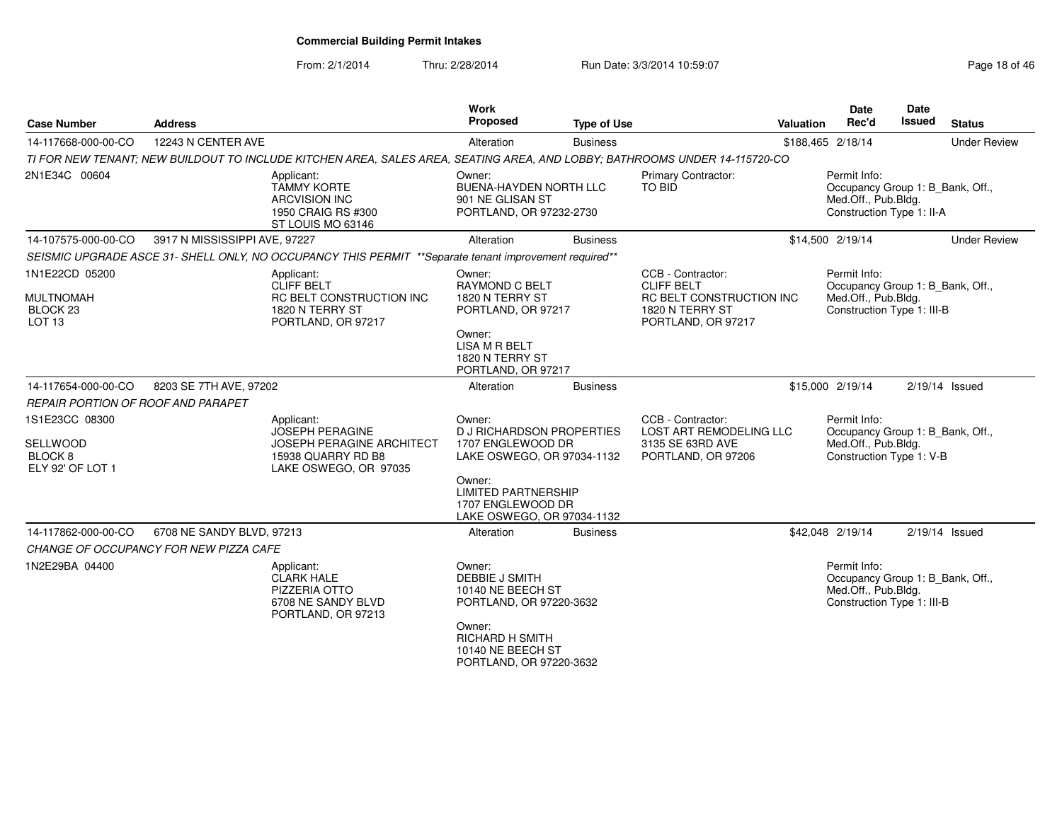From: 2/1/2014Thru: 2/28/2014 Run Date: 3/3/2014 10:59:07 Research 2010 18 of 46

| <b>Case Number</b>                                                             | <b>Address</b>                         |                                                                                                                            | <b>Work</b><br>Proposed                                                                                                                                             | <b>Type of Use</b> |                                                                                                             | <b>Valuation</b>  | <b>Date</b><br>Rec'd                                                                                  | <b>Date</b><br>Issued | <b>Status</b>       |
|--------------------------------------------------------------------------------|----------------------------------------|----------------------------------------------------------------------------------------------------------------------------|---------------------------------------------------------------------------------------------------------------------------------------------------------------------|--------------------|-------------------------------------------------------------------------------------------------------------|-------------------|-------------------------------------------------------------------------------------------------------|-----------------------|---------------------|
| 14-117668-000-00-CO                                                            | 12243 N CENTER AVE                     |                                                                                                                            | Alteration                                                                                                                                                          | <b>Business</b>    |                                                                                                             | \$188,465 2/18/14 |                                                                                                       |                       | <b>Under Review</b> |
|                                                                                |                                        | TI FOR NEW TENANT: NEW BUILDOUT TO INCLUDE KITCHEN AREA, SALES AREA, SEATING AREA, AND LOBBY; BATHROOMS UNDER 14-115720-CO |                                                                                                                                                                     |                    |                                                                                                             |                   |                                                                                                       |                       |                     |
| 2N1E34C 00604                                                                  |                                        | Applicant:<br><b>TAMMY KORTE</b><br><b>ARCVISION INC</b><br>1950 CRAIG RS #300<br>ST LOUIS MO 63146                        | Owner:<br>BUENA-HAYDEN NORTH LLC<br>901 NE GLISAN ST<br>PORTLAND, OR 97232-2730                                                                                     |                    | Primary Contractor:<br>TO BID                                                                               |                   | Permit Info:<br>Occupancy Group 1: B_Bank, Off.,<br>Med.Off., Pub.Bldg.<br>Construction Type 1: II-A  |                       |                     |
| 14-107575-000-00-CO                                                            | 3917 N MISSISSIPPI AVE, 97227          |                                                                                                                            | Alteration                                                                                                                                                          | <b>Business</b>    |                                                                                                             |                   | \$14,500 2/19/14                                                                                      |                       | <b>Under Review</b> |
|                                                                                |                                        | SEISMIC UPGRADE ASCE 31- SHELL ONLY, NO OCCUPANCY THIS PERMIT ** Separate tenant improvement required**                    |                                                                                                                                                                     |                    |                                                                                                             |                   |                                                                                                       |                       |                     |
| 1N1E22CD 05200<br><b>MULTNOMAH</b><br>BLOCK <sub>23</sub><br>LOT <sub>13</sub> |                                        | Applicant:<br>CLIFF BELT<br>RC BELT CONSTRUCTION INC<br>1820 N TERRY ST<br>PORTLAND, OR 97217                              | Owner:<br>RAYMOND C BELT<br>1820 N TERRY ST<br>PORTLAND, OR 97217<br>Owner:<br>LISA M R BELT<br>1820 N TERRY ST                                                     |                    | CCB - Contractor:<br><b>CLIFF BELT</b><br>RC BELT CONSTRUCTION INC<br>1820 N TERRY ST<br>PORTLAND, OR 97217 |                   | Permit Info:<br>Occupancy Group 1: B_Bank, Off.,<br>Med.Off., Pub.Bldg.<br>Construction Type 1: III-B |                       |                     |
|                                                                                |                                        |                                                                                                                            | PORTLAND, OR 97217                                                                                                                                                  |                    |                                                                                                             |                   |                                                                                                       |                       |                     |
| 14-117654-000-00-CO                                                            | 8203 SE 7TH AVE, 97202                 |                                                                                                                            | Alteration                                                                                                                                                          | <b>Business</b>    |                                                                                                             |                   | \$15,000 2/19/14                                                                                      |                       | $2/19/14$ Issued    |
| REPAIR PORTION OF ROOF AND PARAPET                                             |                                        |                                                                                                                            |                                                                                                                                                                     |                    |                                                                                                             |                   |                                                                                                       |                       |                     |
| 1S1E23CC 08300<br>SELLWOOD<br>BLOCK <sub>8</sub><br>ELY 92' OF LOT 1           |                                        | Applicant:<br><b>JOSEPH PERAGINE</b><br>JOSEPH PERAGINE ARCHITECT<br>15938 QUARRY RD B8<br>LAKE OSWEGO, OR 97035           | Owner:<br><b>D J RICHARDSON PROPERTIES</b><br>1707 ENGLEWOOD DR<br>LAKE OSWEGO, OR 97034-1132                                                                       |                    | CCB - Contractor:<br>LOST ART REMODELING LLC<br>3135 SE 63RD AVE<br>PORTLAND, OR 97206                      |                   | Permit Info:<br>Occupancy Group 1: B_Bank, Off.,<br>Med.Off., Pub.Bldg.<br>Construction Type 1: V-B   |                       |                     |
|                                                                                |                                        |                                                                                                                            | Owner:<br><b>LIMITED PARTNERSHIP</b><br>1707 ENGLEWOOD DR<br>LAKE OSWEGO, OR 97034-1132                                                                             |                    |                                                                                                             |                   |                                                                                                       |                       |                     |
| 14-117862-000-00-CO                                                            | 6708 NE SANDY BLVD, 97213              |                                                                                                                            | Alteration                                                                                                                                                          | <b>Business</b>    |                                                                                                             |                   | \$42,048 2/19/14                                                                                      |                       | $2/19/14$ Issued    |
|                                                                                | CHANGE OF OCCUPANCY FOR NEW PIZZA CAFE |                                                                                                                            |                                                                                                                                                                     |                    |                                                                                                             |                   |                                                                                                       |                       |                     |
| 1N2E29BA 04400                                                                 |                                        | Applicant:<br><b>CLARK HALE</b><br>PIZZERIA OTTO<br>6708 NE SANDY BLVD<br>PORTLAND, OR 97213                               | Owner:<br><b>DEBBIE J SMITH</b><br>10140 NE BEECH ST<br>PORTLAND, OR 97220-3632<br>Owner:<br><b>RICHARD H SMITH</b><br>10140 NE BEECH ST<br>PORTLAND, OR 97220-3632 |                    |                                                                                                             |                   | Permit Info:<br>Occupancy Group 1: B Bank, Off.,<br>Med.Off., Pub.Bldg.<br>Construction Type 1: III-B |                       |                     |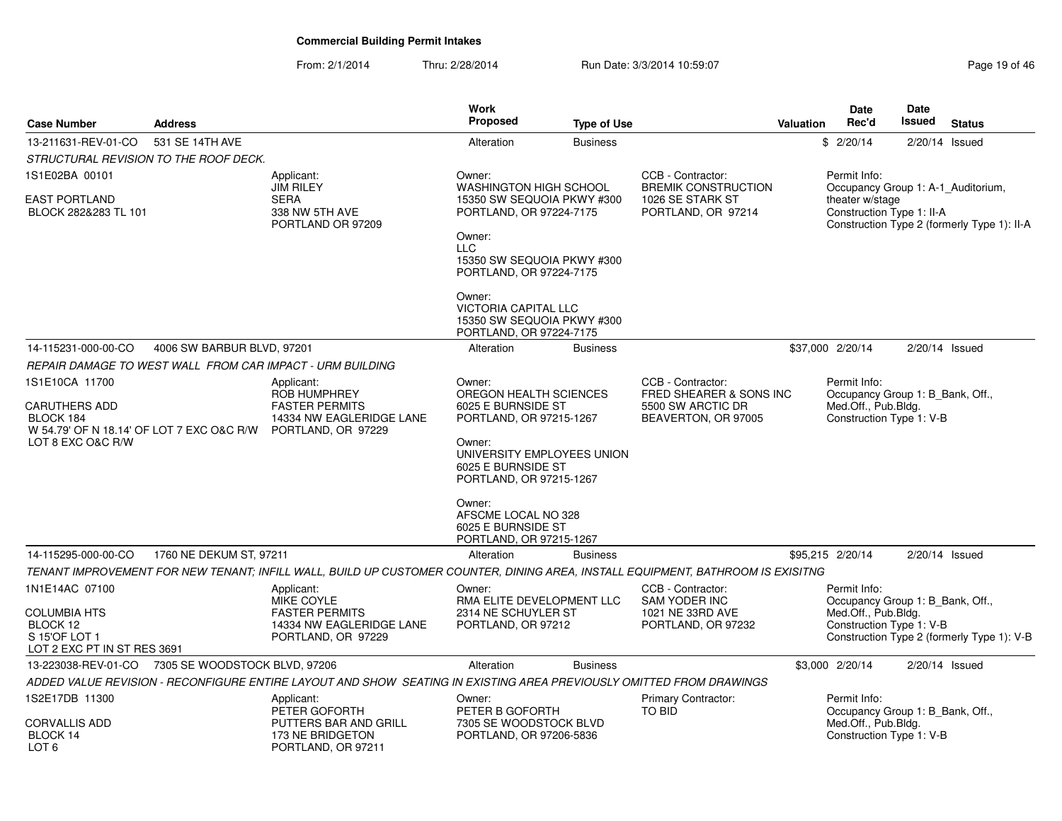From: 2/1/2014Thru: 2/28/2014 Run Date: 3/3/2014 10:59:07 Research 2010 19:06 19:06 Page 19:06 46

| <b>Case Number</b>                                                              | <b>Address</b>                |                                                                                                                                 | Work<br><b>Proposed</b>                                                                                        | <b>Type of Use</b> |                                                                      | <b>Valuation</b> | <b>Date</b><br>Rec'd                                                                | Date<br><b>Issued</b> | <b>Status</b>                               |
|---------------------------------------------------------------------------------|-------------------------------|---------------------------------------------------------------------------------------------------------------------------------|----------------------------------------------------------------------------------------------------------------|--------------------|----------------------------------------------------------------------|------------------|-------------------------------------------------------------------------------------|-----------------------|---------------------------------------------|
| 13-211631-REV-01-CO                                                             | 531 SE 14TH AVE               |                                                                                                                                 | Alteration                                                                                                     | <b>Business</b>    |                                                                      |                  | \$2/20/14                                                                           | 2/20/14 Issued        |                                             |
| STRUCTURAL REVISION TO THE ROOF DECK.                                           |                               |                                                                                                                                 |                                                                                                                |                    |                                                                      |                  |                                                                                     |                       |                                             |
| 1S1E02BA 00101                                                                  |                               | Applicant:                                                                                                                      | Owner:                                                                                                         |                    | CCB - Contractor:                                                    |                  | Permit Info:                                                                        |                       |                                             |
| EAST PORTLAND<br>BLOCK 282&283 TL 101                                           |                               | <b>JIM RILEY</b><br><b>SERA</b><br>338 NW 5TH AVE<br>PORTLAND OR 97209                                                          | <b>WASHINGTON HIGH SCHOOL</b><br>15350 SW SEQUOIA PKWY #300<br>PORTLAND, OR 97224-7175<br>Owner:<br><b>LLC</b> |                    | <b>BREMIK CONSTRUCTION</b><br>1026 SE STARK ST<br>PORTLAND, OR 97214 |                  | Occupancy Group 1: A-1_Auditorium,<br>theater w/stage<br>Construction Type 1: II-A  |                       | Construction Type 2 (formerly Type 1): II-A |
|                                                                                 |                               |                                                                                                                                 | 15350 SW SEQUOIA PKWY #300<br>PORTLAND, OR 97224-7175                                                          |                    |                                                                      |                  |                                                                                     |                       |                                             |
|                                                                                 |                               |                                                                                                                                 | Owner:<br><b>VICTORIA CAPITAL LLC</b><br>15350 SW SEQUOIA PKWY #300<br>PORTLAND, OR 97224-7175                 |                    |                                                                      |                  |                                                                                     |                       |                                             |
| 14-115231-000-00-CO                                                             | 4006 SW BARBUR BLVD, 97201    |                                                                                                                                 | Alteration                                                                                                     | <b>Business</b>    |                                                                      |                  | \$37,000 2/20/14                                                                    |                       | $2/20/14$ Issued                            |
|                                                                                 |                               | REPAIR DAMAGE TO WEST WALL FROM CAR IMPACT - URM BUILDING                                                                       |                                                                                                                |                    |                                                                      |                  |                                                                                     |                       |                                             |
| 1S1E10CA 11700                                                                  |                               | Applicant:                                                                                                                      | Owner:                                                                                                         |                    | CCB - Contractor:                                                    |                  | Permit Info:                                                                        |                       |                                             |
| CARUTHERS ADD<br>BLOCK 184<br>W 54.79' OF N 18.14' OF LOT 7 EXC O&C R/W         |                               | ROB HUMPHREY<br><b>FASTER PERMITS</b><br>14334 NW EAGLERIDGE LANE<br>PORTLAND, OR 97229                                         | OREGON HEALTH SCIENCES<br>6025 E BURNSIDE ST<br>PORTLAND, OR 97215-1267                                        |                    | FRED SHEARER & SONS INC<br>5500 SW ARCTIC DR<br>BEAVERTON, OR 97005  |                  | Occupancy Group 1: B Bank, Off.,<br>Med.Off., Pub.Bldg.<br>Construction Type 1: V-B |                       |                                             |
| LOT 8 EXC O&C R/W                                                               |                               |                                                                                                                                 | Owner:<br>UNIVERSITY EMPLOYEES UNION<br>6025 E BURNSIDE ST<br>PORTLAND, OR 97215-1267                          |                    |                                                                      |                  |                                                                                     |                       |                                             |
|                                                                                 |                               |                                                                                                                                 | Owner:<br>AFSCME LOCAL NO 328<br>6025 E BURNSIDE ST<br>PORTLAND, OR 97215-1267                                 |                    |                                                                      |                  |                                                                                     |                       |                                             |
| 14-115295-000-00-CO                                                             | 1760 NE DEKUM ST, 97211       |                                                                                                                                 | Alteration                                                                                                     | <b>Business</b>    |                                                                      |                  | \$95,215 2/20/14                                                                    | $2/20/14$ Issued      |                                             |
|                                                                                 |                               | TENANT IMPROVEMENT FOR NEW TENANT; INFILL WALL, BUILD UP CUSTOMER COUNTER, DINING AREA, INSTALL EQUIPMENT, BATHROOM IS EXISITNG |                                                                                                                |                    |                                                                      |                  |                                                                                     |                       |                                             |
| 1N1E14AC 07100                                                                  |                               | Applicant:<br>MIKE COYLE                                                                                                        | Owner:<br>RMA ELITE DEVELOPMENT LLC                                                                            |                    | CCB - Contractor:<br>SAM YODER INC                                   |                  | Permit Info:<br>Occupancy Group 1: B_Bank, Off.,                                    |                       |                                             |
| <b>COLUMBIA HTS</b><br>BLOCK 12<br>S 15'OF LOT 1<br>LOT 2 EXC PT IN ST RES 3691 |                               | <b>FASTER PERMITS</b><br>14334 NW EAGLERIDGE LANE<br>PORTLAND, OR 97229                                                         | 2314 NE SCHUYLER ST<br>PORTLAND, OR 97212                                                                      |                    | 1021 NE 33RD AVE<br>PORTLAND, OR 97232                               |                  | Med.Off., Pub.Bldg.<br>Construction Type 1: V-B                                     |                       | Construction Type 2 (formerly Type 1): V-B  |
| 13-223038-REV-01-CO                                                             | 7305 SE WOODSTOCK BLVD, 97206 |                                                                                                                                 | Alteration                                                                                                     | <b>Business</b>    |                                                                      |                  | \$3,000 2/20/14                                                                     | 2/20/14 Issued        |                                             |
|                                                                                 |                               | ADDED VALUE REVISION - RECONFIGURE ENTIRE LAYOUT AND SHOW SEATING IN EXISTING AREA PREVIOUSLY OMITTED FROM DRAWINGS             |                                                                                                                |                    |                                                                      |                  |                                                                                     |                       |                                             |
| 1S2E17DB 11300                                                                  |                               | Applicant:<br>PETER GOFORTH                                                                                                     | Owner:<br>PETER B GOFORTH                                                                                      |                    | Primary Contractor:<br>TO BID                                        |                  | Permit Info:<br>Occupancy Group 1: B Bank, Off.,                                    |                       |                                             |
| CORVALLIS ADD<br>BLOCK 14<br>LOT 6                                              |                               | PUTTERS BAR AND GRILL<br>173 NE BRIDGETON<br>PORTLAND, OR 97211                                                                 | 7305 SE WOODSTOCK BLVD<br>PORTLAND, OR 97206-5836                                                              |                    |                                                                      |                  | Med.Off., Pub.Bldg.<br>Construction Type 1: V-B                                     |                       |                                             |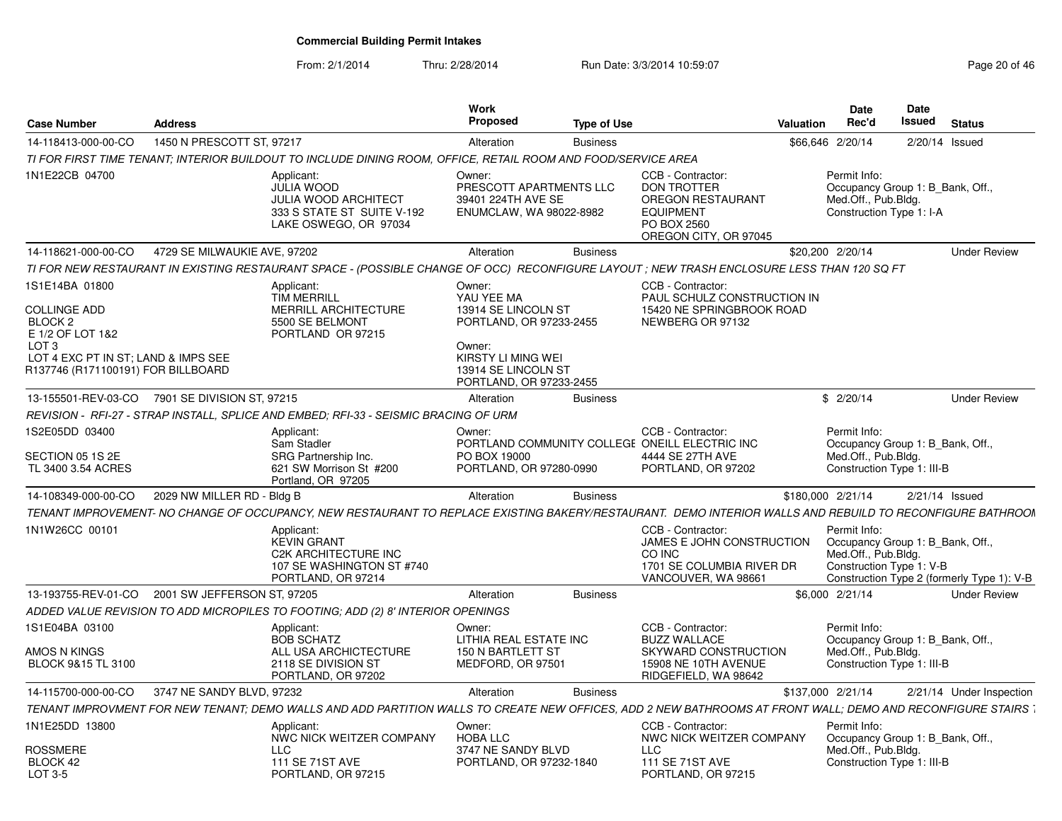From: 2/1/2014

Thru: 2/28/2014 Run Date: 3/3/2014 10:59:07 Research 20 of 46

| <b>Case Number</b>                                                                                                                                                               | <b>Address</b>               |                                                                                                                                                            | <b>Work</b><br>Proposed                                                                                                                                  | <b>Type of Use</b> |                                                                                                                                 | Valuation         | <b>Date</b><br>Rec'd                | Date<br>Issued<br><b>Status</b>                                                                            |  |
|----------------------------------------------------------------------------------------------------------------------------------------------------------------------------------|------------------------------|------------------------------------------------------------------------------------------------------------------------------------------------------------|----------------------------------------------------------------------------------------------------------------------------------------------------------|--------------------|---------------------------------------------------------------------------------------------------------------------------------|-------------------|-------------------------------------|------------------------------------------------------------------------------------------------------------|--|
| 14-118413-000-00-CO                                                                                                                                                              | 1450 N PRESCOTT ST. 97217    |                                                                                                                                                            | Alteration                                                                                                                                               | <b>Business</b>    |                                                                                                                                 | \$66,646 2/20/14  |                                     | 2/20/14 Issued                                                                                             |  |
|                                                                                                                                                                                  |                              | TI FOR FIRST TIME TENANT: INTERIOR BUILDOUT TO INCLUDE DINING ROOM, OFFICE, RETAIL ROOM AND FOOD/SERVICE AREA                                              |                                                                                                                                                          |                    |                                                                                                                                 |                   |                                     |                                                                                                            |  |
| 1N1E22CB 04700                                                                                                                                                                   |                              | Applicant:<br><b>JULIA WOOD</b><br><b>JULIA WOOD ARCHITECT</b><br>333 S STATE ST SUITE V-192<br>LAKE OSWEGO, OR 97034                                      | Owner:<br>PRESCOTT APARTMENTS LLC<br>39401 224TH AVE SE<br>ENUMCLAW, WA 98022-8982                                                                       |                    | CCB - Contractor:<br><b>DON TROTTER</b><br><b>OREGON RESTAURANT</b><br><b>EQUIPMENT</b><br>PO BOX 2560<br>OREGON CITY, OR 97045 |                   | Permit Info:<br>Med.Off., Pub.Blda. | Occupancy Group 1: B Bank, Off.,<br>Construction Type 1: I-A                                               |  |
| 14-118621-000-00-CO                                                                                                                                                              | 4729 SE MILWAUKIE AVE, 97202 |                                                                                                                                                            | Alteration                                                                                                                                               | <b>Business</b>    |                                                                                                                                 | \$20,200 2/20/14  |                                     | <b>Under Review</b>                                                                                        |  |
|                                                                                                                                                                                  |                              | TI FOR NEW RESTAURANT IN EXISTING RESTAURANT SPACE - (POSSIBLE CHANGE OF OCC) RECONFIGURE LAYOUT; NEW TRASH ENCLOSURE LESS THAN 120 SQ FT                  |                                                                                                                                                          |                    |                                                                                                                                 |                   |                                     |                                                                                                            |  |
| 1S1E14BA 01800<br><b>COLLINGE ADD</b><br>BLOCK <sub>2</sub><br>E 1/2 OF LOT 1&2<br>LOT <sub>3</sub><br>LOT 4 EXC PT IN ST; LAND & IMPS SEE<br>R137746 (R171100191) FOR BILLBOARD |                              | Applicant:<br><b>TIM MERRILL</b><br>MERRILL ARCHITECTURE<br>5500 SE BELMONT<br>PORTLAND OR 97215                                                           | Owner:<br>YAU YEE MA<br>13914 SE LINCOLN ST<br>PORTLAND, OR 97233-2455<br>Owner:<br>KIRSTY LI MING WEI<br>13914 SE LINCOLN ST<br>PORTLAND, OR 97233-2455 |                    | CCB - Contractor:<br>PAUL SCHULZ CONSTRUCTION IN<br>15420 NE SPRINGBROOK ROAD<br>NEWBERG OR 97132                               |                   |                                     |                                                                                                            |  |
|                                                                                                                                                                                  |                              |                                                                                                                                                            | Alteration                                                                                                                                               |                    |                                                                                                                                 |                   |                                     |                                                                                                            |  |
| 13-155501-REV-03-CO 7901 SE DIVISION ST, 97215                                                                                                                                   |                              |                                                                                                                                                            |                                                                                                                                                          | <b>Business</b>    |                                                                                                                                 |                   | \$2/20/14                           | <b>Under Review</b>                                                                                        |  |
|                                                                                                                                                                                  |                              | REVISION - RFI-27 - STRAP INSTALL, SPLICE AND EMBED; RFI-33 - SEISMIC BRACING OF URM                                                                       |                                                                                                                                                          |                    |                                                                                                                                 |                   |                                     |                                                                                                            |  |
| 1S2E05DD 03400<br>SECTION 05 1S 2E<br>TL 3400 3.54 ACRES                                                                                                                         |                              | Applicant:<br>Sam Stadler<br>SRG Partnership Inc.<br>621 SW Morrison St #200<br>Portland, OR 97205                                                         | Owner:<br>PO BOX 19000<br>PORTLAND, OR 97280-0990                                                                                                        |                    | CCB - Contractor:<br>PORTLAND COMMUNITY COLLEGE ONEILL ELECTRIC INC<br>4444 SE 27TH AVE<br>PORTLAND, OR 97202                   |                   | Permit Info:<br>Med.Off., Pub.Bldg. | Occupancy Group 1: B Bank, Off.,<br>Construction Type 1: III-B                                             |  |
| 14-108349-000-00-CO                                                                                                                                                              | 2029 NW MILLER RD - Bldg B   |                                                                                                                                                            | Alteration                                                                                                                                               | <b>Business</b>    |                                                                                                                                 | \$180,000 2/21/14 |                                     | $2/21/14$ Issued                                                                                           |  |
|                                                                                                                                                                                  |                              | TENANT IMPROVEMENT- NO CHANGE OF OCCUPANCY. NEW RESTAURANT TO REPLACE EXISTING BAKERY/RESTAURANT. DEMO INTERIOR WALLS AND REBUILD TO RECONFIGURE BATHROOM  |                                                                                                                                                          |                    |                                                                                                                                 |                   |                                     |                                                                                                            |  |
| 1N1W26CC 00101                                                                                                                                                                   |                              | Applicant:<br><b>KEVIN GRANT</b><br>C2K ARCHITECTURE INC<br>107 SE WASHINGTON ST #740<br>PORTLAND, OR 97214                                                |                                                                                                                                                          |                    | CCB - Contractor:<br>JAMES E JOHN CONSTRUCTION<br>CO INC<br>1701 SE COLUMBIA RIVER DR<br>VANCOUVER, WA 98661                    |                   | Permit Info:<br>Med.Off., Pub.Bldg. | Occupancy Group 1: B_Bank, Off.,<br>Construction Type 1: V-B<br>Construction Type 2 (formerly Type 1): V-B |  |
| 13-193755-REV-01-CO                                                                                                                                                              | 2001 SW JEFFERSON ST, 97205  |                                                                                                                                                            | Alteration                                                                                                                                               | <b>Business</b>    |                                                                                                                                 | \$6,000 2/21/14   |                                     | <b>Under Review</b>                                                                                        |  |
|                                                                                                                                                                                  |                              | ADDED VALUE REVISION TO ADD MICROPILES TO FOOTING; ADD (2) 8' INTERIOR OPENINGS                                                                            |                                                                                                                                                          |                    |                                                                                                                                 |                   |                                     |                                                                                                            |  |
| 1S1E04BA 03100                                                                                                                                                                   |                              | Applicant:<br><b>BOB SCHATZ</b>                                                                                                                            | Owner:<br>LITHIA REAL ESTATE INC                                                                                                                         |                    | CCB - Contractor:<br><b>BUZZ WALLACE</b>                                                                                        |                   | Permit Info:                        | Occupancy Group 1: B Bank, Off.,                                                                           |  |
| AMOS N KINGS<br>BLOCK 9&15 TL 3100                                                                                                                                               |                              | ALL USA ARCHICTECTURE<br>2118 SE DIVISION ST<br>PORTLAND, OR 97202                                                                                         | 150 N BARTLETT ST<br>MEDFORD, OR 97501                                                                                                                   |                    | SKYWARD CONSTRUCTION<br>15908 NE 10TH AVENUE<br>RIDGEFIELD, WA 98642                                                            |                   | Med.Off., Pub.Bldg.                 | Construction Type 1: III-B                                                                                 |  |
| 14-115700-000-00-CO                                                                                                                                                              | 3747 NE SANDY BLVD, 97232    |                                                                                                                                                            | Alteration                                                                                                                                               | <b>Business</b>    |                                                                                                                                 | \$137,000 2/21/14 |                                     | 2/21/14 Under Inspection                                                                                   |  |
|                                                                                                                                                                                  |                              | TENANT IMPROVMENT FOR NEW TENANT: DEMO WALLS AND ADD PARTITION WALLS TO CREATE NEW OFFICES. ADD 2 NEW BATHROOMS AT FRONT WALL: DEMO AND RECONFIGURE STAIRS |                                                                                                                                                          |                    |                                                                                                                                 |                   |                                     |                                                                                                            |  |
| 1N1E25DD 13800                                                                                                                                                                   |                              | Applicant:<br>NWC NICK WEITZER COMPANY                                                                                                                     | Owner:<br><b>HOBA LLC</b>                                                                                                                                |                    | CCB - Contractor:<br>NWC NICK WEITZER COMPANY                                                                                   |                   | Permit Info:                        | Occupancy Group 1: B Bank, Off.,                                                                           |  |
| ROSSMERE<br>BLOCK 42<br>LOT 3-5                                                                                                                                                  |                              | <b>LLC</b><br>111 SE 71ST AVE<br>PORTLAND, OR 97215                                                                                                        | 3747 NE SANDY BLVD<br>PORTLAND, OR 97232-1840                                                                                                            |                    | LLC<br>111 SE 71ST AVE<br>PORTLAND, OR 97215                                                                                    |                   | Med.Off., Pub.Blda.                 | Construction Type 1: III-B                                                                                 |  |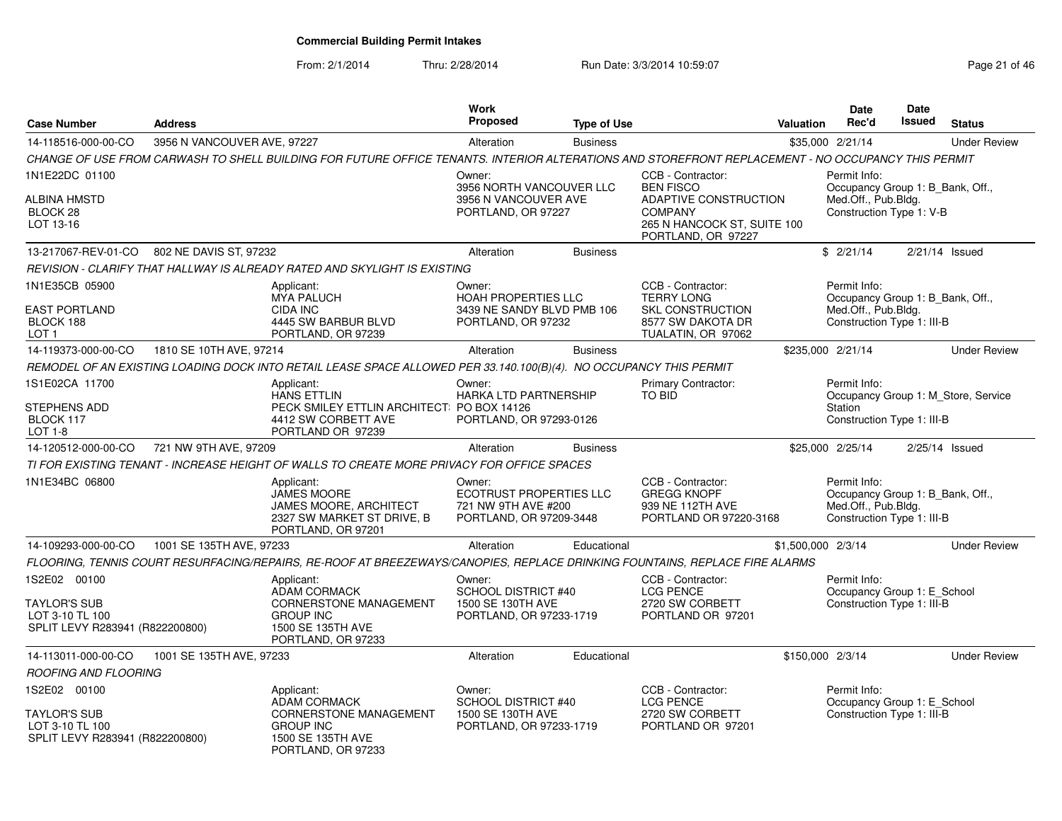From: 2/1/2014Thru: 2/28/2014 Run Date: 3/3/2014 10:59:07 Research 2010 12:08:07 Page 21 of 46

|                                                                                           |                                            |                                                                                                                                                    | Work                                                                                 |                    |                                                                                                                                       |                    | <b>Date</b>                                                                                           | Date          |                                     |
|-------------------------------------------------------------------------------------------|--------------------------------------------|----------------------------------------------------------------------------------------------------------------------------------------------------|--------------------------------------------------------------------------------------|--------------------|---------------------------------------------------------------------------------------------------------------------------------------|--------------------|-------------------------------------------------------------------------------------------------------|---------------|-------------------------------------|
| <b>Case Number</b>                                                                        | <b>Address</b>                             |                                                                                                                                                    | <b>Proposed</b>                                                                      | <b>Type of Use</b> |                                                                                                                                       | <b>Valuation</b>   | Rec'd                                                                                                 | <b>Issued</b> | <b>Status</b>                       |
| 14-118516-000-00-CO                                                                       | 3956 N VANCOUVER AVE, 97227                |                                                                                                                                                    | Alteration                                                                           | <b>Business</b>    |                                                                                                                                       |                    | \$35,000 2/21/14                                                                                      |               | <b>Under Review</b>                 |
|                                                                                           |                                            | CHANGE OF USE FROM CARWASH TO SHELL BUILDING FOR FUTURE OFFICE TENANTS. INTERIOR ALTERATIONS AND STOREFRONT REPLACEMENT - NO OCCUPANCY THIS PERMIT |                                                                                      |                    |                                                                                                                                       |                    |                                                                                                       |               |                                     |
| 1N1E22DC 01100<br>ALBINA HMSTD<br>BLOCK 28<br>LOT 13-16                                   |                                            |                                                                                                                                                    | Owner:<br>3956 NORTH VANCOUVER LLC<br>3956 N VANCOUVER AVE<br>PORTLAND, OR 97227     |                    | CCB - Contractor:<br><b>BEN FISCO</b><br>ADAPTIVE CONSTRUCTION<br><b>COMPANY</b><br>265 N HANCOCK ST, SUITE 100<br>PORTLAND, OR 97227 |                    | Permit Info:<br>Occupancy Group 1: B_Bank, Off.,<br>Med.Off., Pub.Bldg.<br>Construction Type 1: V-B   |               |                                     |
|                                                                                           | 13-217067-REV-01-CO 802 NE DAVIS ST, 97232 |                                                                                                                                                    | Alteration                                                                           | <b>Business</b>    |                                                                                                                                       |                    | \$2/21/14                                                                                             |               | $2/21/14$ Issued                    |
|                                                                                           |                                            | REVISION - CLARIFY THAT HALLWAY IS ALREADY RATED AND SKYLIGHT IS EXISTING                                                                          |                                                                                      |                    |                                                                                                                                       |                    |                                                                                                       |               |                                     |
| 1N1E35CB 05900<br><b>EAST PORTLAND</b><br>BLOCK 188<br>LOT <sub>1</sub>                   |                                            | Applicant:<br><b>MYA PALUCH</b><br><b>CIDA INC</b><br>4445 SW BARBUR BLVD<br>PORTLAND, OR 97239                                                    | Owner:<br>HOAH PROPERTIES LLC<br>3439 NE SANDY BLVD PMB 106<br>PORTLAND, OR 97232    |                    | CCB - Contractor:<br><b>TERRY LONG</b><br><b>SKL CONSTRUCTION</b><br>8577 SW DAKOTA DR<br>TUALATIN, OR 97062                          |                    | Permit Info:<br>Occupancy Group 1: B_Bank, Off.,<br>Med.Off., Pub.Bldg.<br>Construction Type 1: III-B |               |                                     |
| 14-119373-000-00-CO                                                                       | 1810 SE 10TH AVE, 97214                    |                                                                                                                                                    | Alteration                                                                           | <b>Business</b>    |                                                                                                                                       |                    | \$235,000 2/21/14                                                                                     |               | <b>Under Review</b>                 |
|                                                                                           |                                            | REMODEL OF AN EXISTING LOADING DOCK INTO RETAIL LEASE SPACE ALLOWED PER 33.140.100(B)(4). NO OCCUPANCY THIS PERMIT                                 |                                                                                      |                    |                                                                                                                                       |                    |                                                                                                       |               |                                     |
| 1S1E02CA 11700<br>STEPHENS ADD<br>BLOCK 117<br>LOT 1-8                                    |                                            | Applicant:<br><b>HANS ETTLIN</b><br>PECK SMILEY ETTLIN ARCHITECT: PO BOX 14126<br>4412 SW CORBETT AVE<br>PORTLAND OR 97239                         | Owner:<br><b>HARKA LTD PARTNERSHIP</b><br>PORTLAND, OR 97293-0126                    |                    | Primary Contractor:<br><b>TO BID</b>                                                                                                  |                    | Permit Info:<br>Station<br>Construction Type 1: III-B                                                 |               | Occupancy Group 1: M_Store, Service |
| 14-120512-000-00-CO                                                                       | 721 NW 9TH AVE, 97209                      |                                                                                                                                                    | Alteration                                                                           | <b>Business</b>    |                                                                                                                                       |                    | \$25,000 2/25/14                                                                                      |               | 2/25/14 Issued                      |
|                                                                                           |                                            | TI FOR EXISTING TENANT - INCREASE HEIGHT OF WALLS TO CREATE MORE PRIVACY FOR OFFICE SPACES                                                         |                                                                                      |                    |                                                                                                                                       |                    |                                                                                                       |               |                                     |
| 1N1E34BC 06800                                                                            |                                            | Applicant:<br><b>JAMES MOORE</b><br>JAMES MOORE, ARCHITECT<br>2327 SW MARKET ST DRIVE, B<br>PORTLAND, OR 97201                                     | Owner:<br>ECOTRUST PROPERTIES LLC<br>721 NW 9TH AVE #200<br>PORTLAND, OR 97209-3448  |                    | CCB - Contractor:<br><b>GREGG KNOPF</b><br>939 NE 112TH AVE<br>PORTLAND OR 97220-3168                                                 |                    | Permit Info:<br>Occupancy Group 1: B Bank, Off.,<br>Med.Off., Pub.Bldg.<br>Construction Type 1: III-B |               |                                     |
| 14-109293-000-00-CO                                                                       | 1001 SE 135TH AVE, 97233                   |                                                                                                                                                    | Alteration                                                                           | Educational        |                                                                                                                                       | \$1,500,000 2/3/14 |                                                                                                       |               | <b>Under Review</b>                 |
|                                                                                           |                                            | FLOORING, TENNIS COURT RESURFACING/REPAIRS, RE-ROOF AT BREEZEWAYS/CANOPIES, REPLACE DRINKING FOUNTAINS, REPLACE FIRE ALARMS                        |                                                                                      |                    |                                                                                                                                       |                    |                                                                                                       |               |                                     |
| 1S2E02 00100<br><b>TAYLOR'S SUB</b><br>LOT 3-10 TL 100<br>SPLIT LEVY R283941 (R822200800) |                                            | Applicant:<br><b>ADAM CORMACK</b><br>CORNERSTONE MANAGEMENT<br><b>GROUP INC</b><br>1500 SE 135TH AVE<br>PORTLAND, OR 97233                         | Owner:<br><b>SCHOOL DISTRICT #40</b><br>1500 SE 130TH AVE<br>PORTLAND, OR 97233-1719 |                    | CCB - Contractor:<br><b>LCG PENCE</b><br>2720 SW CORBETT<br>PORTLAND OR 97201                                                         |                    | Permit Info:<br>Occupancy Group 1: E_School<br>Construction Type 1: III-B                             |               |                                     |
| 14-113011-000-00-CO                                                                       | 1001 SE 135TH AVE, 97233                   |                                                                                                                                                    | Alteration                                                                           | Educational        |                                                                                                                                       | \$150,000 2/3/14   |                                                                                                       |               | <b>Under Review</b>                 |
| <b>ROOFING AND FLOORING</b>                                                               |                                            |                                                                                                                                                    |                                                                                      |                    |                                                                                                                                       |                    |                                                                                                       |               |                                     |
| 1S2E02 00100<br><b>TAYLOR'S SUB</b><br>LOT 3-10 TL 100<br>SPLIT LEVY R283941 (R822200800) |                                            | Applicant:<br><b>ADAM CORMACK</b><br><b>CORNERSTONE MANAGEMENT</b><br><b>GROUP INC</b><br>1500 SE 135TH AVE<br>PORTLAND, OR 97233                  | Owner:<br><b>SCHOOL DISTRICT #40</b><br>1500 SE 130TH AVE<br>PORTLAND, OR 97233-1719 |                    | CCB - Contractor:<br><b>LCG PENCE</b><br>2720 SW CORBETT<br>PORTLAND OR 97201                                                         |                    | Permit Info:<br>Occupancy Group 1: E_School<br>Construction Type 1: III-B                             |               |                                     |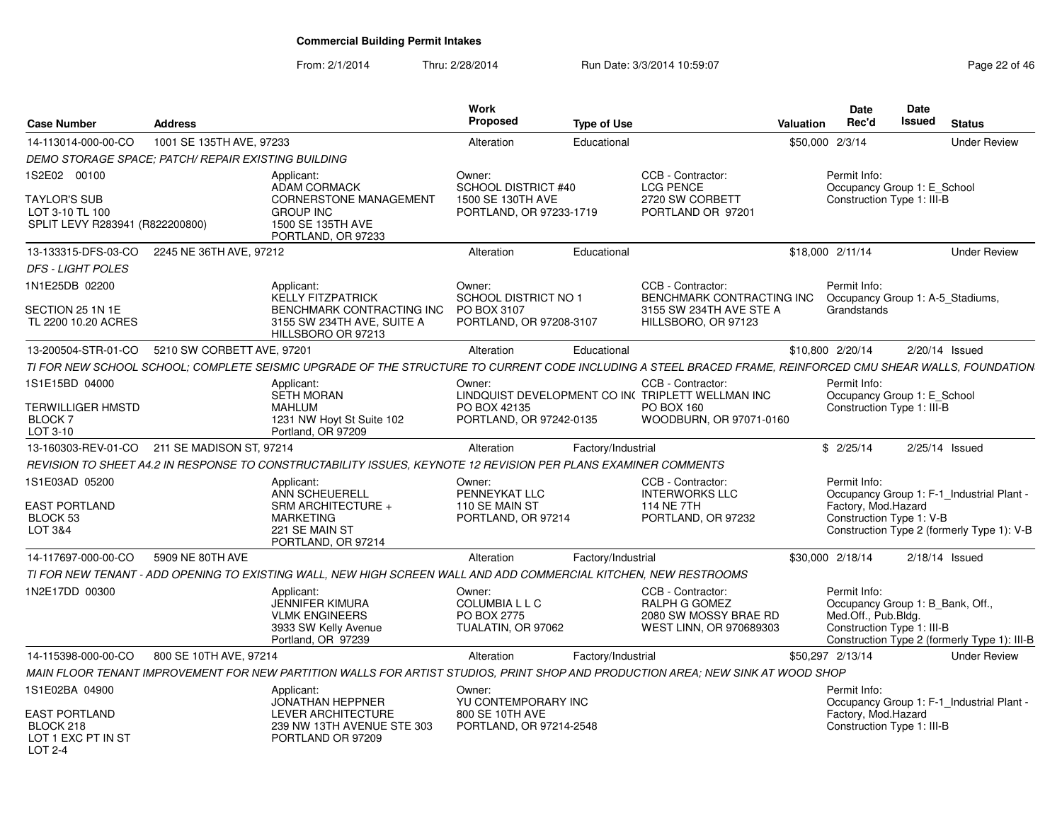From: 2/1/2014Thru: 2/28/2014 Run Date: 3/3/2014 10:59:07 Research 2010 12:08:07 Page 22 of 46

|                                                                                           |                          |                                                                                                                                                            | Work<br>Proposed                                                              |                    |                                                                               | Rec'd                       | <b>Date</b><br>Date<br><b>Issued</b>                                                  |                                              |
|-------------------------------------------------------------------------------------------|--------------------------|------------------------------------------------------------------------------------------------------------------------------------------------------------|-------------------------------------------------------------------------------|--------------------|-------------------------------------------------------------------------------|-----------------------------|---------------------------------------------------------------------------------------|----------------------------------------------|
| <b>Case Number</b>                                                                        | <b>Address</b>           |                                                                                                                                                            |                                                                               | <b>Type of Use</b> |                                                                               | Valuation                   |                                                                                       | <b>Status</b>                                |
| 14-113014-000-00-CO                                                                       | 1001 SE 135TH AVE, 97233 |                                                                                                                                                            | Alteration                                                                    | Educational        |                                                                               | \$50,000 2/3/14             |                                                                                       | <b>Under Review</b>                          |
| DEMO STORAGE SPACE: PATCH/ REPAIR EXISTING BUILDING                                       |                          |                                                                                                                                                            |                                                                               |                    |                                                                               |                             |                                                                                       |                                              |
| 1S2E02 00100<br><b>TAYLOR'S SUB</b><br>LOT 3-10 TL 100<br>SPLIT LEVY R283941 (R822200800) |                          | Applicant:<br>ADAM CORMACK<br><b>CORNERSTONE MANAGEMENT</b><br><b>GROUP INC</b><br>1500 SE 135TH AVE<br>PORTLAND, OR 97233                                 | Owner:<br>SCHOOL DISTRICT #40<br>1500 SE 130TH AVE<br>PORTLAND, OR 97233-1719 |                    | CCB - Contractor:<br><b>LCG PENCE</b><br>2720 SW CORBETT<br>PORTLAND OR 97201 | Permit Info:                | Occupancy Group 1: E_School<br>Construction Type 1: III-B                             |                                              |
| 13-133315-DFS-03-CO 2245 NE 36TH AVE, 97212                                               |                          |                                                                                                                                                            | Alteration                                                                    | Educational        |                                                                               | \$18,000 2/11/14            |                                                                                       | <b>Under Review</b>                          |
| <b>DFS - LIGHT POLES</b>                                                                  |                          |                                                                                                                                                            |                                                                               |                    |                                                                               |                             |                                                                                       |                                              |
| 1N1E25DB 02200<br>SECTION 25 1N 1E                                                        |                          | Applicant:<br>KELLY FITZPATRICK<br><b>BENCHMARK CONTRACTING INC</b>                                                                                        | Owner:<br>SCHOOL DISTRICT NO 1<br>PO BOX 3107                                 |                    | CCB - Contractor:<br>BENCHMARK CONTRACTING INC<br>3155 SW 234TH AVE STE A     | Permit Info:<br>Grandstands | Occupancy Group 1: A-5 Stadiums,                                                      |                                              |
| TL 2200 10.20 ACRES                                                                       |                          | 3155 SW 234TH AVE, SUITE A<br>HILLSBORO OR 97213                                                                                                           | PORTLAND, OR 97208-3107                                                       |                    | HILLSBORO, OR 97123                                                           |                             |                                                                                       |                                              |
| 13-200504-STR-01-CO 5210 SW CORBETT AVE, 97201                                            |                          |                                                                                                                                                            | Alteration                                                                    | Educational        |                                                                               | \$10,800 2/20/14            | 2/20/14 Issued                                                                        |                                              |
|                                                                                           |                          | TI FOR NEW SCHOOL SCHOOL; COMPLETE SEISMIC UPGRADE OF THE STRUCTURE TO CURRENT CODE INCLUDING A STEEL BRACED FRAME, REINFORCED CMU SHEAR WALLS, FOUNDATION |                                                                               |                    |                                                                               |                             |                                                                                       |                                              |
| 1S1E15BD 04000                                                                            |                          | Applicant:<br>SETH MORAN                                                                                                                                   | Owner:                                                                        |                    | CCB - Contractor:<br>LINDQUIST DEVELOPMENT CO INCTRIPLETT WELLMAN INC         | Permit Info:                | Occupancy Group 1: E_School                                                           |                                              |
| <b>TERWILLIGER HMSTD</b><br>BLOCK 7<br>LOT 3-10                                           |                          | <b>MAHLUM</b><br>1231 NW Hoyt St Suite 102<br>Portland, OR 97209                                                                                           | PO BOX 42135<br>PORTLAND, OR 97242-0135                                       |                    | PO BOX 160<br>WOODBURN, OR 97071-0160                                         |                             | Construction Type 1: III-B                                                            |                                              |
| 13-160303-REV-01-CO 211 SE MADISON ST, 97214                                              |                          |                                                                                                                                                            | Alteration                                                                    | Factory/Industrial |                                                                               | \$2/25/14                   | 2/25/14 Issued                                                                        |                                              |
|                                                                                           |                          | REVISION TO SHEET A4.2 IN RESPONSE TO CONSTRUCTABILITY ISSUES, KEYNOTE 12 REVISION PER PLANS EXAMINER COMMENTS                                             |                                                                               |                    |                                                                               |                             |                                                                                       |                                              |
| 1S1E03AD 05200                                                                            |                          | Applicant:                                                                                                                                                 | Owner:                                                                        |                    | CCB - Contractor:                                                             | Permit Info:                |                                                                                       |                                              |
|                                                                                           |                          | ANN SCHEUERELL                                                                                                                                             | PENNEYKAT LLC                                                                 |                    | <b>INTERWORKS LLC</b>                                                         |                             |                                                                                       | Occupancy Group 1: F-1_Industrial Plant -    |
| <b>EAST PORTLAND</b><br>BLOCK 53                                                          |                          | SRM ARCHITECTURE +<br><b>MARKETING</b>                                                                                                                     | 110 SE MAIN ST<br>PORTLAND, OR 97214                                          |                    | 114 NE 7TH<br>PORTLAND, OR 97232                                              |                             | Factory, Mod.Hazard<br>Construction Type 1: V-B                                       |                                              |
| LOT 3&4                                                                                   |                          | 221 SE MAIN ST<br>PORTLAND, OR 97214                                                                                                                       |                                                                               |                    |                                                                               |                             |                                                                                       | Construction Type 2 (formerly Type 1): V-B   |
| 14-117697-000-00-CO 5909 NE 80TH AVE                                                      |                          |                                                                                                                                                            | Alteration                                                                    | Factory/Industrial |                                                                               | \$30,000 2/18/14            | $2/18/14$ Issued                                                                      |                                              |
|                                                                                           |                          | TI FOR NEW TENANT - ADD OPENING TO EXISTING WALL, NEW HIGH SCREEN WALL AND ADD COMMERCIAL KITCHEN, NEW RESTROOMS                                           |                                                                               |                    |                                                                               |                             |                                                                                       |                                              |
| 1N2E17DD 00300                                                                            |                          | Applicant:                                                                                                                                                 | Owner:                                                                        |                    | CCB - Contractor:                                                             | Permit Info:                |                                                                                       |                                              |
|                                                                                           |                          | <b>JENNIFER KIMURA</b><br><b>VLMK ENGINEERS</b><br>3933 SW Kelly Avenue<br>Portland, OR 97239                                                              | <b>COLUMBIALLC</b><br>PO BOX 2775<br>TUALATIN, OR 97062                       |                    | RALPH G GOMEZ<br>2080 SW MOSSY BRAE RD<br><b>WEST LINN. OR 970689303</b>      |                             | Occupancy Group 1: B Bank, Off.,<br>Med.Off., Pub.Bldg.<br>Construction Type 1: III-B | Construction Type 2 (formerly Type 1): III-B |
| 14-115398-000-00-CO 800 SE 10TH AVE, 97214                                                |                          |                                                                                                                                                            | Alteration                                                                    | Factory/Industrial |                                                                               | \$50.297 2/13/14            |                                                                                       | <b>Under Review</b>                          |
|                                                                                           |                          | MAIN FLOOR TENANT IMPROVEMENT FOR NEW PARTITION WALLS FOR ARTIST STUDIOS, PRINT SHOP AND PRODUCTION AREA; NEW SINK AT WOOD SHOP                            |                                                                               |                    |                                                                               |                             |                                                                                       |                                              |
| 1S1E02BA 04900                                                                            |                          | Applicant:<br><b>JONATHAN HEPPNER</b>                                                                                                                      | Owner:<br>YU CONTEMPORARY INC                                                 |                    |                                                                               | Permit Info:                |                                                                                       | Occupancy Group 1: F-1 Industrial Plant -    |
| <b>EAST PORTLAND</b>                                                                      |                          | LEVER ARCHITECTURE                                                                                                                                         | 800 SE 10TH AVE                                                               |                    |                                                                               |                             | Factory, Mod.Hazard                                                                   |                                              |
| BLOCK 218<br>LOT 1 EXC PT IN ST                                                           |                          | 239 NW 13TH AVENUE STE 303<br>PORTLAND OR 97209                                                                                                            | PORTLAND, OR 97214-2548                                                       |                    |                                                                               |                             | Construction Type 1: III-B                                                            |                                              |
| LOT 2-4                                                                                   |                          |                                                                                                                                                            |                                                                               |                    |                                                                               |                             |                                                                                       |                                              |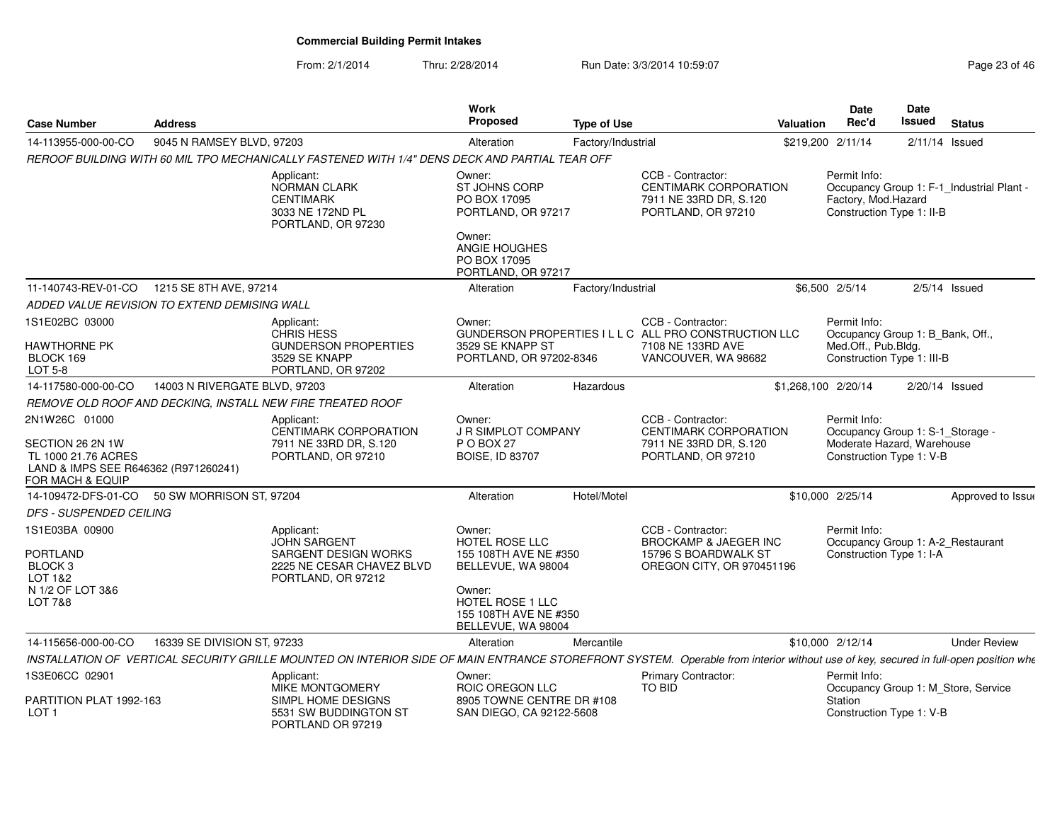From: 2/1/2014

Thru: 2/28/2014 **Run Date: 3/3/2014 10:59:07 Page 23 of 46 of 47 of 46 of 46 of 46 of 46 of 46 of 46 of 46 of 46** 

| Page 23 of 46 |  |  |  |
|---------------|--|--|--|
|---------------|--|--|--|

| <b>Case Number</b>                                                                                                   | <b>Address</b>                               |                                                                                                                                                                                    | Work<br>Proposed                                                                                                                                            | <b>Type of Use</b> |                                                                                                                        | <b>Valuation</b>    | Date<br>Rec'd                                                                                              | Date<br>Issued | <b>Status</b>                             |
|----------------------------------------------------------------------------------------------------------------------|----------------------------------------------|------------------------------------------------------------------------------------------------------------------------------------------------------------------------------------|-------------------------------------------------------------------------------------------------------------------------------------------------------------|--------------------|------------------------------------------------------------------------------------------------------------------------|---------------------|------------------------------------------------------------------------------------------------------------|----------------|-------------------------------------------|
| 14-113955-000-00-CO                                                                                                  | 9045 N RAMSEY BLVD, 97203                    |                                                                                                                                                                                    | Alteration                                                                                                                                                  | Factory/Industrial |                                                                                                                        | \$219,200 2/11/14   |                                                                                                            |                | $2/11/14$ Issued                          |
|                                                                                                                      |                                              | REROOF BUILDING WITH 60 MIL TPO MECHANICALLY FASTENED WITH 1/4" DENS DECK AND PARTIAL TEAR OFF                                                                                     |                                                                                                                                                             |                    |                                                                                                                        |                     |                                                                                                            |                |                                           |
|                                                                                                                      |                                              | Applicant:<br>NORMAN CLARK<br><b>CENTIMARK</b><br>3033 NE 172ND PL<br>PORTLAND, OR 97230                                                                                           | Owner:<br>ST JOHNS CORP<br>PO BOX 17095<br>PORTLAND, OR 97217<br>Owner:                                                                                     |                    | CCB - Contractor:<br><b>CENTIMARK CORPORATION</b><br>7911 NE 33RD DR, S.120<br>PORTLAND, OR 97210                      |                     | Permit Info:<br>Factory, Mod.Hazard<br>Construction Type 1: II-B                                           |                | Occupancy Group 1: F-1_Industrial Plant - |
|                                                                                                                      |                                              |                                                                                                                                                                                    | ANGIE HOUGHES<br>PO BOX 17095<br>PORTLAND, OR 97217                                                                                                         |                    |                                                                                                                        |                     |                                                                                                            |                |                                           |
| 11-140743-REV-01-CO                                                                                                  | 1215 SE 8TH AVE, 97214                       |                                                                                                                                                                                    | Alteration                                                                                                                                                  | Factory/Industrial |                                                                                                                        |                     | \$6,500 2/5/14                                                                                             |                | $2/5/14$ Issued                           |
|                                                                                                                      | ADDED VALUE REVISION TO EXTEND DEMISING WALL |                                                                                                                                                                                    |                                                                                                                                                             |                    |                                                                                                                        |                     |                                                                                                            |                |                                           |
| 1S1E02BC 03000<br><b>HAWTHORNE PK</b><br>BLOCK 169<br>LOT 5-8                                                        |                                              | Applicant:<br><b>CHRIS HESS</b><br><b>GUNDERSON PROPERTIES</b><br>3529 SE KNAPP<br>PORTLAND, OR 97202                                                                              | Owner:<br>3529 SE KNAPP ST<br>PORTLAND, OR 97202-8346                                                                                                       |                    | CCB - Contractor:<br>GUNDERSON PROPERTIES I L L C ALL PRO CONSTRUCTION LLC<br>7108 NE 133RD AVE<br>VANCOUVER, WA 98682 |                     | Permit Info:<br>Occupancy Group 1: B_Bank, Off.,<br>Med.Off., Pub.Bldg.<br>Construction Type 1: III-B      |                |                                           |
| 14-117580-000-00-CO                                                                                                  | 14003 N RIVERGATE BLVD, 97203                |                                                                                                                                                                                    | Alteration                                                                                                                                                  | Hazardous          |                                                                                                                        | \$1,268,100 2/20/14 |                                                                                                            |                | $2/20/14$ Issued                          |
|                                                                                                                      |                                              | REMOVE OLD ROOF AND DECKING, INSTALL NEW FIRE TREATED ROOF                                                                                                                         |                                                                                                                                                             |                    |                                                                                                                        |                     |                                                                                                            |                |                                           |
| 2N1W26C 01000<br>SECTION 26 2N 1W<br>TL 1000 21.76 ACRES<br>LAND & IMPS SEE R646362 (R971260241)<br>FOR MACH & EQUIP |                                              | Applicant:<br>CENTIMARK CORPORATION<br>7911 NE 33RD DR, S.120<br>PORTLAND, OR 97210                                                                                                | Owner:<br><b>J R SIMPLOT COMPANY</b><br>P O BOX 27<br><b>BOISE, ID 83707</b>                                                                                |                    | CCB - Contractor:<br>CENTIMARK CORPORATION<br>7911 NE 33RD DR, S.120<br>PORTLAND, OR 97210                             |                     | Permit Info:<br>Occupancy Group 1: S-1 Storage -<br>Moderate Hazard, Warehouse<br>Construction Type 1: V-B |                |                                           |
| 14-109472-DFS-01-CO                                                                                                  | 50 SW MORRISON ST, 97204                     |                                                                                                                                                                                    | Alteration                                                                                                                                                  | Hotel/Motel        |                                                                                                                        |                     | \$10,000 2/25/14                                                                                           |                | Approved to Issue                         |
| DFS - SUSPENDED CEILING                                                                                              |                                              |                                                                                                                                                                                    |                                                                                                                                                             |                    |                                                                                                                        |                     |                                                                                                            |                |                                           |
| 1S1E03BA 00900<br><b>PORTLAND</b><br>BLOCK <sub>3</sub><br>LOT 1&2<br>N 1/2 OF LOT 3&6<br><b>LOT 7&amp;8</b>         |                                              | Applicant:<br><b>JOHN SARGENT</b><br>SARGENT DESIGN WORKS<br>2225 NE CESAR CHAVEZ BLVD<br>PORTLAND, OR 97212                                                                       | Owner:<br><b>HOTEL ROSE LLC</b><br>155 108TH AVE NE #350<br>BELLEVUE, WA 98004<br>Owner:<br>HOTEL ROSE 1 LLC<br>155 108TH AVE NE #350<br>BELLEVUE, WA 98004 |                    | CCB - Contractor:<br><b>BROCKAMP &amp; JAEGER INC</b><br>15796 S BOARDWALK ST<br>OREGON CITY, OR 970451196             |                     | Permit Info:<br>Construction Type 1: I-A                                                                   |                | Occupancy Group 1: A-2_Restaurant         |
| 14-115656-000-00-CO                                                                                                  | 16339 SE DIVISION ST, 97233                  |                                                                                                                                                                                    | Alteration                                                                                                                                                  | Mercantile         |                                                                                                                        |                     | \$10,000 2/12/14                                                                                           |                | <b>Under Review</b>                       |
|                                                                                                                      |                                              | INSTALLATION OF VERTICAL SECURITY GRILLE MOUNTED ON INTERIOR SIDE OF MAIN ENTRANCE STOREFRONT SYSTEM. Operable from interior without use of key, secured in full-open position whe |                                                                                                                                                             |                    |                                                                                                                        |                     |                                                                                                            |                |                                           |
| 1S3E06CC 02901<br>PARTITION PLAT 1992-163<br>LOT <sub>1</sub>                                                        |                                              | Applicant:<br>MIKE MONTGOMERY<br>SIMPL HOME DESIGNS<br>5531 SW BUDDINGTON ST<br>PORTLAND OR 97219                                                                                  | Owner:<br>ROIC OREGON LLC<br>8905 TOWNE CENTRE DR #108<br>SAN DIEGO, CA 92122-5608                                                                          |                    | Primary Contractor:<br>TO BID                                                                                          |                     | Permit Info:<br>Station<br>Construction Type 1: V-B                                                        |                | Occupancy Group 1: M Store, Service       |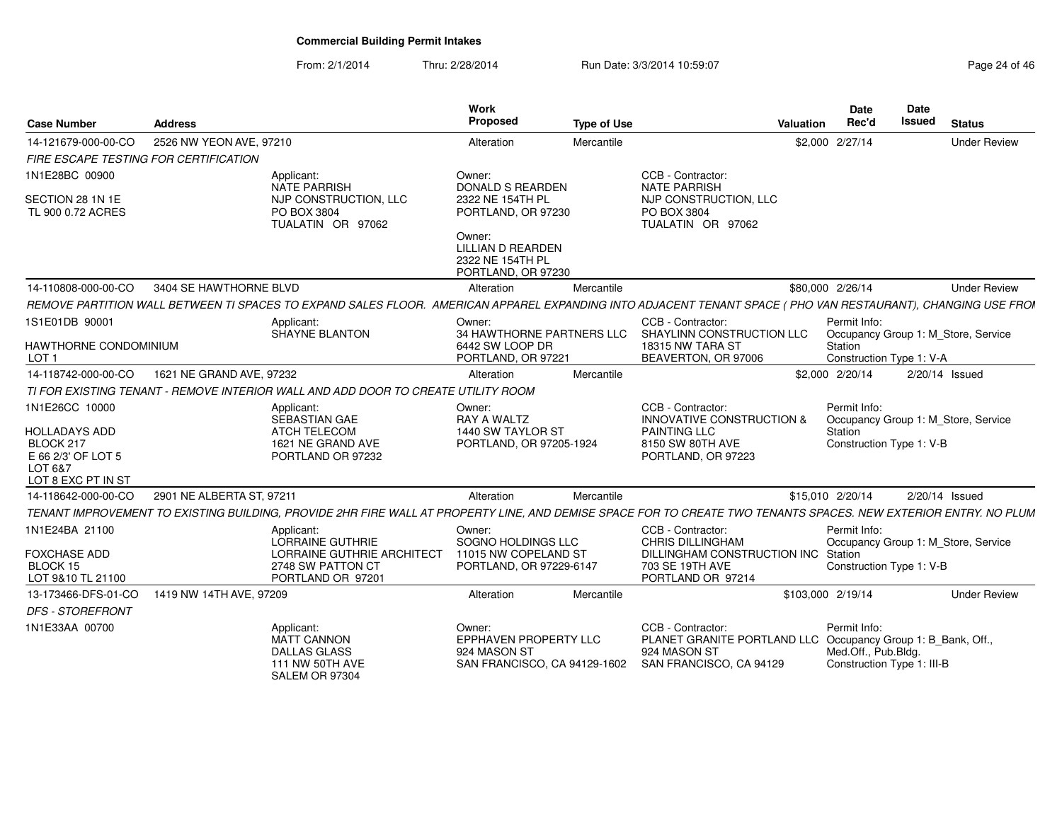From: 2/1/2014Thru: 2/28/2014 Run Date: 3/3/2014 10:59:07 Research 2010 12:08:09 Page 24 of 46

| <b>Case Number</b>                                  | <b>Address</b>                                                                                                                                                  |                                                                                       | Work<br>Proposed                                                                | <b>Type of Use</b> |                                                                                                                              | <b>Valuation</b>  | Date<br>Rec'd                                                     | <b>Date</b><br>Issued | <b>Status</b>                       |
|-----------------------------------------------------|-----------------------------------------------------------------------------------------------------------------------------------------------------------------|---------------------------------------------------------------------------------------|---------------------------------------------------------------------------------|--------------------|------------------------------------------------------------------------------------------------------------------------------|-------------------|-------------------------------------------------------------------|-----------------------|-------------------------------------|
| 14-121679-000-00-CO                                 | 2526 NW YEON AVE, 97210                                                                                                                                         |                                                                                       | Alteration                                                                      | Mercantile         |                                                                                                                              |                   | \$2,000 2/27/14                                                   |                       | <b>Under Review</b>                 |
| FIRE ESCAPE TESTING FOR CERTIFICATION               |                                                                                                                                                                 |                                                                                       |                                                                                 |                    |                                                                                                                              |                   |                                                                   |                       |                                     |
| 1N1E28BC 00900                                      | Applicant:                                                                                                                                                      | <b>NATE PARRISH</b>                                                                   | Owner:<br><b>DONALD S REARDEN</b>                                               |                    | CCB - Contractor:<br><b>NATE PARRISH</b>                                                                                     |                   |                                                                   |                       |                                     |
| SECTION 28 1N 1E<br>TL 900 0.72 ACRES               | PO BOX 3804                                                                                                                                                     | NJP CONSTRUCTION, LLC<br>TUALATIN OR 97062                                            | 2322 NE 154TH PL<br>PORTLAND, OR 97230                                          |                    | NJP CONSTRUCTION, LLC<br>PO BOX 3804<br>TUALATIN OR 97062                                                                    |                   |                                                                   |                       |                                     |
|                                                     |                                                                                                                                                                 |                                                                                       | Owner:<br><b>LILLIAN D REARDEN</b><br>2322 NE 154TH PL<br>PORTLAND, OR 97230    |                    |                                                                                                                              |                   |                                                                   |                       |                                     |
| 14-110808-000-00-CO                                 | 3404 SE HAWTHORNE BLVD                                                                                                                                          |                                                                                       | Alteration                                                                      | Mercantile         |                                                                                                                              |                   | \$80,000 2/26/14                                                  |                       | <b>Under Review</b>                 |
|                                                     | REMOVE PARTITION WALL BETWEEN TI SPACES TO EXPAND SALES FLOOR. AMERICAN APPAREL EXPANDING INTO ADJACENT TENANT SPACE (PHO VAN RESTAURANT), CHANGING USE FROI    |                                                                                       |                                                                                 |                    |                                                                                                                              |                   |                                                                   |                       |                                     |
| 1S1E01DB 90001                                      | Applicant:                                                                                                                                                      | SHAYNE BLANTON                                                                        | Owner:                                                                          |                    | CCB - Contractor:<br>34 HAWTHORNE PARTNERS LLC SHAYLINN CONSTRUCTION LLC                                                     |                   | Permit Info:                                                      |                       | Occupancy Group 1: M Store, Service |
| HAWTHORNE CONDOMINIUM<br>LOT <sub>1</sub>           |                                                                                                                                                                 |                                                                                       | 6442 SW LOOP DR<br>PORTLAND, OR 97221                                           |                    | <b>18315 NW TARA ST</b><br>BEAVERTON, OR 97006                                                                               |                   | Station<br>Construction Type 1: V-A                               |                       |                                     |
| 14-118742-000-00-CO                                 | 1621 NE GRAND AVE, 97232                                                                                                                                        |                                                                                       | Alteration                                                                      | Mercantile         |                                                                                                                              |                   | \$2,000 2/20/14                                                   |                       | 2/20/14 Issued                      |
|                                                     | TI FOR EXISTING TENANT - REMOVE INTERIOR WALL AND ADD DOOR TO CREATE UTILITY ROOM                                                                               |                                                                                       |                                                                                 |                    |                                                                                                                              |                   |                                                                   |                       |                                     |
| 1N1E26CC 10000                                      | Applicant:                                                                                                                                                      |                                                                                       | Owner:                                                                          |                    | CCB - Contractor:                                                                                                            |                   | Permit Info:                                                      |                       |                                     |
| <b>HOLLADAYS ADD</b>                                |                                                                                                                                                                 | SEBASTIAN GAE<br><b>ATCH TELECOM</b>                                                  | <b>RAY A WALTZ</b><br>1440 SW TAYLOR ST                                         |                    | <b>INNOVATIVE CONSTRUCTION &amp;</b><br><b>PAINTING LLC</b>                                                                  |                   | Station                                                           |                       | Occupancy Group 1: M_Store, Service |
| BLOCK 217                                           |                                                                                                                                                                 | 1621 NE GRAND AVE                                                                     | PORTLAND, OR 97205-1924                                                         |                    | 8150 SW 80TH AVE                                                                                                             |                   | Construction Type 1: V-B                                          |                       |                                     |
| E 66 2/3' OF LOT 5<br>LOT 6&7<br>LOT 8 EXC PT IN ST |                                                                                                                                                                 | PORTLAND OR 97232                                                                     |                                                                                 |                    | PORTLAND, OR 97223                                                                                                           |                   |                                                                   |                       |                                     |
| 14-118642-000-00-CO                                 | 2901 NE ALBERTA ST, 97211                                                                                                                                       |                                                                                       | Alteration                                                                      | Mercantile         |                                                                                                                              |                   | \$15,010 2/20/14                                                  |                       | 2/20/14 Issued                      |
|                                                     | TENANT IMPROVEMENT TO EXISTING BUILDING, PROVIDE 2HR FIRE WALL AT PROPERTY LINE, AND DEMISE SPACE FOR TO CREATE TWO TENANTS SPACES. NEW EXTERIOR ENTRY. NO PLUM |                                                                                       |                                                                                 |                    |                                                                                                                              |                   |                                                                   |                       |                                     |
| 1N1E24BA 21100                                      | Applicant:                                                                                                                                                      |                                                                                       | Owner:                                                                          |                    | CCB - Contractor:                                                                                                            |                   | Permit Info:                                                      |                       |                                     |
| <b>FOXCHASE ADD</b>                                 |                                                                                                                                                                 | <b>LORRAINE GUTHRIE</b><br>LORRAINE GUTHRIE ARCHITECT                                 | SOGNO HOLDINGS LLC<br>11015 NW COPELAND ST                                      |                    | <b>CHRIS DILLINGHAM</b><br>DILLINGHAM CONSTRUCTION INC Station                                                               |                   |                                                                   |                       | Occupancy Group 1: M Store, Service |
| BLOCK 15<br>LOT 9&10 TL 21100                       |                                                                                                                                                                 | 2748 SW PATTON CT<br>PORTLAND OR 97201                                                | PORTLAND, OR 97229-6147                                                         |                    | 703 SE 19TH AVE<br>PORTLAND OR 97214                                                                                         |                   | Construction Type 1: V-B                                          |                       |                                     |
| 13-173466-DFS-01-CO                                 | 1419 NW 14TH AVE, 97209                                                                                                                                         |                                                                                       | Alteration                                                                      | Mercantile         |                                                                                                                              | \$103.000 2/19/14 |                                                                   |                       | <b>Under Review</b>                 |
| <b>DFS - STOREFRONT</b>                             |                                                                                                                                                                 |                                                                                       |                                                                                 |                    |                                                                                                                              |                   |                                                                   |                       |                                     |
| 1N1E33AA 00700                                      | Applicant:                                                                                                                                                      | <b>MATT CANNON</b><br><b>DALLAS GLASS</b><br><b>111 NW 50TH AVE</b><br>SALEM OR 97304 | Owner:<br>EPPHAVEN PROPERTY LLC<br>924 MASON ST<br>SAN FRANCISCO, CA 94129-1602 |                    | CCB - Contractor:<br>PLANET GRANITE PORTLAND LLC Occupancy Group 1: B_Bank, Off.,<br>924 MASON ST<br>SAN FRANCISCO, CA 94129 |                   | Permit Info:<br>Med.Off., Pub.Bldg.<br>Construction Type 1: III-B |                       |                                     |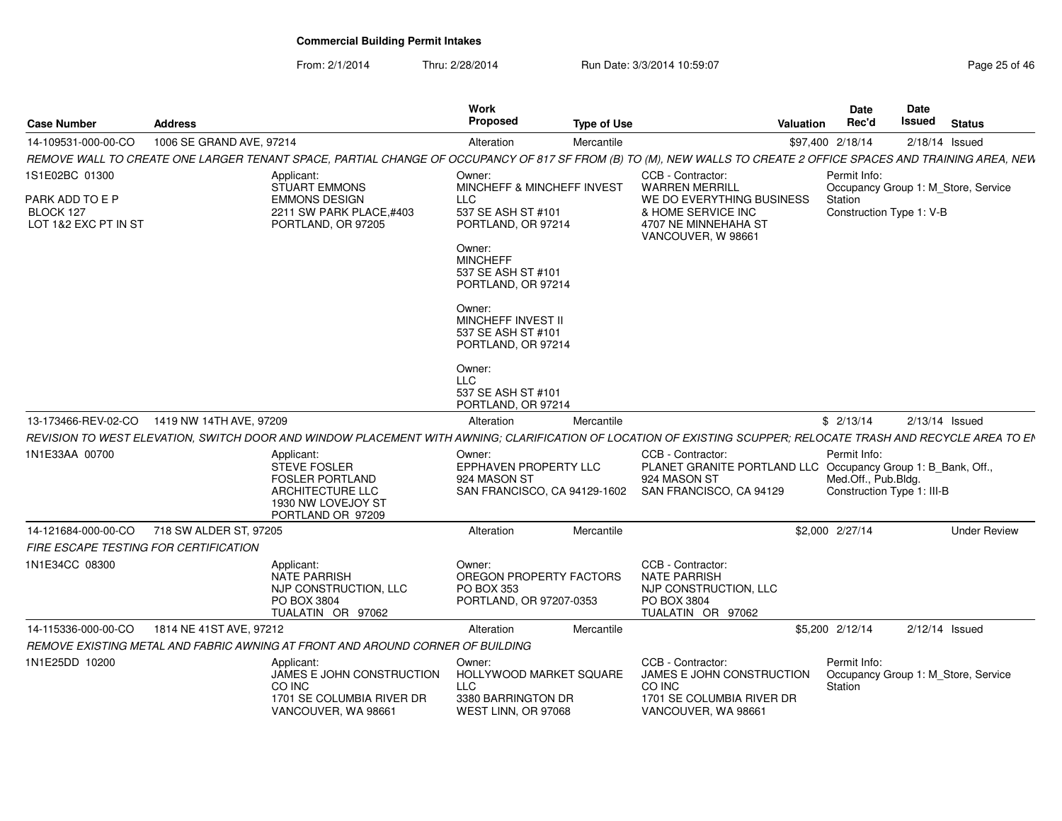From: 2/1/2014Thru: 2/28/2014 Run Date: 3/3/2014 10:59:07 Research 2010 12:08:07 Page 25 of 46

| <b>Case Number</b>                                                     | <b>Address</b>                                                                                                                                                   |                                                                                                              | Work<br><b>Proposed</b>                                                                                                                                                                                                                                                                    | <b>Type of Use</b> |                                                                                                                                             | <b>Valuation</b> | Date<br>Rec'd                                                     | Date<br>Issued | <b>Status</b>                       |
|------------------------------------------------------------------------|------------------------------------------------------------------------------------------------------------------------------------------------------------------|--------------------------------------------------------------------------------------------------------------|--------------------------------------------------------------------------------------------------------------------------------------------------------------------------------------------------------------------------------------------------------------------------------------------|--------------------|---------------------------------------------------------------------------------------------------------------------------------------------|------------------|-------------------------------------------------------------------|----------------|-------------------------------------|
| 14-109531-000-00-CO                                                    | 1006 SE GRAND AVE, 97214                                                                                                                                         |                                                                                                              | Alteration                                                                                                                                                                                                                                                                                 | Mercantile         |                                                                                                                                             |                  | \$97,400 2/18/14                                                  |                | $2/18/14$ Issued                    |
|                                                                        | REMOVE WALL TO CREATE ONE LARGER TENANT SPACE, PARTIAL CHANGE OF OCCUPANCY OF 817 SF FROM (B) TO (M), NEW WALLS TO CREATE 2 OFFICE SPACES AND TRAINING AREA, NEW |                                                                                                              |                                                                                                                                                                                                                                                                                            |                    |                                                                                                                                             |                  |                                                                   |                |                                     |
| 1S1E02BC 01300<br>PARK ADD TO E P<br>BLOCK 127<br>LOT 1&2 EXC PT IN ST | Applicant:                                                                                                                                                       | <b>STUART EMMONS</b><br><b>EMMONS DESIGN</b><br>2211 SW PARK PLACE.#403<br>PORTLAND, OR 97205                | Owner:<br>MINCHEFF & MINCHEFF INVEST<br>LLC<br>537 SE ASH ST #101<br>PORTLAND, OR 97214<br>Owner:<br><b>MINCHEFF</b><br>537 SE ASH ST #101<br>PORTLAND, OR 97214<br>Owner:<br>MINCHEFF INVEST II<br>537 SE ASH ST #101<br>PORTLAND, OR 97214<br>Owner:<br><b>LLC</b><br>537 SE ASH ST #101 |                    | CCB - Contractor:<br><b>WARREN MERRILL</b><br>WE DO EVERYTHING BUSINESS<br>& HOME SERVICE INC<br>4707 NE MINNEHAHA ST<br>VANCOUVER, W 98661 |                  | Permit Info:<br>Station<br>Construction Type 1: V-B               |                | Occupancy Group 1: M_Store, Service |
|                                                                        |                                                                                                                                                                  |                                                                                                              | PORTLAND, OR 97214                                                                                                                                                                                                                                                                         |                    |                                                                                                                                             |                  |                                                                   |                |                                     |
| 13-173466-REV-02-CO                                                    | 1419 NW 14TH AVE, 97209                                                                                                                                          |                                                                                                              | Alteration                                                                                                                                                                                                                                                                                 | Mercantile         |                                                                                                                                             |                  | \$2/13/14                                                         |                | $2/13/14$ Issued                    |
|                                                                        | REVISION TO WEST ELEVATION. SWITCH DOOR AND WINDOW PLACEMENT WITH AWNING: CLARIFICATION OF LOCATION OF EXISTING SCUPPER: RELOCATE TRASH AND RECYCLE AREA TO EN   |                                                                                                              |                                                                                                                                                                                                                                                                                            |                    |                                                                                                                                             |                  |                                                                   |                |                                     |
| 1N1E33AA 00700                                                         | Applicant:                                                                                                                                                       | <b>STEVE FOSLER</b><br><b>FOSLER PORTLAND</b><br>ARCHITECTURE LLC<br>1930 NW LOVEJOY ST<br>PORTLAND OR 97209 | Owner:<br>EPPHAVEN PROPERTY LLC<br>924 MASON ST<br>SAN FRANCISCO, CA 94129-1602                                                                                                                                                                                                            |                    | CCB - Contractor:<br>PLANET GRANITE PORTLAND LLC Occupancy Group 1: B_Bank, Off.,<br>924 MASON ST<br>SAN FRANCISCO, CA 94129                |                  | Permit Info:<br>Med.Off., Pub.Bldg.<br>Construction Type 1: III-B |                |                                     |
| 14-121684-000-00-CO                                                    | 718 SW ALDER ST, 97205                                                                                                                                           |                                                                                                              | Alteration                                                                                                                                                                                                                                                                                 | Mercantile         |                                                                                                                                             |                  | \$2,000 2/27/14                                                   |                | <b>Under Review</b>                 |
| <b>FIRE ESCAPE TESTING FOR CERTIFICATION</b>                           |                                                                                                                                                                  |                                                                                                              |                                                                                                                                                                                                                                                                                            |                    |                                                                                                                                             |                  |                                                                   |                |                                     |
| 1N1E34CC 08300                                                         | Applicant:                                                                                                                                                       | <b>NATE PARRISH</b><br>NJP CONSTRUCTION, LLC<br>PO BOX 3804<br>TUALATIN OR 97062                             | Owner:<br>OREGON PROPERTY FACTORS<br><b>PO BOX 353</b><br>PORTLAND, OR 97207-0353                                                                                                                                                                                                          |                    | CCB - Contractor:<br><b>NATE PARRISH</b><br>NJP CONSTRUCTION, LLC<br>PO BOX 3804<br>TUALATIN OR 97062                                       |                  |                                                                   |                |                                     |
| 14-115336-000-00-CO                                                    | 1814 NE 41ST AVE, 97212                                                                                                                                          |                                                                                                              | Alteration                                                                                                                                                                                                                                                                                 | Mercantile         |                                                                                                                                             |                  | \$5,200 2/12/14                                                   |                | $2/12/14$ Issued                    |
|                                                                        | REMOVE EXISTING METAL AND FABRIC AWNING AT FRONT AND AROUND CORNER OF BUILDING                                                                                   |                                                                                                              |                                                                                                                                                                                                                                                                                            |                    |                                                                                                                                             |                  |                                                                   |                |                                     |
| 1N1E25DD 10200                                                         | Applicant:<br>CO INC                                                                                                                                             | JAMES E JOHN CONSTRUCTION<br>1701 SE COLUMBIA RIVER DR<br>VANCOUVER, WA 98661                                | Owner:<br>HOLLYWOOD MARKET SQUARE<br>LLC<br>3380 BARRINGTON DR<br>WEST LINN, OR 97068                                                                                                                                                                                                      |                    | CCB - Contractor:<br>JAMES E JOHN CONSTRUCTION<br>CO INC<br>1701 SE COLUMBIA RIVER DR<br>VANCOUVER, WA 98661                                |                  | Permit Info:<br>Station                                           |                | Occupancy Group 1: M Store, Service |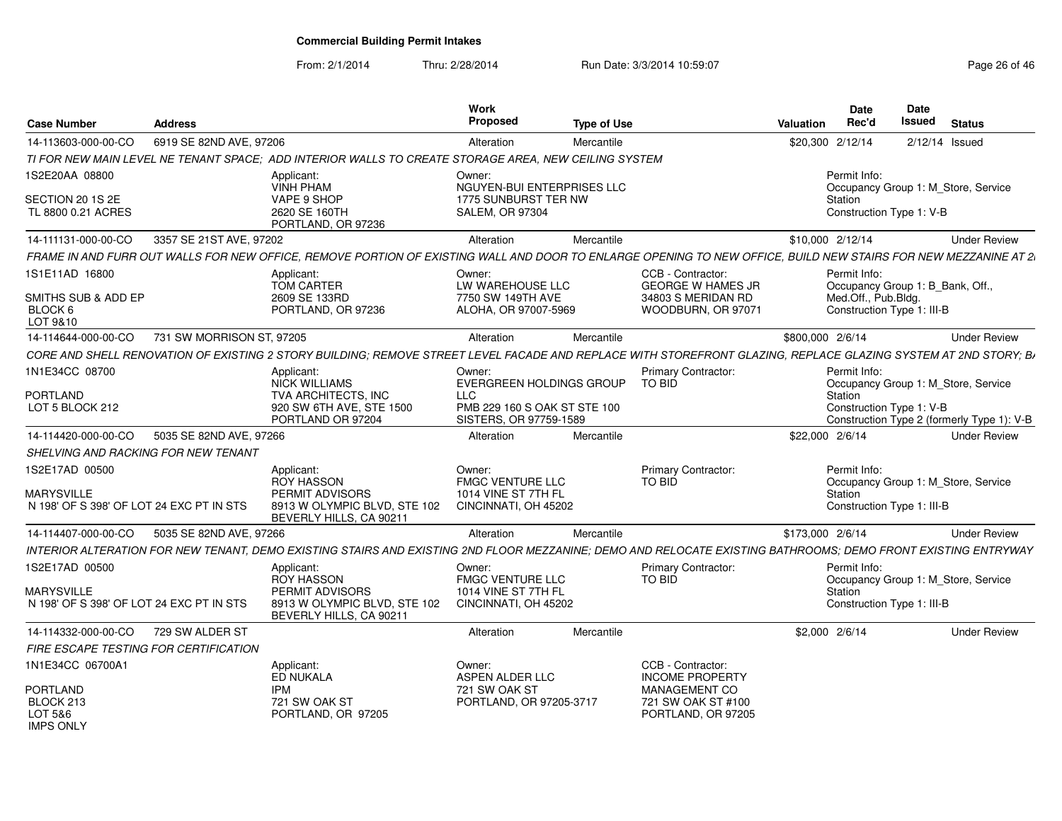From: 2/1/2014

Thru: 2/28/2014 Run Date: 3/3/2014 10:59:07 Research 2010 12:08:09 Page 26 of 46

| Case Number<br><b>Address</b>                                                                                                                                   |                                                         | Work<br>Proposed                                       | <b>Type of Use</b> |                                               | Date<br>Rec'd<br>Valuation | <b>Date</b><br><b>Issued</b><br><b>Status</b>                          |
|-----------------------------------------------------------------------------------------------------------------------------------------------------------------|---------------------------------------------------------|--------------------------------------------------------|--------------------|-----------------------------------------------|----------------------------|------------------------------------------------------------------------|
| 14-113603-000-00-CO<br>6919 SE 82ND AVE, 97206                                                                                                                  |                                                         | Alteration                                             | Mercantile         |                                               | \$20,300 2/12/14           | 2/12/14 Issued                                                         |
| TI FOR NEW MAIN LEVEL NE TENANT SPACE; ADD INTERIOR WALLS TO CREATE STORAGE AREA, NEW CEILING SYSTEM                                                            |                                                         |                                                        |                    |                                               |                            |                                                                        |
| 1S2E20AA 08800                                                                                                                                                  | Applicant:<br>VINH PHAM                                 | Owner:<br>NGUYEN-BUI ENTERPRISES LLC                   |                    |                                               | Permit Info:               | Occupancy Group 1: M_Store, Service                                    |
| SECTION 20 1S 2E                                                                                                                                                | VAPE 9 SHOP                                             | 1775 SUNBURST TER NW                                   |                    |                                               | Station                    |                                                                        |
| TL 8800 0.21 ACRES                                                                                                                                              | 2620 SE 160TH<br>PORTLAND, OR 97236                     | <b>SALEM, OR 97304</b>                                 |                    |                                               |                            | Construction Type 1: V-B                                               |
| 14-111131-000-00-CO<br>3357 SE 21ST AVE, 97202                                                                                                                  |                                                         | Alteration                                             | Mercantile         |                                               | \$10,000 2/12/14           | <b>Under Review</b>                                                    |
| FRAME IN AND FURR OUT WALLS FOR NEW OFFICE, REMOVE PORTION OF EXISTING WALL AND DOOR TO ENLARGE OPENING TO NEW OFFICE, BUILD NEW STAIRS FOR NEW MEZZANINE AT 2. |                                                         |                                                        |                    |                                               |                            |                                                                        |
| 1S1E11AD 16800                                                                                                                                                  | Applicant:<br>TOM CARTER                                | Owner:<br>LW WAREHOUSE LLC                             |                    | CCB - Contractor:<br><b>GEORGE W HAMES JR</b> | Permit Info:               | Occupancy Group 1: B_Bank, Off.,                                       |
| SMITHS SUB & ADD EP                                                                                                                                             | 2609 SE 133RD                                           | 7750 SW 149TH AVE                                      |                    | 34803 S MERIDAN RD                            | Med.Off., Pub.Bldg.        |                                                                        |
| BLOCK 6<br>LOT 9&10                                                                                                                                             | PORTLAND, OR 97236                                      | ALOHA, OR 97007-5969                                   |                    | WOODBURN, OR 97071                            |                            | Construction Type 1: III-B                                             |
| 14-114644-000-00-CO 731 SW MORRISON ST, 97205                                                                                                                   |                                                         | Alteration                                             | Mercantile         |                                               | \$800,000 2/6/14           | <b>Under Review</b>                                                    |
| CORE AND SHELL RENOVATION OF EXISTING 2 STORY BUILDING; REMOVE STREET LEVEL FACADE AND REPLACE WITH STOREFRONT GLAZING, REPLACE GLAZING SYSTEM AT 2ND STORY; B. |                                                         |                                                        |                    |                                               |                            |                                                                        |
| 1N1E34CC 08700                                                                                                                                                  | Applicant:<br>NICK WILLIAMS                             | Owner:<br>EVERGREEN HOLDINGS GROUP TO BID              |                    | <b>Primary Contractor:</b>                    | Permit Info:               | Occupancy Group 1: M_Store, Service                                    |
| PORTLAND                                                                                                                                                        | TVA ARCHITECTS, INC                                     | LLC                                                    |                    |                                               | Station                    |                                                                        |
| LOT 5 BLOCK 212                                                                                                                                                 | 920 SW 6TH AVE, STE 1500<br>PORTLAND OR 97204           | PMB 229 160 S OAK ST STE 100<br>SISTERS, OR 97759-1589 |                    |                                               |                            | Construction Type 1: V-B<br>Construction Type 2 (formerly Type 1): V-B |
| 5035 SE 82ND AVE, 97266<br>14-114420-000-00-CO                                                                                                                  |                                                         | Alteration                                             | Mercantile         |                                               | \$22,000 2/6/14            | <b>Under Review</b>                                                    |
| SHELVING AND RACKING FOR NEW TENANT                                                                                                                             |                                                         |                                                        |                    |                                               |                            |                                                                        |
| 1S2E17AD 00500                                                                                                                                                  | Applicant:                                              | Owner:                                                 |                    | <b>Primary Contractor:</b>                    | Permit Info:               |                                                                        |
| <b>MARYSVILLE</b>                                                                                                                                               | ROY HASSON<br>PERMIT ADVISORS                           | <b>FMGC VENTURE LLC</b><br>1014 VINE ST 7TH FL         |                    | TO BID                                        | Station                    | Occupancy Group 1: M_Store, Service                                    |
| N 198' OF S 398' OF LOT 24 EXC PT IN STS                                                                                                                        | 8913 W OLYMPIC BLVD. STE 102<br>BEVERLY HILLS, CA 90211 | CINCINNATI, OH 45202                                   |                    |                                               |                            | Construction Type 1: III-B                                             |
| 14-114407-000-00-CO 5035 SE 82ND AVE, 97266                                                                                                                     |                                                         | Alteration                                             | Mercantile         |                                               | \$173,000 2/6/14           | <b>Under Review</b>                                                    |
| INTERIOR ALTERATION FOR NEW TENANT, DEMO EXISTING STAIRS AND EXISTING 2ND FLOOR MEZZANINE; DEMO AND RELOCATE EXISTING BATHROOMS; DEMO FRONT EXISTING ENTRYWAY   |                                                         |                                                        |                    |                                               |                            |                                                                        |
| 1S2E17AD 00500                                                                                                                                                  | Applicant:<br><b>ROY HASSON</b>                         | Owner:<br><b>FMGC VENTURE LLC</b>                      |                    | <b>Primary Contractor:</b><br>TO BID          | Permit Info:               | Occupancy Group 1: M_Store, Service                                    |
| <b>MARYSVILLE</b>                                                                                                                                               | PERMIT ADVISORS                                         | 1014 VINE ST 7TH FL                                    |                    |                                               | Station                    |                                                                        |
| N 198' OF S 398' OF LOT 24 EXC PT IN STS                                                                                                                        | 8913 W OLYMPIC BLVD, STE 102<br>BEVERLY HILLS, CA 90211 | CINCINNATI, OH 45202                                   |                    |                                               |                            | Construction Type 1: III-B                                             |
| 14-114332-000-00-CO  729 SW ALDER ST                                                                                                                            |                                                         | Alteration                                             | Mercantile         |                                               | \$2,000 2/6/14             | <b>Under Review</b>                                                    |
| FIRE ESCAPE TESTING FOR CERTIFICATION                                                                                                                           |                                                         |                                                        |                    |                                               |                            |                                                                        |
| 1N1E34CC 06700A1                                                                                                                                                | Applicant:<br>ED NUKALA                                 | Owner:<br>ASPEN ALDER LLC                              |                    | CCB - Contractor:<br><b>INCOME PROPERTY</b>   |                            |                                                                        |
| <b>PORTLAND</b>                                                                                                                                                 | <b>IPM</b>                                              | 721 SW OAK ST                                          |                    | MANAGEMENT CO                                 |                            |                                                                        |
| BLOCK 213                                                                                                                                                       | 721 SW OAK ST                                           | PORTLAND, OR 97205-3717                                |                    | 721 SW OAK ST #100                            |                            |                                                                        |
| LOT 5&6<br>IMPS ONLY                                                                                                                                            | PORTLAND, OR 97205                                      |                                                        |                    | PORTLAND, OR 97205                            |                            |                                                                        |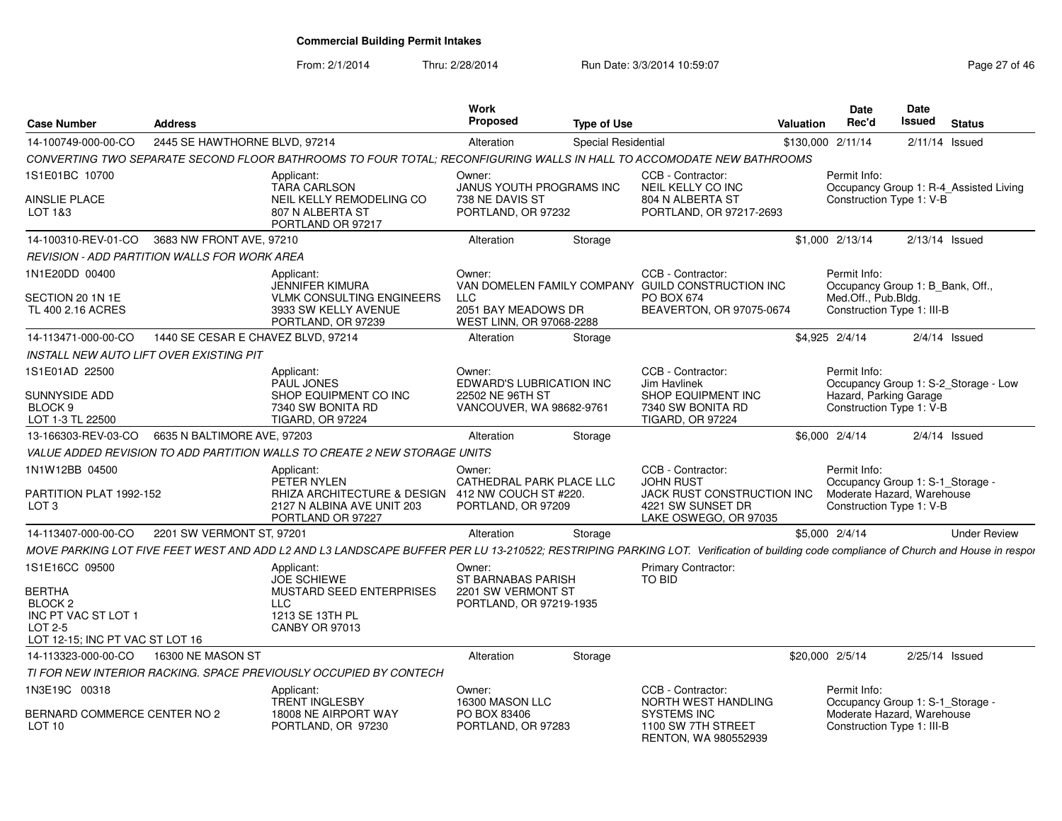From: 2/1/2014Thru: 2/28/2014 Run Date: 3/3/2014 10:59:07 Research 2010 12:08:07 Page 27 of 46

| <b>Case Number</b>                                                                                       | Address                            |                                                                                                                                                                                     | Work<br><b>Proposed</b>                                                  | <b>Type of Use</b>  |                                                                                              | Valuation | <b>Date</b><br>Rec'd                                                                       | Date<br>Issued   | <b>Status</b>                          |
|----------------------------------------------------------------------------------------------------------|------------------------------------|-------------------------------------------------------------------------------------------------------------------------------------------------------------------------------------|--------------------------------------------------------------------------|---------------------|----------------------------------------------------------------------------------------------|-----------|--------------------------------------------------------------------------------------------|------------------|----------------------------------------|
| 14-100749-000-00-CO                                                                                      | 2445 SE HAWTHORNE BLVD, 97214      |                                                                                                                                                                                     | Alteration                                                               | Special Residential |                                                                                              |           | \$130,000 2/11/14                                                                          |                  | $2/11/14$ Issued                       |
|                                                                                                          |                                    | CONVERTING TWO SEPARATE SECOND FLOOR BATHROOMS TO FOUR TOTAL; RECONFIGURING WALLS IN HALL TO ACCOMODATE NEW BATHROOMS                                                               |                                                                          |                     |                                                                                              |           |                                                                                            |                  |                                        |
| 1S1E01BC 10700                                                                                           |                                    | Applicant:                                                                                                                                                                          | Owner:                                                                   |                     | CCB - Contractor:                                                                            |           | Permit Info:                                                                               |                  |                                        |
| AINSLIE PLACE<br>LOT 1&3                                                                                 |                                    | <b>TARA CARLSON</b><br>NEIL KELLY REMODELING CO<br>807 N ALBERTA ST                                                                                                                 | <b>JANUS YOUTH PROGRAMS INC</b><br>738 NE DAVIS ST<br>PORTLAND, OR 97232 |                     | NEIL KELLY CO INC<br>804 N ALBERTA ST<br>PORTLAND, OR 97217-2693                             |           | Construction Type 1: V-B                                                                   |                  | Occupancy Group 1: R-4_Assisted Living |
|                                                                                                          |                                    | PORTLAND OR 97217                                                                                                                                                                   |                                                                          |                     |                                                                                              |           |                                                                                            |                  |                                        |
| 14-100310-REV-01-CO                                                                                      | 3683 NW FRONT AVE, 97210           |                                                                                                                                                                                     | Alteration                                                               | Storage             |                                                                                              |           | \$1,000 2/13/14                                                                            | $2/13/14$ Issued |                                        |
| <b>REVISION - ADD PARTITION WALLS FOR WORK AREA</b>                                                      |                                    |                                                                                                                                                                                     |                                                                          |                     |                                                                                              |           |                                                                                            |                  |                                        |
| 1N1E20DD 00400                                                                                           |                                    | Applicant:<br>JENNIFER KIMURA                                                                                                                                                       | Owner:<br>VAN DOMELEN FAMILY COMPANY                                     |                     | CCB - Contractor:<br><b>GUILD CONSTRUCTION INC</b>                                           |           | Permit Info:<br>Occupancy Group 1: B_Bank, Off.,                                           |                  |                                        |
| SECTION 20 1N 1E<br>TL 400 2.16 ACRES                                                                    |                                    | <b>VLMK CONSULTING ENGINEERS</b><br>3933 SW KELLY AVENUE<br>PORTLAND, OR 97239                                                                                                      | LLC.<br>2051 BAY MEADOWS DR<br>WEST LINN, OR 97068-2288                  |                     | <b>PO BOX 674</b><br>BEAVERTON, OR 97075-0674                                                |           | Med.Off., Pub.Bldg.<br>Construction Type 1: III-B                                          |                  |                                        |
| 14-113471-000-00-CO                                                                                      | 1440 SE CESAR E CHAVEZ BLVD, 97214 |                                                                                                                                                                                     | Alteration                                                               | Storage             |                                                                                              |           | \$4.925 2/4/14                                                                             |                  | $2/4/14$ Issued                        |
| INSTALL NEW AUTO LIFT OVER EXISTING PIT                                                                  |                                    |                                                                                                                                                                                     |                                                                          |                     |                                                                                              |           |                                                                                            |                  |                                        |
| 1S1E01AD 22500                                                                                           |                                    | Applicant:<br>PAUL JONES                                                                                                                                                            | Owner:<br>EDWARD'S LUBRICATION INC                                       |                     | CCB - Contractor:<br>Jim Havlinek                                                            |           | Permit Info:                                                                               |                  | Occupancy Group 1: S-2_Storage - Low   |
| SUNNYSIDE ADD<br>BLOCK 9<br>LOT 1-3 TL 22500                                                             |                                    | SHOP EQUIPMENT CO INC<br>7340 SW BONITA RD<br><b>TIGARD, OR 97224</b>                                                                                                               | 22502 NE 96TH ST<br>VANCOUVER, WA 98682-9761                             |                     | SHOP EQUIPMENT INC<br>7340 SW BONITA RD<br><b>TIGARD, OR 97224</b>                           |           | Hazard, Parking Garage<br>Construction Type 1: V-B                                         |                  |                                        |
| 13-166303-REV-03-CO                                                                                      | 6635 N BALTIMORE AVE, 97203        |                                                                                                                                                                                     | Alteration                                                               | Storage             |                                                                                              |           | \$6,000 2/4/14                                                                             |                  | $2/4/14$ Issued                        |
|                                                                                                          |                                    | VALUE ADDED REVISION TO ADD PARTITION WALLS TO CREATE 2 NEW STORAGE UNITS                                                                                                           |                                                                          |                     |                                                                                              |           |                                                                                            |                  |                                        |
| 1N1W12BB 04500                                                                                           |                                    | Applicant:                                                                                                                                                                          | Owner:                                                                   |                     | CCB - Contractor:                                                                            |           | Permit Info:                                                                               |                  |                                        |
| PARTITION PLAT 1992-152<br>LOT 3                                                                         |                                    | PETER NYLEN<br>RHIZA ARCHITECTURE & DESIGN 412 NW COUCH ST #220.<br>2127 N ALBINA AVE UNIT 203<br>PORTLAND OR 97227                                                                 | CATHEDRAL PARK PLACE LLC<br>PORTLAND, OR 97209                           |                     | <b>JOHN RUST</b><br>JACK RUST CONSTRUCTION INC<br>4221 SW SUNSET DR<br>LAKE OSWEGO, OR 97035 |           | Occupancy Group 1: S-1_Storage -<br>Moderate Hazard, Warehouse<br>Construction Type 1: V-B |                  |                                        |
| 14-113407-000-00-CO                                                                                      | 2201 SW VERMONT ST, 97201          |                                                                                                                                                                                     | Alteration                                                               | Storage             |                                                                                              |           | \$5,000 2/4/14                                                                             |                  | <b>Under Review</b>                    |
|                                                                                                          |                                    | MOVE PARKING LOT FIVE FEET WEST AND ADD L2 AND L3 LANDSCAPE BUFFER PER LU 13-210522; RESTRIPING PARKING LOT. Verification of building code compliance of Church and House in respor |                                                                          |                     |                                                                                              |           |                                                                                            |                  |                                        |
| 1S1E16CC 09500                                                                                           |                                    | Applicant:<br><b>JOE SCHIEWE</b>                                                                                                                                                    | Owner:<br>ST BARNABAS PARISH                                             |                     | Primary Contractor:<br><b>TO BID</b>                                                         |           |                                                                                            |                  |                                        |
| <b>BERTHA</b><br>BLOCK <sub>2</sub><br>INC PT VAC ST LOT 1<br>LOT 2-5<br>LOT 12-15; INC PT VAC ST LOT 16 |                                    | MUSTARD SEED ENTERPRISES<br>LLC.<br>1213 SE 13TH PL<br>CANBY OR 97013                                                                                                               | 2201 SW VERMONT ST<br>PORTLAND, OR 97219-1935                            |                     |                                                                                              |           |                                                                                            |                  |                                        |
| 14-113323-000-00-CO                                                                                      | 16300 NE MASON ST                  |                                                                                                                                                                                     | Alteration                                                               | Storage             |                                                                                              |           | \$20,000 2/5/14                                                                            |                  | $2/25/14$ Issued                       |
|                                                                                                          |                                    | TI FOR NEW INTERIOR RACKING. SPACE PREVIOUSLY OCCUPIED BY CONTECH                                                                                                                   |                                                                          |                     |                                                                                              |           |                                                                                            |                  |                                        |
| 1N3E19C 00318                                                                                            |                                    | Applicant:<br><b>TRENT INGLESBY</b>                                                                                                                                                 | Owner:<br>16300 MASON LLC                                                |                     | CCB - Contractor:<br>NORTH WEST HANDLING                                                     |           | Permit Info:<br>Occupancy Group 1: S-1_Storage -                                           |                  |                                        |
| BERNARD COMMERCE CENTER NO 2<br>LOT 10                                                                   |                                    | 18008 NE AIRPORT WAY<br>PORTLAND, OR 97230                                                                                                                                          | PO BOX 83406<br>PORTLAND, OR 97283                                       |                     | SYSTEMS INC<br>1100 SW 7TH STREET<br>RENTON, WA 980552939                                    |           | Moderate Hazard, Warehouse<br>Construction Type 1: III-B                                   |                  |                                        |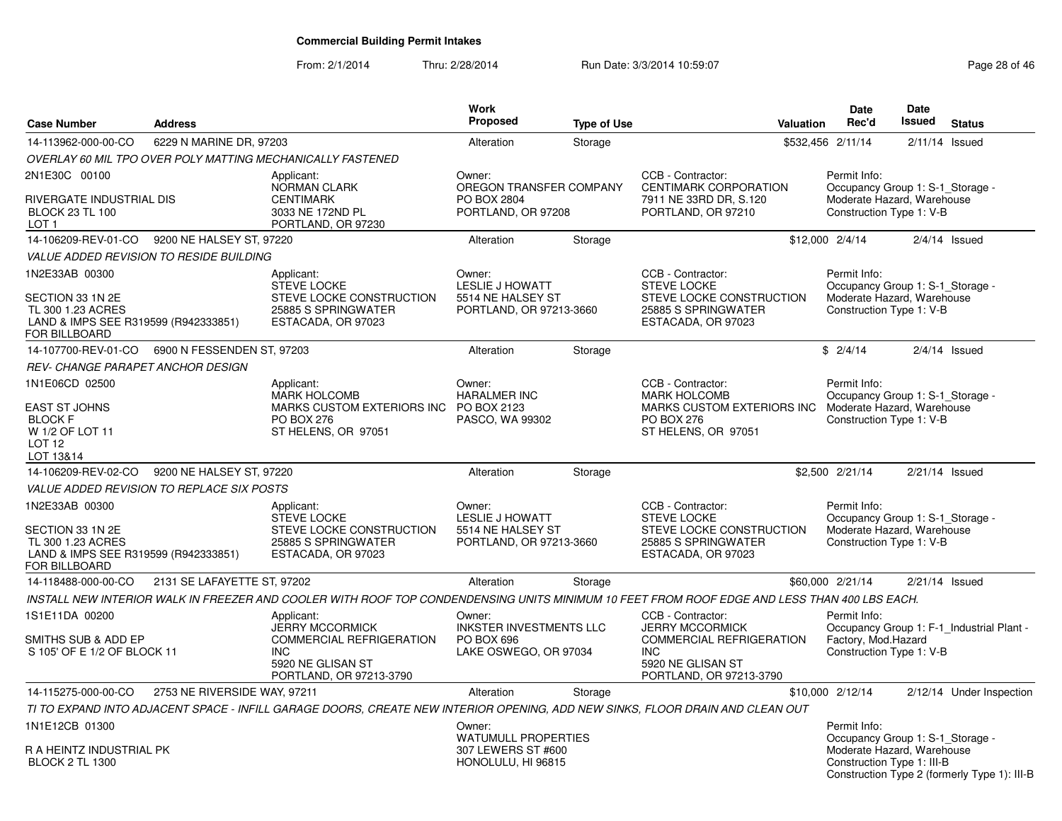From: 2/1/2014Thru: 2/28/2014 Run Date: 3/3/2014 10:59:07 Research 2010 12:08:09 Page 28 of 46

| <b>Case Number</b>                                                                                                      | <b>Address</b>               |                                                                                                                                              | <b>Work</b><br><b>Proposed</b>                                                   | <b>Type of Use</b> | <b>Valuation</b>                                                                                                                             | <b>Date</b><br>Rec'd                                                                                         | <b>Date</b><br>Issued | <b>Status</b>                                |
|-------------------------------------------------------------------------------------------------------------------------|------------------------------|----------------------------------------------------------------------------------------------------------------------------------------------|----------------------------------------------------------------------------------|--------------------|----------------------------------------------------------------------------------------------------------------------------------------------|--------------------------------------------------------------------------------------------------------------|-----------------------|----------------------------------------------|
| 14-113962-000-00-CO                                                                                                     | 6229 N MARINE DR, 97203      |                                                                                                                                              | Alteration                                                                       | Storage            |                                                                                                                                              | \$532,456 2/11/14                                                                                            | $2/11/14$ Issued      |                                              |
|                                                                                                                         |                              | OVERLAY 60 MIL TPO OVER POLY MATTING MECHANICALLY FASTENED                                                                                   |                                                                                  |                    |                                                                                                                                              |                                                                                                              |                       |                                              |
| 2N1E30C 00100<br>RIVERGATE INDUSTRIAL DIS<br><b>BLOCK 23 TL 100</b><br>LOT 1                                            |                              | Applicant:<br>NORMAN CLARK<br><b>CENTIMARK</b><br>3033 NE 172ND PL<br>PORTLAND, OR 97230                                                     | Owner:<br>OREGON TRANSFER COMPANY<br>PO BOX 2804<br>PORTLAND, OR 97208           |                    | CCB - Contractor:<br>CENTIMARK CORPORATION<br>7911 NE 33RD DR, S.120<br>PORTLAND, OR 97210                                                   | Permit Info:<br>Occupancy Group 1: S-1_Storage -<br>Moderate Hazard, Warehouse<br>Construction Type 1: V-B   |                       |                                              |
| 14-106209-REV-01-CO 9200 NE HALSEY ST, 97220                                                                            |                              |                                                                                                                                              | Alteration                                                                       | Storage            |                                                                                                                                              | \$12,000 2/4/14                                                                                              | $2/4/14$ Issued       |                                              |
| <i>VALUE ADDED REVISION TO RESIDE BUILDING</i>                                                                          |                              |                                                                                                                                              |                                                                                  |                    |                                                                                                                                              |                                                                                                              |                       |                                              |
| 1N2E33AB 00300<br>SECTION 33 1N 2E<br>TL 300 1.23 ACRES<br>LAND & IMPS SEE R319599 (R942333851)<br><b>FOR BILLBOARD</b> |                              | Applicant:<br><b>STEVE LOCKE</b><br>STEVE LOCKE CONSTRUCTION<br>25885 S SPRINGWATER<br>ESTACADA, OR 97023                                    | Owner:<br>LESLIE J HOWATT<br>5514 NE HALSEY ST<br>PORTLAND, OR 97213-3660        |                    | CCB - Contractor:<br><b>STEVE LOCKE</b><br>STEVE LOCKE CONSTRUCTION<br>25885 S SPRINGWATER<br>ESTACADA, OR 97023                             | Permit Info:<br>Occupancy Group 1: S-1_Storage -<br>Moderate Hazard, Warehouse<br>Construction Type 1: V-B   |                       |                                              |
| 14-107700-REV-01-CO                                                                                                     | 6900 N FESSENDEN ST, 97203   |                                                                                                                                              | Alteration                                                                       | Storage            |                                                                                                                                              | \$2/4/14                                                                                                     | $2/4/14$ Issued       |                                              |
| REV- CHANGE PARAPET ANCHOR DESIGN                                                                                       |                              |                                                                                                                                              |                                                                                  |                    |                                                                                                                                              |                                                                                                              |                       |                                              |
| 1N1E06CD 02500<br><b>EAST ST JOHNS</b><br><b>BLOCK F</b><br>W 1/2 OF LOT 11<br>LOT 12                                   |                              | Applicant:<br><b>MARK HOLCOMB</b><br>MARKS CUSTOM EXTERIORS INC PO BOX 2123<br><b>PO BOX 276</b><br>ST HELENS, OR 97051                      | Owner:<br><b>HARALMER INC</b><br>PASCO, WA 99302                                 |                    | CCB - Contractor:<br><b>MARK HOLCOMB</b><br>MARKS CUSTOM EXTERIORS INC<br><b>PO BOX 276</b><br>ST HELENS, OR 97051                           | Permit Info:<br>Occupancy Group 1: S-1_Storage -<br>Moderate Hazard, Warehouse<br>Construction Type 1: V-B   |                       |                                              |
| LOT 13&14<br>14-106209-REV-02-CO                                                                                        | 9200 NE HALSEY ST, 97220     |                                                                                                                                              | Alteration                                                                       | Storage            |                                                                                                                                              | \$2,500 2/21/14                                                                                              | $2/21/14$ Issued      |                                              |
| <i>VALUE ADDED REVISION TO REPLACE SIX POSTS</i>                                                                        |                              |                                                                                                                                              |                                                                                  |                    |                                                                                                                                              |                                                                                                              |                       |                                              |
| 1N2E33AB 00300<br>SECTION 33 1N 2E<br>TL 300 1.23 ACRES<br>LAND & IMPS SEE R319599 (R942333851)<br><b>FOR BILLBOARD</b> |                              | Applicant:<br><b>STEVE LOCKE</b><br>STEVE LOCKE CONSTRUCTION<br>25885 S SPRINGWATER<br>ESTACADA, OR 97023                                    | Owner:<br><b>LESLIE J HOWATT</b><br>5514 NE HALSEY ST<br>PORTLAND, OR 97213-3660 |                    | CCB - Contractor:<br><b>STEVE LOCKE</b><br>STEVE LOCKE CONSTRUCTION<br>25885 S SPRINGWATER<br>ESTACADA, OR 97023                             | Permit Info:<br>Occupancy Group 1: S-1 Storage -<br>Moderate Hazard, Warehouse<br>Construction Type 1: V-B   |                       |                                              |
| 14-118488-000-00-CO                                                                                                     | 2131 SE LAFAYETTE ST, 97202  |                                                                                                                                              | Alteration                                                                       | Storage            |                                                                                                                                              | \$60,000 2/21/14                                                                                             | $2/21/14$ Issued      |                                              |
|                                                                                                                         |                              | INSTALL NEW INTERIOR WALK IN FREEZER AND COOLER WITH ROOF TOP CONDENDENSING UNITS MINIMUM 10 FEET FROM ROOF EDGE AND LESS THAN 400 LBS EACH. |                                                                                  |                    |                                                                                                                                              |                                                                                                              |                       |                                              |
| 1S1E11DA 00200<br>SMITHS SUB & ADD EP<br>S 105' OF E 1/2 OF BLOCK 11                                                    |                              | Applicant:<br><b>JERRY MCCORMICK</b><br><b>COMMERCIAL REFRIGERATION</b><br><b>INC</b><br>5920 NE GLISAN ST<br>PORTLAND, OR 97213-3790        | Owner:<br><b>INKSTER INVESTMENTS LLC</b><br>PO BOX 696<br>LAKE OSWEGO, OR 97034  |                    | CCB - Contractor:<br><b>JERRY MCCORMICK</b><br><b>COMMERCIAL REFRIGERATION</b><br><b>INC</b><br>5920 NE GLISAN ST<br>PORTLAND, OR 97213-3790 | Permit Info:<br>Factory, Mod.Hazard<br>Construction Type 1: V-B                                              |                       | Occupancy Group 1: F-1 Industrial Plant -    |
| 14-115275-000-00-CO                                                                                                     | 2753 NE RIVERSIDE WAY, 97211 |                                                                                                                                              | Alteration                                                                       | Storage            |                                                                                                                                              | \$10,000 2/12/14                                                                                             |                       | 2/12/14 Under Inspection                     |
|                                                                                                                         |                              | TI TO EXPAND INTO ADJACENT SPACE - INFILL GARAGE DOORS, CREATE NEW INTERIOR OPENING, ADD NEW SINKS, FLOOR DRAIN AND CLEAN OUT                |                                                                                  |                    |                                                                                                                                              |                                                                                                              |                       |                                              |
| 1N1E12CB 01300<br>R A HEINTZ INDUSTRIAL PK<br><b>BLOCK 2 TL 1300</b>                                                    |                              |                                                                                                                                              | Owner:<br><b>WATUMULL PROPERTIES</b><br>307 LEWERS ST #600<br>HONOLULU, HI 96815 |                    |                                                                                                                                              | Permit Info:<br>Occupancy Group 1: S-1_Storage -<br>Moderate Hazard, Warehouse<br>Construction Type 1: III-B |                       | Construction Type 2 (formerly Type 1): III-B |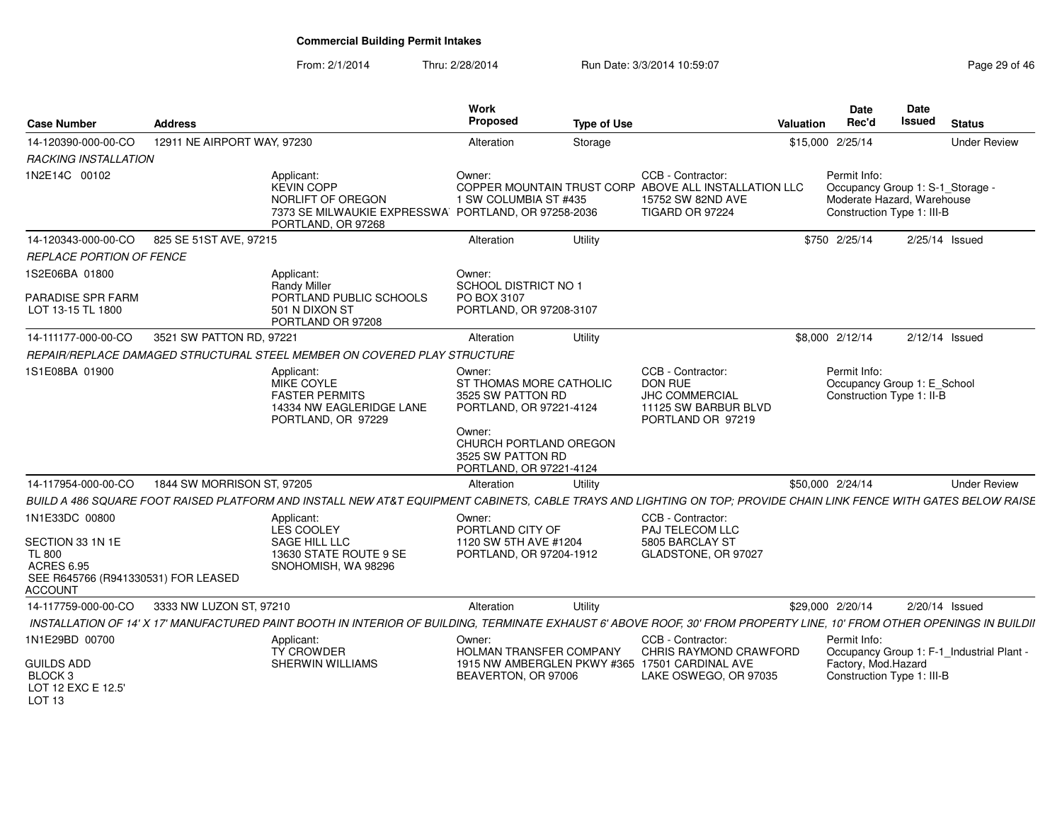From: 2/1/2014Thru: 2/28/2014 Run Date: 3/3/2014 10:59:07 Research 2010 Page 29 of 46

| <b>Case Number</b>                                                                                                                | <b>Address</b>              |                                                                                                                                                                         | <b>Work</b><br>Proposed                                                                     | <b>Type of Use</b> |                                                                                                                    | Valuation | <b>Date</b><br>Rec'd                                                                                         | <b>Date</b><br><b>Issued</b> | <b>Status</b>                             |
|-----------------------------------------------------------------------------------------------------------------------------------|-----------------------------|-------------------------------------------------------------------------------------------------------------------------------------------------------------------------|---------------------------------------------------------------------------------------------|--------------------|--------------------------------------------------------------------------------------------------------------------|-----------|--------------------------------------------------------------------------------------------------------------|------------------------------|-------------------------------------------|
| 14-120390-000-00-CO                                                                                                               | 12911 NE AIRPORT WAY, 97230 |                                                                                                                                                                         | Alteration                                                                                  | Storage            |                                                                                                                    |           | \$15,000 2/25/14                                                                                             |                              | <b>Under Review</b>                       |
| RACKING INSTALLATION                                                                                                              |                             |                                                                                                                                                                         |                                                                                             |                    |                                                                                                                    |           |                                                                                                              |                              |                                           |
| 1N2E14C 00102                                                                                                                     |                             | Applicant:<br><b>KEVIN COPP</b><br>NORLIFT OF OREGON<br>7373 SE MILWAUKIE EXPRESSWA PORTLAND, OR 97258-2036<br>PORTLAND, OR 97268                                       | Owner:<br>1 SW COLUMBIA ST #435                                                             |                    | CCB - Contractor:<br>COPPER MOUNTAIN TRUST CORP ABOVE ALL INSTALLATION LLC<br>15752 SW 82ND AVE<br>TIGARD OR 97224 |           | Permit Info:<br>Occupancy Group 1: S-1_Storage -<br>Moderate Hazard, Warehouse<br>Construction Type 1: III-B |                              |                                           |
| 14-120343-000-00-CO                                                                                                               | 825 SE 51ST AVE, 97215      |                                                                                                                                                                         | Alteration                                                                                  | Utility            |                                                                                                                    |           | \$750 2/25/14                                                                                                |                              | 2/25/14 Issued                            |
| <b>REPLACE PORTION OF FENCE</b>                                                                                                   |                             |                                                                                                                                                                         |                                                                                             |                    |                                                                                                                    |           |                                                                                                              |                              |                                           |
| 1S2E06BA 01800<br>PARADISE SPR FARM<br>LOT 13-15 TL 1800                                                                          |                             | Applicant:<br>Randy Miller<br>PORTLAND PUBLIC SCHOOLS<br>501 N DIXON ST<br>PORTLAND OR 97208                                                                            | Owner:<br>SCHOOL DISTRICT NO 1<br>PO BOX 3107<br>PORTLAND, OR 97208-3107                    |                    |                                                                                                                    |           |                                                                                                              |                              |                                           |
| 14-111177-000-00-CO                                                                                                               | 3521 SW PATTON RD, 97221    |                                                                                                                                                                         | Alteration                                                                                  | Utility            |                                                                                                                    |           | \$8,000 2/12/14                                                                                              |                              | 2/12/14 Issued                            |
|                                                                                                                                   |                             | REPAIR/REPLACE DAMAGED STRUCTURAL STEEL MEMBER ON COVERED PLAY STRUCTURE                                                                                                |                                                                                             |                    |                                                                                                                    |           |                                                                                                              |                              |                                           |
| 1S1E08BA 01900                                                                                                                    |                             | Applicant:<br>MIKE COYLE<br><b>FASTER PERMITS</b><br>14334 NW EAGLERIDGE LANE<br>PORTLAND, OR 97229                                                                     | Owner:<br>ST THOMAS MORE CATHOLIC<br>3525 SW PATTON RD<br>PORTLAND, OR 97221-4124<br>Owner: |                    | CCB - Contractor:<br>DON RUE<br>JHC COMMERCIAL<br>11125 SW BARBUR BLVD<br>PORTLAND OR 97219                        |           | Permit Info:<br>Occupancy Group 1: E School<br>Construction Type 1: II-B                                     |                              |                                           |
|                                                                                                                                   |                             |                                                                                                                                                                         | CHURCH PORTLAND OREGON<br>3525 SW PATTON RD<br>PORTLAND, OR 97221-4124                      |                    |                                                                                                                    |           |                                                                                                              |                              |                                           |
| 14-117954-000-00-CO                                                                                                               | 1844 SW MORRISON ST, 97205  |                                                                                                                                                                         | Alteration                                                                                  | Utility            |                                                                                                                    |           | \$50,000 2/24/14                                                                                             |                              | <b>Under Review</b>                       |
|                                                                                                                                   |                             | BUILD A 486 SQUARE FOOT RAISED PLATFORM AND INSTALL NEW AT&T EQUIPMENT CABINETS. CABLE TRAYS AND LIGHTING ON TOP: PROVIDE CHAIN LINK FENCE WITH GATES BELOW RAISE       |                                                                                             |                    |                                                                                                                    |           |                                                                                                              |                              |                                           |
| 1N1E33DC 00800<br>SECTION 33 1N 1E<br><b>TL 800</b><br><b>ACRES 6.95</b><br>SEE R645766 (R941330531) FOR LEASED<br><b>ACCOUNT</b> |                             | Applicant:<br>LES COOLEY<br>SAGE HILL LLC<br>13630 STATE ROUTE 9 SE<br>SNOHOMISH, WA 98296                                                                              | Owner:<br>PORTLAND CITY OF<br>1120 SW 5TH AVE #1204<br>PORTLAND, OR 97204-1912              |                    | CCB - Contractor:<br>PAJ TELECOM LLC<br>5805 BARCLAY ST<br>GLADSTONE, OR 97027                                     |           |                                                                                                              |                              |                                           |
| 14-117759-000-00-CO                                                                                                               | 3333 NW LUZON ST, 97210     |                                                                                                                                                                         | Alteration                                                                                  | Utility            |                                                                                                                    |           | \$29,000 2/20/14                                                                                             |                              | 2/20/14 Issued                            |
|                                                                                                                                   |                             | INSTALLATION OF 14' X 17' MANUFACTURED PAINT BOOTH IN INTERIOR OF BUILDING. TERMINATE EXHAUST 6' ABOVE ROOF. 30' FROM PROPERTY LINE. 10' FROM OTHER OPENINGS IN BUILDII |                                                                                             |                    |                                                                                                                    |           |                                                                                                              |                              |                                           |
| 1N1E29BD 00700                                                                                                                    |                             | Applicant:<br><b>TY CROWDER</b>                                                                                                                                         | Owner:<br><b>HOLMAN TRANSFER COMPANY</b>                                                    |                    | CCB - Contractor:<br>CHRIS RAYMOND CRAWFORD                                                                        |           | Permit Info:                                                                                                 |                              | Occupancy Group 1: F-1_Industrial Plant - |
| <b>GUILDS ADD</b><br>BLOCK <sub>3</sub><br>LOT 12 EXC E 12.5'<br>LOT <sub>13</sub>                                                |                             | SHERWIN WILLIAMS                                                                                                                                                        | BEAVERTON, OR 97006                                                                         |                    | 1915 NW AMBERGLEN PKWY #365 17501 CARDINAL AVE<br>LAKE OSWEGO, OR 97035                                            |           | Factory, Mod.Hazard<br>Construction Type 1: III-B                                                            |                              |                                           |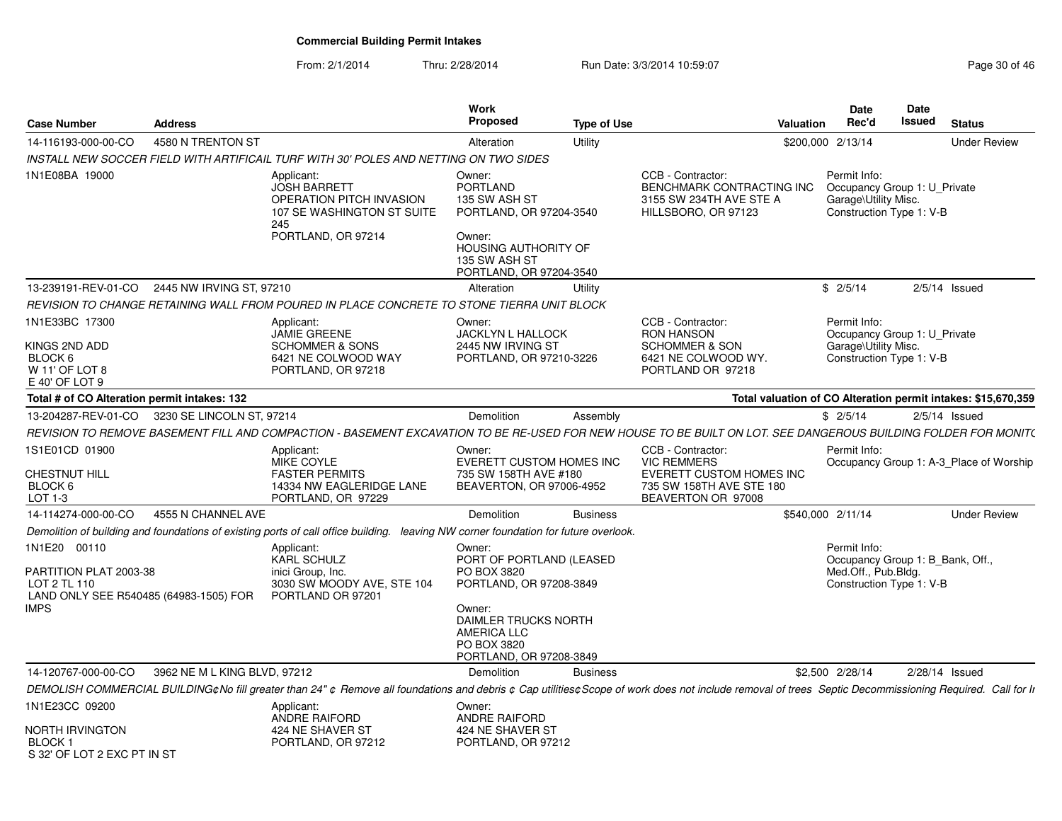From: 2/1/2014Thru: 2/28/2014 Run Date: 3/3/2014 10:59:07 Research 2010 12:08:09 Page 30 of 46

| <b>Case Number</b>                                                                                       | <b>Address</b>               |                                                                                                                                                                                                         | <b>Work</b><br><b>Proposed</b>                                                                                                                                                 | <b>Type of Use</b> | <b>Valuation</b>                                                                                                      |                   | <b>Date</b><br>Rec'd                                                                                | Date<br>Issued   | <b>Status</b>                                                 |
|----------------------------------------------------------------------------------------------------------|------------------------------|---------------------------------------------------------------------------------------------------------------------------------------------------------------------------------------------------------|--------------------------------------------------------------------------------------------------------------------------------------------------------------------------------|--------------------|-----------------------------------------------------------------------------------------------------------------------|-------------------|-----------------------------------------------------------------------------------------------------|------------------|---------------------------------------------------------------|
| 14-116193-000-00-CO                                                                                      | 4580 N TRENTON ST            |                                                                                                                                                                                                         | Alteration                                                                                                                                                                     | Utility            |                                                                                                                       | \$200,000 2/13/14 |                                                                                                     |                  | <b>Under Review</b>                                           |
|                                                                                                          |                              | INSTALL NEW SOCCER FIELD WITH ARTIFICAIL TURF WITH 30' POLES AND NETTING ON TWO SIDES                                                                                                                   |                                                                                                                                                                                |                    |                                                                                                                       |                   |                                                                                                     |                  |                                                               |
| 1N1E08BA 19000                                                                                           |                              | Applicant:<br><b>JOSH BARRETT</b><br>OPERATION PITCH INVASION<br>107 SE WASHINGTON ST SUITE<br>245<br>PORTLAND, OR 97214                                                                                | Owner:<br><b>PORTLAND</b><br>135 SW ASH ST<br>PORTLAND, OR 97204-3540<br>Owner:<br><b>HOUSING AUTHORITY OF</b><br>135 SW ASH ST<br>PORTLAND, OR 97204-3540                     |                    | CCB - Contractor:<br>BENCHMARK CONTRACTING INC<br>3155 SW 234TH AVE STE A<br>HILLSBORO, OR 97123                      |                   | Permit Info:<br>Occupancy Group 1: U Private<br>Garage\Utility Misc.<br>Construction Type 1: V-B    |                  |                                                               |
| 13-239191-REV-01-CO 2445 NW IRVING ST, 97210                                                             |                              |                                                                                                                                                                                                         | Alteration                                                                                                                                                                     | Utility            |                                                                                                                       |                   | \$2/5/14                                                                                            |                  | $2/5/14$ Issued                                               |
|                                                                                                          |                              | REVISION TO CHANGE RETAINING WALL FROM POURED IN PLACE CONCRETE TO STONE TIERRA UNIT BLOCK                                                                                                              |                                                                                                                                                                                |                    |                                                                                                                       |                   |                                                                                                     |                  |                                                               |
| 1N1E33BC 17300<br>KINGS 2ND ADD<br>BLOCK 6<br>W 11' OF LOT 8<br>E 40' OF LOT 9                           |                              | Applicant:<br><b>JAMIE GREENE</b><br><b>SCHOMMER &amp; SONS</b><br>6421 NE COLWOOD WAY<br>PORTLAND, OR 97218                                                                                            | Owner:<br><b>JACKLYN L HALLOCK</b><br>2445 NW IRVING ST<br>PORTLAND, OR 97210-3226                                                                                             |                    | CCB - Contractor:<br><b>RON HANSON</b><br><b>SCHOMMER &amp; SON</b><br>6421 NE COLWOOD WY.<br>PORTLAND OR 97218       |                   | Permit Info:<br>Occupancy Group 1: U_Private<br>Garage\Utility Misc.<br>Construction Type 1: V-B    |                  |                                                               |
| Total # of CO Alteration permit intakes: 132                                                             |                              |                                                                                                                                                                                                         |                                                                                                                                                                                |                    |                                                                                                                       |                   |                                                                                                     |                  | Total valuation of CO Alteration permit intakes: \$15,670,359 |
| 13-204287-REV-01-CO 3230 SE LINCOLN ST, 97214                                                            |                              |                                                                                                                                                                                                         | Demolition                                                                                                                                                                     | Assembly           |                                                                                                                       |                   | \$2/5/14                                                                                            |                  | $2/5/14$ Issued                                               |
|                                                                                                          |                              | REVISION TO REMOVE BASEMENT FILL AND COMPACTION - BASEMENT EXCAVATION TO BE RE-USED FOR NEW HOUSE TO BE BUILT ON LOT. SEE DANGEROUS BUILDING FOLDER FOR MONIT(                                          |                                                                                                                                                                                |                    |                                                                                                                       |                   |                                                                                                     |                  |                                                               |
| 1S1E01CD 01900<br>CHESTNUT HILL<br>BLOCK 6<br>LOT 1-3                                                    |                              | Applicant:<br>MIKE COYLE<br><b>FASTER PERMITS</b><br>14334 NW EAGLERIDGE LANE<br>PORTLAND, OR 97229                                                                                                     | Owner:<br><b>EVERETT CUSTOM HOMES INC</b><br>735 SW 158TH AVE #180<br>BEAVERTON, OR 97006-4952                                                                                 |                    | CCB - Contractor:<br><b>VIC REMMERS</b><br>EVERETT CUSTOM HOMES INC<br>735 SW 158TH AVE STE 180<br>BEAVERTON OR 97008 |                   | Permit Info:                                                                                        |                  | Occupancy Group 1: A-3 Place of Worship                       |
| 14-114274-000-00-CO                                                                                      | 4555 N CHANNEL AVE           |                                                                                                                                                                                                         | Demolition                                                                                                                                                                     | <b>Business</b>    |                                                                                                                       | \$540,000 2/11/14 |                                                                                                     |                  | <b>Under Review</b>                                           |
|                                                                                                          |                              | Demolition of building and foundations of existing ports of call office building. leaving NW corner foundation for future overlook.                                                                     |                                                                                                                                                                                |                    |                                                                                                                       |                   |                                                                                                     |                  |                                                               |
| 1N1E20 00110<br>PARTITION PLAT 2003-38<br>LOT 2 TL 110<br>LAND ONLY SEE R540485 (64983-1505) FOR<br>IMPS |                              | Applicant:<br><b>KARL SCHULZ</b><br>inici Group, Inc.<br>3030 SW MOODY AVE, STE 104<br>PORTLAND OR 97201                                                                                                | Owner:<br>PORT OF PORTLAND (LEASED<br>PO BOX 3820<br>PORTLAND, OR 97208-3849<br>Owner:<br>DAIMLER TRUCKS NORTH<br><b>AMERICA LLC</b><br>PO BOX 3820<br>PORTLAND, OR 97208-3849 |                    |                                                                                                                       |                   | Permit Info:<br>Occupancy Group 1: B Bank, Off.,<br>Med.Off., Pub.Bldg.<br>Construction Type 1: V-B |                  |                                                               |
| 14-120767-000-00-CO                                                                                      | 3962 NE M L KING BLVD, 97212 |                                                                                                                                                                                                         | Demolition                                                                                                                                                                     | <b>Business</b>    |                                                                                                                       | \$2,500 2/28/14   |                                                                                                     | $2/28/14$ Issued |                                                               |
|                                                                                                          |                              | DEMOLISH COMMERCIAL BUILDING¢No fill greater than 24" ¢ Remove all foundations and debris ¢ Cap utilities¢ Scope of work does not include removal of trees Septic Decommissioning Required. Call for Ir |                                                                                                                                                                                |                    |                                                                                                                       |                   |                                                                                                     |                  |                                                               |
| 1N1E23CC 09200<br>NORTH IRVINGTON<br><b>BLOCK 1</b><br>S 32' OF LOT 2 EXC PT IN ST                       |                              | Applicant:<br>ANDRE RAIFORD<br>424 NE SHAVER ST<br>PORTLAND, OR 97212                                                                                                                                   | Owner:<br>ANDRE RAIFORD<br>424 NE SHAVER ST<br>PORTLAND, OR 97212                                                                                                              |                    |                                                                                                                       |                   |                                                                                                     |                  |                                                               |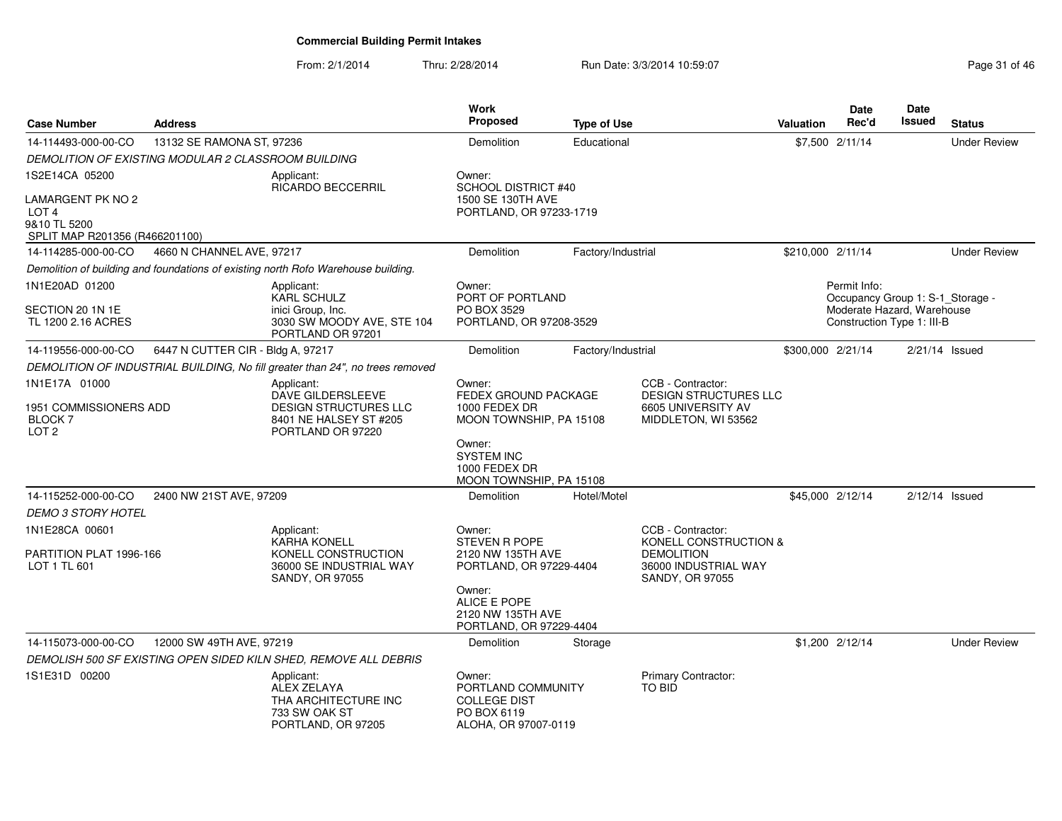From: 2/1/2014Thru: 2/28/2014 Run Date: 3/3/2014 10:59:07 Research 2010 12:08:09 Page 31 of 46

| <b>Case Number</b>                                                                      | <b>Address</b>                                      |                                                                                                         | <b>Work</b><br>Proposed                                                                    | <b>Type of Use</b> |                                                                                         | <b>Valuation</b>  | Date<br>Rec'd                                            | <b>Date</b><br>Issued | <b>Status</b>       |
|-----------------------------------------------------------------------------------------|-----------------------------------------------------|---------------------------------------------------------------------------------------------------------|--------------------------------------------------------------------------------------------|--------------------|-----------------------------------------------------------------------------------------|-------------------|----------------------------------------------------------|-----------------------|---------------------|
| 14-114493-000-00-CO                                                                     | 13132 SE RAMONA ST, 97236                           |                                                                                                         | Demolition                                                                                 | Educational        |                                                                                         |                   | \$7,500 2/11/14                                          |                       | <b>Under Review</b> |
|                                                                                         | DEMOLITION OF EXISTING MODULAR 2 CLASSROOM BUILDING |                                                                                                         |                                                                                            |                    |                                                                                         |                   |                                                          |                       |                     |
| 1S2E14CA 05200                                                                          |                                                     | Applicant:                                                                                              | Owner:                                                                                     |                    |                                                                                         |                   |                                                          |                       |                     |
| LAMARGENT PK NO 2<br>LOT <sub>4</sub><br>9&10 TL 5200<br>SPLIT MAP R201356 (R466201100) |                                                     | RICARDO BECCERRIL                                                                                       | <b>SCHOOL DISTRICT #40</b><br>1500 SE 130TH AVE<br>PORTLAND, OR 97233-1719                 |                    |                                                                                         |                   |                                                          |                       |                     |
| 14-114285-000-00-CO                                                                     | 4660 N CHANNEL AVE, 97217                           |                                                                                                         | Demolition                                                                                 | Factory/Industrial |                                                                                         | \$210,000 2/11/14 |                                                          |                       | <b>Under Review</b> |
|                                                                                         |                                                     | Demolition of building and foundations of existing north Rofo Warehouse building.                       |                                                                                            |                    |                                                                                         |                   |                                                          |                       |                     |
| 1N1E20AD 01200                                                                          |                                                     | Applicant:<br><b>KARL SCHULZ</b>                                                                        | Owner:<br>PORT OF PORTLAND                                                                 |                    |                                                                                         |                   | Permit Info:<br>Occupancy Group 1: S-1_Storage -         |                       |                     |
| SECTION 20 1N 1E<br>TL 1200 2.16 ACRES                                                  |                                                     | inici Group, Inc.<br>3030 SW MOODY AVE, STE 104<br>PORTLAND OR 97201                                    | PO BOX 3529<br>PORTLAND, OR 97208-3529                                                     |                    |                                                                                         |                   | Moderate Hazard, Warehouse<br>Construction Type 1: III-B |                       |                     |
| 14-119556-000-00-CO                                                                     | 6447 N CUTTER CIR - Bldg A, 97217                   |                                                                                                         | Demolition                                                                                 | Factory/Industrial |                                                                                         | \$300,000 2/21/14 |                                                          |                       | $2/21/14$ Issued    |
|                                                                                         |                                                     | DEMOLITION OF INDUSTRIAL BUILDING, No fill greater than 24", no trees removed                           |                                                                                            |                    |                                                                                         |                   |                                                          |                       |                     |
| 1N1E17A 01000<br>1951 COMMISSIONERS ADD<br><b>BLOCK7</b><br>LOT <sub>2</sub>            |                                                     | Applicant:<br>DAVE GILDERSLEEVE<br>DESIGN STRUCTURES LLC<br>8401 NE HALSEY ST #205<br>PORTLAND OR 97220 | Owner:<br><b>FEDEX GROUND PACKAGE</b><br>1000 FEDEX DR<br>MOON TOWNSHIP, PA 15108          |                    | CCB - Contractor:<br>DESIGN STRUCTURES LLC<br>6605 UNIVERSITY AV<br>MIDDLETON, WI 53562 |                   |                                                          |                       |                     |
|                                                                                         |                                                     |                                                                                                         | Owner:<br><b>SYSTEM INC</b><br>1000 FEDEX DR<br>MOON TOWNSHIP, PA 15108                    |                    |                                                                                         |                   |                                                          |                       |                     |
| 14-115252-000-00-CO                                                                     | 2400 NW 21ST AVE, 97209                             |                                                                                                         | Demolition                                                                                 | Hotel/Motel        |                                                                                         |                   | \$45,000 2/12/14                                         |                       | $2/12/14$ Issued    |
| <b>DEMO 3 STORY HOTEL</b>                                                               |                                                     |                                                                                                         |                                                                                            |                    |                                                                                         |                   |                                                          |                       |                     |
| 1N1E28CA 00601                                                                          |                                                     | Applicant:<br><b>KARHA KONELL</b>                                                                       | Owner:<br><b>STEVEN R POPE</b>                                                             |                    | CCB - Contractor:<br>KONELL CONSTRUCTION &                                              |                   |                                                          |                       |                     |
| PARTITION PLAT 1996-166<br>LOT 1 TL 601                                                 |                                                     | KONELL CONSTRUCTION<br>36000 SE INDUSTRIAL WAY<br>SANDY, OR 97055                                       | 2120 NW 135TH AVE<br>PORTLAND, OR 97229-4404                                               |                    | <b>DEMOLITION</b><br>36000 INDUSTRIAL WAY<br>SANDY, OR 97055                            |                   |                                                          |                       |                     |
|                                                                                         |                                                     |                                                                                                         | Owner:<br>ALICE E POPE<br>2120 NW 135TH AVE<br>PORTLAND, OR 97229-4404                     |                    |                                                                                         |                   |                                                          |                       |                     |
| 14-115073-000-00-CO                                                                     | 12000 SW 49TH AVE, 97219                            |                                                                                                         | Demolition                                                                                 | Storage            |                                                                                         |                   | \$1,200 2/12/14                                          |                       | <b>Under Review</b> |
|                                                                                         |                                                     | DEMOLISH 500 SF EXISTING OPEN SIDED KILN SHED, REMOVE ALL DEBRIS                                        |                                                                                            |                    |                                                                                         |                   |                                                          |                       |                     |
| 1S1E31D 00200                                                                           |                                                     | Applicant:<br><b>ALEX ZELAYA</b><br>THA ARCHITECTURE INC<br>733 SW OAK ST<br>PORTLAND, OR 97205         | Owner:<br>PORTLAND COMMUNITY<br><b>COLLEGE DIST</b><br>PO BOX 6119<br>ALOHA, OR 97007-0119 |                    | Primary Contractor:<br>TO BID                                                           |                   |                                                          |                       |                     |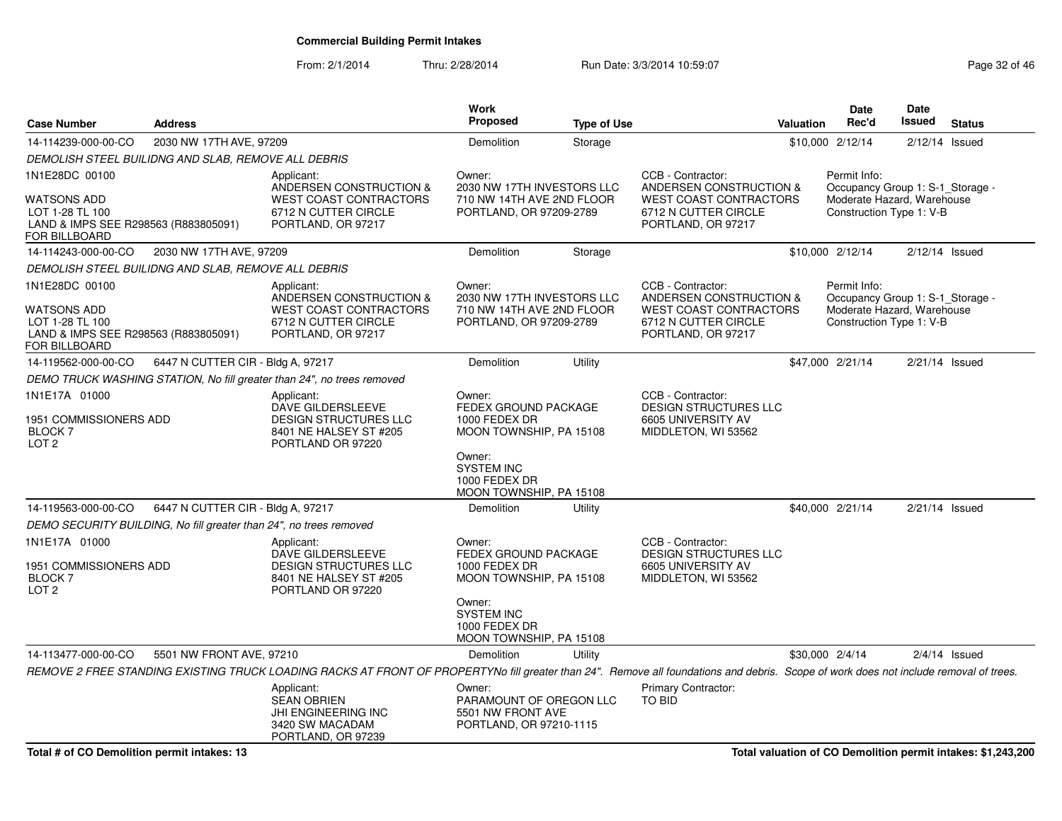From: 2/1/2014Thru: 2/28/2014 Run Date: 3/3/2014 10:59:07 Research 2010 12:08:07 Page 32 of 46

| <b>Case Number</b>                                                                                               | <b>Address</b>                                                     |                                                                                                                                                                                       | Work<br><b>Proposed</b>                                                                                                                               | <b>Type of Use</b> |                                                                                                                             | Valuation       | <b>Date</b><br>Rec'd                                                                                       | <b>Date</b><br><b>Issued</b> | <b>Status</b>    |
|------------------------------------------------------------------------------------------------------------------|--------------------------------------------------------------------|---------------------------------------------------------------------------------------------------------------------------------------------------------------------------------------|-------------------------------------------------------------------------------------------------------------------------------------------------------|--------------------|-----------------------------------------------------------------------------------------------------------------------------|-----------------|------------------------------------------------------------------------------------------------------------|------------------------------|------------------|
| 14-114239-000-00-CO                                                                                              | 2030 NW 17TH AVE, 97209                                            |                                                                                                                                                                                       | Demolition                                                                                                                                            | Storage            |                                                                                                                             |                 | \$10,000 2/12/14                                                                                           |                              | $2/12/14$ Issued |
|                                                                                                                  | DEMOLISH STEEL BUILIDNG AND SLAB, REMOVE ALL DEBRIS                |                                                                                                                                                                                       |                                                                                                                                                       |                    |                                                                                                                             |                 |                                                                                                            |                              |                  |
| 1N1E28DC 00100<br><b>WATSONS ADD</b><br>LOT 1-28 TL 100<br>LAND & IMPS SEE R298563 (R883805091)<br>FOR BILLBOARD |                                                                    | Applicant:<br>ANDERSEN CONSTRUCTION &<br><b>WEST COAST CONTRACTORS</b><br>6712 N CUTTER CIRCLE<br>PORTLAND, OR 97217                                                                  | Owner:<br>2030 NW 17TH INVESTORS LLC<br>710 NW 14TH AVE 2ND FLOOR<br>PORTLAND, OR 97209-2789                                                          |                    | CCB - Contractor:<br>ANDERSEN CONSTRUCTION &<br><b>WEST COAST CONTRACTORS</b><br>6712 N CUTTER CIRCLE<br>PORTLAND, OR 97217 |                 | Permit Info:<br>Occupancy Group 1: S-1_Storage -<br>Moderate Hazard, Warehouse<br>Construction Type 1: V-B |                              |                  |
| 14-114243-000-00-CO                                                                                              | 2030 NW 17TH AVE, 97209                                            |                                                                                                                                                                                       | Demolition                                                                                                                                            | Storage            |                                                                                                                             |                 | \$10,000 2/12/14                                                                                           |                              | $2/12/14$ Issued |
|                                                                                                                  | DEMOLISH STEEL BUILIDNG AND SLAB, REMOVE ALL DEBRIS                |                                                                                                                                                                                       |                                                                                                                                                       |                    |                                                                                                                             |                 |                                                                                                            |                              |                  |
| 1N1E28DC 00100<br>WATSONS ADD<br>LOT 1-28 TL 100<br>LAND & IMPS SEE R298563 (R883805091)<br>FOR BILLBOARD        |                                                                    | Applicant:<br><b>ANDERSEN CONSTRUCTION &amp;</b><br><b>WEST COAST CONTRACTORS</b><br>6712 N CUTTER CIRCLE<br>PORTLAND, OR 97217                                                       | Owner:<br>2030 NW 17TH INVESTORS LLC<br>710 NW 14TH AVE 2ND FLOOR<br>PORTLAND, OR 97209-2789                                                          |                    | CCB - Contractor:<br>ANDERSEN CONSTRUCTION &<br><b>WEST COAST CONTRACTORS</b><br>6712 N CUTTER CIRCLE<br>PORTLAND, OR 97217 |                 | Permit Info:<br>Occupancy Group 1: S-1_Storage -<br>Moderate Hazard, Warehouse<br>Construction Type 1: V-B |                              |                  |
| 14-119562-000-00-CO                                                                                              | 6447 N CUTTER CIR - Bldg A, 97217                                  |                                                                                                                                                                                       | Demolition                                                                                                                                            | Utility            |                                                                                                                             |                 | \$47,000 2/21/14                                                                                           |                              | $2/21/14$ Issued |
|                                                                                                                  |                                                                    | DEMO TRUCK WASHING STATION, No fill greater than 24", no trees removed                                                                                                                |                                                                                                                                                       |                    |                                                                                                                             |                 |                                                                                                            |                              |                  |
| 1N1E17A 01000<br>1951 COMMISSIONERS ADD<br><b>BLOCK 7</b><br>LOT <sub>2</sub>                                    |                                                                    | Applicant:<br>DAVE GILDERSLEEVE<br>DESIGN STRUCTURES LLC<br>8401 NE HALSEY ST #205<br>PORTLAND OR 97220                                                                               | Owner:<br>FEDEX GROUND PACKAGE<br>1000 FEDEX DR<br>MOON TOWNSHIP, PA 15108<br>Owner:<br><b>SYSTEM INC</b><br>1000 FEDEX DR<br>MOON TOWNSHIP, PA 15108 |                    | CCB - Contractor:<br><b>DESIGN STRUCTURES LLC</b><br>6605 UNIVERSITY AV<br>MIDDLETON, WI 53562                              |                 |                                                                                                            |                              |                  |
| 14-119563-000-00-CO                                                                                              | 6447 N CUTTER CIR - Bldg A, 97217                                  |                                                                                                                                                                                       | Demolition                                                                                                                                            | Utility            |                                                                                                                             |                 | \$40,000 2/21/14                                                                                           |                              | $2/21/14$ Issued |
| 1N1E17A 01000<br>1951 COMMISSIONERS ADD<br>BLOCK <sub>7</sub><br>LOT <sub>2</sub>                                | DEMO SECURITY BUILDING, No fill greater than 24", no trees removed | Applicant:<br>DAVE GILDERSLEEVE<br><b>DESIGN STRUCTURES LLC</b><br>8401 NE HALSEY ST #205<br>PORTLAND OR 97220                                                                        | Owner:<br>FEDEX GROUND PACKAGE<br>1000 FEDEX DR<br>MOON TOWNSHIP, PA 15108<br>Owner:<br><b>SYSTEM INC</b><br>1000 FEDEX DR<br>MOON TOWNSHIP, PA 15108 |                    | CCB - Contractor:<br><b>DESIGN STRUCTURES LLC</b><br>6605 UNIVERSITY AV<br>MIDDLETON, WI 53562                              |                 |                                                                                                            |                              |                  |
| 14-113477-000-00-CO                                                                                              | 5501 NW FRONT AVE, 97210                                           |                                                                                                                                                                                       | Demolition                                                                                                                                            | Utility            |                                                                                                                             | \$30,000 2/4/14 |                                                                                                            |                              | $2/4/14$ Issued  |
|                                                                                                                  |                                                                    | REMOVE 2 FREE STANDING EXISTING TRUCK LOADING RACKS AT FRONT OF PROPERTYNo fill greater than 24". Remove all foundations and debris. Scope of work does not include removal of trees. |                                                                                                                                                       |                    |                                                                                                                             |                 |                                                                                                            |                              |                  |
|                                                                                                                  |                                                                    | Applicant:<br><b>SEAN OBRIEN</b><br>JHI ENGINEERING INC<br>3420 SW MACADAM<br>PORTLAND, OR 97239                                                                                      | Owner:<br>PARAMOUNT OF OREGON LLC<br>5501 NW FRONT AVE<br>PORTLAND, OR 97210-1115                                                                     |                    | Primary Contractor:<br>TO BID                                                                                               |                 |                                                                                                            |                              |                  |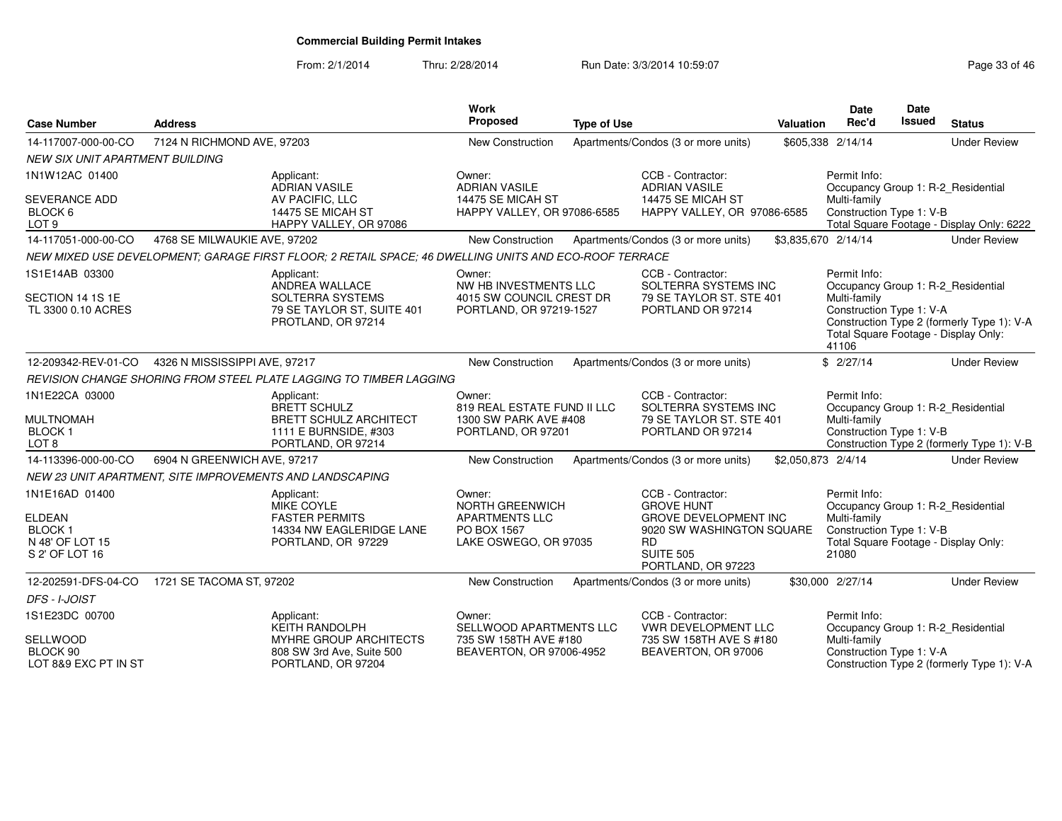From: 2/1/2014Thru: 2/28/2014 Run Date: 3/3/2014 10:59:07 Research 2010 12:59:07

| <b>Case Number</b>                                                                    | <b>Address</b>                                                                                        |                                                                                                     | Work<br>Proposed                                                                           | <b>Type of Use</b> |                                                                                                                                                     | <b>Valuation</b>    | <b>Date</b><br>Rec'd                                                                      | Date<br>Issued | <b>Status</b>                                                                    |
|---------------------------------------------------------------------------------------|-------------------------------------------------------------------------------------------------------|-----------------------------------------------------------------------------------------------------|--------------------------------------------------------------------------------------------|--------------------|-----------------------------------------------------------------------------------------------------------------------------------------------------|---------------------|-------------------------------------------------------------------------------------------|----------------|----------------------------------------------------------------------------------|
| 14-117007-000-00-CO                                                                   | 7124 N RICHMOND AVE, 97203                                                                            |                                                                                                     | New Construction                                                                           |                    | Apartments/Condos (3 or more units)                                                                                                                 | \$605,338 2/14/14   |                                                                                           |                | <b>Under Review</b>                                                              |
| <b>NEW SIX UNIT APARTMENT BUILDING</b>                                                |                                                                                                       |                                                                                                     |                                                                                            |                    |                                                                                                                                                     |                     |                                                                                           |                |                                                                                  |
| 1N1W12AC 01400                                                                        | Applicant:                                                                                            | <b>ADRIAN VASILE</b>                                                                                | Owner:<br><b>ADRIAN VASILE</b>                                                             |                    | CCB - Contractor:<br><b>ADRIAN VASILE</b>                                                                                                           |                     | Permit Info:                                                                              |                | Occupancy Group 1: R-2_Residential                                               |
| <b>SEVERANCE ADD</b><br>BLOCK 6<br>LOT <sub>9</sub>                                   |                                                                                                       | AV PACIFIC, LLC<br>14475 SE MICAH ST<br>HAPPY VALLEY, OR 97086                                      | 14475 SE MICAH ST<br>HAPPY VALLEY, OR 97086-6585                                           |                    | 14475 SE MICAH ST<br>HAPPY VALLEY, OR 97086-6585                                                                                                    |                     | Multi-family<br>Construction Type 1: V-B                                                  |                | Total Square Footage - Display Only: 6222                                        |
| 14-117051-000-00-CO                                                                   | 4768 SE MILWAUKIE AVE, 97202                                                                          |                                                                                                     | New Construction                                                                           |                    | Apartments/Condos (3 or more units)                                                                                                                 | \$3,835,670 2/14/14 |                                                                                           |                | <b>Under Review</b>                                                              |
|                                                                                       | NEW MIXED USE DEVELOPMENT; GARAGE FIRST FLOOR; 2 RETAIL SPACE; 46 DWELLING UNITS AND ECO-ROOF TERRACE |                                                                                                     |                                                                                            |                    |                                                                                                                                                     |                     |                                                                                           |                |                                                                                  |
| 1S1E14AB 03300                                                                        | Applicant:                                                                                            | ANDREA WALLACE                                                                                      | Owner:<br>NW HB INVESTMENTS LLC                                                            |                    | CCB - Contractor:<br>SOLTERRA SYSTEMS INC                                                                                                           |                     | Permit Info:                                                                              |                | Occupancy Group 1: R-2_Residential                                               |
| SECTION 14 1S 1E<br>TL 3300 0.10 ACRES                                                |                                                                                                       | SOLTERRA SYSTEMS<br>79 SE TAYLOR ST, SUITE 401<br>PROTLAND, OR 97214                                | 4015 SW COUNCIL CREST DR<br>PORTLAND, OR 97219-1527                                        |                    | 79 SE TAYLOR ST. STE 401<br>PORTLAND OR 97214                                                                                                       |                     | Multi-family<br>Construction Type 1: V-A<br>Total Square Footage - Display Only:<br>41106 |                | Construction Type 2 (formerly Type 1): V-A                                       |
| 12-209342-REV-01-CO                                                                   | 4326 N MISSISSIPPI AVE, 97217                                                                         |                                                                                                     | <b>New Construction</b>                                                                    |                    | Apartments/Condos (3 or more units)                                                                                                                 |                     | \$2/27/14                                                                                 |                | <b>Under Review</b>                                                              |
|                                                                                       | REVISION CHANGE SHORING FROM STEEL PLATE LAGGING TO TIMBER LAGGING                                    |                                                                                                     |                                                                                            |                    |                                                                                                                                                     |                     |                                                                                           |                |                                                                                  |
| 1N1E22CA 03000<br><b>MULTNOMAH</b><br><b>BLOCK1</b><br>LOT <sub>8</sub>               | Applicant:                                                                                            | <b>BRETT SCHULZ</b><br><b>BRETT SCHULZ ARCHITECT</b><br>1111 E BURNSIDE, #303<br>PORTLAND, OR 97214 | Owner:<br>819 REAL ESTATE FUND II LLC<br>1300 SW PARK AVE #408<br>PORTLAND, OR 97201       |                    | CCB - Contractor:<br>SOLTERRA SYSTEMS INC<br>79 SE TAYLOR ST. STE 401<br>PORTLAND OR 97214                                                          |                     | Permit Info:<br>Multi-family<br>Construction Type 1: V-B                                  |                | Occupancy Group 1: R-2_Residential<br>Construction Type 2 (formerly Type 1): V-B |
| 14-113396-000-00-CO                                                                   | 6904 N GREENWICH AVE, 97217                                                                           |                                                                                                     | New Construction                                                                           |                    | Apartments/Condos (3 or more units)                                                                                                                 | \$2,050,873 2/4/14  |                                                                                           |                | <b>Under Review</b>                                                              |
|                                                                                       | NEW 23 UNIT APARTMENT, SITE IMPROVEMENTS AND LANDSCAPING                                              |                                                                                                     |                                                                                            |                    |                                                                                                                                                     |                     |                                                                                           |                |                                                                                  |
| 1N1E16AD 01400<br><b>ELDEAN</b><br><b>BLOCK1</b><br>N 48' OF LOT 15<br>S 2' OF LOT 16 | Applicant:                                                                                            | MIKE COYLE<br><b>FASTER PERMITS</b><br>14334 NW EAGLERIDGE LANE<br>PORTLAND, OR 97229               | Owner:<br>NORTH GREENWICH<br><b>APARTMENTS LLC</b><br>PO BOX 1567<br>LAKE OSWEGO, OR 97035 |                    | CCB - Contractor:<br><b>GROVE HUNT</b><br><b>GROVE DEVELOPMENT INC</b><br>9020 SW WASHINGTON SQUARE<br>RD<br><b>SUITE 505</b><br>PORTLAND, OR 97223 |                     | Permit Info:<br>Multi-family<br>Construction Type 1: V-B<br>21080                         |                | Occupancy Group 1: R-2_Residential<br>Total Square Footage - Display Only:       |
| 12-202591-DFS-04-CO                                                                   | 1721 SE TACOMA ST, 97202                                                                              |                                                                                                     | New Construction                                                                           |                    | Apartments/Condos (3 or more units)                                                                                                                 |                     | \$30,000 2/27/14                                                                          |                | <b>Under Review</b>                                                              |
| DFS - I-JOIST                                                                         |                                                                                                       |                                                                                                     |                                                                                            |                    |                                                                                                                                                     |                     |                                                                                           |                |                                                                                  |
| 1S1E23DC 00700                                                                        | Applicant:                                                                                            | <b>KEITH RANDOLPH</b>                                                                               | Owner:<br>SELLWOOD APARTMENTS LLC                                                          |                    | CCB - Contractor:<br><b>VWR DEVELOPMENT LLC</b>                                                                                                     |                     | Permit Info:                                                                              |                | Occupancy Group 1: R-2_Residential                                               |
| SELLWOOD<br>BLOCK 90<br>LOT 8&9 EXC PT IN ST                                          |                                                                                                       | MYHRE GROUP ARCHITECTS<br>808 SW 3rd Ave, Suite 500<br>PORTLAND, OR 97204                           | 735 SW 158TH AVE #180<br>BEAVERTON, OR 97006-4952                                          |                    | 735 SW 158TH AVE S #180<br>BEAVERTON, OR 97006                                                                                                      |                     | Multi-family<br>Construction Type 1: V-A                                                  |                | Construction Type 2 (formerly Type 1): V-A                                       |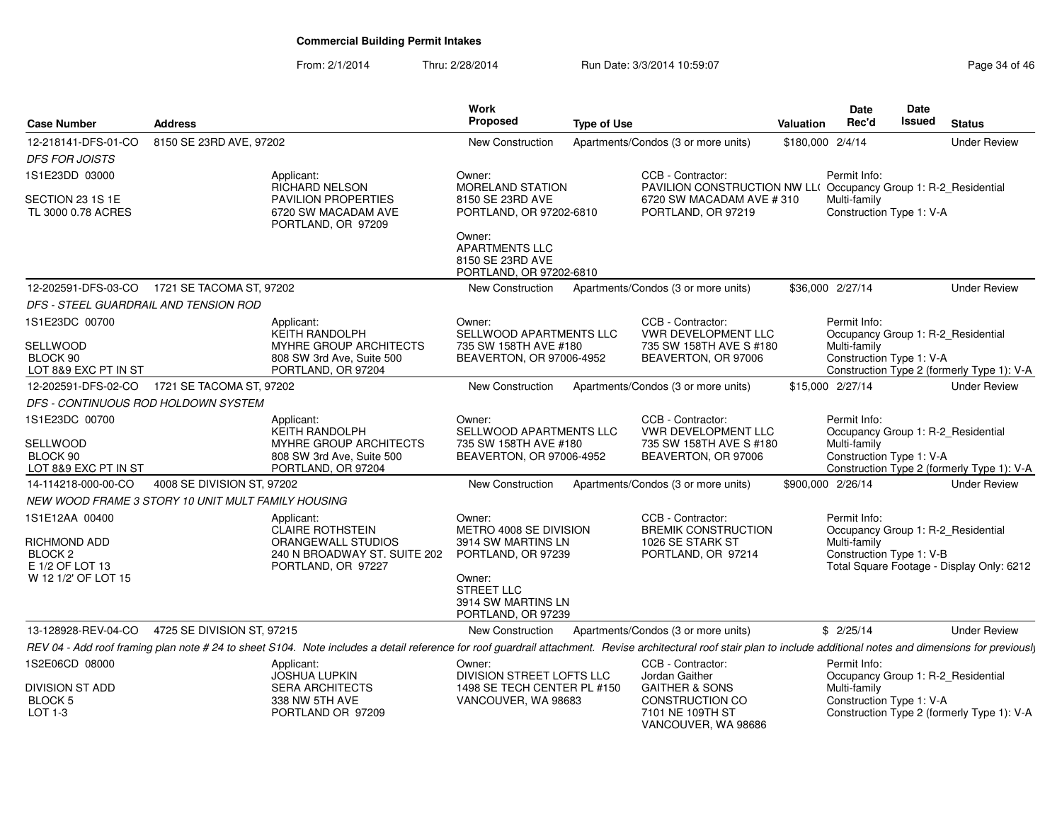From: 2/1/2014Thru: 2/28/2014 Run Date: 3/3/2014 10:59:07 Research 2010 12:08:09 Page 34 of 46

| <b>Case Number</b>                                                                             | <b>Address</b>             |                                                                                                                                                                                                                        | Work<br><b>Proposed</b>                                                                                                                          | <b>Type of Use</b> |                                                                                                                                | Valuation         | Date<br>Rec'd                                            | <b>Date</b><br>Issued | <b>Status</b>                                                                    |
|------------------------------------------------------------------------------------------------|----------------------------|------------------------------------------------------------------------------------------------------------------------------------------------------------------------------------------------------------------------|--------------------------------------------------------------------------------------------------------------------------------------------------|--------------------|--------------------------------------------------------------------------------------------------------------------------------|-------------------|----------------------------------------------------------|-----------------------|----------------------------------------------------------------------------------|
| 12-218141-DFS-01-CO                                                                            | 8150 SE 23RD AVE, 97202    |                                                                                                                                                                                                                        | New Construction                                                                                                                                 |                    | Apartments/Condos (3 or more units)                                                                                            | \$180,000 2/4/14  |                                                          |                       | <b>Under Review</b>                                                              |
| <b>DFS FOR JOISTS</b>                                                                          |                            |                                                                                                                                                                                                                        |                                                                                                                                                  |                    |                                                                                                                                |                   |                                                          |                       |                                                                                  |
| 1S1E23DD 03000                                                                                 |                            | Applicant:<br>RICHARD NELSON                                                                                                                                                                                           | Owner:<br>MORELAND STATION                                                                                                                       |                    | CCB - Contractor:<br>PAVILION CONSTRUCTION NW LL(                                                                              |                   | Permit Info:                                             |                       | Occupancy Group 1: R-2_Residential                                               |
| SECTION 23 1S 1E<br>TL 3000 0.78 ACRES                                                         |                            | PAVILION PROPERTIES<br>6720 SW MACADAM AVE<br>PORTLAND, OR 97209                                                                                                                                                       | 8150 SE 23RD AVE<br>PORTLAND, OR 97202-6810<br>Owner:<br><b>APARTMENTS LLC</b><br>8150 SE 23RD AVE<br>PORTLAND, OR 97202-6810                    |                    | 6720 SW MACADAM AVE #310<br>PORTLAND, OR 97219                                                                                 |                   | Multi-family<br>Construction Type 1: V-A                 |                       |                                                                                  |
| 12-202591-DFS-03-CO  1721 SE TACOMA ST, 97202                                                  |                            |                                                                                                                                                                                                                        | New Construction                                                                                                                                 |                    | Apartments/Condos (3 or more units)                                                                                            |                   | \$36,000 2/27/14                                         |                       | <b>Under Review</b>                                                              |
| DFS - STEEL GUARDRAIL AND TENSION ROD                                                          |                            |                                                                                                                                                                                                                        |                                                                                                                                                  |                    |                                                                                                                                |                   |                                                          |                       |                                                                                  |
| 1S1E23DC 00700<br><b>SELLWOOD</b><br>BLOCK 90<br>LOT 8&9 EXC PT IN ST                          |                            | Applicant:<br><b>KEITH RANDOLPH</b><br>MYHRE GROUP ARCHITECTS<br>808 SW 3rd Ave, Suite 500<br>PORTLAND, OR 97204                                                                                                       | Owner:<br>SELLWOOD APARTMENTS LLC<br>735 SW 158TH AVE #180<br>BEAVERTON, OR 97006-4952                                                           |                    | CCB - Contractor:<br><b>VWR DEVELOPMENT LLC</b><br>735 SW 158TH AVE S #180<br>BEAVERTON, OR 97006                              |                   | Permit Info:<br>Multi-family<br>Construction Type 1: V-A |                       | Occupancy Group 1: R-2 Residential<br>Construction Type 2 (formerly Type 1): V-A |
| 12-202591-DFS-02-CO 1721 SE TACOMA ST, 97202                                                   |                            |                                                                                                                                                                                                                        | New Construction                                                                                                                                 |                    | Apartments/Condos (3 or more units)                                                                                            |                   | \$15,000 2/27/14                                         |                       | <b>Under Review</b>                                                              |
| DFS - CONTINUOUS ROD HOLDOWN SYSTEM                                                            |                            |                                                                                                                                                                                                                        |                                                                                                                                                  |                    |                                                                                                                                |                   |                                                          |                       |                                                                                  |
| 1S1E23DC 00700<br><b>SELLWOOD</b><br>BLOCK 90<br>LOT 8&9 EXC PT IN ST                          |                            | Applicant:<br>KEITH RANDOLPH<br><b>MYHRE GROUP ARCHITECTS</b><br>808 SW 3rd Ave, Suite 500<br>PORTLAND, OR 97204                                                                                                       | Owner:<br>SELLWOOD APARTMENTS LLC<br>735 SW 158TH AVE #180<br>BEAVERTON, OR 97006-4952                                                           |                    | CCB - Contractor:<br><b>VWR DEVELOPMENT LLC</b><br>735 SW 158TH AVE S #180<br>BEAVERTON, OR 97006                              |                   | Permit Info:<br>Multi-family<br>Construction Type 1: V-A |                       | Occupancy Group 1: R-2_Residential<br>Construction Type 2 (formerly Type 1): V-A |
| 14-114218-000-00-CO                                                                            | 4008 SE DIVISION ST, 97202 |                                                                                                                                                                                                                        | New Construction                                                                                                                                 |                    | Apartments/Condos (3 or more units)                                                                                            | \$900,000 2/26/14 |                                                          |                       | <b>Under Review</b>                                                              |
| NEW WOOD FRAME 3 STORY 10 UNIT MULT FAMILY HOUSING                                             |                            |                                                                                                                                                                                                                        |                                                                                                                                                  |                    |                                                                                                                                |                   |                                                          |                       |                                                                                  |
| 1S1E12AA 00400<br>RICHMOND ADD<br>BLOCK <sub>2</sub><br>E 1/2 OF LOT 13<br>W 12 1/2' OF LOT 15 |                            | Applicant:<br><b>CLAIRE ROTHSTEIN</b><br>ORANGEWALL STUDIOS<br>240 N BROADWAY ST. SUITE 202<br>PORTLAND, OR 97227                                                                                                      | Owner:<br>METRO 4008 SE DIVISION<br>3914 SW MARTINS LN<br>PORTLAND, OR 97239<br>Owner:<br>STREET LLC<br>3914 SW MARTINS LN<br>PORTLAND, OR 97239 |                    | CCB - Contractor:<br><b>BREMIK CONSTRUCTION</b><br>1026 SE STARK ST<br>PORTLAND, OR 97214                                      |                   | Permit Info:<br>Multi-family<br>Construction Type 1: V-B |                       | Occupancy Group 1: R-2_Residential<br>Total Square Footage - Display Only: 6212  |
| 13-128928-REV-04-CO                                                                            | 4725 SE DIVISION ST, 97215 |                                                                                                                                                                                                                        | New Construction                                                                                                                                 |                    | Apartments/Condos (3 or more units)                                                                                            |                   | \$2/25/14                                                |                       | <b>Under Review</b>                                                              |
|                                                                                                |                            | REV 04 - Add roof framing plan note # 24 to sheet S104. Note includes a detail reference for roof guardrail attachment. Revise architectural roof stair plan to include additional notes and dimensions for previously |                                                                                                                                                  |                    |                                                                                                                                |                   |                                                          |                       |                                                                                  |
| 1S2E06CD 08000<br><b>DIVISION ST ADD</b><br><b>BLOCK 5</b><br>$LOT 1-3$                        |                            | Applicant:<br><b>JOSHUA LUPKIN</b><br><b>SERA ARCHITECTS</b><br>338 NW 5TH AVE<br>PORTLAND OR 97209                                                                                                                    | Owner:<br>DIVISION STREET LOFTS LLC<br>1498 SE TECH CENTER PL #150<br>VANCOUVER, WA 98683                                                        |                    | CCB - Contractor:<br>Jordan Gaither<br><b>GAITHER &amp; SONS</b><br>CONSTRUCTION CO<br>7101 NE 109TH ST<br>VANCOUVER, WA 98686 |                   | Permit Info:<br>Multi-family<br>Construction Type 1: V-A |                       | Occupancy Group 1: R-2_Residential<br>Construction Type 2 (formerly Type 1): V-A |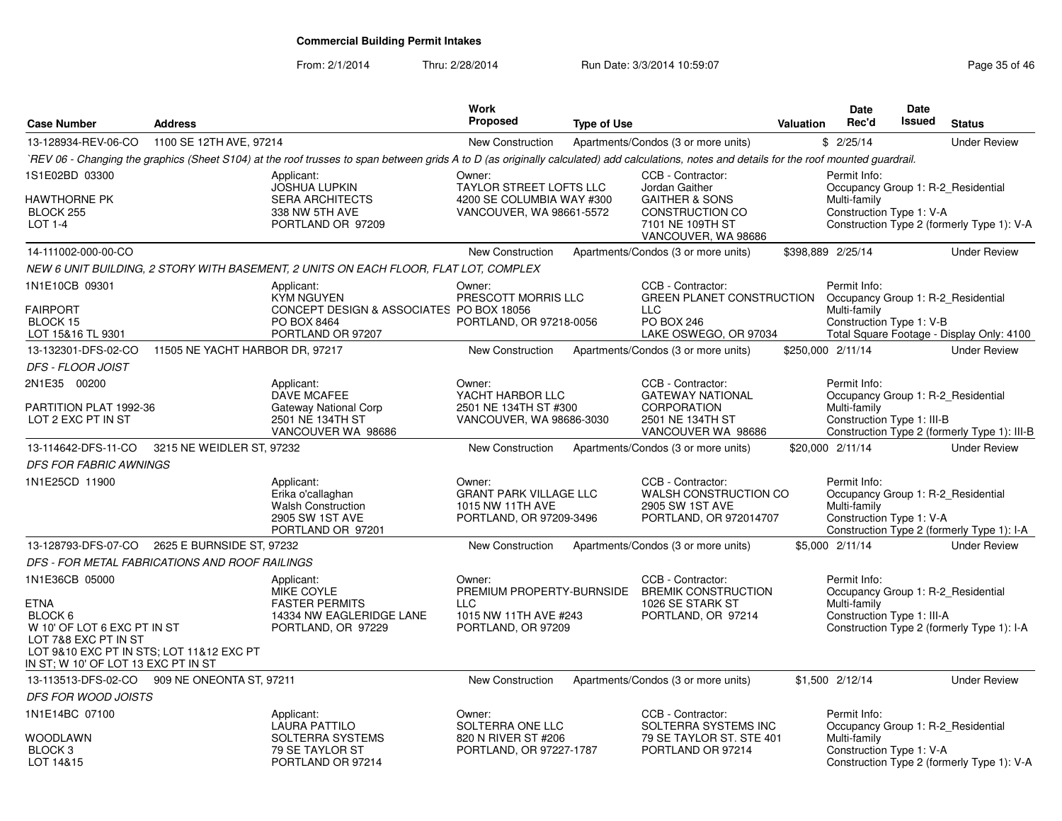From: 2/1/2014

Thru: 2/28/2014 Run Date: 3/3/2014 10:59:07 Research 2010 12:08:07 Page 35 of 46

| <b>Case Number</b>                                                                                                                                                                 | <b>Address</b>                                 |                                                                                                                                                                                              | <b>Work</b><br><b>Proposed</b>                                                                    | <b>Type of Use</b> |                                                                                                                                | Valuation | <b>Date</b><br>Rec'd                                       | <b>Date</b><br>Issued | <b>Status</b>                                                                      |
|------------------------------------------------------------------------------------------------------------------------------------------------------------------------------------|------------------------------------------------|----------------------------------------------------------------------------------------------------------------------------------------------------------------------------------------------|---------------------------------------------------------------------------------------------------|--------------------|--------------------------------------------------------------------------------------------------------------------------------|-----------|------------------------------------------------------------|-----------------------|------------------------------------------------------------------------------------|
| 13-128934-REV-06-CO                                                                                                                                                                | 1100 SE 12TH AVE, 97214                        |                                                                                                                                                                                              | <b>New Construction</b>                                                                           |                    | Apartments/Condos (3 or more units)                                                                                            |           | \$2/25/14                                                  |                       | <b>Under Review</b>                                                                |
|                                                                                                                                                                                    |                                                | `REV 06 - Changing the graphics (Sheet S104) at the roof trusses to span between grids A to D (as originally calculated) add calculations, notes and details for the roof mounted guardrail. |                                                                                                   |                    |                                                                                                                                |           |                                                            |                       |                                                                                    |
| 1S1E02BD 03300<br>HAWTHORNE PK<br>BLOCK 255<br>LOT 1-4                                                                                                                             |                                                | Applicant:<br><b>JOSHUA LUPKIN</b><br><b>SERA ARCHITECTS</b><br>338 NW 5TH AVE<br>PORTLAND OR 97209                                                                                          | Owner:<br><b>TAYLOR STREET LOFTS LLC</b><br>4200 SE COLUMBIA WAY #300<br>VANCOUVER, WA 98661-5572 |                    | CCB - Contractor:<br>Jordan Gaither<br><b>GAITHER &amp; SONS</b><br>CONSTRUCTION CO<br>7101 NE 109TH ST<br>VANCOUVER, WA 98686 |           | Permit Info:<br>Multi-family<br>Construction Type 1: V-A   |                       | Occupancy Group 1: R-2_Residential<br>Construction Type 2 (formerly Type 1): V-A   |
| 14-111002-000-00-CO                                                                                                                                                                |                                                |                                                                                                                                                                                              | New Construction                                                                                  |                    | Apartments/Condos (3 or more units)                                                                                            |           | \$398,889 2/25/14                                          |                       | <b>Under Review</b>                                                                |
|                                                                                                                                                                                    |                                                | NEW 6 UNIT BUILDING, 2 STORY WITH BASEMENT, 2 UNITS ON EACH FLOOR, FLAT LOT, COMPLEX                                                                                                         |                                                                                                   |                    |                                                                                                                                |           |                                                            |                       |                                                                                    |
| 1N1E10CB 09301<br><b>FAIRPORT</b><br>BLOCK 15<br>LOT 15&16 TL 9301                                                                                                                 |                                                | Applicant:<br><b>KYM NGUYEN</b><br>CONCEPT DESIGN & ASSOCIATES PO BOX 18056<br>PO BOX 8464<br>PORTLAND OR 97207                                                                              | Owner:<br>PRESCOTT MORRIS LLC<br>PORTLAND, OR 97218-0056                                          |                    | CCB - Contractor:<br><b>GREEN PLANET CONSTRUCTION</b><br><b>LLC</b><br>PO BOX 246<br>LAKE OSWEGO, OR 97034                     |           | Permit Info:<br>Multi-family<br>Construction Type 1: V-B   |                       | Occupancy Group 1: R-2_Residential<br>Total Square Footage - Display Only: 4100    |
| 13-132301-DFS-02-CO                                                                                                                                                                | 11505 NE YACHT HARBOR DR, 97217                |                                                                                                                                                                                              | New Construction                                                                                  |                    | Apartments/Condos (3 or more units)                                                                                            |           | \$250,000 2/11/14                                          |                       | <b>Under Review</b>                                                                |
| <b>DFS - FLOOR JOIST</b>                                                                                                                                                           |                                                |                                                                                                                                                                                              |                                                                                                   |                    |                                                                                                                                |           |                                                            |                       |                                                                                    |
| 2N1E35 00200<br>PARTITION PLAT 1992-36<br>LOT 2 EXC PT IN ST                                                                                                                       |                                                | Applicant:<br><b>DAVE MCAFEE</b><br>Gateway National Corp<br>2501 NE 134TH ST<br>VANCOUVER WA 98686                                                                                          | Owner:<br>YACHT HARBOR LLC<br>2501 NE 134TH ST #300<br>VANCOUVER, WA 98686-3030                   |                    | CCB - Contractor:<br><b>GATEWAY NATIONAL</b><br><b>CORPORATION</b><br>2501 NE 134TH ST<br>VANCOUVER WA 98686                   |           | Permit Info:<br>Multi-family<br>Construction Type 1: III-B |                       | Occupancy Group 1: R-2_Residential<br>Construction Type 2 (formerly Type 1): III-B |
| 13-114642-DFS-11-CO                                                                                                                                                                | 3215 NE WEIDLER ST, 97232                      |                                                                                                                                                                                              | New Construction                                                                                  |                    | Apartments/Condos (3 or more units)                                                                                            |           | \$20,000 2/11/14                                           |                       | <b>Under Review</b>                                                                |
| <b>DFS FOR FABRIC AWNINGS</b>                                                                                                                                                      |                                                |                                                                                                                                                                                              |                                                                                                   |                    |                                                                                                                                |           |                                                            |                       |                                                                                    |
| 1N1E25CD 11900                                                                                                                                                                     |                                                | Applicant:<br>Erika o'callaghan<br><b>Walsh Construction</b><br>2905 SW 1ST AVE<br>PORTLAND OR 97201                                                                                         | Owner:<br><b>GRANT PARK VILLAGE LLC</b><br>1015 NW 11TH AVE<br>PORTLAND, OR 97209-3496            |                    | CCB - Contractor:<br>WALSH CONSTRUCTION CO<br>2905 SW 1ST AVE<br>PORTLAND, OR 972014707                                        |           | Permit Info:<br>Multi-family<br>Construction Type 1: V-A   |                       | Occupancy Group 1: R-2_Residential<br>Construction Type 2 (formerly Type 1): I-A   |
| 13-128793-DFS-07-CO                                                                                                                                                                | 2625 E BURNSIDE ST, 97232                      |                                                                                                                                                                                              | New Construction                                                                                  |                    | Apartments/Condos (3 or more units)                                                                                            |           | \$5,000 2/11/14                                            |                       | <b>Under Review</b>                                                                |
|                                                                                                                                                                                    | DFS - FOR METAL FABRICATIONS AND ROOF RAILINGS |                                                                                                                                                                                              |                                                                                                   |                    |                                                                                                                                |           |                                                            |                       |                                                                                    |
| 1N1E36CB 05000<br><b>ETNA</b><br>BLOCK 6<br>W 10' OF LOT 6 EXC PT IN ST<br>LOT 7&8 EXC PT IN ST<br>LOT 9&10 EXC PT IN STS; LOT 11&12 EXC PT<br>IN ST; W 10' OF LOT 13 EXC PT IN ST |                                                | Applicant:<br>MIKE COYLE<br><b>FASTER PERMITS</b><br>14334 NW EAGLERIDGE LANE<br>PORTLAND, OR 97229                                                                                          | Owner:<br>PREMIUM PROPERTY-BURNSIDE<br><b>LLC</b><br>1015 NW 11TH AVE #243<br>PORTLAND, OR 97209  |                    | CCB - Contractor:<br><b>BREMIK CONSTRUCTION</b><br>1026 SE STARK ST<br>PORTLAND, OR 97214                                      |           | Permit Info:<br>Multi-family<br>Construction Type 1: III-A |                       | Occupancy Group 1: R-2_Residential<br>Construction Type 2 (formerly Type 1): I-A   |
|                                                                                                                                                                                    | 13-113513-DFS-02-CO 909 NE ONEONTA ST, 97211   |                                                                                                                                                                                              | <b>New Construction</b>                                                                           |                    | Apartments/Condos (3 or more units)                                                                                            |           | \$1,500 2/12/14                                            |                       | <b>Under Review</b>                                                                |
| <b>DFS FOR WOOD JOISTS</b>                                                                                                                                                         |                                                |                                                                                                                                                                                              |                                                                                                   |                    |                                                                                                                                |           |                                                            |                       |                                                                                    |
| 1N1E14BC 07100<br>WOODLAWN<br>BLOCK <sub>3</sub><br>LOT 14&15                                                                                                                      |                                                | Applicant:<br>LAURA PATTILO<br>SOLTERRA SYSTEMS<br>79 SE TAYLOR ST<br>PORTLAND OR 97214                                                                                                      | Owner:<br>SOLTERRA ONE LLC<br>820 N RIVER ST #206<br>PORTLAND, OR 97227-1787                      |                    | CCB - Contractor:<br>SOLTERRA SYSTEMS INC<br>79 SE TAYLOR ST. STE 401<br>PORTLAND OR 97214                                     |           | Permit Info:<br>Multi-family<br>Construction Type 1: V-A   |                       | Occupancy Group 1: R-2_Residential<br>Construction Type 2 (formerly Type 1): V-A   |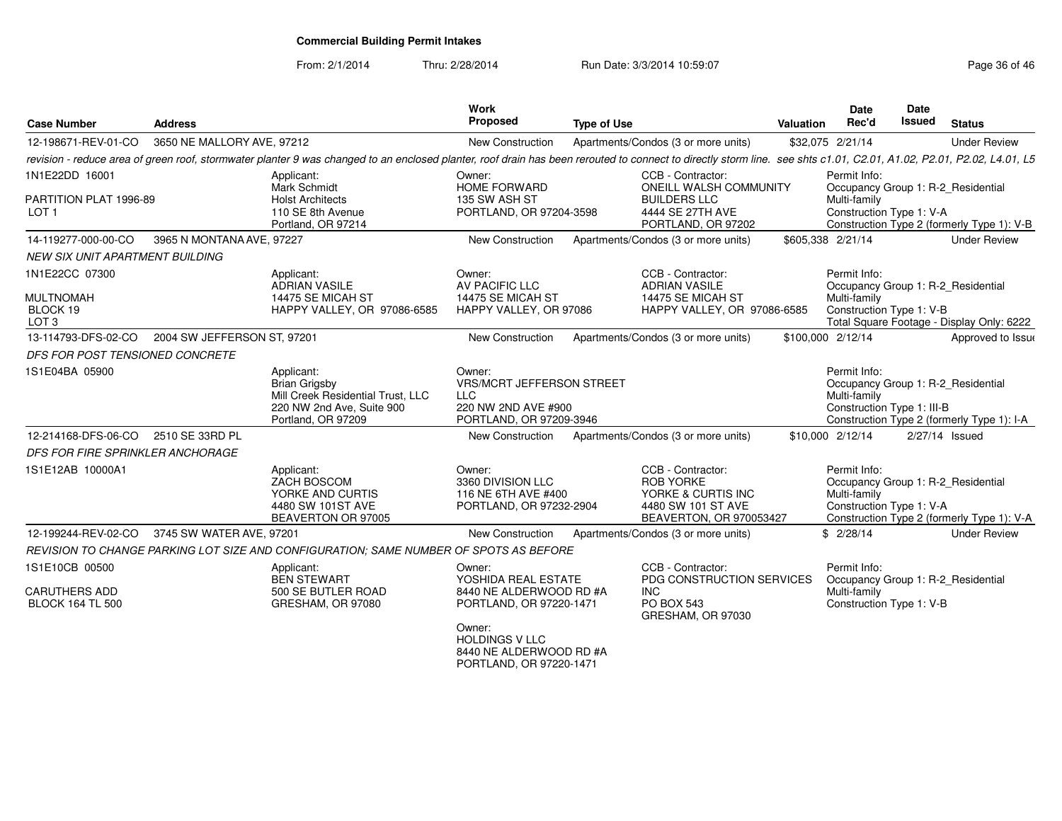From: 2/1/2014Thru: 2/28/2014 Run Date: 3/3/2014 10:59:07 Research 2010 12:08:09 Page 36 of 46

| <b>Case Number</b>                                                 | <b>Address</b>              |                                                                                                                                                                                                                      | <b>Work</b><br>Proposed                                                                             | <b>Type of Use</b> |                                                                                                              | Valuation | <b>Date</b><br>Rec'd                                       | Date<br>Issued | <b>Status</b>                                                                    |
|--------------------------------------------------------------------|-----------------------------|----------------------------------------------------------------------------------------------------------------------------------------------------------------------------------------------------------------------|-----------------------------------------------------------------------------------------------------|--------------------|--------------------------------------------------------------------------------------------------------------|-----------|------------------------------------------------------------|----------------|----------------------------------------------------------------------------------|
| 12-198671-REV-01-CO                                                | 3650 NE MALLORY AVE, 97212  |                                                                                                                                                                                                                      | New Construction                                                                                    |                    | Apartments/Condos (3 or more units)                                                                          |           | \$32,075 2/21/14                                           |                | <b>Under Review</b>                                                              |
|                                                                    |                             | revision - reduce area of green roof, stormwater planter 9 was changed to an enclosed planter, roof drain has been rerouted to connect to directly storm line. see shts c1.01, C2.01, A1.02, P2.01, P2.02, L4.01, L5 |                                                                                                     |                    |                                                                                                              |           |                                                            |                |                                                                                  |
| 1N1E22DD 16001<br>PARTITION PLAT 1996-89<br>LOT 1                  |                             | Applicant:<br>Mark Schmidt<br><b>Holst Architects</b><br>110 SE 8th Avenue<br>Portland, OR 97214                                                                                                                     | Owner:<br><b>HOME FORWARD</b><br>135 SW ASH ST<br>PORTLAND, OR 97204-3598                           |                    | CCB - Contractor:<br>ONEILL WALSH COMMUNITY<br><b>BUILDERS LLC</b><br>4444 SE 27TH AVE<br>PORTLAND, OR 97202 |           | Permit Info:<br>Multi-family<br>Construction Type 1: V-A   |                | Occupancy Group 1: R-2_Residential<br>Construction Type 2 (formerly Type 1): V-B |
| 14-119277-000-00-CO                                                | 3965 N MONTANA AVE, 97227   |                                                                                                                                                                                                                      | <b>New Construction</b>                                                                             |                    | Apartments/Condos (3 or more units)                                                                          |           | \$605,338 2/21/14                                          |                | <b>Under Review</b>                                                              |
| <b>NEW SIX UNIT APARTMENT BUILDING</b>                             |                             |                                                                                                                                                                                                                      |                                                                                                     |                    |                                                                                                              |           |                                                            |                |                                                                                  |
| 1N1E22CC 07300<br><b>MULTNOMAH</b><br>BLOCK 19<br>LOT <sub>3</sub> |                             | Applicant:<br>ADRIAN VASILE<br>14475 SE MICAH ST<br>HAPPY VALLEY, OR 97086-6585                                                                                                                                      | Owner:<br>AV PACIFIC LLC<br>14475 SE MICAH ST<br>HAPPY VALLEY, OR 97086                             |                    | CCB - Contractor:<br><b>ADRIAN VASILE</b><br>14475 SE MICAH ST<br>HAPPY VALLEY, OR 97086-6585                |           | Permit Info:<br>Multi-family<br>Construction Type 1: V-B   |                | Occupancy Group 1: R-2_Residential<br>Total Square Footage - Display Only: 6222  |
| 13-114793-DFS-02-CO                                                | 2004 SW JEFFERSON ST, 97201 |                                                                                                                                                                                                                      | New Construction                                                                                    |                    | Apartments/Condos (3 or more units)                                                                          |           | \$100,000 2/12/14                                          |                | Approved to Issue                                                                |
| DFS FOR POST TENSIONED CONCRETE                                    |                             |                                                                                                                                                                                                                      |                                                                                                     |                    |                                                                                                              |           |                                                            |                |                                                                                  |
| 1S1E04BA 05900                                                     |                             | Applicant:<br><b>Brian Grigsby</b><br>Mill Creek Residential Trust, LLC<br>220 NW 2nd Ave, Suite 900<br>Portland, OR 97209                                                                                           | Owner:<br>VRS/MCRT JEFFERSON STREET<br><b>LLC</b><br>220 NW 2ND AVE #900<br>PORTLAND, OR 97209-3946 |                    |                                                                                                              |           | Permit Info:<br>Multi-family<br>Construction Type 1: III-B |                | Occupancy Group 1: R-2_Residential<br>Construction Type 2 (formerly Type 1): I-A |
| 12-214168-DFS-06-CO 2510 SE 33RD PL                                |                             |                                                                                                                                                                                                                      | New Construction                                                                                    |                    | Apartments/Condos (3 or more units)                                                                          |           | \$10,000 2/12/14                                           | 2/27/14 Issued |                                                                                  |
| DFS FOR FIRE SPRINKLER ANCHORAGE                                   |                             |                                                                                                                                                                                                                      |                                                                                                     |                    |                                                                                                              |           |                                                            |                |                                                                                  |
| 1S1E12AB 10000A1                                                   |                             | Applicant:<br>ZACH BOSCOM<br>YORKE AND CURTIS<br>4480 SW 101ST AVE<br>BEAVERTON OR 97005                                                                                                                             | Owner:<br>3360 DIVISION LLC<br>116 NE 6TH AVE #400<br>PORTLAND, OR 97232-2904                       |                    | CCB - Contractor:<br><b>ROB YORKE</b><br>YORKE & CURTIS INC<br>4480 SW 101 ST AVE<br>BEAVERTON, OR 970053427 |           | Permit Info:<br>Multi-family<br>Construction Type 1: V-A   |                | Occupancy Group 1: R-2 Residential<br>Construction Type 2 (formerly Type 1): V-A |
| 12-199244-REV-02-CO 3745 SW WATER AVE, 97201                       |                             |                                                                                                                                                                                                                      | New Construction                                                                                    |                    | Apartments/Condos (3 or more units)                                                                          |           | \$2/28/14                                                  |                | <b>Under Review</b>                                                              |
|                                                                    |                             | REVISION TO CHANGE PARKING LOT SIZE AND CONFIGURATION: SAME NUMBER OF SPOTS AS BEFORE                                                                                                                                |                                                                                                     |                    |                                                                                                              |           |                                                            |                |                                                                                  |
| 1S1E10CB 00500<br><b>CARUTHERS ADD</b>                             |                             | Applicant:<br><b>BEN STEWART</b><br>500 SE BUTLER ROAD                                                                                                                                                               | Owner:<br>YOSHIDA REAL ESTATE<br>8440 NE ALDERWOOD RD #A                                            |                    | CCB - Contractor:<br>PDG CONSTRUCTION SERVICES<br><b>INC</b>                                                 |           | Permit Info:<br>Multi-family                               |                | Occupancy Group 1: R-2 Residential                                               |
| <b>BLOCK 164 TL 500</b>                                            |                             | GRESHAM, OR 97080                                                                                                                                                                                                    | PORTLAND, OR 97220-1471<br>Owner:<br><b>HOLDINGS V LLC</b><br>8440 NE ALDERWOOD RD #A               |                    | PO BOX 543<br>GRESHAM, OR 97030                                                                              |           | Construction Type 1: V-B                                   |                |                                                                                  |
|                                                                    |                             |                                                                                                                                                                                                                      | PORTLAND, OR 97220-1471                                                                             |                    |                                                                                                              |           |                                                            |                |                                                                                  |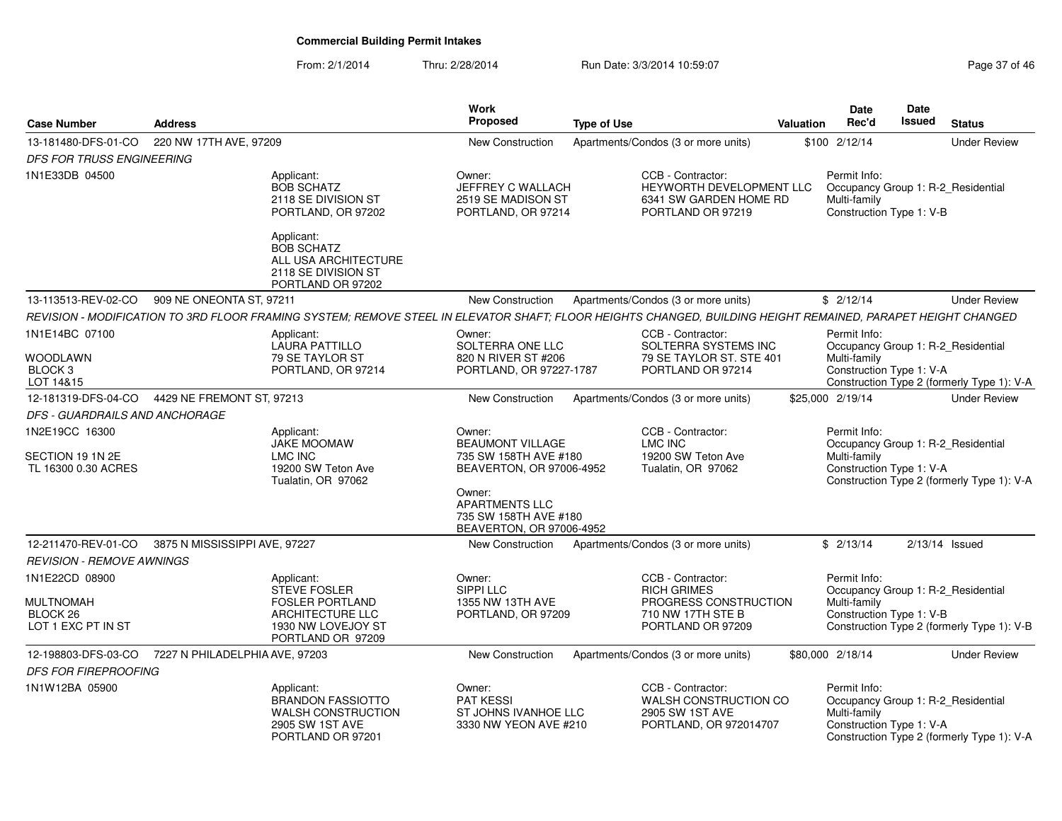From: 2/1/2014Thru: 2/28/2014 Run Date: 3/3/2014 10:59:07 Research 2010 12:08:07 Page 37 of 46

| <b>Case Number</b>                                                   | <b>Address</b>                 |                                                                                                                                                              | Work<br><b>Proposed</b>                                                                                                                                                        | <b>Type of Use</b> |                                                                                                            | <b>Valuation</b> | <b>Date</b><br>Rec'd                                                                           | Date<br>Issued | <b>Status</b>                              |
|----------------------------------------------------------------------|--------------------------------|--------------------------------------------------------------------------------------------------------------------------------------------------------------|--------------------------------------------------------------------------------------------------------------------------------------------------------------------------------|--------------------|------------------------------------------------------------------------------------------------------------|------------------|------------------------------------------------------------------------------------------------|----------------|--------------------------------------------|
| 13-181480-DFS-01-CO                                                  | 220 NW 17TH AVE, 97209         |                                                                                                                                                              | <b>New Construction</b>                                                                                                                                                        |                    | Apartments/Condos (3 or more units)                                                                        |                  | \$100 2/12/14                                                                                  |                | <b>Under Review</b>                        |
| <b>DFS FOR TRUSS ENGINEERING</b>                                     |                                |                                                                                                                                                              |                                                                                                                                                                                |                    |                                                                                                            |                  |                                                                                                |                |                                            |
| 1N1E33DB 04500                                                       |                                | Applicant:<br><b>BOB SCHATZ</b><br>2118 SE DIVISION ST<br>PORTLAND, OR 97202                                                                                 | Owner:<br>JEFFREY C WALLACH<br>2519 SE MADISON ST<br>PORTLAND, OR 97214                                                                                                        |                    | CCB - Contractor:<br>HEYWORTH DEVELOPMENT LLC<br>6341 SW GARDEN HOME RD<br>PORTLAND OR 97219               |                  | Permit Info:<br>Occupancy Group 1: R-2_Residential<br>Multi-family<br>Construction Type 1: V-B |                |                                            |
|                                                                      |                                | Applicant:<br><b>BOB SCHATZ</b><br>ALL USA ARCHITECTURE<br>2118 SE DIVISION ST<br>PORTLAND OR 97202                                                          |                                                                                                                                                                                |                    |                                                                                                            |                  |                                                                                                |                |                                            |
| 13-113513-REV-02-CO                                                  | 909 NE ONEONTA ST, 97211       |                                                                                                                                                              | <b>New Construction</b>                                                                                                                                                        |                    | Apartments/Condos (3 or more units)                                                                        |                  | \$2/12/14                                                                                      |                | <b>Under Review</b>                        |
|                                                                      |                                | REVISION - MODIFICATION TO 3RD FLOOR FRAMING SYSTEM; REMOVE STEEL IN ELEVATOR SHAFT; FLOOR HEIGHTS CHANGED, BUILDING HEIGHT REMAINED, PARAPET HEIGHT CHANGED |                                                                                                                                                                                |                    |                                                                                                            |                  |                                                                                                |                |                                            |
| 1N1E14BC 07100<br>WOODLAWN                                           |                                | Applicant:<br><b>LAURA PATTILLO</b><br>79 SE TAYLOR ST                                                                                                       | Owner:<br>SOLTERRA ONE LLC<br>820 N RIVER ST #206                                                                                                                              |                    | CCB - Contractor:<br>SOLTERRA SYSTEMS INC<br>79 SE TAYLOR ST. STE 401                                      |                  | Permit Info:<br>Occupancy Group 1: R-2_Residential<br>Multi-family                             |                |                                            |
| BLOCK <sub>3</sub>                                                   |                                | PORTLAND, OR 97214                                                                                                                                           | PORTLAND, OR 97227-1787                                                                                                                                                        |                    | PORTLAND OR 97214                                                                                          |                  | Construction Type 1: V-A                                                                       |                |                                            |
| LOT 14&15                                                            |                                |                                                                                                                                                              |                                                                                                                                                                                |                    |                                                                                                            |                  |                                                                                                |                | Construction Type 2 (formerly Type 1): V-A |
| 12-181319-DFS-04-CO                                                  | 4429 NE FREMONT ST, 97213      |                                                                                                                                                              | New Construction                                                                                                                                                               |                    | Apartments/Condos (3 or more units)                                                                        |                  | \$25,000 2/19/14                                                                               |                | <b>Under Review</b>                        |
| DFS - GUARDRAILS AND ANCHORAGE                                       |                                |                                                                                                                                                              |                                                                                                                                                                                |                    |                                                                                                            |                  |                                                                                                |                |                                            |
| 1N2E19CC 16300<br>SECTION 19 1N 2E<br>TL 16300 0.30 ACRES            |                                | Applicant:<br><b>JAKE MOOMAW</b><br><b>LMC INC</b><br>19200 SW Teton Ave<br>Tualatin, OR 97062                                                               | Owner:<br><b>BEAUMONT VILLAGE</b><br>735 SW 158TH AVE #180<br>BEAVERTON, OR 97006-4952<br>Owner:<br><b>APARTMENTS LLC</b><br>735 SW 158TH AVE #180<br>BEAVERTON, OR 97006-4952 |                    | CCB - Contractor:<br>LMC INC<br>19200 SW Teton Ave<br>Tualatin, OR 97062                                   |                  | Permit Info:<br>Occupancy Group 1: R-2_Residential<br>Multi-family<br>Construction Type 1: V-A |                | Construction Type 2 (formerly Type 1): V-A |
| 12-211470-REV-01-CO                                                  | 3875 N MISSISSIPPI AVE, 97227  |                                                                                                                                                              | New Construction                                                                                                                                                               |                    | Apartments/Condos (3 or more units)                                                                        |                  | \$2/13/14                                                                                      |                | $2/13/14$ Issued                           |
| <b>REVISION - REMOVE AWNINGS</b>                                     |                                |                                                                                                                                                              |                                                                                                                                                                                |                    |                                                                                                            |                  |                                                                                                |                |                                            |
| 1N1E22CD 08900<br><b>MULTNOMAH</b><br>BLOCK 26<br>LOT 1 EXC PT IN ST |                                | Applicant:<br>STEVE FOSLER<br><b>FOSLER PORTLAND</b><br>ARCHITECTURE LLC<br>1930 NW LOVEJOY ST<br>PORTLAND OR 97209                                          | Owner:<br>SIPPI LLC<br>1355 NW 13TH AVE<br>PORTLAND, OR 97209                                                                                                                  |                    | CCB - Contractor:<br><b>RICH GRIMES</b><br>PROGRESS CONSTRUCTION<br>710 NW 17TH STE B<br>PORTLAND OR 97209 |                  | Permit Info:<br>Occupancy Group 1: R-2_Residential<br>Multi-family<br>Construction Type 1: V-B |                | Construction Type 2 (formerly Type 1): V-B |
| 12-198803-DFS-03-CO                                                  | 7227 N PHILADELPHIA AVE, 97203 |                                                                                                                                                              | <b>New Construction</b>                                                                                                                                                        |                    | Apartments/Condos (3 or more units)                                                                        |                  | \$80,000 2/18/14                                                                               |                | <b>Under Review</b>                        |
| <b>DFS FOR FIREPROOFING</b>                                          |                                |                                                                                                                                                              |                                                                                                                                                                                |                    |                                                                                                            |                  |                                                                                                |                |                                            |
| 1N1W12BA 05900                                                       |                                | Applicant:<br><b>BRANDON FASSIOTTO</b><br><b>WALSH CONSTRUCTION</b><br>2905 SW 1ST AVE<br>PORTLAND OR 97201                                                  | Owner:<br>PAT KESSI<br>ST JOHNS IVANHOE LLC<br>3330 NW YEON AVE #210                                                                                                           |                    | CCB - Contractor:<br>WALSH CONSTRUCTION CO<br>2905 SW 1ST AVE<br>PORTLAND, OR 972014707                    |                  | Permit Info:<br>Occupancy Group 1: R-2_Residential<br>Multi-family<br>Construction Type 1: V-A |                | Construction Type 2 (formerly Type 1): V-A |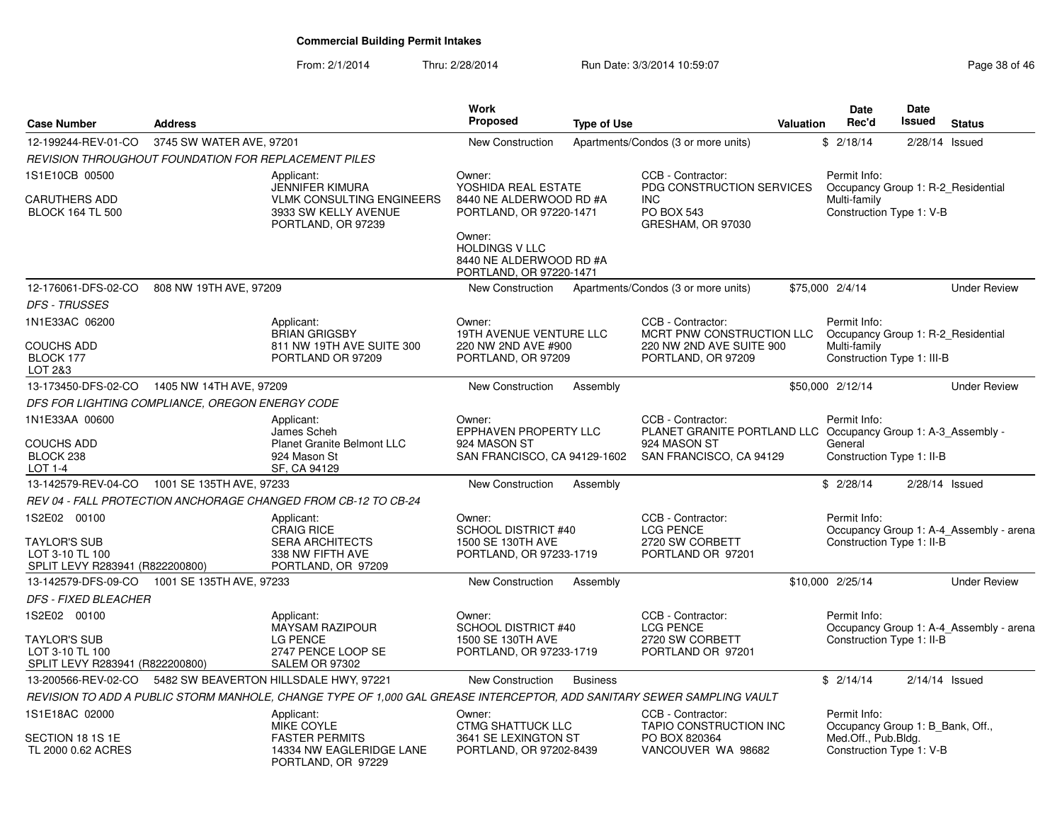From: 2/1/2014Thru: 2/28/2014 Run Date: 3/3/2014 10:59:07 Research 2010 12:08:09 Page 38 of 46

| <b>Case Number</b>                                                                        | <b>Address</b>           |                                                                                                                        | <b>Work</b><br><b>Proposed</b>                                                                                                                                               | <b>Type of Use</b> |                                                                                                                               | <b>Valuation</b> | <b>Date</b><br>Rec'd                                                                                | Date<br><b>Issued</b> | <b>Status</b>                           |
|-------------------------------------------------------------------------------------------|--------------------------|------------------------------------------------------------------------------------------------------------------------|------------------------------------------------------------------------------------------------------------------------------------------------------------------------------|--------------------|-------------------------------------------------------------------------------------------------------------------------------|------------------|-----------------------------------------------------------------------------------------------------|-----------------------|-----------------------------------------|
| 12-199244-REV-01-CO                                                                       | 3745 SW WATER AVE, 97201 |                                                                                                                        | New Construction                                                                                                                                                             |                    | Apartments/Condos (3 or more units)                                                                                           |                  | \$2/18/14                                                                                           | 2/28/14               | Issued                                  |
| REVISION THROUGHOUT FOUNDATION FOR REPLACEMENT PILES                                      |                          |                                                                                                                        |                                                                                                                                                                              |                    |                                                                                                                               |                  |                                                                                                     |                       |                                         |
| 1S1E10CB 00500<br><b>CARUTHERS ADD</b><br><b>BLOCK 164 TL 500</b>                         |                          | Applicant:<br><b>JENNIFER KIMURA</b><br><b>VLMK CONSULTING ENGINEERS</b><br>3933 SW KELLY AVENUE<br>PORTLAND, OR 97239 | Owner:<br>YOSHIDA REAL ESTATE<br>8440 NE ALDERWOOD RD #A<br>PORTLAND, OR 97220-1471<br>Owner:<br><b>HOLDINGS V LLC</b><br>8440 NE ALDERWOOD RD #A<br>PORTLAND, OR 97220-1471 |                    | CCB - Contractor:<br>PDG CONSTRUCTION SERVICES<br><b>INC</b><br><b>PO BOX 543</b><br>GRESHAM, OR 97030                        |                  | Permit Info:<br>Occupancy Group 1: R-2 Residential<br>Multi-family<br>Construction Type 1: V-B      |                       |                                         |
| 12-176061-DFS-02-CO                                                                       | 808 NW 19TH AVE, 97209   |                                                                                                                        | New Construction                                                                                                                                                             |                    | Apartments/Condos (3 or more units)                                                                                           |                  | \$75,000 2/4/14                                                                                     |                       | <b>Under Review</b>                     |
| <b>DFS - TRUSSES</b>                                                                      |                          |                                                                                                                        |                                                                                                                                                                              |                    |                                                                                                                               |                  |                                                                                                     |                       |                                         |
| 1N1E33AC 06200<br><b>COUCHS ADD</b><br>BLOCK 177<br>LOT 2&3                               |                          | Applicant:<br><b>BRIAN GRIGSBY</b><br>811 NW 19TH AVE SUITE 300<br>PORTLAND OR 97209                                   | Owner:<br>19TH AVENUE VENTURE LLC<br>220 NW 2ND AVE #900<br>PORTLAND, OR 97209                                                                                               |                    | CCB - Contractor:<br>MCRT PNW CONSTRUCTION LLC<br>220 NW 2ND AVE SUITE 900<br>PORTLAND, OR 97209                              |                  | Permit Info:<br>Occupancy Group 1: R-2 Residential<br>Multi-family<br>Construction Type 1: III-B    |                       |                                         |
| 13-173450-DFS-02-CO                                                                       | 1405 NW 14TH AVE, 97209  |                                                                                                                        | <b>New Construction</b>                                                                                                                                                      | Assembly           |                                                                                                                               |                  | \$50,000 2/12/14                                                                                    |                       | <b>Under Review</b>                     |
| DFS FOR LIGHTING COMPLIANCE, OREGON ENERGY CODE                                           |                          |                                                                                                                        |                                                                                                                                                                              |                    |                                                                                                                               |                  |                                                                                                     |                       |                                         |
| 1N1E33AA 00600<br><b>COUCHS ADD</b><br>BLOCK <sub>238</sub><br>LOT 1-4                    |                          | Applicant:<br>James Scheh<br><b>Planet Granite Belmont LLC</b><br>924 Mason St<br>SF, CA 94129                         | Owner:<br>EPPHAVEN PROPERTY LLC<br>924 MASON ST<br>SAN FRANCISCO, CA 94129-1602                                                                                              |                    | CCB - Contractor:<br>PLANET GRANITE PORTLAND LLC Occupancy Group 1: A-3 Assembly -<br>924 MASON ST<br>SAN FRANCISCO, CA 94129 |                  | Permit Info:<br>General<br>Construction Type 1: II-B                                                |                       |                                         |
| 13-142579-REV-04-CO 1001 SE 135TH AVE, 97233                                              |                          |                                                                                                                        | New Construction                                                                                                                                                             | Assembly           |                                                                                                                               |                  | \$2/28/14                                                                                           | $2/28/14$ Issued      |                                         |
|                                                                                           |                          | REV 04 - FALL PROTECTION ANCHORAGE CHANGED FROM CB-12 TO CB-24                                                         |                                                                                                                                                                              |                    |                                                                                                                               |                  |                                                                                                     |                       |                                         |
| 1S2E02 00100<br><b>TAYLOR'S SUB</b><br>LOT 3-10 TL 100<br>SPLIT LEVY R283941 (R822200800) |                          | Applicant:<br><b>CRAIG RICE</b><br><b>SERA ARCHITECTS</b><br>338 NW FIFTH AVE<br>PORTLAND, OR 97209                    | Owner:<br><b>SCHOOL DISTRICT #40</b><br>1500 SE 130TH AVE<br>PORTLAND, OR 97233-1719                                                                                         |                    | CCB - Contractor:<br><b>LCG PENCE</b><br>2720 SW CORBETT<br>PORTLAND OR 97201                                                 |                  | Permit Info:<br>Construction Type 1: II-B                                                           |                       | Occupancy Group 1: A-4_Assembly - arena |
| 13-142579-DFS-09-CO                                                                       | 1001 SE 135TH AVE, 97233 |                                                                                                                        | <b>New Construction</b>                                                                                                                                                      | Assembly           |                                                                                                                               |                  | \$10,000 2/25/14                                                                                    |                       | <b>Under Review</b>                     |
| <b>DFS - FIXED BLEACHER</b>                                                               |                          |                                                                                                                        |                                                                                                                                                                              |                    |                                                                                                                               |                  |                                                                                                     |                       |                                         |
| 1S2E02 00100<br><b>TAYLOR'S SUB</b><br>LOT 3-10 TL 100<br>SPLIT LEVY R283941 (R822200800) |                          | Applicant:<br><b>MAYSAM RAZIPOUR</b><br><b>LG PENCE</b><br>2747 PENCE LOOP SE<br><b>SALEM OR 97302</b>                 | Owner:<br><b>SCHOOL DISTRICT #40</b><br>1500 SE 130TH AVE<br>PORTLAND, OR 97233-1719                                                                                         |                    | CCB - Contractor:<br><b>LCG PENCE</b><br>2720 SW CORBETT<br>PORTLAND OR 97201                                                 |                  | Permit Info:<br>Construction Type 1: II-B                                                           |                       | Occupancy Group 1: A-4_Assembly - arena |
| 13-200566-REV-02-CO                                                                       |                          | 5482 SW BEAVERTON HILLSDALE HWY, 97221                                                                                 | New Construction                                                                                                                                                             | <b>Business</b>    |                                                                                                                               |                  | \$2/14/14                                                                                           | $2/14/14$ Issued      |                                         |
|                                                                                           |                          | REVISION TO ADD A PUBLIC STORM MANHOLE, CHANGE TYPE OF 1,000 GAL GREASE INTERCEPTOR, ADD SANITARY SEWER SAMPLING VAULT |                                                                                                                                                                              |                    |                                                                                                                               |                  |                                                                                                     |                       |                                         |
| 1S1E18AC 02000<br>SECTION 18 1S 1E<br>TL 2000 0.62 ACRES                                  |                          | Applicant:<br><b>MIKE COYLE</b><br><b>FASTER PERMITS</b><br>14334 NW EAGLERIDGE LANE<br>PORTLAND, OR 97229             | Owner:<br><b>CTMG SHATTUCK LLC</b><br>3641 SE LEXINGTON ST<br>PORTLAND, OR 97202-8439                                                                                        |                    | CCB - Contractor:<br>TAPIO CONSTRUCTION INC<br>PO BOX 820364<br>VANCOUVER WA 98682                                            |                  | Permit Info:<br>Occupancy Group 1: B Bank, Off.,<br>Med.Off., Pub.Bldg.<br>Construction Type 1: V-B |                       |                                         |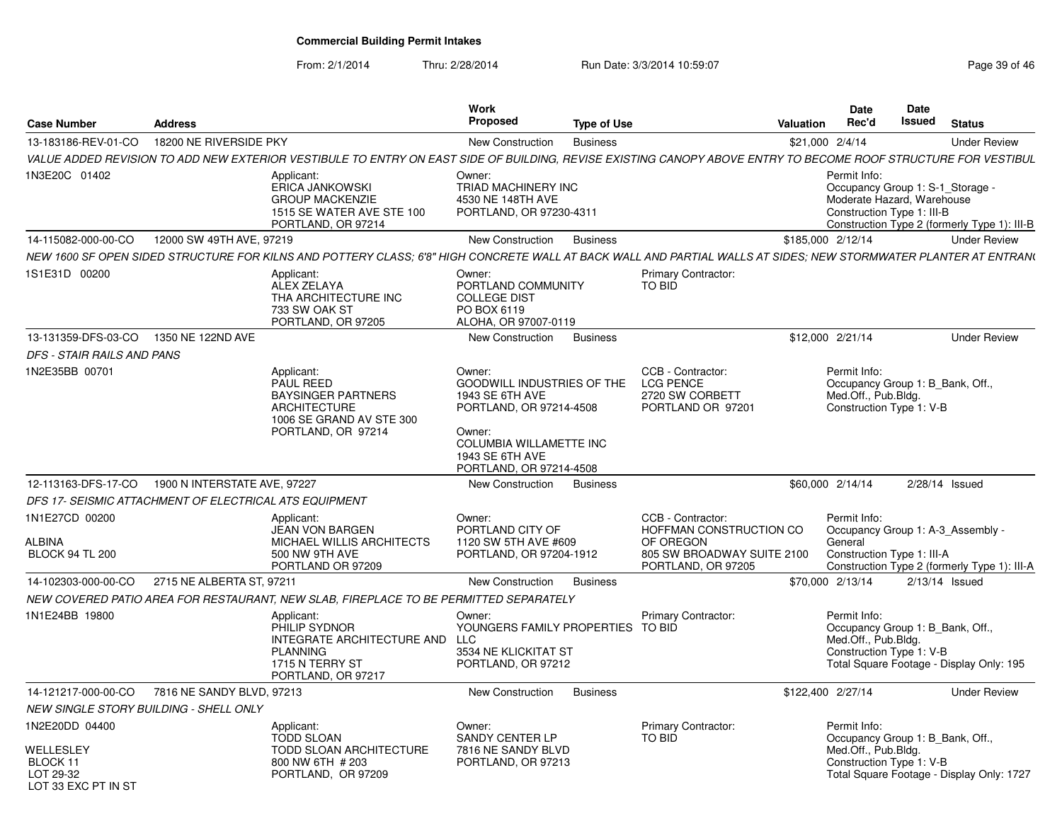From: 2/1/2014

Thru: 2/28/2014 **Run Date: 3/3/2014 10:59:07 Page 3/3/2014 10:59:07** 

| Page 39 of 46 |  |  |  |  |
|---------------|--|--|--|--|
|---------------|--|--|--|--|

| <b>Case Number</b>                                        | <b>Address</b>               |                                                                                                                                                                  | Work<br>Proposed                                                                                                                                  | <b>Type of Use</b> |                                                                               | <b>Valuation</b>  | Date<br>Rec'd                                                                                                | Date<br><b>Issued</b> | <b>Status</b>                                |
|-----------------------------------------------------------|------------------------------|------------------------------------------------------------------------------------------------------------------------------------------------------------------|---------------------------------------------------------------------------------------------------------------------------------------------------|--------------------|-------------------------------------------------------------------------------|-------------------|--------------------------------------------------------------------------------------------------------------|-----------------------|----------------------------------------------|
| 13-183186-REV-01-CO                                       | 18200 NE RIVERSIDE PKY       |                                                                                                                                                                  | New Construction                                                                                                                                  | <b>Business</b>    |                                                                               | \$21,000 2/4/14   |                                                                                                              |                       | <b>Under Review</b>                          |
|                                                           |                              | VALUE ADDED REVISION TO ADD NEW EXTERIOR VESTIBULE TO ENTRY ON EAST SIDE OF BUILDING. REVISE EXISTING CANOPY ABOVE ENTRY TO BECOME ROOF STRUCTURE FOR VESTIBUL   |                                                                                                                                                   |                    |                                                                               |                   |                                                                                                              |                       |                                              |
| 1N3E20C 01402                                             |                              | Applicant:<br><b>ERICA JANKOWSKI</b><br><b>GROUP MACKENZIE</b><br>1515 SE WATER AVE STE 100<br>PORTLAND, OR 97214                                                | Owner:<br>TRIAD MACHINERY INC<br>4530 NE 148TH AVE<br>PORTLAND, OR 97230-4311                                                                     |                    |                                                                               |                   | Permit Info:<br>Occupancy Group 1: S-1_Storage -<br>Moderate Hazard, Warehouse<br>Construction Type 1: III-B |                       | Construction Type 2 (formerly Type 1): III-B |
| 14-115082-000-00-CO                                       | 12000 SW 49TH AVE, 97219     |                                                                                                                                                                  | New Construction                                                                                                                                  | <b>Business</b>    |                                                                               | \$185,000 2/12/14 |                                                                                                              |                       | <b>Under Review</b>                          |
|                                                           |                              | NEW 1600 SF OPEN SIDED STRUCTURE FOR KILNS AND POTTERY CLASS; 6'8" HIGH CONCRETE WALL AT BACK WALL AND PARTIAL WALLS AT SIDES; NEW STORMWATER PLANTER AT ENTRAN( |                                                                                                                                                   |                    |                                                                               |                   |                                                                                                              |                       |                                              |
| 1S1E31D 00200                                             |                              | Applicant:<br>ALEX ZELAYA<br>THA ARCHITECTURE INC<br>733 SW OAK ST<br>PORTLAND, OR 97205                                                                         | Owner:<br>PORTLAND COMMUNITY<br><b>COLLEGE DIST</b><br>PO BOX 6119<br>ALOHA, OR 97007-0119                                                        |                    | Primary Contractor:<br><b>TO BID</b>                                          |                   |                                                                                                              |                       |                                              |
| 13-131359-DFS-03-CO                                       | 1350 NE 122ND AVE            |                                                                                                                                                                  | New Construction                                                                                                                                  | <b>Business</b>    |                                                                               |                   | \$12,000 2/21/14                                                                                             |                       | <b>Under Review</b>                          |
| DFS - STAIR RAILS AND PANS                                |                              |                                                                                                                                                                  |                                                                                                                                                   |                    |                                                                               |                   |                                                                                                              |                       |                                              |
| 1N2E35BB 00701                                            |                              | Applicant:<br><b>PAUL REED</b><br><b>BAYSINGER PARTNERS</b><br><b>ARCHITECTURE</b><br>1006 SE GRAND AV STE 300<br>PORTLAND, OR 97214                             | Owner:<br><b>GOODWILL INDUSTRIES OF THE</b><br>1943 SE 6TH AVE<br>PORTLAND, OR 97214-4508<br>Owner:<br>COLUMBIA WILLAMETTE INC<br>1943 SE 6TH AVE |                    | CCB - Contractor:<br><b>LCG PENCE</b><br>2720 SW CORBETT<br>PORTLAND OR 97201 |                   | Permit Info:<br>Occupancy Group 1: B Bank, Off.,<br>Med.Off., Pub.Bldg.<br>Construction Type 1: V-B          |                       |                                              |
|                                                           |                              |                                                                                                                                                                  | PORTLAND, OR 97214-4508                                                                                                                           |                    |                                                                               |                   |                                                                                                              |                       |                                              |
| 12-113163-DFS-17-CO                                       | 1900 N INTERSTATE AVE, 97227 |                                                                                                                                                                  | New Construction                                                                                                                                  | <b>Business</b>    |                                                                               |                   | \$60,000 2/14/14                                                                                             |                       | 2/28/14 Issued                               |
| DFS 17- SEISMIC ATTACHMENT OF ELECTRICAL ATS EQUIPMENT    |                              |                                                                                                                                                                  |                                                                                                                                                   |                    |                                                                               |                   |                                                                                                              |                       |                                              |
| 1N1E27CD 00200<br><b>ALBINA</b>                           |                              | Applicant:<br><b>JEAN VON BARGEN</b><br>MICHAEL WILLIS ARCHITECTS                                                                                                | Owner:<br>PORTLAND CITY OF<br>1120 SW 5TH AVE #609                                                                                                |                    | CCB - Contractor:<br>HOFFMAN CONSTRUCTION CO<br>OF OREGON                     |                   | Permit Info:<br>Occupancy Group 1: A-3_Assembly -<br>General                                                 |                       |                                              |
| <b>BLOCK 94 TL 200</b>                                    |                              | 500 NW 9TH AVE<br>PORTLAND OR 97209                                                                                                                              | PORTLAND, OR 97204-1912                                                                                                                           |                    | 805 SW BROADWAY SUITE 2100<br>PORTLAND, OR 97205                              |                   | Construction Type 1: III-A                                                                                   |                       | Construction Type 2 (formerly Type 1): III-A |
| 14-102303-000-00-CO                                       | 2715 NE ALBERTA ST, 97211    |                                                                                                                                                                  | New Construction                                                                                                                                  | <b>Business</b>    |                                                                               |                   | \$70,000 2/13/14                                                                                             |                       | $2/13/14$ Issued                             |
|                                                           |                              | NEW COVERED PATIO AREA FOR RESTAURANT, NEW SLAB, FIREPLACE TO BE PERMITTED SEPARATELY                                                                            |                                                                                                                                                   |                    |                                                                               |                   |                                                                                                              |                       |                                              |
| 1N1E24BB 19800                                            |                              | Applicant:<br>PHILIP SYDNOR<br>INTEGRATE ARCHITECTURE AND<br><b>PLANNING</b><br>1715 N TERRY ST<br>PORTLAND, OR 97217                                            | Owner:<br>YOUNGERS FAMILY PROPERTIES TO BID<br><b>LLC</b><br>3534 NE KLICKITAT ST<br>PORTLAND, OR 97212                                           |                    | <b>Primary Contractor:</b>                                                    |                   | Permit Info:<br>Occupancy Group 1: B Bank, Off.,<br>Med.Off., Pub.Bldg.<br>Construction Type 1: V-B          |                       | Total Square Footage - Display Only: 195     |
| 14-121217-000-00-CO                                       | 7816 NE SANDY BLVD, 97213    |                                                                                                                                                                  | New Construction                                                                                                                                  | <b>Business</b>    |                                                                               | \$122,400 2/27/14 |                                                                                                              |                       | <b>Under Review</b>                          |
| NEW SINGLE STORY BUILDING - SHELL ONLY                    |                              |                                                                                                                                                                  |                                                                                                                                                   |                    |                                                                               |                   |                                                                                                              |                       |                                              |
| 1N2E20DD 04400                                            |                              | Applicant:<br><b>TODD SLOAN</b>                                                                                                                                  | Owner:<br><b>SANDY CENTER LP</b>                                                                                                                  |                    | Primary Contractor:<br>TO BID                                                 |                   | Permit Info:<br>Occupancy Group 1: B Bank, Off.,                                                             |                       |                                              |
| WELLESLEY<br>BLOCK 11<br>LOT 29-32<br>LOT 33 FXC PT IN ST |                              | <b>TODD SLOAN ARCHITECTURE</b><br>800 NW 6TH # 203<br>PORTLAND, OR 97209                                                                                         | 7816 NE SANDY BLVD<br>PORTLAND, OR 97213                                                                                                          |                    |                                                                               |                   | Med.Off., Pub.Blda.<br>Construction Type 1: V-B                                                              |                       | Total Square Footage - Display Only: 1727    |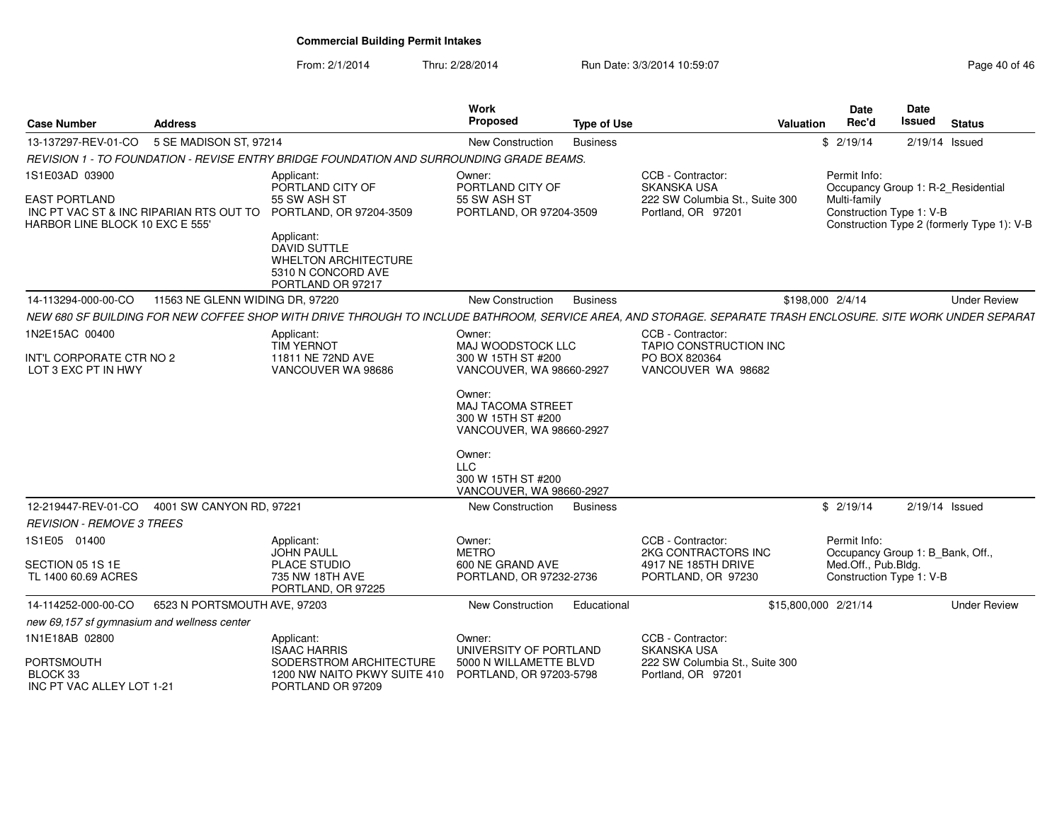From: 2/1/2014

Thru: 2/28/2014 Run Date: 3/3/2014 10:59:07 Research 2010 146

| <b>Case Number</b>                                                                                                   | Address                         |                                                                                                                                                                                          | <b>Work</b><br>Proposed                                                                                                                                                                                                                  | <b>Type of Use</b> | <b>Valuation</b>                                                                                | <b>Date</b><br>Rec'd                | Date<br>Issued                                                 | <b>Status</b>                              |
|----------------------------------------------------------------------------------------------------------------------|---------------------------------|------------------------------------------------------------------------------------------------------------------------------------------------------------------------------------------|------------------------------------------------------------------------------------------------------------------------------------------------------------------------------------------------------------------------------------------|--------------------|-------------------------------------------------------------------------------------------------|-------------------------------------|----------------------------------------------------------------|--------------------------------------------|
| 13-137297-REV-01-CO                                                                                                  | 5 SE MADISON ST, 97214          |                                                                                                                                                                                          | New Construction                                                                                                                                                                                                                         | <b>Business</b>    |                                                                                                 | \$2/19/14                           |                                                                | 2/19/14 Issued                             |
|                                                                                                                      |                                 | REVISION 1 - TO FOUNDATION - REVISE ENTRY BRIDGE FOUNDATION AND SURROUNDING GRADE BEAMS.                                                                                                 |                                                                                                                                                                                                                                          |                    |                                                                                                 |                                     |                                                                |                                            |
| 1S1E03AD 03900<br><b>EAST PORTLAND</b><br>INC PT VAC ST & INC RIPARIAN RTS OUT TO<br>HARBOR LINE BLOCK 10 EXC E 555' |                                 | Applicant:<br>PORTLAND CITY OF<br>55 SW ASH ST<br>PORTLAND, OR 97204-3509<br>Applicant:<br><b>DAVID SUTTLE</b><br><b>WHELTON ARCHITECTURE</b><br>5310 N CONCORD AVE<br>PORTLAND OR 97217 | Owner:<br>PORTLAND CITY OF<br>55 SW ASH ST<br>PORTLAND, OR 97204-3509                                                                                                                                                                    |                    | CCB - Contractor:<br><b>SKANSKA USA</b><br>222 SW Columbia St., Suite 300<br>Portland, OR 97201 | Permit Info:<br>Multi-family        | Occupancy Group 1: R-2 Residential<br>Construction Type 1: V-B | Construction Type 2 (formerly Type 1): V-B |
| 14-113294-000-00-CO                                                                                                  | 11563 NE GLENN WIDING DR, 97220 |                                                                                                                                                                                          | New Construction                                                                                                                                                                                                                         | <b>Business</b>    |                                                                                                 | \$198,000 2/4/14                    |                                                                | <b>Under Review</b>                        |
|                                                                                                                      |                                 | NEW 680 SF BUILDING FOR NEW COFFEE SHOP WITH DRIVE THROUGH TO INCLUDE BATHROOM, SERVICE AREA, AND STORAGE. SEPARATE TRASH ENCLOSURE. SITE WORK UNDER SEPARAT                             |                                                                                                                                                                                                                                          |                    |                                                                                                 |                                     |                                                                |                                            |
| 1N2E15AC 00400<br>INT'L CORPORATE CTR NO 2<br>LOT 3 EXC PT IN HWY                                                    |                                 | Applicant:<br><b>TIM YERNOT</b><br>11811 NE 72ND AVE<br>VANCOUVER WA 98686                                                                                                               | Owner:<br>MAJ WOODSTOCK LLC<br>300 W 15TH ST #200<br>VANCOUVER, WA 98660-2927<br>Owner:<br>MAJ TACOMA STREET<br>300 W 15TH ST #200<br>VANCOUVER, WA 98660-2927<br>Owner:<br><b>LLC</b><br>300 W 15TH ST #200<br>VANCOUVER, WA 98660-2927 |                    | CCB - Contractor:<br>TAPIO CONSTRUCTION INC<br>PO BOX 820364<br>VANCOUVER WA 98682              |                                     |                                                                |                                            |
| 12-219447-REV-01-CO                                                                                                  | 4001 SW CANYON RD, 97221        |                                                                                                                                                                                          | New Construction                                                                                                                                                                                                                         | <b>Business</b>    |                                                                                                 | \$2/19/14                           |                                                                | $2/19/14$ Issued                           |
| <b>REVISION - REMOVE 3 TREES</b>                                                                                     |                                 |                                                                                                                                                                                          |                                                                                                                                                                                                                                          |                    |                                                                                                 |                                     |                                                                |                                            |
| 1S1E05 01400<br>SECTION 05 1S 1E<br>TL 1400 60.69 ACRES                                                              |                                 | Applicant:<br><b>JOHN PAULL</b><br><b>PLACE STUDIO</b><br>735 NW 18TH AVE<br>PORTLAND, OR 97225                                                                                          | Owner:<br><b>METRO</b><br>600 NE GRAND AVE<br>PORTLAND, OR 97232-2736                                                                                                                                                                    |                    | CCB - Contractor:<br>2KG CONTRACTORS INC<br>4917 NE 185TH DRIVE<br>PORTLAND, OR 97230           | Permit Info:<br>Med.Off., Pub.Bldg. | Occupancy Group 1: B_Bank, Off.,<br>Construction Type 1: V-B   |                                            |
| 14-114252-000-00-CO                                                                                                  | 6523 N PORTSMOUTH AVE, 97203    |                                                                                                                                                                                          | <b>New Construction</b>                                                                                                                                                                                                                  | Educational        |                                                                                                 | \$15,800,000 2/21/14                |                                                                | <b>Under Review</b>                        |
| new 69,157 sf gymnasium and wellness center                                                                          |                                 |                                                                                                                                                                                          |                                                                                                                                                                                                                                          |                    |                                                                                                 |                                     |                                                                |                                            |
| 1N1E18AB 02800<br><b>PORTSMOUTH</b>                                                                                  |                                 | Applicant:<br><b>ISAAC HARRIS</b><br>SODERSTROM ARCHITECTURE                                                                                                                             | Owner:<br>UNIVERSITY OF PORTLAND<br>5000 N WILLAMETTE BLVD                                                                                                                                                                               |                    | CCB - Contractor:<br><b>SKANSKA USA</b><br>222 SW Columbia St., Suite 300                       |                                     |                                                                |                                            |
| BLOCK 33<br>INC PT VAC ALLEY LOT 1-21                                                                                |                                 | 1200 NW NAITO PKWY SUITE 410<br>PORTLAND OR 97209                                                                                                                                        | PORTLAND, OR 97203-5798                                                                                                                                                                                                                  |                    | Portland, OR 97201                                                                              |                                     |                                                                |                                            |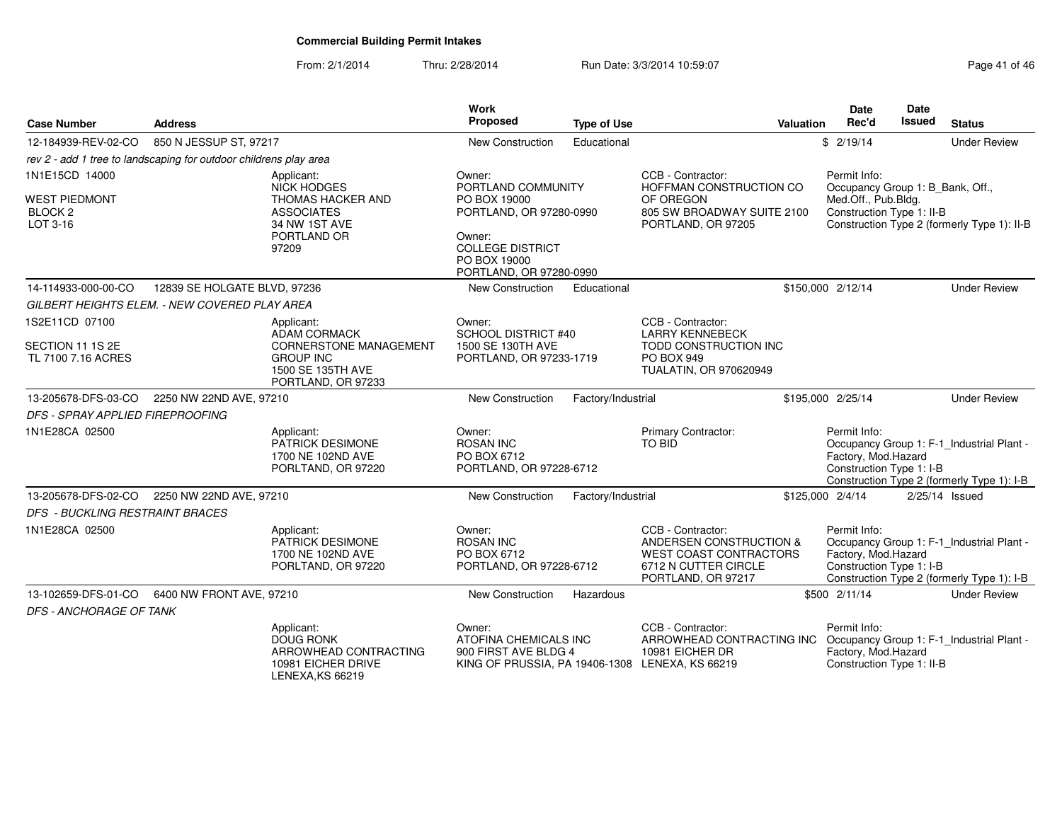From: 2/1/2014Thru: 2/28/2014 Run Date: 3/3/2014 10:59:07 Research 2010 12:08:09 Page 41 of 46

| <b>Case Number</b>                                                | <b>Address</b>               |                                                                                                   | Work<br>Proposed                                                                                           | <b>Type of Use</b> | Valuation                                                                                                                   | <b>Date</b><br>Rec'd                                             | Date<br><b>Issued</b> | <b>Status</b>                                                                           |
|-------------------------------------------------------------------|------------------------------|---------------------------------------------------------------------------------------------------|------------------------------------------------------------------------------------------------------------|--------------------|-----------------------------------------------------------------------------------------------------------------------------|------------------------------------------------------------------|-----------------------|-----------------------------------------------------------------------------------------|
| 12-184939-REV-02-CO                                               | 850 N JESSUP ST, 97217       |                                                                                                   | New Construction                                                                                           | Educational        |                                                                                                                             | \$2/19/14                                                        |                       | <b>Under Review</b>                                                                     |
| rev 2 - add 1 tree to landscaping for outdoor childrens play area |                              |                                                                                                   |                                                                                                            |                    |                                                                                                                             |                                                                  |                       |                                                                                         |
| 1N1E15CD 14000                                                    |                              | Applicant:<br><b>NICK HODGES</b>                                                                  | Owner:<br>PORTLAND COMMUNITY                                                                               |                    | CCB - Contractor:<br>HOFFMAN CONSTRUCTION CO                                                                                | Permit Info:<br>Occupancy Group 1: B_Bank, Off.,                 |                       |                                                                                         |
| <b>WEST PIEDMONT</b><br>BLOCK <sub>2</sub><br>LOT 3-16            |                              | THOMAS HACKER AND<br><b>ASSOCIATES</b><br>34 NW 1ST AVE<br>PORTLAND OR<br>97209                   | PO BOX 19000<br>PORTLAND, OR 97280-0990<br>Owner:<br><b>COLLEGE DISTRICT</b><br>PO BOX 19000               |                    | OF OREGON<br>805 SW BROADWAY SUITE 2100<br>PORTLAND, OR 97205                                                               | Med.Off., Pub.Bldg.<br>Construction Type 1: II-B                 |                       | Construction Type 2 (formerly Type 1): II-B                                             |
|                                                                   |                              |                                                                                                   | PORTLAND, OR 97280-0990                                                                                    |                    |                                                                                                                             |                                                                  |                       |                                                                                         |
| 14-114933-000-00-CO                                               | 12839 SE HOLGATE BLVD, 97236 |                                                                                                   | New Construction                                                                                           | Educational        |                                                                                                                             | \$150,000 2/12/14                                                |                       | <b>Under Review</b>                                                                     |
| GILBERT HEIGHTS ELEM. - NEW COVERED PLAY AREA                     |                              |                                                                                                   |                                                                                                            |                    |                                                                                                                             |                                                                  |                       |                                                                                         |
| 1S2E11CD 07100                                                    |                              | Applicant:<br><b>ADAM CORMACK</b>                                                                 | Owner:<br>SCHOOL DISTRICT #40                                                                              |                    | CCB - Contractor:<br><b>LARRY KENNEBECK</b>                                                                                 |                                                                  |                       |                                                                                         |
| SECTION 11 1S 2E<br>TL 7100 7.16 ACRES                            |                              | <b>CORNERSTONE MANAGEMENT</b><br><b>GROUP INC</b><br>1500 SE 135TH AVE<br>PORTLAND, OR 97233      | 1500 SE 130TH AVE<br>PORTLAND, OR 97233-1719                                                               |                    | TODD CONSTRUCTION INC<br>PO BOX 949<br>TUALATIN, OR 970620949                                                               |                                                                  |                       |                                                                                         |
| 13-205678-DFS-03-CO                                               | 2250 NW 22ND AVE, 97210      |                                                                                                   | New Construction                                                                                           | Factory/Industrial |                                                                                                                             | \$195,000 2/25/14                                                |                       | <b>Under Review</b>                                                                     |
| DFS - SPRAY APPLIED FIREPROOFING                                  |                              |                                                                                                   |                                                                                                            |                    |                                                                                                                             |                                                                  |                       |                                                                                         |
| 1N1E28CA 02500                                                    |                              | Applicant:<br>PATRICK DESIMONE<br>1700 NE 102ND AVE<br>PORLTAND, OR 97220                         | Owner:<br><b>ROSAN INC</b><br>PO BOX 6712<br>PORTLAND, OR 97228-6712                                       |                    | Primary Contractor:<br><b>TO BID</b>                                                                                        | Permit Info:<br>Factory, Mod.Hazard<br>Construction Type 1: I-B  |                       | Occupancy Group 1: F-1_Industrial Plant -<br>Construction Type 2 (formerly Type 1): I-B |
| 13-205678-DFS-02-CO                                               | 2250 NW 22ND AVE, 97210      |                                                                                                   | New Construction                                                                                           | Factory/Industrial |                                                                                                                             | \$125,000 2/4/14                                                 |                       | $2/25/14$ Issued                                                                        |
| <b>DFS - BUCKLING RESTRAINT BRACES</b>                            |                              |                                                                                                   |                                                                                                            |                    |                                                                                                                             |                                                                  |                       |                                                                                         |
| 1N1E28CA 02500                                                    |                              | Applicant:<br>PATRICK DESIMONE<br>1700 NE 102ND AVE<br>PORLTAND, OR 97220                         | Owner:<br><b>ROSAN INC</b><br>PO BOX 6712<br>PORTLAND, OR 97228-6712                                       |                    | CCB - Contractor:<br>ANDERSEN CONSTRUCTION &<br><b>WEST COAST CONTRACTORS</b><br>6712 N CUTTER CIRCLE<br>PORTLAND, OR 97217 | Permit Info:<br>Factory, Mod.Hazard<br>Construction Type 1: I-B  |                       | Occupancy Group 1: F-1_Industrial Plant -<br>Construction Type 2 (formerly Type 1): I-B |
| 13-102659-DFS-01-CO                                               | 6400 NW FRONT AVE, 97210     |                                                                                                   | New Construction                                                                                           | Hazardous          |                                                                                                                             | \$500 2/11/14                                                    |                       | <b>Under Review</b>                                                                     |
| <b>DFS - ANCHORAGE OF TANK</b>                                    |                              |                                                                                                   |                                                                                                            |                    |                                                                                                                             |                                                                  |                       |                                                                                         |
|                                                                   |                              | Applicant:<br><b>DOUG RONK</b><br>ARROWHEAD CONTRACTING<br>10981 EICHER DRIVE<br>LENEXA, KS 66219 | Owner:<br>ATOFINA CHEMICALS INC<br>900 FIRST AVE BLDG 4<br>KING OF PRUSSIA, PA 19406-1308 LENEXA, KS 66219 |                    | CCB - Contractor:<br>ARROWHEAD CONTRACTING INC<br>10981 EICHER DR                                                           | Permit Info:<br>Factory, Mod.Hazard<br>Construction Type 1: II-B |                       | Occupancy Group 1: F-1_Industrial Plant -                                               |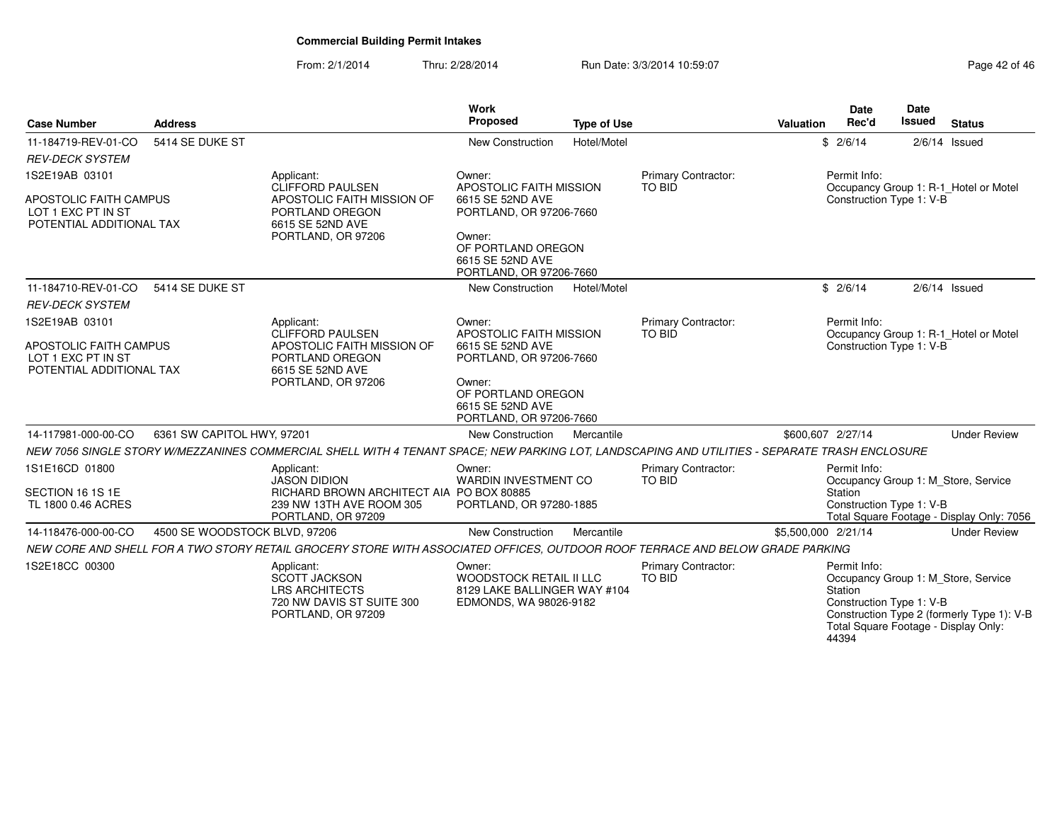From: 2/1/2014Thru: 2/28/2014 Run Date: 3/3/2014 10:59:07 Research 2014 10:59:07

| <b>Case Number</b>                                                                                | <b>Address</b>                |                                                                                                                                                | <b>Work</b><br>Proposed                                                                                                                                         | <b>Type of Use</b> |                                      | <b>Valuation</b>    | <b>Date</b><br>Rec'd                                                                                 | Date<br><b>Issued</b> | <b>Status</b>                                                                     |
|---------------------------------------------------------------------------------------------------|-------------------------------|------------------------------------------------------------------------------------------------------------------------------------------------|-----------------------------------------------------------------------------------------------------------------------------------------------------------------|--------------------|--------------------------------------|---------------------|------------------------------------------------------------------------------------------------------|-----------------------|-----------------------------------------------------------------------------------|
| 11-184719-REV-01-CO                                                                               | 5414 SE DUKE ST               |                                                                                                                                                | New Construction                                                                                                                                                | Hotel/Motel        |                                      |                     | \$2/6/14                                                                                             |                       | $2/6/14$ Issued                                                                   |
| <b>REV-DECK SYSTEM</b>                                                                            |                               |                                                                                                                                                |                                                                                                                                                                 |                    |                                      |                     |                                                                                                      |                       |                                                                                   |
| 1S2E19AB 03101<br><b>APOSTOLIC FAITH CAMPUS</b><br>LOT 1 EXC PT IN ST<br>POTENTIAL ADDITIONAL TAX |                               | Applicant:<br><b>CLIFFORD PAULSEN</b><br>APOSTOLIC FAITH MISSION OF<br>PORTLAND OREGON<br>6615 SE 52ND AVE<br>PORTLAND, OR 97206               | Owner:<br>APOSTOLIC FAITH MISSION<br>6615 SE 52ND AVE<br>PORTLAND, OR 97206-7660<br>Owner:<br>OF PORTLAND OREGON<br>6615 SE 52ND AVE<br>PORTLAND, OR 97206-7660 |                    | Primary Contractor:<br><b>TO BID</b> |                     | Permit Info:<br>Construction Type 1: V-B                                                             |                       | Occupancy Group 1: R-1_Hotel or Motel                                             |
| 11-184710-REV-01-CO                                                                               | 5414 SE DUKE ST               |                                                                                                                                                | New Construction                                                                                                                                                | Hotel/Motel        |                                      |                     | \$2/6/14                                                                                             |                       | $2/6/14$ Issued                                                                   |
| <b>REV-DECK SYSTEM</b>                                                                            |                               |                                                                                                                                                |                                                                                                                                                                 |                    |                                      |                     |                                                                                                      |                       |                                                                                   |
| 1S2E19AB 03101<br>APOSTOLIC FAITH CAMPUS<br>LOT 1 EXC PT IN ST<br>POTENTIAL ADDITIONAL TAX        |                               | Applicant:<br><b>CLIFFORD PAULSEN</b><br>APOSTOLIC FAITH MISSION OF<br>PORTLAND OREGON<br>6615 SE 52ND AVE<br>PORTLAND, OR 97206               | Owner:<br>APOSTOLIC FAITH MISSION<br>6615 SE 52ND AVE<br>PORTLAND, OR 97206-7660<br>Owner:<br>OF PORTLAND OREGON<br>6615 SE 52ND AVE<br>PORTLAND, OR 97206-7660 |                    | Primary Contractor:<br><b>TO BID</b> |                     | Permit Info:<br>Construction Type 1: V-B                                                             |                       | Occupancy Group 1: R-1_Hotel or Motel                                             |
| 14-117981-000-00-CO                                                                               | 6361 SW CAPITOL HWY, 97201    |                                                                                                                                                | New Construction                                                                                                                                                | Mercantile         |                                      |                     | \$600,607 2/27/14                                                                                    |                       | <b>Under Review</b>                                                               |
|                                                                                                   |                               | NEW 7056 SINGLE STORY W/MEZZANINES COMMERCIAL SHELL WITH 4 TENANT SPACE; NEW PARKING LOT, LANDSCAPING AND UTILITIES - SEPARATE TRASH ENCLOSURE |                                                                                                                                                                 |                    |                                      |                     |                                                                                                      |                       |                                                                                   |
| 1S1E16CD 01800<br>SECTION 16 1S 1E<br>TL 1800 0.46 ACRES                                          |                               | Applicant:<br><b>JASON DIDION</b><br>RICHARD BROWN ARCHITECT AIA PO BOX 80885<br>239 NW 13TH AVE ROOM 305<br>PORTLAND, OR 97209                | Owner:<br><b>WARDIN INVESTMENT CO</b><br>PORTLAND, OR 97280-1885                                                                                                |                    | Primary Contractor:<br><b>TO BID</b> |                     | Permit Info:<br>Station<br>Construction Type 1: V-B                                                  |                       | Occupancy Group 1: M_Store, Service<br>Total Square Footage - Display Only: 7056  |
| 14-118476-000-00-CO                                                                               | 4500 SE WOODSTOCK BLVD, 97206 |                                                                                                                                                | <b>New Construction</b>                                                                                                                                         | Mercantile         |                                      | \$5,500,000 2/21/14 |                                                                                                      |                       | <b>Under Review</b>                                                               |
|                                                                                                   |                               | NEW CORE AND SHELL FOR A TWO STORY RETAIL GROCERY STORE WITH ASSOCIATED OFFICES, OUTDOOR ROOF TERRACE AND BELOW GRADE PARKING                  |                                                                                                                                                                 |                    |                                      |                     |                                                                                                      |                       |                                                                                   |
| 1S2E18CC 00300                                                                                    |                               | Applicant:<br><b>SCOTT JACKSON</b><br><b>LRS ARCHITECTS</b><br>720 NW DAVIS ST SUITE 300<br>PORTLAND, OR 97209                                 | Owner:<br><b>WOODSTOCK RETAIL II LLC</b><br>8129 LAKE BALLINGER WAY #104<br>EDMONDS, WA 98026-9182                                                              |                    | Primary Contractor:<br><b>TO BID</b> |                     | Permit Info:<br>Station<br>Construction Type 1: V-B<br>Total Square Footage - Display Only:<br>44394 |                       | Occupancy Group 1: M_Store, Service<br>Construction Type 2 (formerly Type 1): V-B |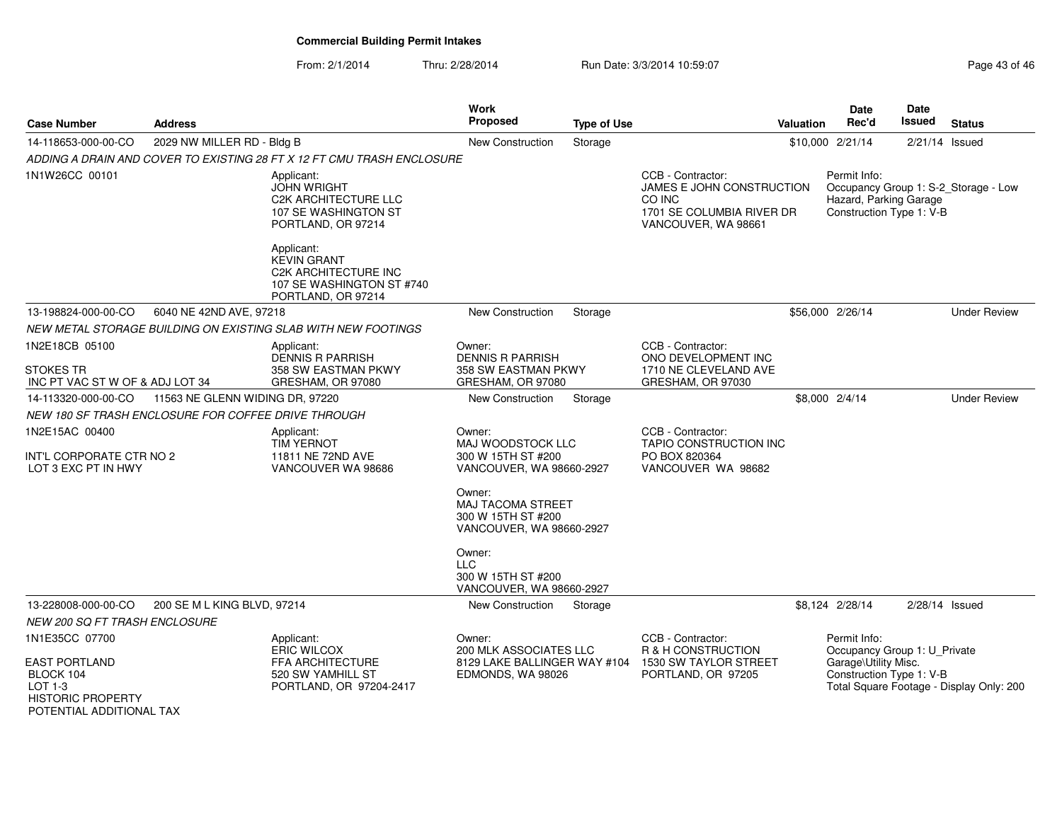From: 2/1/2014Thru: 2/28/2014 **Run Date: 3/3/2014 10:59:07 Page 43 of 47 of 47 of 47 of 46 of 47 of 46**  $\mu$ 

| <b>Case Number</b>                                                             | <b>Address</b>                                      |                                                                                                                    | Work<br><b>Proposed</b>                                                              | <b>Type of Use</b> |                                                                                                              | <b>Valuation</b> | Date<br>Rec'd                                                        | <b>Date</b><br><b>Issued</b> | <b>Status</b>                            |
|--------------------------------------------------------------------------------|-----------------------------------------------------|--------------------------------------------------------------------------------------------------------------------|--------------------------------------------------------------------------------------|--------------------|--------------------------------------------------------------------------------------------------------------|------------------|----------------------------------------------------------------------|------------------------------|------------------------------------------|
| 14-118653-000-00-CO                                                            | 2029 NW MILLER RD - Bldg B                          |                                                                                                                    | <b>New Construction</b>                                                              | Storage            |                                                                                                              |                  | \$10,000 2/21/14                                                     | 2/21/14                      | Issued                                   |
|                                                                                |                                                     | ADDING A DRAIN AND COVER TO EXISTING 28 FT X 12 FT CMU TRASH ENCLOSURE                                             |                                                                                      |                    |                                                                                                              |                  |                                                                      |                              |                                          |
| 1N1W26CC 00101                                                                 |                                                     | Applicant:<br><b>JOHN WRIGHT</b><br><b>C2K ARCHITECTURE LLC</b><br>107 SE WASHINGTON ST<br>PORTLAND, OR 97214      |                                                                                      |                    | CCB - Contractor:<br>JAMES E JOHN CONSTRUCTION<br>CO INC<br>1701 SE COLUMBIA RIVER DR<br>VANCOUVER, WA 98661 |                  | Permit Info:<br>Hazard, Parking Garage<br>Construction Type 1: V-B   |                              | Occupancy Group 1: S-2_Storage - Low     |
|                                                                                |                                                     | Applicant:<br><b>KEVIN GRANT</b><br><b>C2K ARCHITECTURE INC</b><br>107 SE WASHINGTON ST #740<br>PORTLAND, OR 97214 |                                                                                      |                    |                                                                                                              |                  |                                                                      |                              |                                          |
| 13-198824-000-00-CO                                                            | 6040 NE 42ND AVE, 97218                             |                                                                                                                    | <b>New Construction</b>                                                              | Storage            |                                                                                                              |                  | \$56,000 2/26/14                                                     |                              | <b>Under Review</b>                      |
|                                                                                |                                                     | NEW METAL STORAGE BUILDING ON EXISTING SLAB WITH NEW FOOTINGS                                                      |                                                                                      |                    |                                                                                                              |                  |                                                                      |                              |                                          |
| 1N2E18CB 05100<br>STOKES TR<br>INC PT VAC ST W OF & ADJ LOT 34                 |                                                     | Applicant:<br>DENNIS R PARRISH<br>358 SW EASTMAN PKWY<br>GRESHAM, OR 97080                                         | Owner:<br><b>DENNIS R PARRISH</b><br>358 SW EASTMAN PKWY<br>GRESHAM, OR 97080        |                    | CCB - Contractor:<br>ONO DEVELOPMENT INC<br>1710 NE CLEVELAND AVE<br>GRESHAM, OR 97030                       |                  |                                                                      |                              |                                          |
| 14-113320-000-00-CO                                                            | 11563 NE GLENN WIDING DR, 97220                     |                                                                                                                    | New Construction                                                                     | Storage            |                                                                                                              |                  | \$8,000 2/4/14                                                       |                              | <b>Under Review</b>                      |
|                                                                                | NEW 180 SF TRASH ENCLOSURE FOR COFFEE DRIVE THROUGH |                                                                                                                    |                                                                                      |                    |                                                                                                              |                  |                                                                      |                              |                                          |
| 1N2E15AC 00400<br>INT'L CORPORATE CTR NO 2<br>LOT 3 EXC PT IN HWY              |                                                     | Applicant:<br><b>TIM YERNOT</b><br>11811 NE 72ND AVE<br>VANCOUVER WA 98686                                         | Owner:<br>MAJ WOODSTOCK LLC<br>300 W 15TH ST #200<br>VANCOUVER, WA 98660-2927        |                    | CCB - Contractor:<br>TAPIO CONSTRUCTION INC<br>PO BOX 820364<br>VANCOUVER WA 98682                           |                  |                                                                      |                              |                                          |
|                                                                                |                                                     |                                                                                                                    | Owner:<br><b>MAJ TACOMA STREET</b><br>300 W 15TH ST #200<br>VANCOUVER, WA 98660-2927 |                    |                                                                                                              |                  |                                                                      |                              |                                          |
|                                                                                |                                                     |                                                                                                                    | Owner:<br><b>LLC</b><br>300 W 15TH ST #200<br>VANCOUVER, WA 98660-2927               |                    |                                                                                                              |                  |                                                                      |                              |                                          |
| 13-228008-000-00-CO                                                            | 200 SE M L KING BLVD, 97214                         |                                                                                                                    | <b>New Construction</b>                                                              | Storage            |                                                                                                              |                  | \$8,124 2/28/14                                                      | $2/28/14$ Issued             |                                          |
| <b>NEW 200 SQ FT TRASH ENCLOSURE</b>                                           |                                                     |                                                                                                                    |                                                                                      |                    |                                                                                                              |                  |                                                                      |                              |                                          |
| 1N1E35CC 07700<br><b>EAST PORTLAND</b>                                         |                                                     | Applicant:<br><b>ERIC WILCOX</b><br>FFA ARCHITECTURE                                                               | Owner:<br>200 MLK ASSOCIATES LLC<br>8129 LAKE BALLINGER WAY #104                     |                    | CCB - Contractor:<br>R & H CONSTRUCTION<br>1530 SW TAYLOR STREET                                             |                  | Permit Info:<br>Occupancy Group 1: U_Private<br>Garage\Utility Misc. |                              |                                          |
| BLOCK 104<br>$LOT 1-3$<br><b>HISTORIC PROPERTY</b><br>POTENTIAL ADDITIONAL TAX |                                                     | 520 SW YAMHILL ST<br>PORTLAND, OR 97204-2417                                                                       | EDMONDS, WA 98026                                                                    |                    | PORTLAND, OR 97205                                                                                           |                  | Construction Type 1: V-B                                             |                              | Total Square Footage - Display Only: 200 |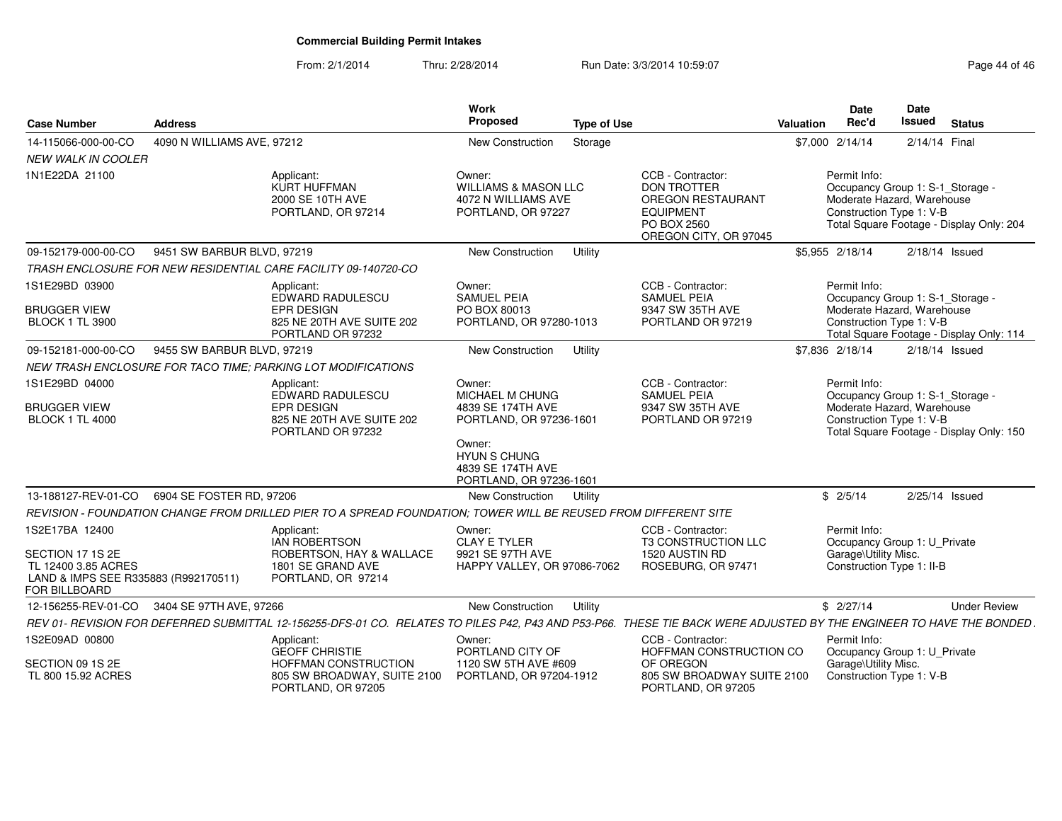From: 2/1/2014Thru: 2/28/2014 Run Date: 3/3/2014 10:59:07 Research 2010 12:08:09 Page 44 of 46

| <b>Case Number</b>                                                                                                 | <b>Address</b>             |                                                                                                                 | Work<br>Proposed                                                                                                                                           | <b>Type of Use</b> |                                                                                                                                 | <b>Valuation</b> | Date<br>Rec'd                                                                                              | <b>Date</b><br><b>Issued</b> | <b>Status</b>                            |
|--------------------------------------------------------------------------------------------------------------------|----------------------------|-----------------------------------------------------------------------------------------------------------------|------------------------------------------------------------------------------------------------------------------------------------------------------------|--------------------|---------------------------------------------------------------------------------------------------------------------------------|------------------|------------------------------------------------------------------------------------------------------------|------------------------------|------------------------------------------|
| 14-115066-000-00-CO                                                                                                | 4090 N WILLIAMS AVE, 97212 |                                                                                                                 | New Construction                                                                                                                                           | Storage            |                                                                                                                                 |                  | \$7,000 2/14/14                                                                                            | 2/14/14 Final                |                                          |
| <b>NEW WALK IN COOLER</b>                                                                                          |                            |                                                                                                                 |                                                                                                                                                            |                    |                                                                                                                                 |                  |                                                                                                            |                              |                                          |
| 1N1E22DA 21100                                                                                                     |                            | Applicant:<br>KURT HUFFMAN<br>2000 SE 10TH AVE<br>PORTLAND, OR 97214                                            | Owner:<br><b>WILLIAMS &amp; MASON LLC</b><br>4072 N WILLIAMS AVE<br>PORTLAND, OR 97227                                                                     |                    | CCB - Contractor:<br><b>DON TROTTER</b><br><b>OREGON RESTAURANT</b><br><b>EQUIPMENT</b><br>PO BOX 2560<br>OREGON CITY, OR 97045 |                  | Permit Info:<br>Occupancy Group 1: S-1_Storage -<br>Moderate Hazard, Warehouse<br>Construction Type 1: V-B |                              | Total Square Footage - Display Only: 204 |
| 09-152179-000-00-CO                                                                                                | 9451 SW BARBUR BLVD, 97219 |                                                                                                                 | <b>New Construction</b>                                                                                                                                    | Utility            |                                                                                                                                 |                  | \$5.955 2/18/14                                                                                            | 2/18/14 Issued               |                                          |
|                                                                                                                    |                            | TRASH ENCLOSURE FOR NEW RESIDENTIAL CARE FACILITY 09-140720-CO                                                  |                                                                                                                                                            |                    |                                                                                                                                 |                  |                                                                                                            |                              |                                          |
| 1S1E29BD 03900<br><b>BRUGGER VIEW</b><br><b>BLOCK 1 TL 3900</b>                                                    |                            | Applicant:<br>EDWARD RADULESCU<br><b>EPR DESIGN</b><br>825 NE 20TH AVE SUITE 202<br>PORTLAND OR 97232           | Owner:<br><b>SAMUEL PEIA</b><br>PO BOX 80013<br>PORTLAND, OR 97280-1013                                                                                    |                    | CCB - Contractor:<br><b>SAMUEL PEIA</b><br>9347 SW 35TH AVE<br>PORTLAND OR 97219                                                |                  | Permit Info:<br>Occupancy Group 1: S-1_Storage -<br>Moderate Hazard, Warehouse<br>Construction Type 1: V-B |                              | Total Square Footage - Display Only: 114 |
| 09-152181-000-00-CO                                                                                                | 9455 SW BARBUR BLVD, 97219 |                                                                                                                 | <b>New Construction</b>                                                                                                                                    | Utility            |                                                                                                                                 |                  | \$7.836 2/18/14                                                                                            | 2/18/14 Issued               |                                          |
|                                                                                                                    |                            | NEW TRASH ENCLOSURE FOR TACO TIME: PARKING LOT MODIFICATIONS                                                    |                                                                                                                                                            |                    |                                                                                                                                 |                  |                                                                                                            |                              |                                          |
| 1S1E29BD 04000<br><b>BRUGGER VIEW</b><br><b>BLOCK 1 TL 4000</b>                                                    |                            | Applicant:<br>EDWARD RADULESCU<br><b>EPR DESIGN</b><br>825 NE 20TH AVE SUITE 202<br>PORTLAND OR 97232           | Owner:<br>MICHAEL M CHUNG<br>4839 SE 174TH AVE<br>PORTLAND, OR 97236-1601<br>Owner:<br><b>HYUN S CHUNG</b><br>4839 SE 174TH AVE<br>PORTLAND, OR 97236-1601 |                    | CCB - Contractor:<br><b>SAMUEL PEIA</b><br>9347 SW 35TH AVE<br>PORTLAND OR 97219                                                |                  | Permit Info:<br>Occupancy Group 1: S-1_Storage -<br>Moderate Hazard, Warehouse<br>Construction Type 1: V-B |                              | Total Square Footage - Display Only: 150 |
| 13-188127-REV-01-CO                                                                                                | 6904 SE FOSTER RD, 97206   |                                                                                                                 | <b>New Construction</b>                                                                                                                                    | Utility            |                                                                                                                                 |                  | \$2/5/14                                                                                                   | 2/25/14 Issued               |                                          |
|                                                                                                                    |                            | REVISION - FOUNDATION CHANGE FROM DRILLED PIER TO A SPREAD FOUNDATION; TOWER WILL BE REUSED FROM DIFFERENT SITE |                                                                                                                                                            |                    |                                                                                                                                 |                  |                                                                                                            |                              |                                          |
| 1S2E17BA 12400<br>SECTION 17 1S 2E<br>TL 12400 3.85 ACRES<br>LAND & IMPS SEE R335883 (R992170511)<br>FOR BILLBOARD |                            | Applicant:<br><b>IAN ROBERTSON</b><br>ROBERTSON, HAY & WALLACE<br>1801 SE GRAND AVE<br>PORTLAND, OR 97214       | Owner:<br><b>CLAY E TYLER</b><br>9921 SE 97TH AVE<br>HAPPY VALLEY, OR 97086-7062                                                                           |                    | CCB - Contractor:<br><b>T3 CONSTRUCTION LLC</b><br>1520 AUSTIN RD<br>ROSEBURG, OR 97471                                         |                  | Permit Info:<br>Occupancy Group 1: U_Private<br>Garage\Utility Misc.<br>Construction Type 1: II-B          |                              |                                          |
| 12-156255-REV-01-CO                                                                                                | 3404 SE 97TH AVE, 97266    |                                                                                                                 | <b>New Construction</b>                                                                                                                                    | Utility            |                                                                                                                                 |                  | \$2/27/14                                                                                                  |                              | <b>Under Review</b>                      |
|                                                                                                                    |                            | REV 01- REVISION FOR DEFERRED SUBMITTAL 12-156255-DFS-01 CO. RELATES TO PILES P42, P43 AND P53-P66.             |                                                                                                                                                            |                    | THESE TIE BACK WERE ADJUSTED BY THE ENGINEER TO HAVE THE BONDED.                                                                |                  |                                                                                                            |                              |                                          |
| 1S2E09AD 00800                                                                                                     |                            | Applicant:<br><b>GEOFF CHRISTIE</b>                                                                             | Owner:<br>PORTLAND CITY OF                                                                                                                                 |                    | CCB - Contractor:<br>HOFFMAN CONSTRUCTION CO                                                                                    |                  | Permit Info:<br>Occupancy Group 1: U_Private                                                               |                              |                                          |
| SECTION 09 1S 2E<br>TL 800 15.92 ACRES                                                                             |                            | <b>HOFFMAN CONSTRUCTION</b><br>805 SW BROADWAY, SUITE 2100<br>PORTLAND, OR 97205                                | 1120 SW 5TH AVE #609<br>PORTLAND, OR 97204-1912                                                                                                            |                    | OF OREGON<br>805 SW BROADWAY SUITE 2100<br>PORTLAND, OR 97205                                                                   |                  | Garage\Utility Misc.<br>Construction Type 1: V-B                                                           |                              |                                          |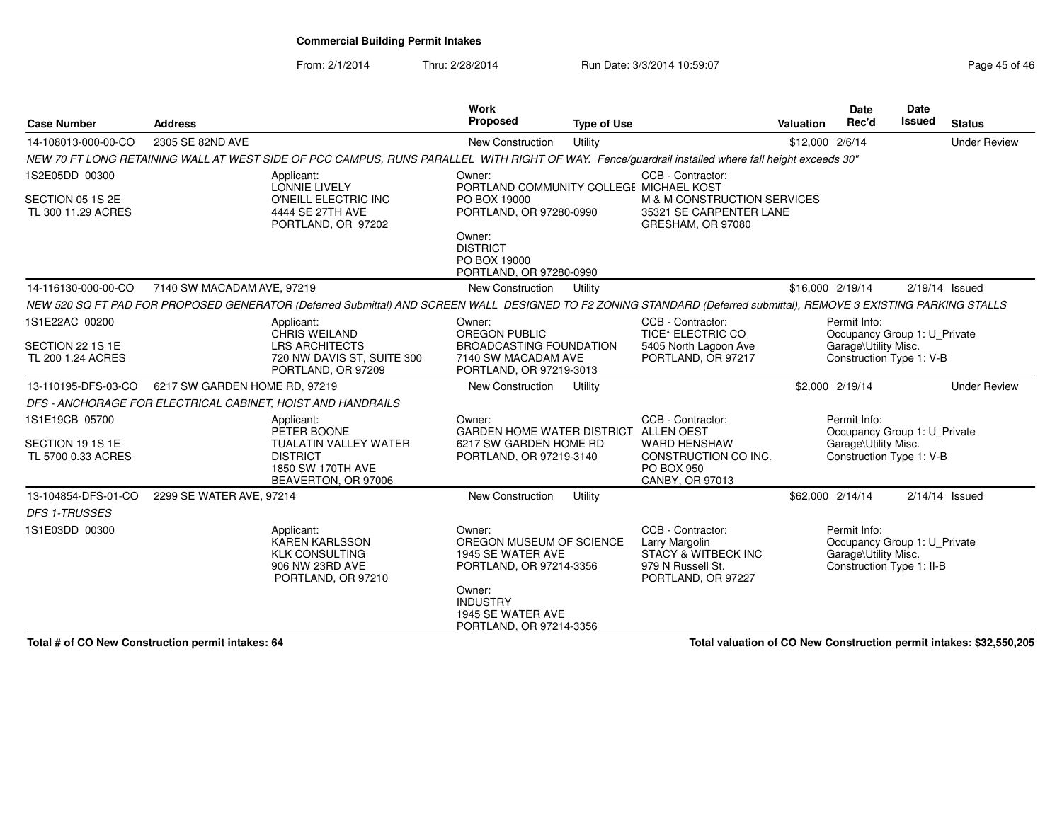From: 2/1/2014

Thru: 2/28/2014 **Run Date: 3/3/2014 10:59:07 Page 45 of 46 of 46 of 46 of 46 of 46 of 46** 

| Page 45 of 46 |  |  |
|---------------|--|--|
|               |  |  |

| 2305 SE 82ND AVE                                                                          | NEW 70 FT LONG RETAINING WALL AT WEST SIDE OF PCC CAMPUS, RUNS PARALLEL WITH RIGHT OF WAY. Fence/guardrail installed where fall height exceeds 30"<br>Applicant:<br><b>LONNIE LIVELY</b> | New Construction<br>Owner:                                                                                                                                                      | Utility |                                                                                                                                                                                                                                                                                              | \$12,000 2/6/14                                                |  |                                                                                                         | <b>Under Review</b>                                                                                                                                                                                                                                                                                                                                                                                                                          |
|-------------------------------------------------------------------------------------------|------------------------------------------------------------------------------------------------------------------------------------------------------------------------------------------|---------------------------------------------------------------------------------------------------------------------------------------------------------------------------------|---------|----------------------------------------------------------------------------------------------------------------------------------------------------------------------------------------------------------------------------------------------------------------------------------------------|----------------------------------------------------------------|--|---------------------------------------------------------------------------------------------------------|----------------------------------------------------------------------------------------------------------------------------------------------------------------------------------------------------------------------------------------------------------------------------------------------------------------------------------------------------------------------------------------------------------------------------------------------|
|                                                                                           |                                                                                                                                                                                          |                                                                                                                                                                                 |         |                                                                                                                                                                                                                                                                                              |                                                                |  |                                                                                                         |                                                                                                                                                                                                                                                                                                                                                                                                                                              |
|                                                                                           |                                                                                                                                                                                          |                                                                                                                                                                                 |         |                                                                                                                                                                                                                                                                                              |                                                                |  |                                                                                                         |                                                                                                                                                                                                                                                                                                                                                                                                                                              |
|                                                                                           | O'NEILL ELECTRIC INC<br>4444 SE 27TH AVE<br>PORTLAND, OR 97202                                                                                                                           | PORTLAND COMMUNITY COLLEGE MICHAEL KOST<br>PO BOX 19000<br>PORTLAND, OR 97280-0990                                                                                              |         | CCB - Contractor:<br>M & M CONSTRUCTION SERVICES<br>35321 SE CARPENTER LANE<br>GRESHAM, OR 97080                                                                                                                                                                                             |                                                                |  |                                                                                                         |                                                                                                                                                                                                                                                                                                                                                                                                                                              |
|                                                                                           |                                                                                                                                                                                          | <b>DISTRICT</b><br>PO BOX 19000                                                                                                                                                 |         |                                                                                                                                                                                                                                                                                              |                                                                |  |                                                                                                         |                                                                                                                                                                                                                                                                                                                                                                                                                                              |
|                                                                                           |                                                                                                                                                                                          | New Construction                                                                                                                                                                | Utility |                                                                                                                                                                                                                                                                                              |                                                                |  |                                                                                                         |                                                                                                                                                                                                                                                                                                                                                                                                                                              |
|                                                                                           |                                                                                                                                                                                          |                                                                                                                                                                                 |         |                                                                                                                                                                                                                                                                                              |                                                                |  |                                                                                                         |                                                                                                                                                                                                                                                                                                                                                                                                                                              |
|                                                                                           | Applicant:<br><b>CHRIS WEILAND</b>                                                                                                                                                       | Owner:<br><b>OREGON PUBLIC</b>                                                                                                                                                  |         | CCB - Contractor:<br><b>TICE* ELECTRIC CO</b>                                                                                                                                                                                                                                                |                                                                |  |                                                                                                         |                                                                                                                                                                                                                                                                                                                                                                                                                                              |
| SECTION 22 1S 1E<br>720 NW DAVIS ST, SUITE 300<br>TL 200 1.24 ACRES<br>PORTLAND, OR 97209 |                                                                                                                                                                                          |                                                                                                                                                                                 |         | PORTLAND, OR 97217                                                                                                                                                                                                                                                                           | Construction Type 1: V-B                                       |  |                                                                                                         |                                                                                                                                                                                                                                                                                                                                                                                                                                              |
|                                                                                           |                                                                                                                                                                                          | New Construction                                                                                                                                                                | Utility |                                                                                                                                                                                                                                                                                              |                                                                |  |                                                                                                         | <b>Under Review</b>                                                                                                                                                                                                                                                                                                                                                                                                                          |
|                                                                                           |                                                                                                                                                                                          |                                                                                                                                                                                 |         |                                                                                                                                                                                                                                                                                              |                                                                |  |                                                                                                         |                                                                                                                                                                                                                                                                                                                                                                                                                                              |
|                                                                                           | Applicant:<br>PETER BOONE<br><b>TUALATIN VALLEY WATER</b><br><b>DISTRICT</b><br>1850 SW 170TH AVE<br>BEAVERTON, OR 97006                                                                 | Owner:                                                                                                                                                                          |         | CCB - Contractor:<br><b>WARD HENSHAW</b><br>CONSTRUCTION CO INC.<br>PO BOX 950<br>CANBY, OR 97013                                                                                                                                                                                            |                                                                |  |                                                                                                         |                                                                                                                                                                                                                                                                                                                                                                                                                                              |
|                                                                                           |                                                                                                                                                                                          | New Construction                                                                                                                                                                | Utility |                                                                                                                                                                                                                                                                                              |                                                                |  |                                                                                                         |                                                                                                                                                                                                                                                                                                                                                                                                                                              |
|                                                                                           |                                                                                                                                                                                          |                                                                                                                                                                                 |         |                                                                                                                                                                                                                                                                                              |                                                                |  |                                                                                                         |                                                                                                                                                                                                                                                                                                                                                                                                                                              |
|                                                                                           | Applicant:<br><b>KAREN KARLSSON</b><br><b>KLK CONSULTING</b><br>906 NW 23RD AVE<br>PORTLAND, OR 97210                                                                                    | Owner:<br>Owner:<br><b>INDUSTRY</b>                                                                                                                                             |         | CCB - Contractor:<br>Larry Margolin<br><b>STACY &amp; WITBECK INC</b><br>979 N Russell St.<br>PORTLAND, OR 97227                                                                                                                                                                             |                                                                |  |                                                                                                         |                                                                                                                                                                                                                                                                                                                                                                                                                                              |
|                                                                                           |                                                                                                                                                                                          | 7140 SW MACADAM AVE, 97219<br><b>LRS ARCHITECTS</b><br>6217 SW GARDEN HOME RD, 97219<br>DFS - ANCHORAGE FOR ELECTRICAL CABINET, HOIST AND HANDRAILS<br>2299 SE WATER AVE, 97214 | Owner:  | PORTLAND, OR 97280-0990<br><b>BROADCASTING FOUNDATION</b><br>7140 SW MACADAM AVE<br>PORTLAND, OR 97219-3013<br>6217 SW GARDEN HOME RD<br>PORTLAND, OR 97219-3140<br>OREGON MUSEUM OF SCIENCE<br>1945 SE WATER AVE<br>PORTLAND, OR 97214-3356<br>1945 SE WATER AVE<br>PORTLAND, OR 97214-3356 | 5405 North Lagoon Ave<br>GARDEN HOME WATER DISTRICT ALLEN OEST |  | \$16,000 2/19/14<br>Permit Info:<br>\$2,000 2/19/14<br>Permit Info:<br>\$62,000 2/14/14<br>Permit Info: | $2/19/14$ Issued<br>NEW 520 SQ FT PAD FOR PROPOSED GENERATOR (Deferred Submittal) AND SCREEN WALL DESIGNED TO F2 ZONING STANDARD (Deferred submittal), REMOVE 3 EXISTING PARKING STALLS<br>Occupancy Group 1: U_Private<br>Garage\Utility Misc.<br>Occupancy Group 1: U_Private<br>Garage\Utility Misc.<br>Construction Type 1: V-B<br>$2/14/14$ Issued<br>Occupancy Group 1: U_Private<br>Garage\Utility Misc.<br>Construction Type 1: II-B |

**Total # of CO New Construction permit intakes: 64**

**Total valuation of CO New Construction permit intakes: \$32,550,205**